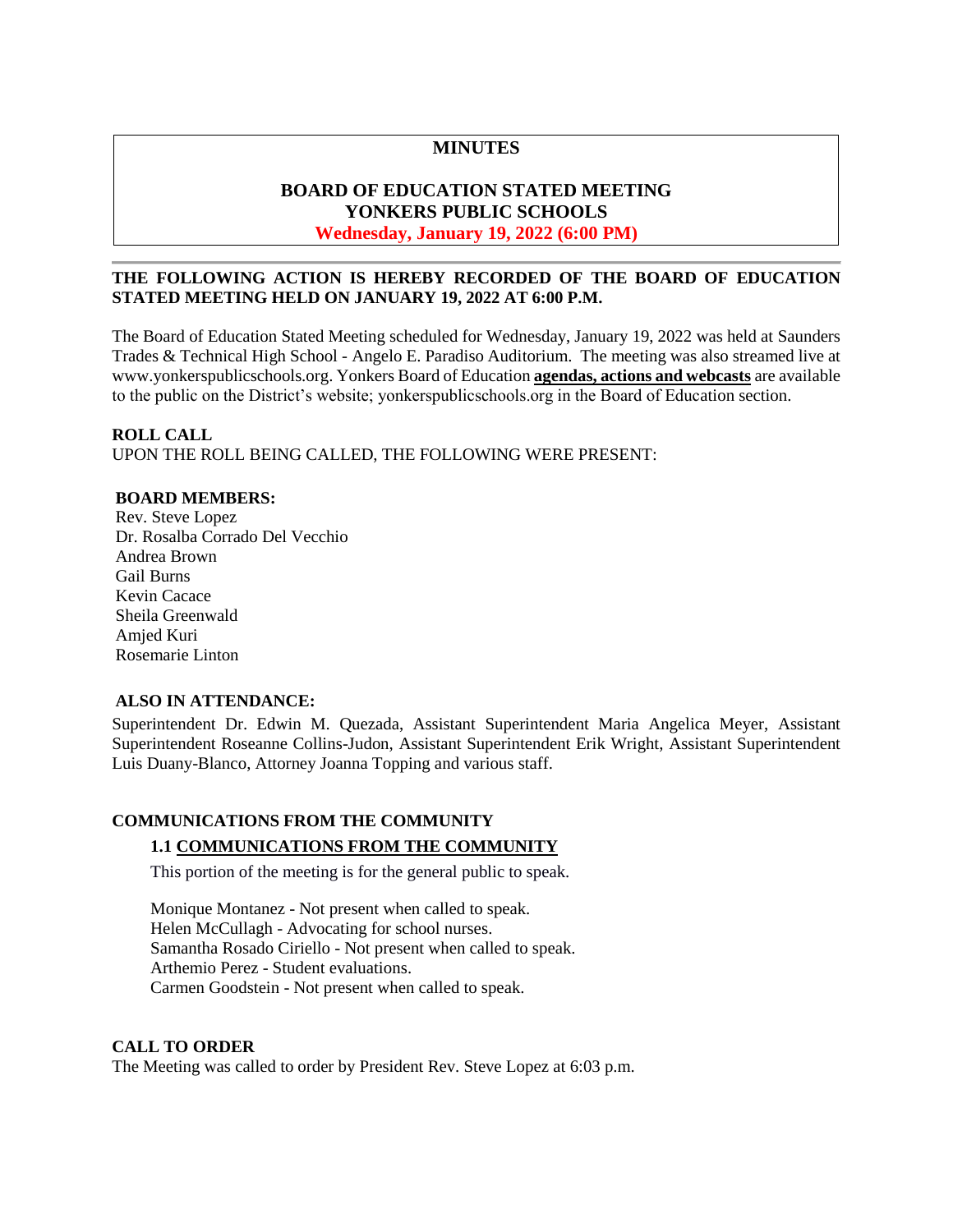## **MINUTES**

## **BOARD OF EDUCATION STATED MEETING YONKERS PUBLIC SCHOOLS Wednesday, January 19, 2022 (6:00 PM)**

## **THE FOLLOWING ACTION IS HEREBY RECORDED OF THE BOARD OF EDUCATION STATED MEETING HELD ON JANUARY 19, 2022 AT 6:00 P.M.**

The Board of Education Stated Meeting scheduled for Wednesday, January 19, 2022 was held at Saunders Trades & Technical High School - Angelo E. Paradiso Auditorium. The meeting was also streamed live at [www.yonkerspublicschools.org.](http://www.yonkerspublicschools.org/) Yonkers Board of Education **agendas, actions and webcasts** are available to the public on the District's website; yonkerspublicschools.org in the Board of Education section.

#### **ROLL CALL**

UPON THE ROLL BEING CALLED, THE FOLLOWING WERE PRESENT:

## **BOARD MEMBERS:**

Rev. Steve Lopez Dr. Rosalba Corrado Del Vecchio Andrea Brown Gail Burns Kevin Cacace Sheila Greenwald Amjed Kuri Rosemarie Linton

## **ALSO IN ATTENDANCE:**

Superintendent Dr. Edwin M. Quezada, Assistant Superintendent Maria Angelica Meyer, Assistant Superintendent Roseanne Collins-Judon, Assistant Superintendent Erik Wright, Assistant Superintendent Luis Duany-Blanco, Attorney Joanna Topping and various staff.

# **COMMUNICATIONS FROM THE COMMUNITY 1.1 COMMUNICATIONS FROM THE COMMUNITY**

This portion of the meeting is for the general public to speak.

Monique Montanez - Not present when called to speak. Helen McCullagh - Advocating for school nurses. Samantha Rosado Ciriello - Not present when called to speak. Arthemio Perez - Student evaluations. Carmen Goodstein - Not present when called to speak.

## **CALL TO ORDER**

The Meeting was called to order by President Rev. Steve Lopez at 6:03 p.m.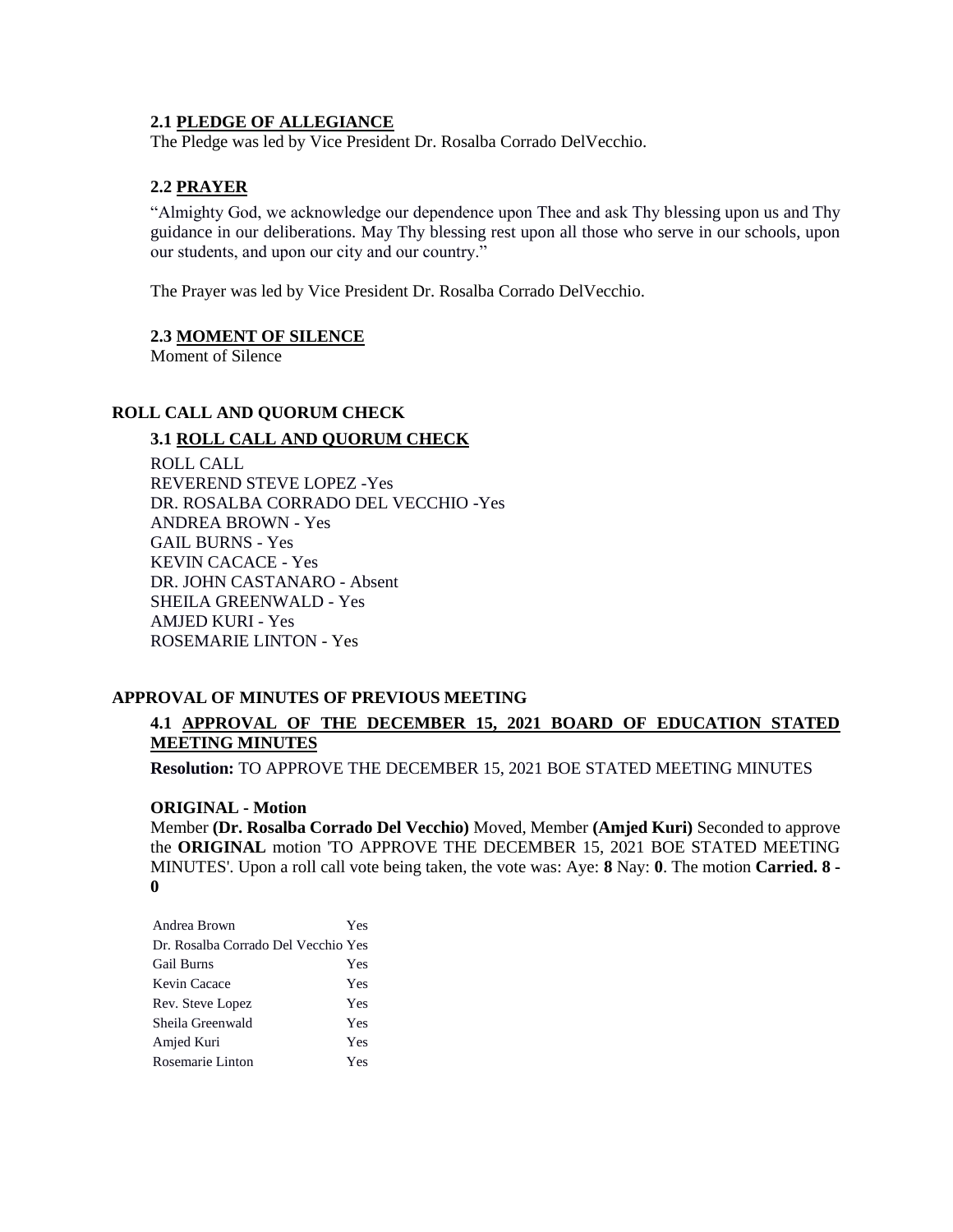### **2.1 PLEDGE OF ALLEGIANCE**

The Pledge was led by Vice President Dr. Rosalba Corrado DelVecchio.

## **2.2 PRAYER**

"Almighty God, we acknowledge our dependence upon Thee and ask Thy blessing upon us and Thy guidance in our deliberations. May Thy blessing rest upon all those who serve in our schools, upon our students, and upon our city and our country."

The Prayer was led by Vice President Dr. Rosalba Corrado DelVecchio.

#### **2.3 MOMENT OF SILENCE**

Moment of Silence

## **ROLL CALL AND QUORUM CHECK**

## **3.1 ROLL CALL AND QUORUM CHECK**

ROLL CALL REVEREND STEVE LOPEZ -Yes DR. ROSALBA CORRADO DEL VECCHIO -Yes ANDREA BROWN - Yes GAIL BURNS - Yes KEVIN CACACE - Yes DR. JOHN CASTANARO - Absent SHEILA GREENWALD - Yes AMJED KURI - Yes ROSEMARIE LINTON - Yes

## **APPROVAL OF MINUTES OF PREVIOUS MEETING**

# **4.1 APPROVAL OF THE DECEMBER 15, 2021 BOARD OF EDUCATION STATED MEETING MINUTES**

**Resolution:** TO APPROVE THE DECEMBER 15, 2021 BOE STATED MEETING MINUTES

## **ORIGINAL - Motion**

Member **(Dr. Rosalba Corrado Del Vecchio)** Moved, Member **(Amjed Kuri)** Seconded to approve the **ORIGINAL** motion 'TO APPROVE THE DECEMBER 15, 2021 BOE STATED MEETING MINUTES'. Upon a roll call vote being taken, the vote was: Aye: **8** Nay: **0**. The motion **Carried. 8 - 0** 

| Andrea Brown                        | Yes |
|-------------------------------------|-----|
| Dr. Rosalba Corrado Del Vecchio Yes |     |
| <b>Gail Burns</b>                   | Yes |
| Kevin Cacace                        | Yes |
| Rev. Steve Lopez                    | Yes |
| Sheila Greenwald                    | Yes |
| Amjed Kuri                          | Yes |
| Rosemarie Linton                    | Yes |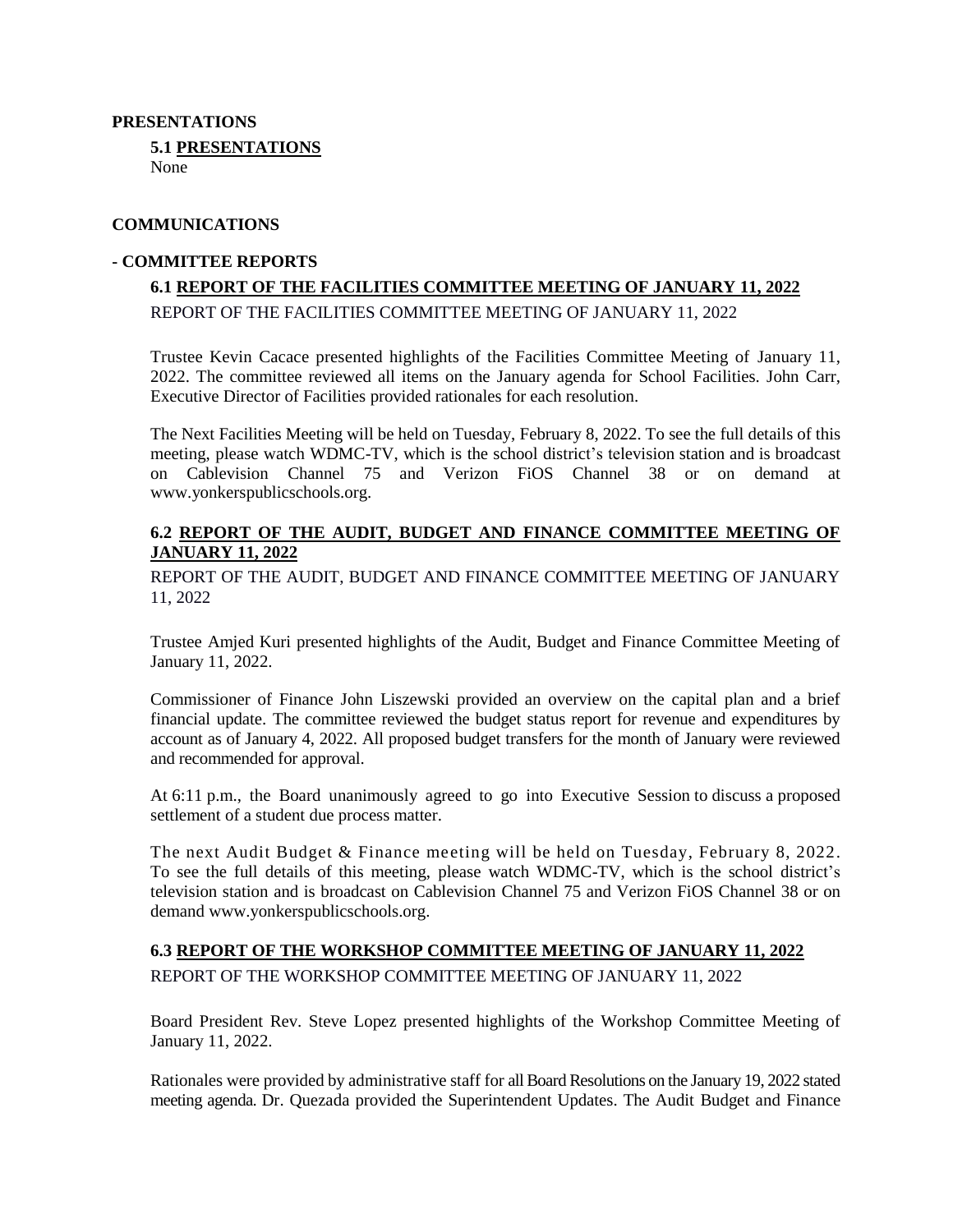## **PRESENTATIONS**

**5.1 PRESENTATIONS** None

### **COMMUNICATIONS**

## **- COMMITTEE REPORTS**

# **6.1 REPORT OF THE FACILITIES COMMITTEE MEETING OF JANUARY 11, 2022** REPORT OF THE FACILITIES COMMITTEE MEETING OF JANUARY 11, 2022

Trustee Kevin Cacace presented highlights of the Facilities Committee Meeting of January 11, 2022. The committee reviewed all items on the January agenda for School Facilities. John Carr, Executive Director of Facilities provided rationales for each resolution.

The Next Facilities Meeting will be held on Tuesday, February 8, 2022. To see the full details of this meeting, please watch WDMC-TV, which is the school district's television station and is broadcast on Cablevision Channel 75 and Verizon FiOS Channel 38 or on demand at [www.yonkerspublicschools.org.](http://www.yonkerspublicschools.org/)

## **6.2 REPORT OF THE AUDIT, BUDGET AND FINANCE COMMITTEE MEETING OF JANUARY 11, 2022**

REPORT OF THE AUDIT, BUDGET AND FINANCE COMMITTEE MEETING OF JANUARY 11, 2022

Trustee Amjed Kuri presented highlights of the Audit, Budget and Finance Committee Meeting of January 11, 2022.

Commissioner of Finance John Liszewski provided an overview on the capital plan and a brief financial update. The committee reviewed the budget status report for revenue and expenditures by account as of January 4, 2022. All proposed budget transfers for the month of January were reviewed and recommended for approval.

At 6:11 p.m., the Board unanimously agreed to go into Executive Session to discuss a proposed settlement of a student due process matter.

The next Audit Budget & Finance meeting will be held on Tuesday, February 8, 2022. To see the full details of this meeting, please watch WDMC-TV, which is the school district's television station and is broadcast on Cablevision Channel 75 and Verizon FiOS Channel 38 or on demand [www.yonkerspublicschools.org.](http://www.yonkerspublicschools.org/)

# **6.3 REPORT OF THE WORKSHOP COMMITTEE MEETING OF JANUARY 11, 2022** REPORT OF THE WORKSHOP COMMITTEE MEETING OF JANUARY 11, 2022

Board President Rev. Steve Lopez presented highlights of the Workshop Committee Meeting of January 11, 2022.

Rationales were provided by administrative staff for all Board Resolutions on the January 19, 2022 stated meeting agenda. Dr. Quezada provided the Superintendent Updates. The Audit Budget and Finance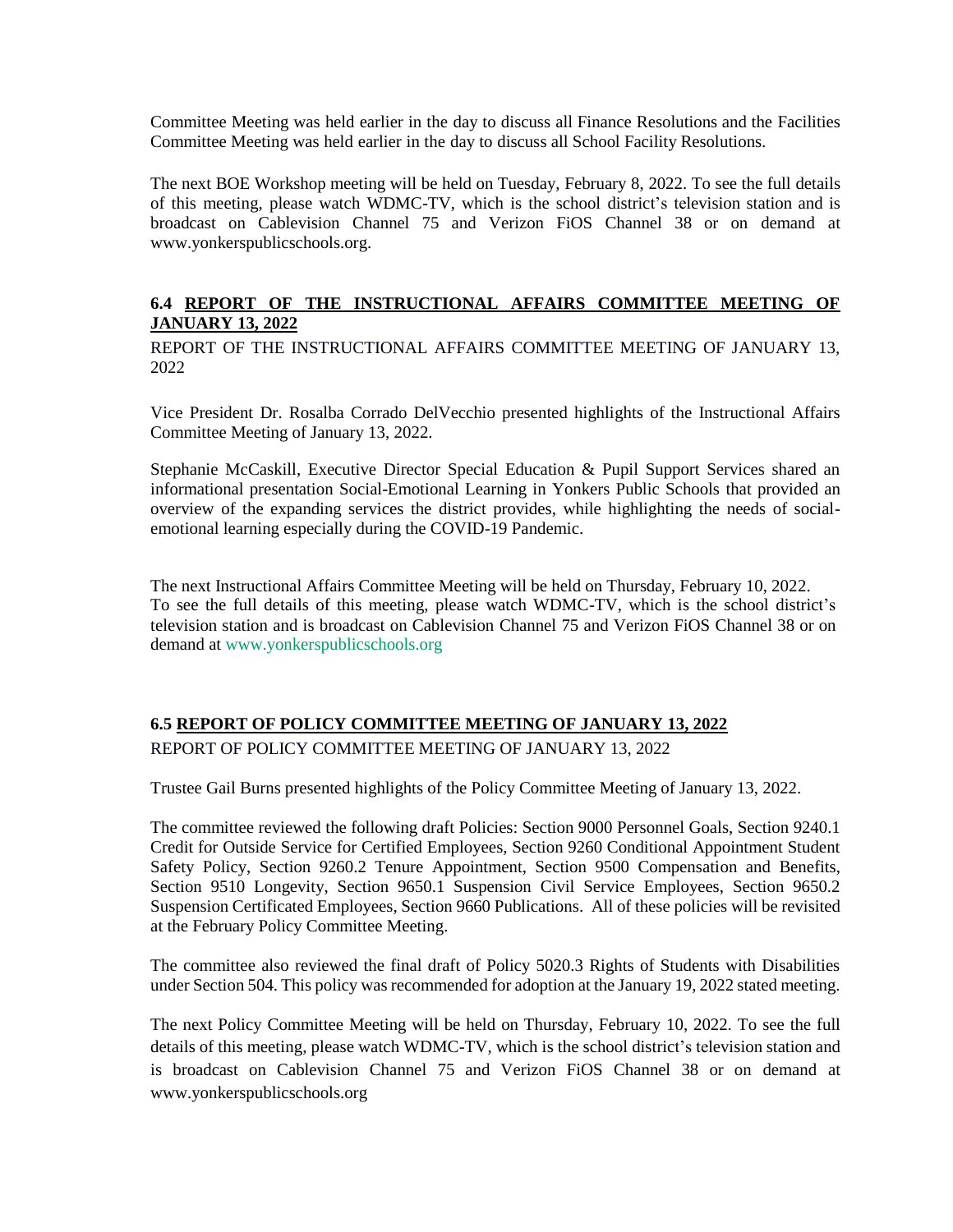Committee Meeting was held earlier in the day to discuss all Finance Resolutions and the Facilities Committee Meeting was held earlier in the day to discuss all School Facility Resolutions.

The next BOE Workshop meeting will be held on Tuesday, February 8, 2022. To see the full details of this meeting, please watch WDMC-TV, which is the school district's television station and is broadcast on Cablevision Channel 75 and Verizon FiOS Channel 38 or on demand at [www.yonkerspublicschools.org.](http://www.yonkerspublicschools.org/)

# **6.4 REPORT OF THE INSTRUCTIONAL AFFAIRS COMMITTEE MEETING OF JANUARY 13, 2022**

REPORT OF THE INSTRUCTIONAL AFFAIRS COMMITTEE MEETING OF JANUARY 13, 2022

Vice President Dr. Rosalba Corrado DelVecchio presented highlights of the Instructional Affairs Committee Meeting of January 13, 2022.

Stephanie McCaskill, Executive Director Special Education & Pupil Support Services shared an informational presentation Social-Emotional Learning in Yonkers Public Schools that provided an overview of the expanding services the district provides, while highlighting the needs of socialemotional learning especially during the COVID-19 Pandemic.

The next Instructional Affairs Committee Meeting will be held on Thursday, February 10, 2022. To see the full details of this meeting, please watch WDMC-TV, which is the school district's television station and is broadcast on Cablevision Channel 75 and Verizon FiOS Channel 38 or on demand at [www.yonkerspublicschools.org](http://www.yonkerspublicschools.org/)

# **6.5 REPORT OF POLICY COMMITTEE MEETING OF JANUARY 13, 2022**

REPORT OF POLICY COMMITTEE MEETING OF JANUARY 13, 2022

Trustee Gail Burns presented highlights of the Policy Committee Meeting of January 13, 2022.

The committee reviewed the following draft Policies: Section 9000 Personnel Goals, Section 9240.1 Credit for Outside Service for Certified Employees, Section 9260 Conditional Appointment Student Safety Policy, Section 9260.2 Tenure Appointment, Section 9500 Compensation and Benefits, Section 9510 Longevity, Section 9650.1 Suspension Civil Service Employees, Section 9650.2 Suspension Certificated Employees, Section 9660 Publications. All of these policies will be revisited at the February Policy Committee Meeting.

The committee also reviewed the final draft of Policy 5020.3 Rights of Students with Disabilities under Section 504. This policy was recommended for adoption at the January 19, 2022 stated meeting.

The next Policy Committee Meeting will be held on Thursday, February 10, 2022. To see the full details of this meeting, please watch WDMC-TV, which is the school district's television station and is broadcast on Cablevision Channel 75 and Verizon FiOS Channel 38 or on demand at [www.yonkerspublicschools.org](http://www.yonkerspublicschools.org/)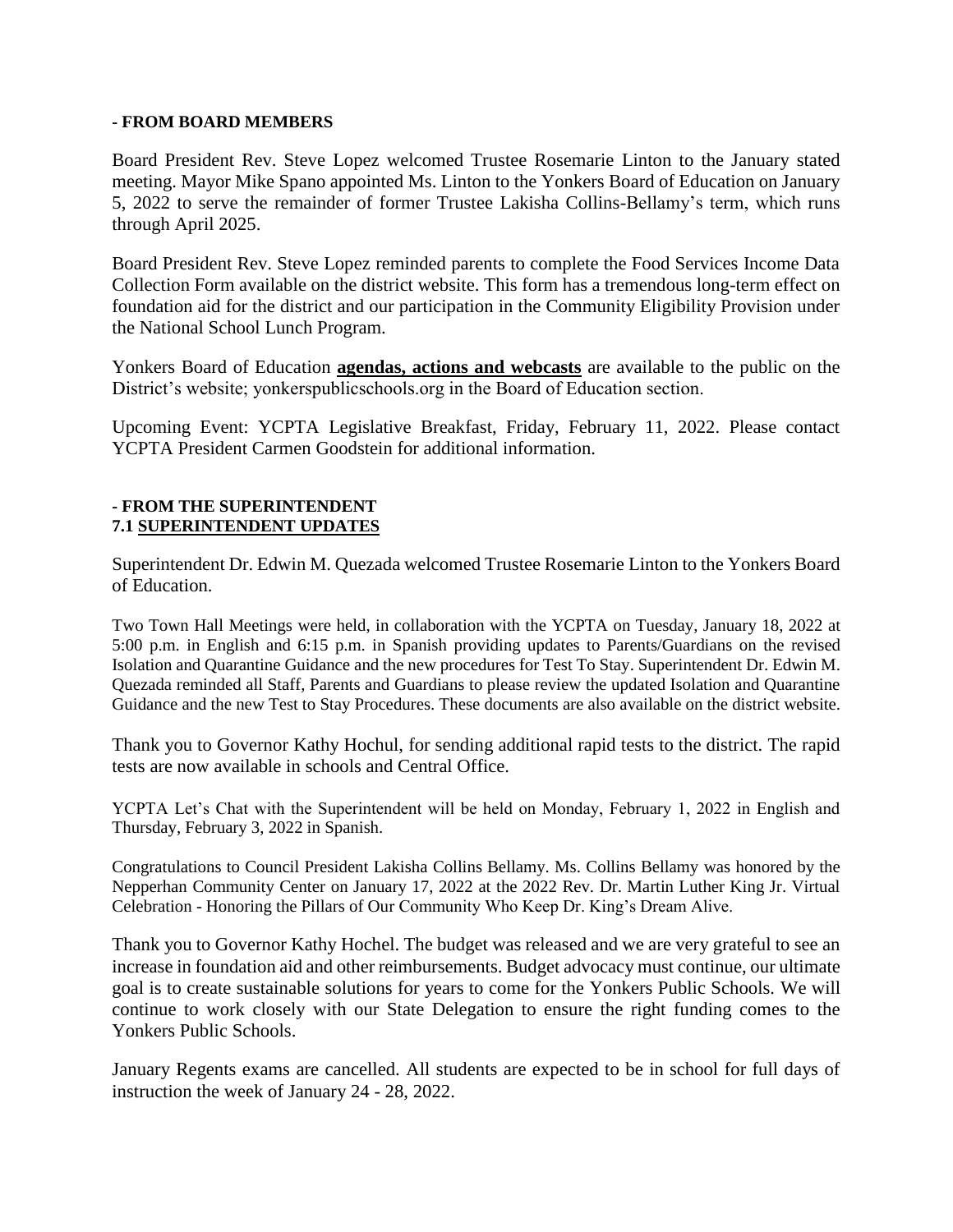## **- FROM BOARD MEMBERS**

Board President Rev. Steve Lopez welcomed Trustee Rosemarie Linton to the January stated meeting. Mayor Mike Spano appointed Ms. Linton to the Yonkers Board of Education on January 5, 2022 to serve the remainder of former Trustee Lakisha Collins-Bellamy's term, which runs through April 2025.

Board President Rev. Steve Lopez reminded parents to complete the Food Services Income Data Collection Form available on the district website. This form has a tremendous long-term effect on foundation aid for the district and our participation in the Community Eligibility Provision under the National School Lunch Program.

Yonkers Board of Education **agendas, actions and webcasts** are available to the public on the District's website; yonkerspublicschools.org in the Board of Education section.

Upcoming Event: YCPTA Legislative Breakfast, Friday, February 11, 2022. Please contact YCPTA President Carmen Goodstein for additional information.

## **- FROM THE SUPERINTENDENT 7.1 SUPERINTENDENT UPDATES**

Superintendent Dr. Edwin M. Quezada welcomed Trustee Rosemarie Linton to the Yonkers Board of Education.

Two Town Hall Meetings were held, in collaboration with the YCPTA on Tuesday, January 18, 2022 at 5:00 p.m. in English and 6:15 p.m. in Spanish providing updates to Parents/Guardians on the revised Isolation and Quarantine Guidance and the new procedures for Test To Stay. Superintendent Dr. Edwin M. Quezada reminded all Staff, Parents and Guardians to please review the updated Isolation and Quarantine Guidance and the new Test to Stay Procedures. These documents are also available on the district website.

Thank you to Governor Kathy Hochul, for sending additional rapid tests to the district. The rapid tests are now available in schools and Central Office.

YCPTA Let's Chat with the Superintendent will be held on Monday, February 1, 2022 in English and Thursday, February 3, 2022 in Spanish.

Congratulations to Council President Lakisha Collins Bellamy. Ms. Collins Bellamy was honored by the Nepperhan Community Center on January 17, 2022 at the 2022 Rev. Dr. Martin Luther King Jr. Virtual Celebration - Honoring the Pillars of Our Community Who Keep Dr. King's Dream Alive.

Thank you to Governor Kathy Hochel. The budget was released and we are very grateful to see an increase in foundation aid and other reimbursements. Budget advocacy must continue, our ultimate goal is to create sustainable solutions for years to come for the Yonkers Public Schools. We will continue to work closely with our State Delegation to ensure the right funding comes to the Yonkers Public Schools.

January Regents exams are cancelled. All students are expected to be in school for full days of instruction the week of January 24 - 28, 2022.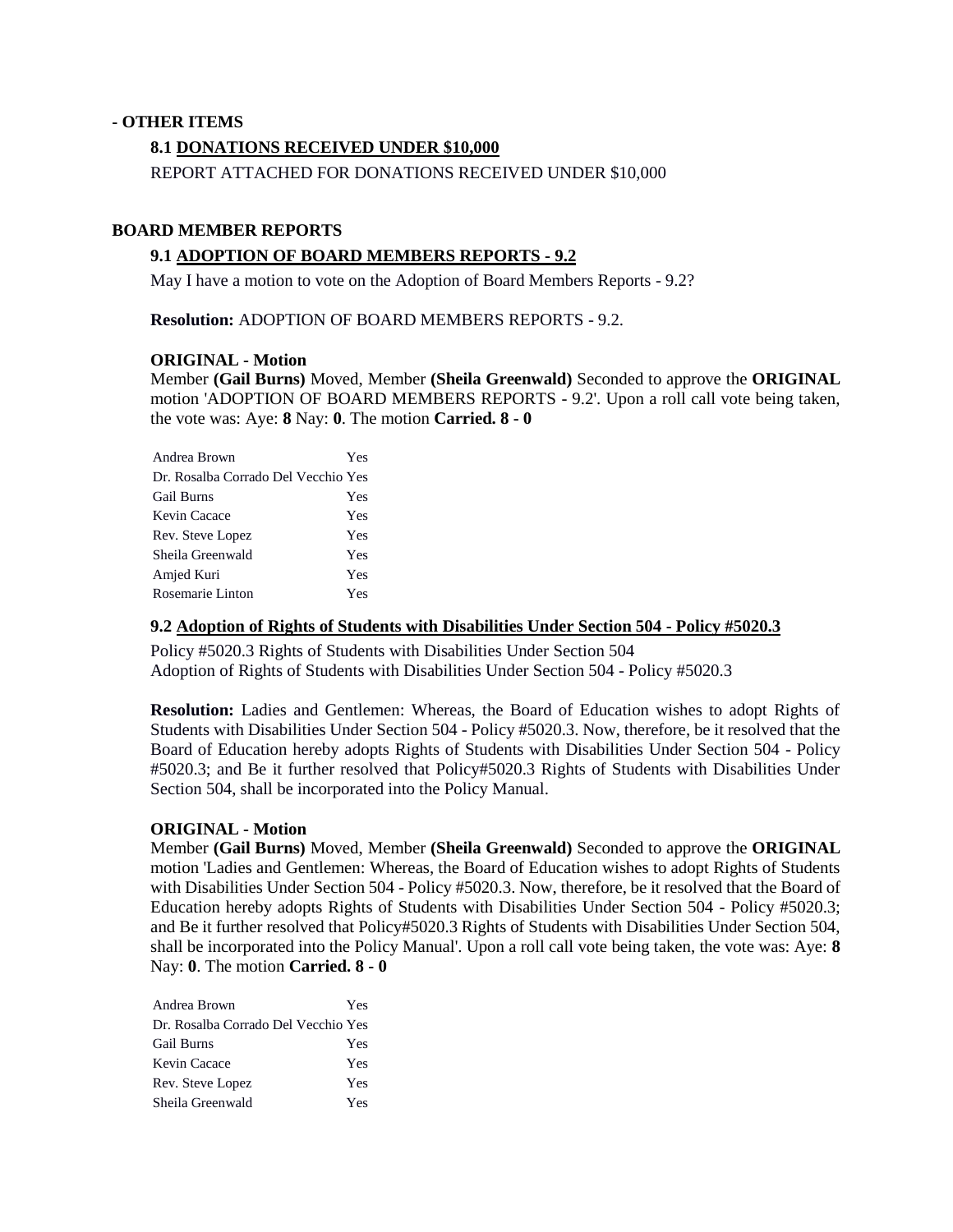### **- OTHER ITEMS**

### **8.1 DONATIONS RECEIVED UNDER \$10,000**

REPORT ATTACHED FOR DONATIONS RECEIVED UNDER \$10,000

## **BOARD MEMBER REPORTS**

### **9.1 ADOPTION OF BOARD MEMBERS REPORTS - 9.2**

May I have a motion to vote on the Adoption of Board Members Reports - 9.2?

**Resolution:** ADOPTION OF BOARD MEMBERS REPORTS - 9.2.

#### **ORIGINAL - Motion**

Member **(Gail Burns)** Moved, Member **(Sheila Greenwald)** Seconded to approve the **ORIGINAL**  motion 'ADOPTION OF BOARD MEMBERS REPORTS - 9.2'. Upon a roll call vote being taken, the vote was: Aye: **8** Nay: **0**. The motion **Carried. 8 - 0** 

| Andrea Brown                        | Yes |
|-------------------------------------|-----|
| Dr. Rosalba Corrado Del Vecchio Yes |     |
| <b>Gail Burns</b>                   | Yes |
| Kevin Cacace                        | Yes |
| Rev. Steve Lopez                    | Yes |
| Sheila Greenwald                    | Yes |
| Amjed Kuri                          | Yes |
| Rosemarie Linton                    | Yes |

#### **9.2 Adoption of Rights of Students with Disabilities Under Section 504 - Policy #5020.3**

Policy #5020.3 Rights of Students with Disabilities Under Section 504 Adoption of Rights of Students with Disabilities Under Section 504 - Policy #5020.3

**Resolution:** Ladies and Gentlemen: Whereas, the Board of Education wishes to adopt Rights of Students with Disabilities Under Section 504 - Policy #5020.3. Now, therefore, be it resolved that the Board of Education hereby adopts Rights of Students with Disabilities Under Section 504 - Policy #5020.3; and Be it further resolved that Policy#5020.3 Rights of Students with Disabilities Under Section 504, shall be incorporated into the Policy Manual.

#### **ORIGINAL - Motion**

Member **(Gail Burns)** Moved, Member **(Sheila Greenwald)** Seconded to approve the **ORIGINAL**  motion 'Ladies and Gentlemen: Whereas, the Board of Education wishes to adopt Rights of Students with Disabilities Under Section 504 - Policy #5020.3. Now, therefore, be it resolved that the Board of Education hereby adopts Rights of Students with Disabilities Under Section 504 - Policy #5020.3; and Be it further resolved that Policy#5020.3 Rights of Students with Disabilities Under Section 504, shall be incorporated into the Policy Manual'. Upon a roll call vote being taken, the vote was: Aye: **8** Nay: **0**. The motion **Carried. 8 - 0** 

| Andrea Brown                        | Yes |
|-------------------------------------|-----|
| Dr. Rosalba Corrado Del Vecchio Yes |     |
| <b>Gail Burns</b>                   | Yes |
| Kevin Cacace                        | Yes |
| Rev. Steve Lopez                    | Yes |
| Sheila Greenwald                    | Yes |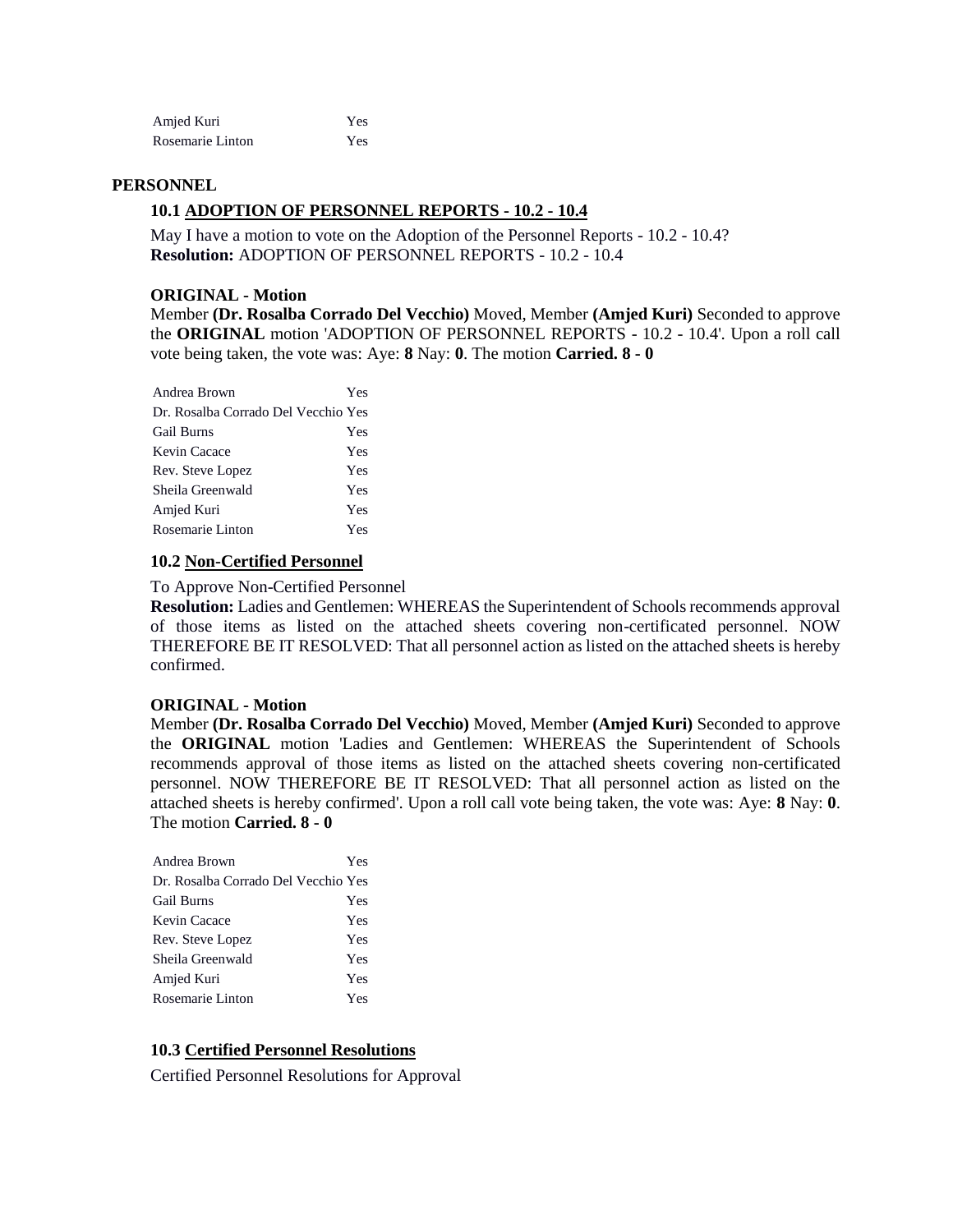| Amjed Kuri       | Yes |
|------------------|-----|
| Rosemarie Linton | Yes |

#### **PERSONNEL**

## **10.1 ADOPTION OF PERSONNEL REPORTS - 10.2 - 10.4**

May I have a motion to vote on the Adoption of the Personnel Reports - 10.2 - 10.4? **Resolution:** ADOPTION OF PERSONNEL REPORTS - 10.2 - 10.4

#### **ORIGINAL - Motion**

Member **(Dr. Rosalba Corrado Del Vecchio)** Moved, Member **(Amjed Kuri)** Seconded to approve the **ORIGINAL** motion 'ADOPTION OF PERSONNEL REPORTS - 10.2 - 10.4'. Upon a roll call vote being taken, the vote was: Aye: **8** Nay: **0**. The motion **Carried. 8 - 0** 

| Andrea Brown                        | Yes |
|-------------------------------------|-----|
| Dr. Rosalba Corrado Del Vecchio Yes |     |
| <b>Gail Burns</b>                   | Yes |
| Kevin Cacace                        | Yes |
| Rev. Steve Lopez                    | Yes |
| Sheila Greenwald                    | Yes |
| Amjed Kuri                          | Yes |
| Rosemarie Linton                    | Yes |
|                                     |     |

#### **10.2 Non-Certified Personnel**

To Approve Non-Certified Personnel

**Resolution:** Ladies and Gentlemen: WHEREAS the Superintendent of Schools recommends approval of those items as listed on the attached sheets covering non-certificated personnel. NOW THEREFORE BE IT RESOLVED: That all personnel action as listed on the attached sheets is hereby confirmed.

#### **ORIGINAL - Motion**

Member **(Dr. Rosalba Corrado Del Vecchio)** Moved, Member **(Amjed Kuri)** Seconded to approve the **ORIGINAL** motion 'Ladies and Gentlemen: WHEREAS the Superintendent of Schools recommends approval of those items as listed on the attached sheets covering non-certificated personnel. NOW THEREFORE BE IT RESOLVED: That all personnel action as listed on the attached sheets is hereby confirmed'. Upon a roll call vote being taken, the vote was: Aye: **8** Nay: **0**. The motion **Carried. 8 - 0** 

| Andrea Brown                        | Yes |
|-------------------------------------|-----|
| Dr. Rosalba Corrado Del Vecchio Yes |     |
| <b>Gail Burns</b>                   | Yes |
| Kevin Cacace                        | Yes |
| Rev. Steve Lopez                    | Yes |
| Sheila Greenwald                    | Yes |
| Amjed Kuri                          | Yes |
| Rosemarie Linton                    | Yes |

#### **10.3 Certified Personnel Resolutions**

Certified Personnel Resolutions for Approval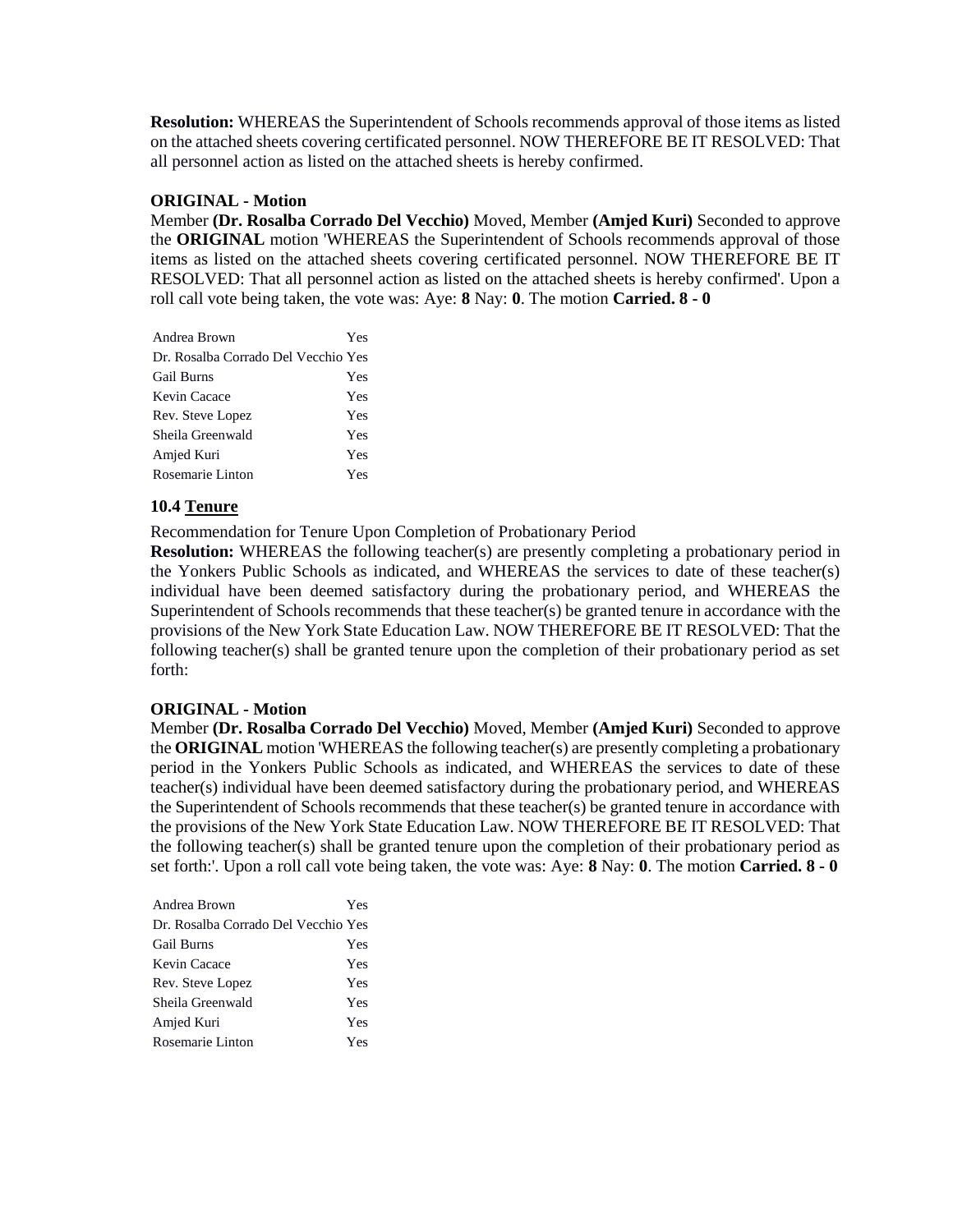**Resolution:** WHEREAS the Superintendent of Schools recommends approval of those items as listed on the attached sheets covering certificated personnel. NOW THEREFORE BE IT RESOLVED: That all personnel action as listed on the attached sheets is hereby confirmed.

### **ORIGINAL - Motion**

Member **(Dr. Rosalba Corrado Del Vecchio)** Moved, Member **(Amjed Kuri)** Seconded to approve the **ORIGINAL** motion 'WHEREAS the Superintendent of Schools recommends approval of those items as listed on the attached sheets covering certificated personnel. NOW THEREFORE BE IT RESOLVED: That all personnel action as listed on the attached sheets is hereby confirmed'. Upon a roll call vote being taken, the vote was: Aye: **8** Nay: **0**. The motion **Carried. 8 - 0** 

| Andrea Brown                        | Yes |
|-------------------------------------|-----|
| Dr. Rosalba Corrado Del Vecchio Yes |     |
| <b>Gail Burns</b>                   | Yes |
| Kevin Cacace                        | Yes |
| Rev. Steve Lopez                    | Yes |
| Sheila Greenwald                    | Yes |
| Amjed Kuri                          | Yes |
| Rosemarie Linton                    | Yes |

## **10.4 Tenure**

Recommendation for Tenure Upon Completion of Probationary Period

**Resolution:** WHEREAS the following teacher(s) are presently completing a probationary period in the Yonkers Public Schools as indicated, and WHEREAS the services to date of these teacher(s) individual have been deemed satisfactory during the probationary period, and WHEREAS the Superintendent of Schools recommends that these teacher(s) be granted tenure in accordance with the provisions of the New York State Education Law. NOW THEREFORE BE IT RESOLVED: That the following teacher(s) shall be granted tenure upon the completion of their probationary period as set forth:

#### **ORIGINAL - Motion**

Member **(Dr. Rosalba Corrado Del Vecchio)** Moved, Member **(Amjed Kuri)** Seconded to approve the **ORIGINAL** motion 'WHEREAS the following teacher(s) are presently completing a probationary period in the Yonkers Public Schools as indicated, and WHEREAS the services to date of these teacher(s) individual have been deemed satisfactory during the probationary period, and WHEREAS the Superintendent of Schools recommends that these teacher(s) be granted tenure in accordance with the provisions of the New York State Education Law. NOW THEREFORE BE IT RESOLVED: That the following teacher(s) shall be granted tenure upon the completion of their probationary period as set forth:'. Upon a roll call vote being taken, the vote was: Aye: **8** Nay: **0**. The motion **Carried. 8 - 0** 

| Andrea Brown                        | Yes |
|-------------------------------------|-----|
| Dr. Rosalba Corrado Del Vecchio Yes |     |
| <b>Gail Burns</b>                   | Yes |
| Kevin Cacace                        | Yes |
| Rev. Steve Lopez                    | Yes |
| Sheila Greenwald                    | Yes |
| Amjed Kuri                          | Yes |
| Rosemarie Linton                    | Yes |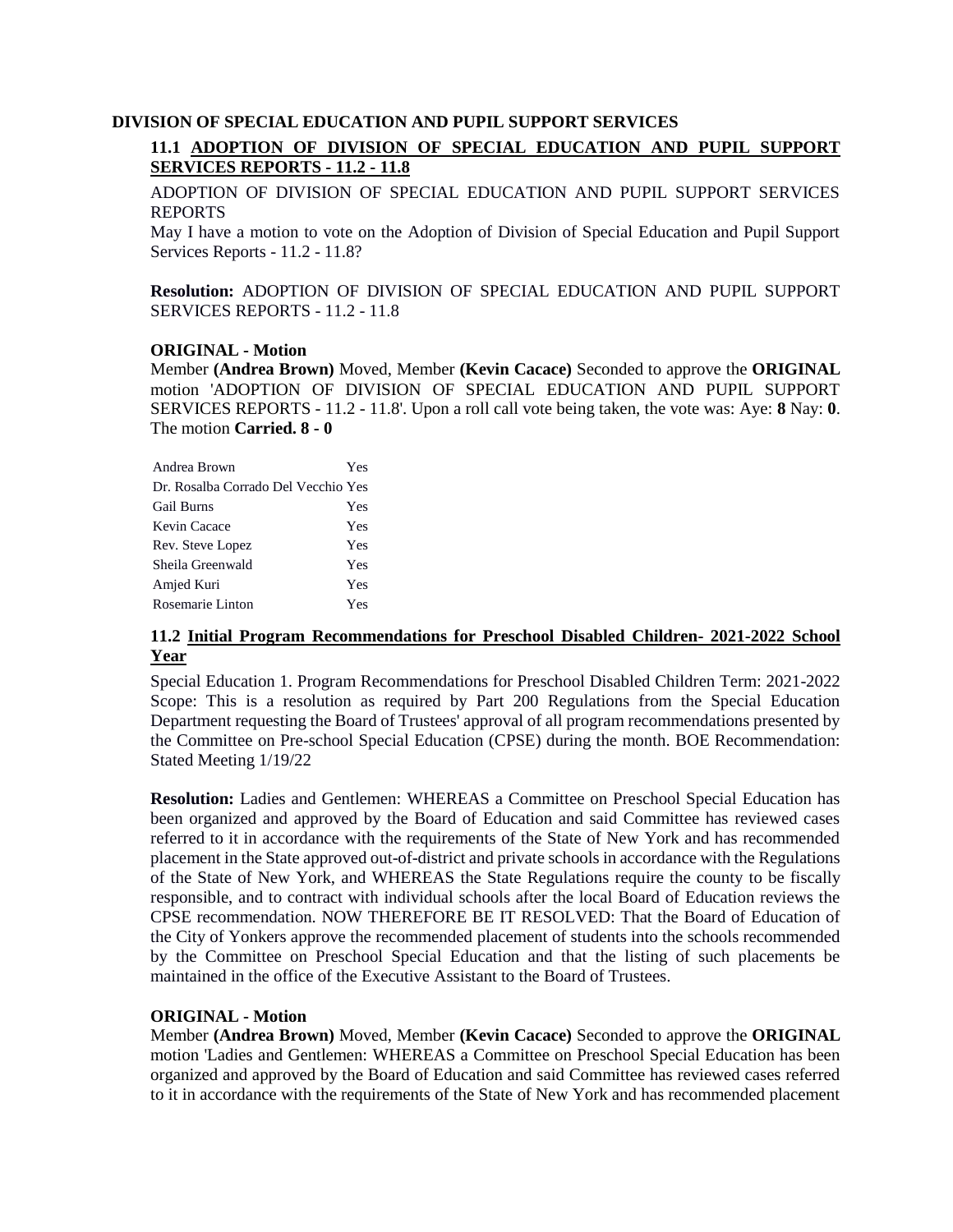### **DIVISION OF SPECIAL EDUCATION AND PUPIL SUPPORT SERVICES**

# **11.1 ADOPTION OF DIVISION OF SPECIAL EDUCATION AND PUPIL SUPPORT SERVICES REPORTS - 11.2 - 11.8**

ADOPTION OF DIVISION OF SPECIAL EDUCATION AND PUPIL SUPPORT SERVICES REPORTS

May I have a motion to vote on the Adoption of Division of Special Education and Pupil Support Services Reports - 11.2 - 11.8?

**Resolution:** ADOPTION OF DIVISION OF SPECIAL EDUCATION AND PUPIL SUPPORT SERVICES REPORTS - 11.2 - 11.8

## **ORIGINAL - Motion**

Member **(Andrea Brown)** Moved, Member **(Kevin Cacace)** Seconded to approve the **ORIGINAL**  motion 'ADOPTION OF DIVISION OF SPECIAL EDUCATION AND PUPIL SUPPORT SERVICES REPORTS - 11.2 - 11.8'. Upon a roll call vote being taken, the vote was: Aye: **8** Nay: **0**. The motion **Carried. 8 - 0** 

| Andrea Brown                        | Yes |
|-------------------------------------|-----|
| Dr. Rosalba Corrado Del Vecchio Yes |     |
| <b>Gail Burns</b>                   | Yes |
| Kevin Cacace                        | Yes |
| Rev. Steve Lopez                    | Yes |
| Sheila Greenwald                    | Yes |
| Amjed Kuri                          | Yes |
| Rosemarie Linton                    | Yes |

### **11.2 Initial Program Recommendations for Preschool Disabled Children- 2021-2022 School Year**

Special Education 1. Program Recommendations for Preschool Disabled Children Term: 2021-2022 Scope: This is a resolution as required by Part 200 Regulations from the Special Education Department requesting the Board of Trustees' approval of all program recommendations presented by the Committee on Pre-school Special Education (CPSE) during the month. BOE Recommendation: Stated Meeting 1/19/22

**Resolution:** Ladies and Gentlemen: WHEREAS a Committee on Preschool Special Education has been organized and approved by the Board of Education and said Committee has reviewed cases referred to it in accordance with the requirements of the State of New York and has recommended placement in the State approved out-of-district and private schools in accordance with the Regulations of the State of New York, and WHEREAS the State Regulations require the county to be fiscally responsible, and to contract with individual schools after the local Board of Education reviews the CPSE recommendation. NOW THEREFORE BE IT RESOLVED: That the Board of Education of the City of Yonkers approve the recommended placement of students into the schools recommended by the Committee on Preschool Special Education and that the listing of such placements be maintained in the office of the Executive Assistant to the Board of Trustees.

## **ORIGINAL - Motion**

Member **(Andrea Brown)** Moved, Member **(Kevin Cacace)** Seconded to approve the **ORIGINAL**  motion 'Ladies and Gentlemen: WHEREAS a Committee on Preschool Special Education has been organized and approved by the Board of Education and said Committee has reviewed cases referred to it in accordance with the requirements of the State of New York and has recommended placement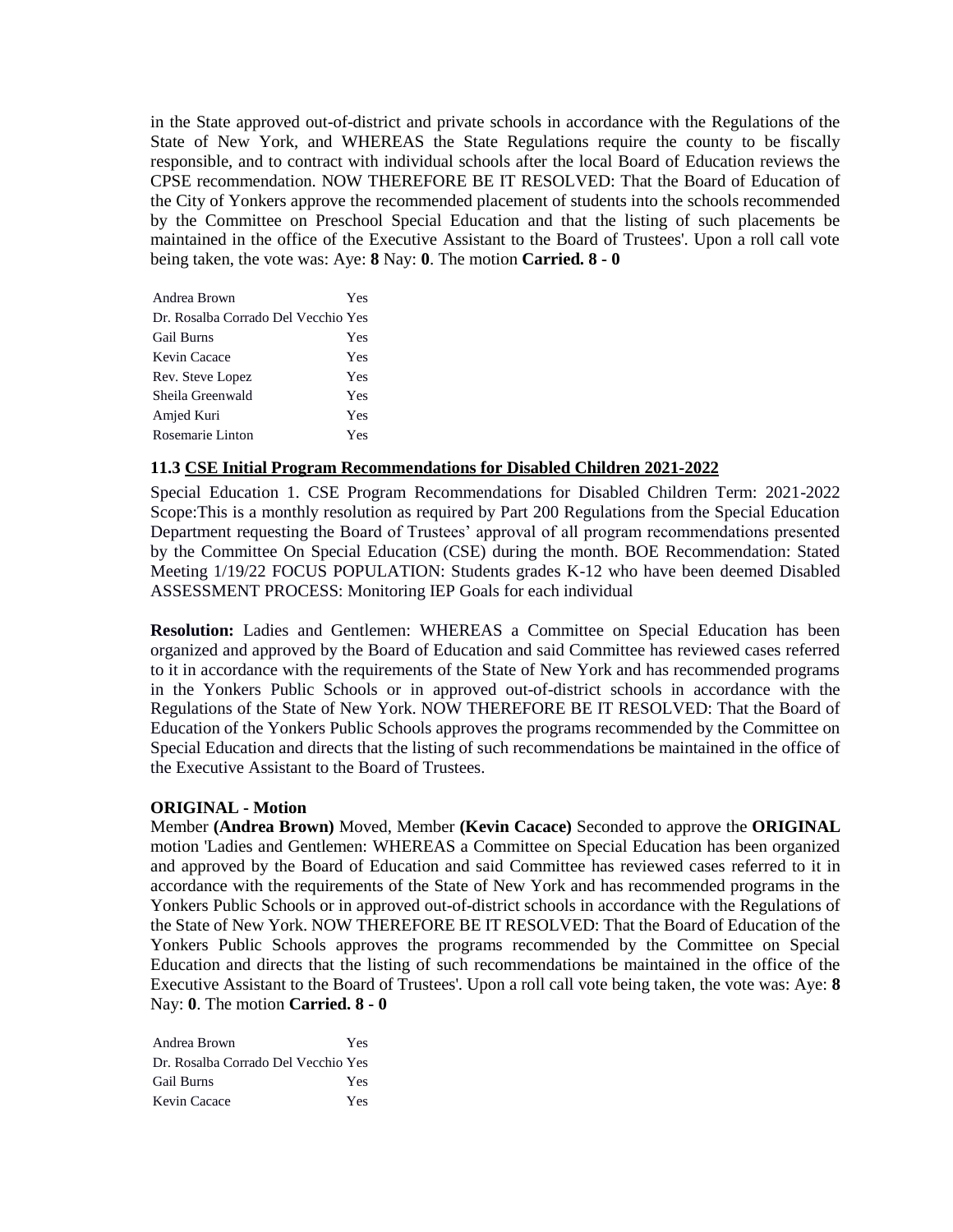in the State approved out-of-district and private schools in accordance with the Regulations of the State of New York, and WHEREAS the State Regulations require the county to be fiscally responsible, and to contract with individual schools after the local Board of Education reviews the CPSE recommendation. NOW THEREFORE BE IT RESOLVED: That the Board of Education of the City of Yonkers approve the recommended placement of students into the schools recommended by the Committee on Preschool Special Education and that the listing of such placements be maintained in the office of the Executive Assistant to the Board of Trustees'. Upon a roll call vote being taken, the vote was: Aye: **8** Nay: **0**. The motion **Carried. 8 - 0** 

| Andrea Brown                        | Yes |
|-------------------------------------|-----|
| Dr. Rosalba Corrado Del Vecchio Yes |     |
| <b>Gail Burns</b>                   | Yes |
| Kevin Cacace                        | Yes |
| Rev. Steve Lopez                    | Yes |
| Sheila Greenwald                    | Yes |
| Amjed Kuri                          | Yes |
| Rosemarie Linton                    | Yes |

#### **11.3 CSE Initial Program Recommendations for Disabled Children 2021-2022**

Special Education 1. CSE Program Recommendations for Disabled Children Term: 2021-2022 Scope:This is a monthly resolution as required by Part 200 Regulations from the Special Education Department requesting the Board of Trustees' approval of all program recommendations presented by the Committee On Special Education (CSE) during the month. BOE Recommendation: Stated Meeting 1/19/22 FOCUS POPULATION: Students grades K-12 who have been deemed Disabled ASSESSMENT PROCESS: Monitoring IEP Goals for each individual

**Resolution:** Ladies and Gentlemen: WHEREAS a Committee on Special Education has been organized and approved by the Board of Education and said Committee has reviewed cases referred to it in accordance with the requirements of the State of New York and has recommended programs in the Yonkers Public Schools or in approved out-of-district schools in accordance with the Regulations of the State of New York. NOW THEREFORE BE IT RESOLVED: That the Board of Education of the Yonkers Public Schools approves the programs recommended by the Committee on Special Education and directs that the listing of such recommendations be maintained in the office of the Executive Assistant to the Board of Trustees.

#### **ORIGINAL - Motion**

Member **(Andrea Brown)** Moved, Member **(Kevin Cacace)** Seconded to approve the **ORIGINAL**  motion 'Ladies and Gentlemen: WHEREAS a Committee on Special Education has been organized and approved by the Board of Education and said Committee has reviewed cases referred to it in accordance with the requirements of the State of New York and has recommended programs in the Yonkers Public Schools or in approved out-of-district schools in accordance with the Regulations of the State of New York. NOW THEREFORE BE IT RESOLVED: That the Board of Education of the Yonkers Public Schools approves the programs recommended by the Committee on Special Education and directs that the listing of such recommendations be maintained in the office of the Executive Assistant to the Board of Trustees'. Upon a roll call vote being taken, the vote was: Aye: **8** Nay: **0**. The motion **Carried. 8 - 0** 

| Andrea Brown                        | Yes |
|-------------------------------------|-----|
| Dr. Rosalba Corrado Del Vecchio Yes |     |
| <b>Gail Burns</b>                   | Yes |
| Kevin Cacace                        | Yes |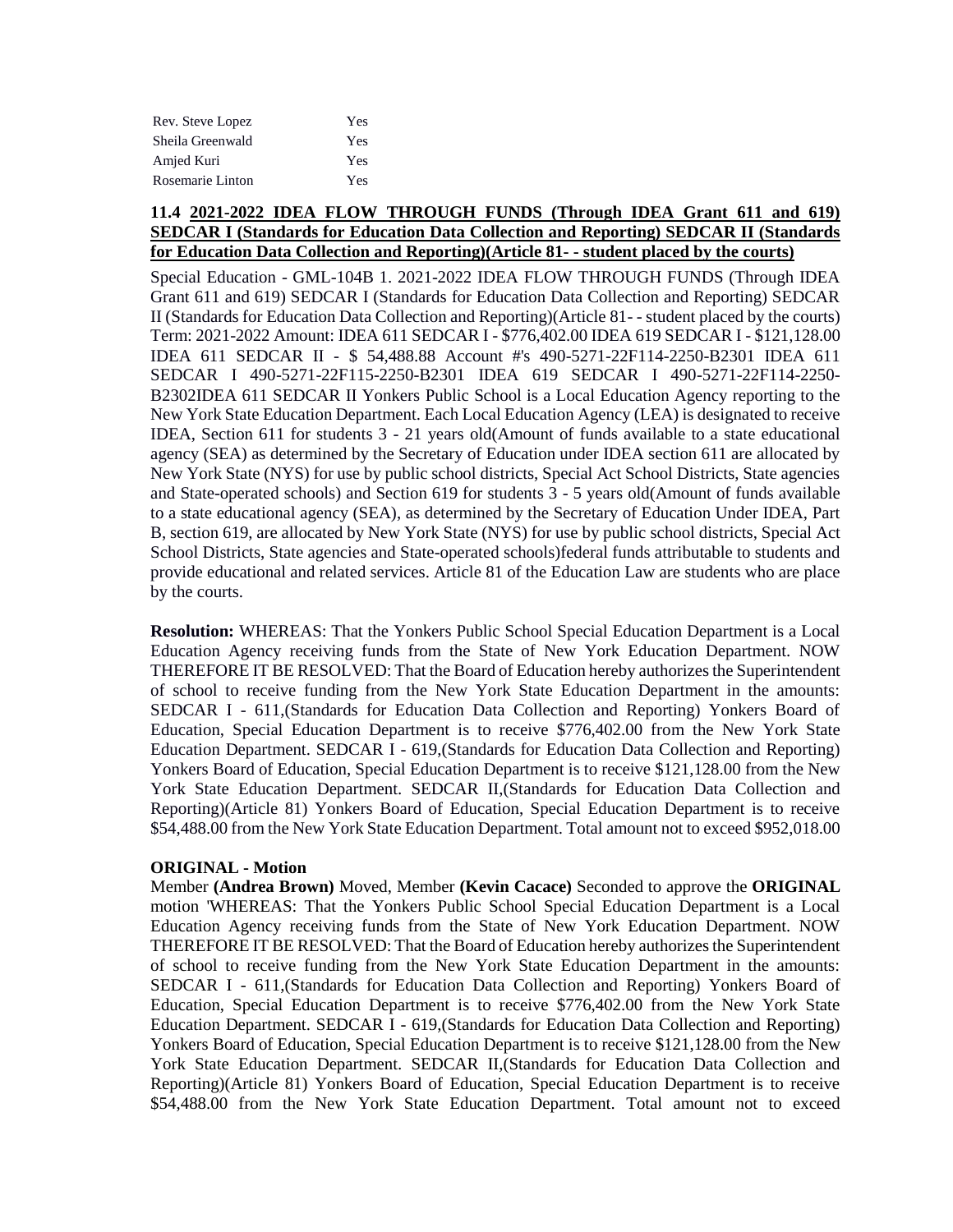| Rev. Steve Lopez | Yes |
|------------------|-----|
| Sheila Greenwald | Yes |
| Amjed Kuri       | Yes |
| Rosemarie Linton | Yes |

### **11.4 2021-2022 IDEA FLOW THROUGH FUNDS (Through IDEA Grant 611 and 619) SEDCAR I (Standards for Education Data Collection and Reporting) SEDCAR II (Standards for Education Data Collection and Reporting)(Article 81- - student placed by the courts)**

Special Education - GML-104B 1. 2021-2022 IDEA FLOW THROUGH FUNDS (Through IDEA Grant 611 and 619) SEDCAR I (Standards for Education Data Collection and Reporting) SEDCAR II (Standards for Education Data Collection and Reporting)(Article 81- - student placed by the courts) Term: 2021-2022 Amount: IDEA 611 SEDCAR I - \$776,402.00 IDEA 619 SEDCAR I - \$121,128.00 IDEA 611 SEDCAR II - \$ 54,488.88 Account #'s 490-5271-22F114-2250-B2301 IDEA 611 SEDCAR I 490-5271-22F115-2250-B2301 IDEA 619 SEDCAR I 490-5271-22F114-2250- B2302IDEA 611 SEDCAR II Yonkers Public School is a Local Education Agency reporting to the New York State Education Department. Each Local Education Agency (LEA) is designated to receive IDEA, Section 611 for students 3 - 21 years old(Amount of funds available to a state educational agency (SEA) as determined by the Secretary of Education under IDEA section 611 are allocated by New York State (NYS) for use by public school districts, Special Act School Districts, State agencies and State-operated schools) and Section 619 for students 3 - 5 years old(Amount of funds available to a state educational agency (SEA), as determined by the Secretary of Education Under IDEA, Part B, section 619, are allocated by New York State (NYS) for use by public school districts, Special Act School Districts, State agencies and State-operated schools)federal funds attributable to students and provide educational and related services. Article 81 of the Education Law are students who are place by the courts.

**Resolution:** WHEREAS: That the Yonkers Public School Special Education Department is a Local Education Agency receiving funds from the State of New York Education Department. NOW THEREFORE IT BE RESOLVED: That the Board of Education hereby authorizes the Superintendent of school to receive funding from the New York State Education Department in the amounts: SEDCAR I - 611,(Standards for Education Data Collection and Reporting) Yonkers Board of Education, Special Education Department is to receive \$776,402.00 from the New York State Education Department. SEDCAR I - 619,(Standards for Education Data Collection and Reporting) Yonkers Board of Education, Special Education Department is to receive \$121,128.00 from the New York State Education Department. SEDCAR II,(Standards for Education Data Collection and Reporting)(Article 81) Yonkers Board of Education, Special Education Department is to receive \$54,488.00 from the New York State Education Department. Total amount not to exceed \$952,018.00

## **ORIGINAL - Motion**

Member **(Andrea Brown)** Moved, Member **(Kevin Cacace)** Seconded to approve the **ORIGINAL**  motion 'WHEREAS: That the Yonkers Public School Special Education Department is a Local Education Agency receiving funds from the State of New York Education Department. NOW THEREFORE IT BE RESOLVED: That the Board of Education hereby authorizes the Superintendent of school to receive funding from the New York State Education Department in the amounts: SEDCAR I - 611,(Standards for Education Data Collection and Reporting) Yonkers Board of Education, Special Education Department is to receive \$776,402.00 from the New York State Education Department. SEDCAR I - 619,(Standards for Education Data Collection and Reporting) Yonkers Board of Education, Special Education Department is to receive \$121,128.00 from the New York State Education Department. SEDCAR II,(Standards for Education Data Collection and Reporting)(Article 81) Yonkers Board of Education, Special Education Department is to receive \$54,488.00 from the New York State Education Department. Total amount not to exceed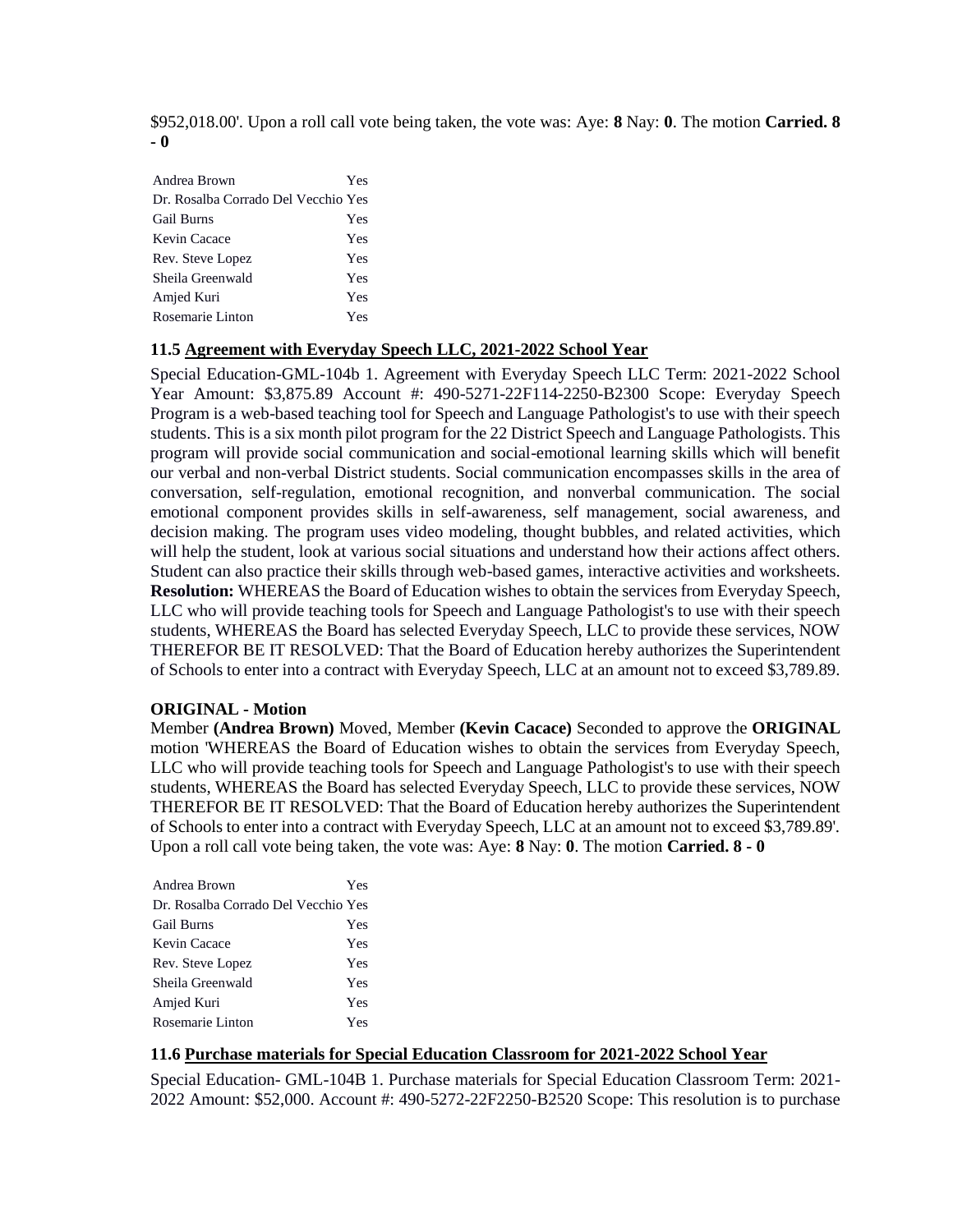\$952,018.00'. Upon a roll call vote being taken, the vote was: Aye: **8** Nay: **0**. The motion **Carried. 8 - 0** 

| Andrea Brown                        | Yes |
|-------------------------------------|-----|
| Dr. Rosalba Corrado Del Vecchio Yes |     |
| <b>Gail Burns</b>                   | Yes |
| Kevin Cacace                        | Yes |
| Rev. Steve Lopez                    | Yes |
| Sheila Greenwald                    | Yes |
| Amjed Kuri                          | Yes |
| Rosemarie Linton                    | Yes |

#### **11.5 Agreement with Everyday Speech LLC, 2021-2022 School Year**

Special Education-GML-104b 1. Agreement with Everyday Speech LLC Term: 2021-2022 School Year Amount: \$3,875.89 Account #: 490-5271-22F114-2250-B2300 Scope: Everyday Speech Program is a web-based teaching tool for Speech and Language Pathologist's to use with their speech students. This is a six month pilot program for the 22 District Speech and Language Pathologists. This program will provide social communication and social-emotional learning skills which will benefit our verbal and non-verbal District students. Social communication encompasses skills in the area of conversation, self-regulation, emotional recognition, and nonverbal communication. The social emotional component provides skills in self-awareness, self management, social awareness, and decision making. The program uses video modeling, thought bubbles, and related activities, which will help the student, look at various social situations and understand how their actions affect others. Student can also practice their skills through web-based games, interactive activities and worksheets. **Resolution:** WHEREAS the Board of Education wishes to obtain the services from Everyday Speech, LLC who will provide teaching tools for Speech and Language Pathologist's to use with their speech students, WHEREAS the Board has selected Everyday Speech, LLC to provide these services, NOW THEREFOR BE IT RESOLVED: That the Board of Education hereby authorizes the Superintendent of Schools to enter into a contract with Everyday Speech, LLC at an amount not to exceed \$3,789.89.

## **ORIGINAL - Motion**

Member **(Andrea Brown)** Moved, Member **(Kevin Cacace)** Seconded to approve the **ORIGINAL**  motion 'WHEREAS the Board of Education wishes to obtain the services from Everyday Speech, LLC who will provide teaching tools for Speech and Language Pathologist's to use with their speech students, WHEREAS the Board has selected Everyday Speech, LLC to provide these services, NOW THEREFOR BE IT RESOLVED: That the Board of Education hereby authorizes the Superintendent of Schools to enter into a contract with Everyday Speech, LLC at an amount not to exceed \$3,789.89'. Upon a roll call vote being taken, the vote was: Aye: **8** Nay: **0**. The motion **Carried. 8 - 0** 

| Andrea Brown                        | Yes |
|-------------------------------------|-----|
| Dr. Rosalba Corrado Del Vecchio Yes |     |
| <b>Gail Burns</b>                   | Yes |
| Kevin Cacace                        | Yes |
| Rev. Steve Lopez                    | Yes |
| Sheila Greenwald                    | Yes |
| Amjed Kuri                          | Yes |
| Rosemarie Linton                    | Yes |

## **11.6 Purchase materials for Special Education Classroom for 2021-2022 School Year**

Special Education- GML-104B 1. Purchase materials for Special Education Classroom Term: 2021- 2022 Amount: \$52,000. Account #: 490-5272-22F2250-B2520 Scope: This resolution is to purchase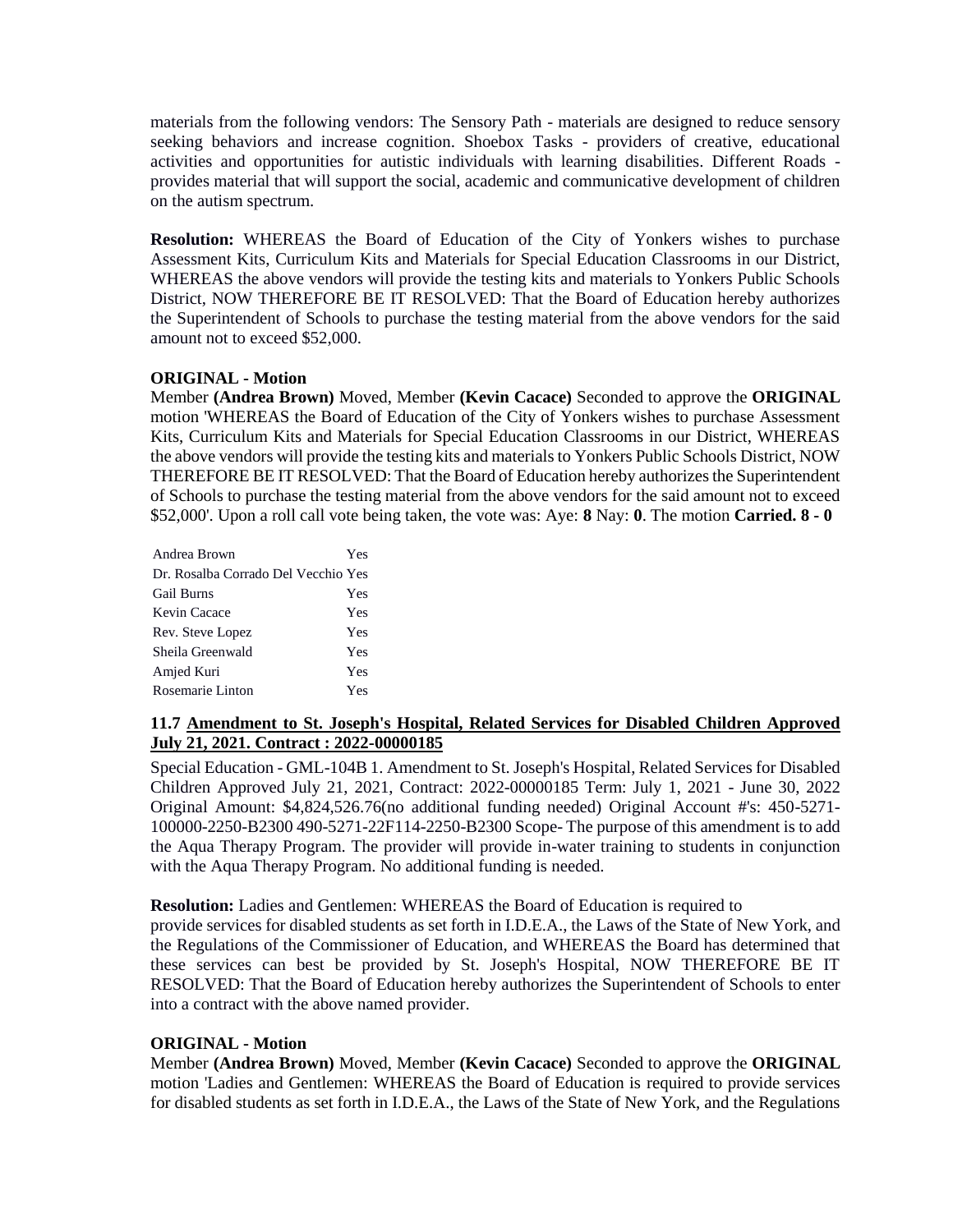materials from the following vendors: The Sensory Path - materials are designed to reduce sensory seeking behaviors and increase cognition. Shoebox Tasks - providers of creative, educational activities and opportunities for autistic individuals with learning disabilities. Different Roads provides material that will support the social, academic and communicative development of children on the autism spectrum.

**Resolution:** WHEREAS the Board of Education of the City of Yonkers wishes to purchase Assessment Kits, Curriculum Kits and Materials for Special Education Classrooms in our District, WHEREAS the above vendors will provide the testing kits and materials to Yonkers Public Schools District, NOW THEREFORE BE IT RESOLVED: That the Board of Education hereby authorizes the Superintendent of Schools to purchase the testing material from the above vendors for the said amount not to exceed \$52,000.

## **ORIGINAL - Motion**

Member **(Andrea Brown)** Moved, Member **(Kevin Cacace)** Seconded to approve the **ORIGINAL**  motion 'WHEREAS the Board of Education of the City of Yonkers wishes to purchase Assessment Kits, Curriculum Kits and Materials for Special Education Classrooms in our District, WHEREAS the above vendors will provide the testing kits and materials to Yonkers Public Schools District, NOW THEREFORE BE IT RESOLVED: That the Board of Education hereby authorizes the Superintendent of Schools to purchase the testing material from the above vendors for the said amount not to exceed \$52,000'. Upon a roll call vote being taken, the vote was: Aye: **8** Nay: **0**. The motion **Carried. 8 - 0** 

| Andrea Brown                        | Yes |
|-------------------------------------|-----|
| Dr. Rosalba Corrado Del Vecchio Yes |     |
| <b>Gail Burns</b>                   | Yes |
| Kevin Cacace                        | Yes |
| Rev. Steve Lopez                    | Yes |
| Sheila Greenwald                    | Yes |
| Amjed Kuri                          | Yes |
| Rosemarie Linton                    | Yes |

## **11.7 Amendment to St. Joseph's Hospital, Related Services for Disabled Children Approved July 21, 2021. Contract : 2022-00000185**

Special Education - GML-104B 1. Amendment to St. Joseph's Hospital, Related Services for Disabled Children Approved July 21, 2021, Contract: 2022-00000185 Term: July 1, 2021 - June 30, 2022 Original Amount: \$4,824,526.76(no additional funding needed) Original Account #'s: 450-5271- 100000-2250-B2300 490-5271-22F114-2250-B2300 Scope- The purpose of this amendment is to add the Aqua Therapy Program. The provider will provide in-water training to students in conjunction with the Aqua Therapy Program. No additional funding is needed.

## **Resolution:** Ladies and Gentlemen: WHEREAS the Board of Education is required to

provide services for disabled students as set forth in I.D.E.A., the Laws of the State of New York, and the Regulations of the Commissioner of Education, and WHEREAS the Board has determined that these services can best be provided by St. Joseph's Hospital, NOW THEREFORE BE IT RESOLVED: That the Board of Education hereby authorizes the Superintendent of Schools to enter into a contract with the above named provider.

## **ORIGINAL - Motion**

Member **(Andrea Brown)** Moved, Member **(Kevin Cacace)** Seconded to approve the **ORIGINAL**  motion 'Ladies and Gentlemen: WHEREAS the Board of Education is required to provide services for disabled students as set forth in I.D.E.A., the Laws of the State of New York, and the Regulations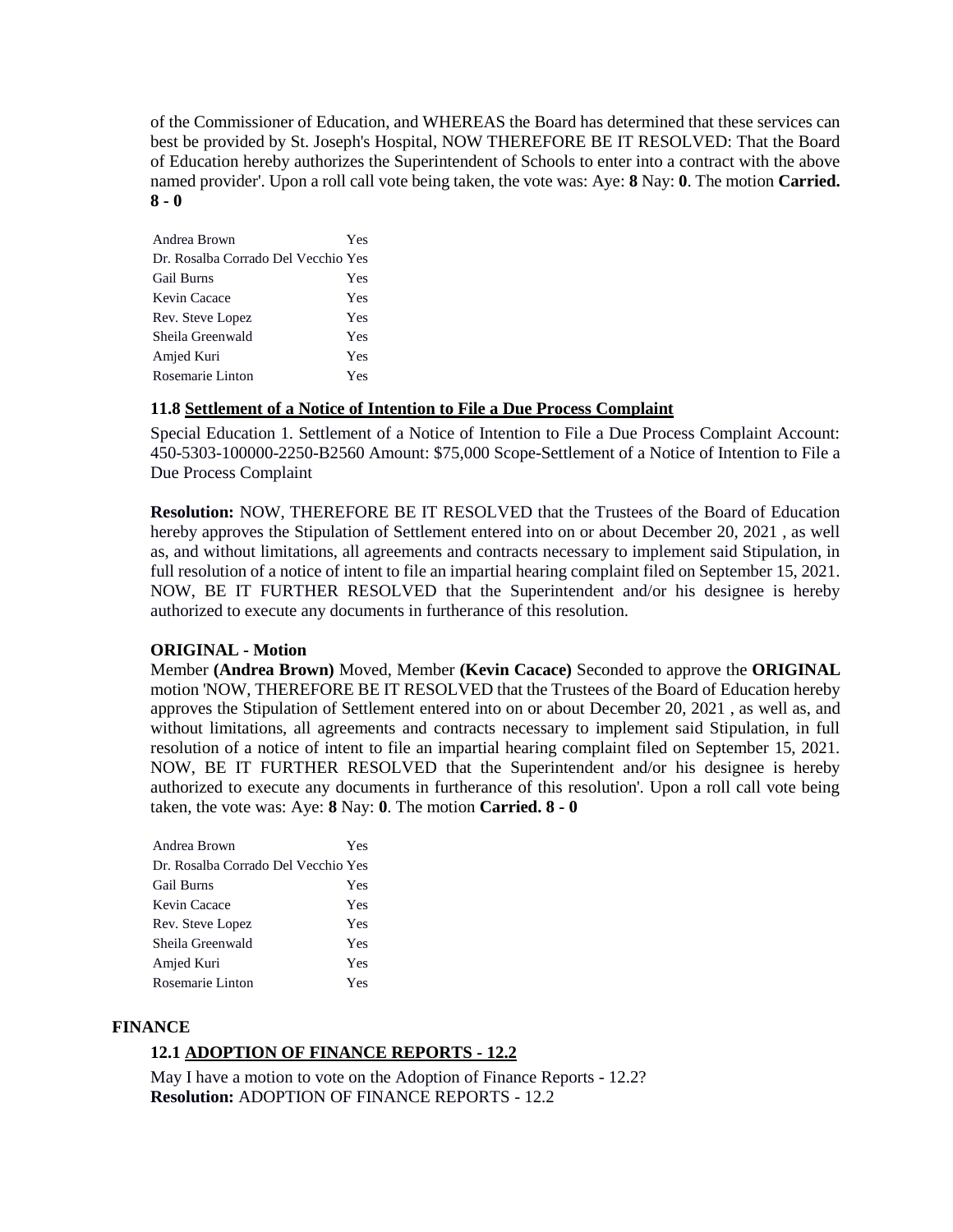of the Commissioner of Education, and WHEREAS the Board has determined that these services can best be provided by St. Joseph's Hospital, NOW THEREFORE BE IT RESOLVED: That the Board of Education hereby authorizes the Superintendent of Schools to enter into a contract with the above named provider'. Upon a roll call vote being taken, the vote was: Aye: **8** Nay: **0**. The motion **Carried. 8 - 0** 

| Andrea Brown                        | Yes |
|-------------------------------------|-----|
| Dr. Rosalba Corrado Del Vecchio Yes |     |
| <b>Gail Burns</b>                   | Yes |
| Kevin Cacace                        | Yes |
| Rev. Steve Lopez                    | Yes |
| Sheila Greenwald                    | Yes |
| Amjed Kuri                          | Yes |
| Rosemarie Linton                    | Yes |

## **11.8 Settlement of a Notice of Intention to File a Due Process Complaint**

Special Education 1. Settlement of a Notice of Intention to File a Due Process Complaint Account: 450-5303-100000-2250-B2560 Amount: \$75,000 Scope-Settlement of a Notice of Intention to File a Due Process Complaint

**Resolution:** NOW, THEREFORE BE IT RESOLVED that the Trustees of the Board of Education hereby approves the Stipulation of Settlement entered into on or about December 20, 2021 , as well as, and without limitations, all agreements and contracts necessary to implement said Stipulation, in full resolution of a notice of intent to file an impartial hearing complaint filed on September 15, 2021. NOW, BE IT FURTHER RESOLVED that the Superintendent and/or his designee is hereby authorized to execute any documents in furtherance of this resolution.

## **ORIGINAL - Motion**

Member **(Andrea Brown)** Moved, Member **(Kevin Cacace)** Seconded to approve the **ORIGINAL**  motion 'NOW, THEREFORE BE IT RESOLVED that the Trustees of the Board of Education hereby approves the Stipulation of Settlement entered into on or about December 20, 2021 , as well as, and without limitations, all agreements and contracts necessary to implement said Stipulation, in full resolution of a notice of intent to file an impartial hearing complaint filed on September 15, 2021. NOW, BE IT FURTHER RESOLVED that the Superintendent and/or his designee is hereby authorized to execute any documents in furtherance of this resolution'. Upon a roll call vote being taken, the vote was: Aye: **8** Nay: **0**. The motion **Carried. 8 - 0** 

| Andrea Brown                        | Yes |
|-------------------------------------|-----|
| Dr. Rosalba Corrado Del Vecchio Yes |     |
| Gail Burns                          | Yes |
| Kevin Cacace                        | Yes |
| Rev. Steve Lopez                    | Yes |
| Sheila Greenwald                    | Yes |
| Amjed Kuri                          | Yes |
| Rosemarie Linton                    | Yes |

#### **FINANCE**

# **12.1 ADOPTION OF FINANCE REPORTS - 12.2**

May I have a motion to vote on the Adoption of Finance Reports - 12.2? **Resolution:** ADOPTION OF FINANCE REPORTS - 12.2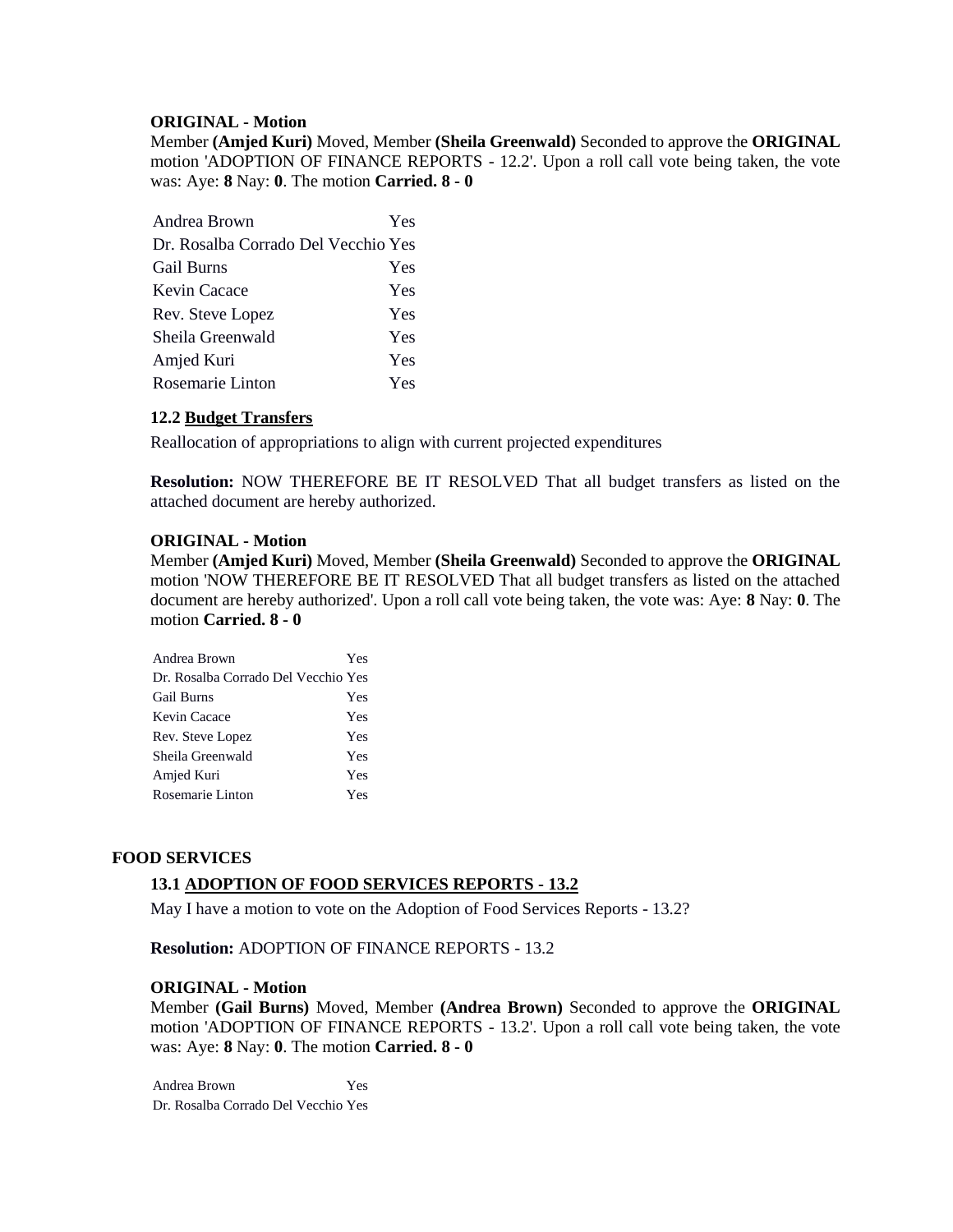#### **ORIGINAL - Motion**

Member **(Amjed Kuri)** Moved, Member **(Sheila Greenwald)** Seconded to approve the **ORIGINAL**  motion 'ADOPTION OF FINANCE REPORTS - 12.2'. Upon a roll call vote being taken, the vote was: Aye: **8** Nay: **0**. The motion **Carried. 8 - 0** 

| Andrea Brown                        | Yes        |
|-------------------------------------|------------|
| Dr. Rosalba Corrado Del Vecchio Yes |            |
| <b>Gail Burns</b>                   | Yes        |
| Kevin Cacace                        | Yes        |
| Rev. Steve Lopez                    | Yes        |
| Sheila Greenwald                    | Yes        |
| Amjed Kuri                          | Yes        |
| Rosemarie Linton                    | <b>Yes</b> |

## **12.2 Budget Transfers**

Reallocation of appropriations to align with current projected expenditures

**Resolution:** NOW THEREFORE BE IT RESOLVED That all budget transfers as listed on the attached document are hereby authorized.

#### **ORIGINAL - Motion**

Member **(Amjed Kuri)** Moved, Member **(Sheila Greenwald)** Seconded to approve the **ORIGINAL**  motion 'NOW THEREFORE BE IT RESOLVED That all budget transfers as listed on the attached document are hereby authorized'. Upon a roll call vote being taken, the vote was: Aye: **8** Nay: **0**. The motion **Carried. 8 - 0** 

| Andrea Brown                        | Yes |
|-------------------------------------|-----|
| Dr. Rosalba Corrado Del Vecchio Yes |     |
| <b>Gail Burns</b>                   | Yes |
| Kevin Cacace                        | Yes |
| Rev. Steve Lopez                    | Yes |
| Sheila Greenwald                    | Yes |
| Amjed Kuri                          | Yes |
| Rosemarie Linton                    | Yes |

## **FOOD SERVICES**

## **13.1 ADOPTION OF FOOD SERVICES REPORTS - 13.2**

May I have a motion to vote on the Adoption of Food Services Reports - 13.2?

**Resolution:** ADOPTION OF FINANCE REPORTS - 13.2

#### **ORIGINAL - Motion**

Member **(Gail Burns)** Moved, Member **(Andrea Brown)** Seconded to approve the **ORIGINAL**  motion 'ADOPTION OF FINANCE REPORTS - 13.2'. Upon a roll call vote being taken, the vote was: Aye: **8** Nay: **0**. The motion **Carried. 8 - 0** 

Andrea Brown Yes Dr. Rosalba Corrado Del Vecchio Yes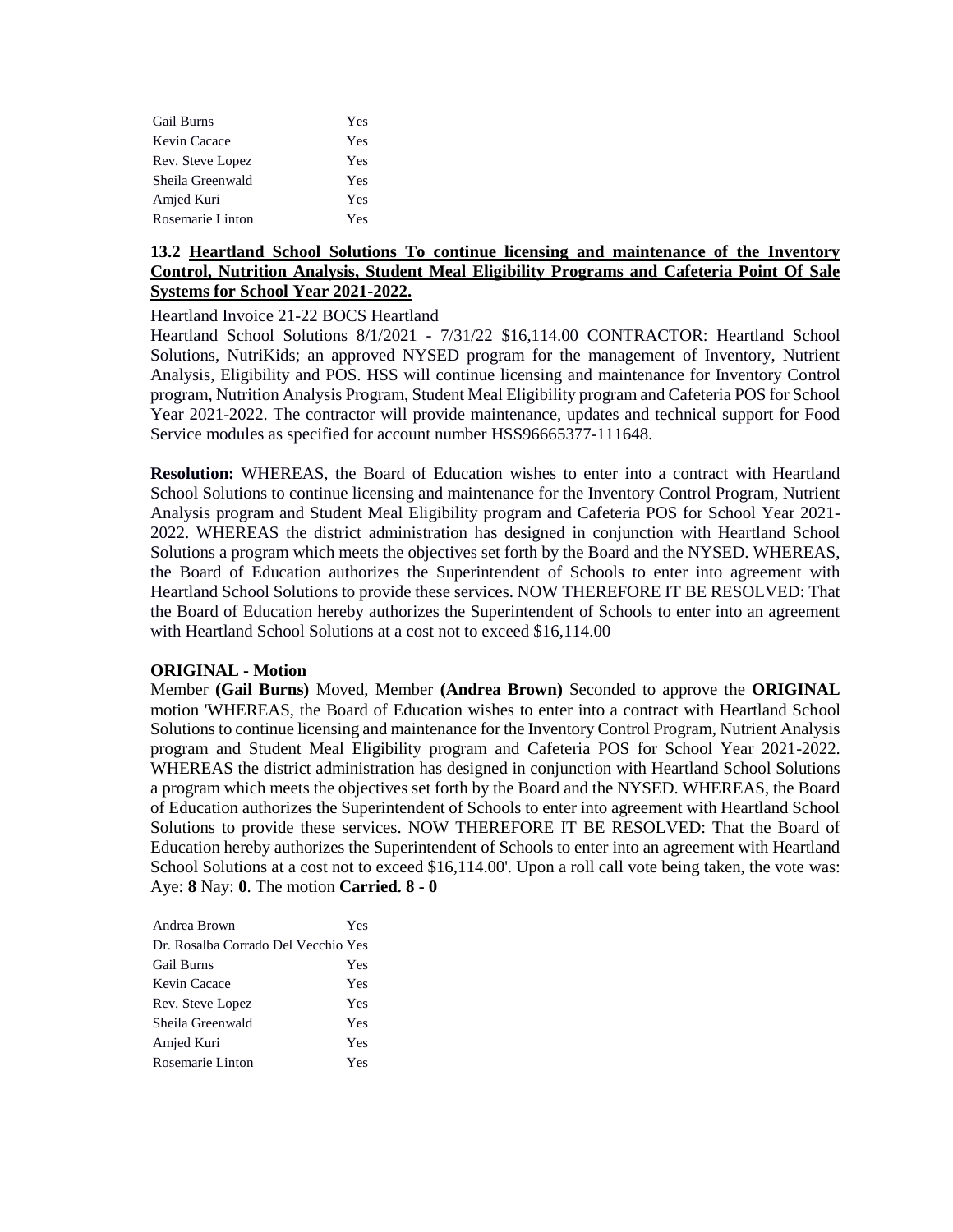| <b>Gail Burns</b> | Yes |
|-------------------|-----|
| Kevin Cacace      | Yes |
| Rev. Steve Lopez  | Yes |
| Sheila Greenwald  | Yes |
| Amjed Kuri        | Yes |
| Rosemarie Linton  | Yes |

## **13.2 Heartland School Solutions To continue licensing and maintenance of the Inventory Control, Nutrition Analysis, Student Meal Eligibility Programs and Cafeteria Point Of Sale Systems for School Year 2021-2022.**

Heartland Invoice 21-22 BOCS Heartland

Heartland School Solutions 8/1/2021 - 7/31/22 \$16,114.00 CONTRACTOR: Heartland School Solutions, NutriKids; an approved NYSED program for the management of Inventory, Nutrient Analysis, Eligibility and POS. HSS will continue licensing and maintenance for Inventory Control program, Nutrition Analysis Program, Student Meal Eligibility program and Cafeteria POS for School Year 2021-2022. The contractor will provide maintenance, updates and technical support for Food Service modules as specified for account number HSS96665377-111648.

**Resolution:** WHEREAS, the Board of Education wishes to enter into a contract with Heartland School Solutions to continue licensing and maintenance for the Inventory Control Program, Nutrient Analysis program and Student Meal Eligibility program and Cafeteria POS for School Year 2021- 2022. WHEREAS the district administration has designed in conjunction with Heartland School Solutions a program which meets the objectives set forth by the Board and the NYSED. WHEREAS, the Board of Education authorizes the Superintendent of Schools to enter into agreement with Heartland School Solutions to provide these services. NOW THEREFORE IT BE RESOLVED: That the Board of Education hereby authorizes the Superintendent of Schools to enter into an agreement with Heartland School Solutions at a cost not to exceed \$16,114.00

## **ORIGINAL - Motion**

Member **(Gail Burns)** Moved, Member **(Andrea Brown)** Seconded to approve the **ORIGINAL**  motion 'WHEREAS, the Board of Education wishes to enter into a contract with Heartland School Solutions to continue licensing and maintenance for the Inventory Control Program, Nutrient Analysis program and Student Meal Eligibility program and Cafeteria POS for School Year 2021-2022. WHEREAS the district administration has designed in conjunction with Heartland School Solutions a program which meets the objectives set forth by the Board and the NYSED. WHEREAS, the Board of Education authorizes the Superintendent of Schools to enter into agreement with Heartland School Solutions to provide these services. NOW THEREFORE IT BE RESOLVED: That the Board of Education hereby authorizes the Superintendent of Schools to enter into an agreement with Heartland School Solutions at a cost not to exceed \$16,114.00'. Upon a roll call vote being taken, the vote was: Aye: **8** Nay: **0**. The motion **Carried. 8 - 0** 

| Andrea Brown                        | Yes |
|-------------------------------------|-----|
| Dr. Rosalba Corrado Del Vecchio Yes |     |
| <b>Gail Burns</b>                   | Yes |
| Kevin Cacace                        | Yes |
| Rev. Steve Lopez                    | Yes |
| Sheila Greenwald                    | Yes |
| Amjed Kuri                          | Yes |
| Rosemarie Linton                    | Yes |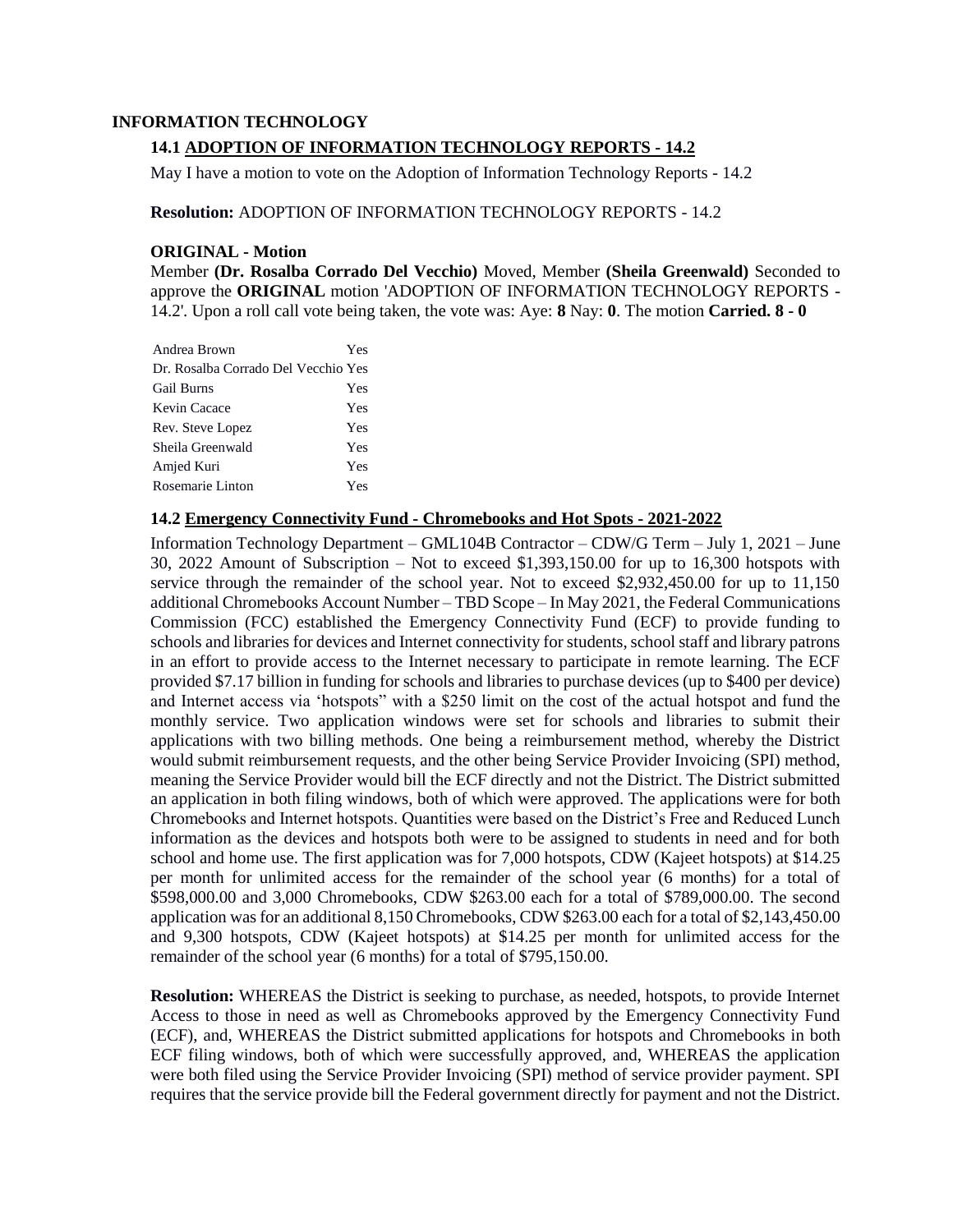#### **INFORMATION TECHNOLOGY**

## **14.1 ADOPTION OF INFORMATION TECHNOLOGY REPORTS - 14.2**

May I have a motion to vote on the Adoption of Information Technology Reports - 14.2

**Resolution:** ADOPTION OF INFORMATION TECHNOLOGY REPORTS - 14.2

#### **ORIGINAL - Motion**

Member **(Dr. Rosalba Corrado Del Vecchio)** Moved, Member **(Sheila Greenwald)** Seconded to approve the **ORIGINAL** motion 'ADOPTION OF INFORMATION TECHNOLOGY REPORTS - 14.2'. Upon a roll call vote being taken, the vote was: Aye: **8** Nay: **0**. The motion **Carried. 8 - 0** 

| Andrea Brown                        | Yes |
|-------------------------------------|-----|
| Dr. Rosalba Corrado Del Vecchio Yes |     |
| <b>Gail Burns</b>                   | Yes |
| Kevin Cacace                        | Yes |
| Rev. Steve Lopez                    | Yes |
| Sheila Greenwald                    | Yes |
| Amjed Kuri                          | Yes |
| Rosemarie Linton                    | Yes |

#### **14.2 Emergency Connectivity Fund - Chromebooks and Hot Spots - 2021-2022**

Information Technology Department – GML104B Contractor – CDW/G Term – July 1, 2021 – June 30, 2022 Amount of Subscription – Not to exceed \$1,393,150.00 for up to 16,300 hotspots with service through the remainder of the school year. Not to exceed \$2,932,450.00 for up to 11,150 additional Chromebooks Account Number – TBD Scope – In May 2021, the Federal Communications Commission (FCC) established the Emergency Connectivity Fund (ECF) to provide funding to schools and libraries for devices and Internet connectivity for students, school staff and library patrons in an effort to provide access to the Internet necessary to participate in remote learning. The ECF provided \$7.17 billion in funding for schools and libraries to purchase devices (up to \$400 per device) and Internet access via 'hotspots" with a \$250 limit on the cost of the actual hotspot and fund the monthly service. Two application windows were set for schools and libraries to submit their applications with two billing methods. One being a reimbursement method, whereby the District would submit reimbursement requests, and the other being Service Provider Invoicing (SPI) method, meaning the Service Provider would bill the ECF directly and not the District. The District submitted an application in both filing windows, both of which were approved. The applications were for both Chromebooks and Internet hotspots. Quantities were based on the District's Free and Reduced Lunch information as the devices and hotspots both were to be assigned to students in need and for both school and home use. The first application was for 7,000 hotspots, CDW (Kajeet hotspots) at \$14.25 per month for unlimited access for the remainder of the school year (6 months) for a total of \$598,000.00 and 3,000 Chromebooks, CDW \$263.00 each for a total of \$789,000.00. The second application was for an additional 8,150 Chromebooks, CDW \$263.00 each for a total of \$2,143,450.00 and 9,300 hotspots, CDW (Kajeet hotspots) at \$14.25 per month for unlimited access for the remainder of the school year (6 months) for a total of \$795,150.00.

**Resolution:** WHEREAS the District is seeking to purchase, as needed, hotspots, to provide Internet Access to those in need as well as Chromebooks approved by the Emergency Connectivity Fund (ECF), and, WHEREAS the District submitted applications for hotspots and Chromebooks in both ECF filing windows, both of which were successfully approved, and, WHEREAS the application were both filed using the Service Provider Invoicing (SPI) method of service provider payment. SPI requires that the service provide bill the Federal government directly for payment and not the District.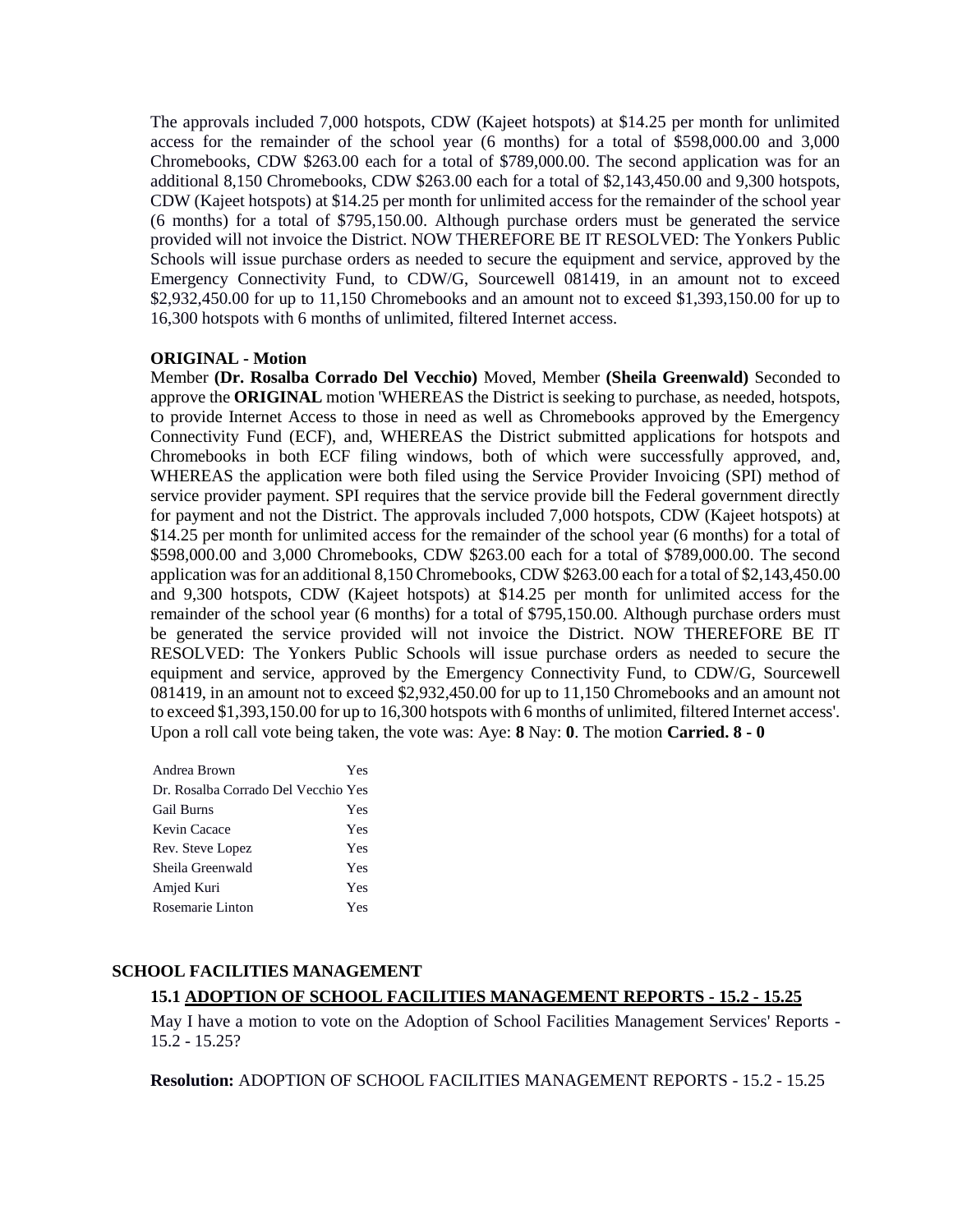The approvals included 7,000 hotspots, CDW (Kajeet hotspots) at \$14.25 per month for unlimited access for the remainder of the school year (6 months) for a total of \$598,000.00 and 3,000 Chromebooks, CDW \$263.00 each for a total of \$789,000.00. The second application was for an additional 8,150 Chromebooks, CDW \$263.00 each for a total of \$2,143,450.00 and 9,300 hotspots, CDW (Kajeet hotspots) at \$14.25 per month for unlimited access for the remainder of the school year (6 months) for a total of \$795,150.00. Although purchase orders must be generated the service provided will not invoice the District. NOW THEREFORE BE IT RESOLVED: The Yonkers Public Schools will issue purchase orders as needed to secure the equipment and service, approved by the Emergency Connectivity Fund, to CDW/G, Sourcewell 081419, in an amount not to exceed \$2,932,450.00 for up to 11,150 Chromebooks and an amount not to exceed \$1,393,150.00 for up to 16,300 hotspots with 6 months of unlimited, filtered Internet access.

#### **ORIGINAL - Motion**

Member **(Dr. Rosalba Corrado Del Vecchio)** Moved, Member **(Sheila Greenwald)** Seconded to approve the **ORIGINAL** motion 'WHEREAS the District is seeking to purchase, as needed, hotspots, to provide Internet Access to those in need as well as Chromebooks approved by the Emergency Connectivity Fund (ECF), and, WHEREAS the District submitted applications for hotspots and Chromebooks in both ECF filing windows, both of which were successfully approved, and, WHEREAS the application were both filed using the Service Provider Invoicing (SPI) method of service provider payment. SPI requires that the service provide bill the Federal government directly for payment and not the District. The approvals included 7,000 hotspots, CDW (Kajeet hotspots) at \$14.25 per month for unlimited access for the remainder of the school year (6 months) for a total of \$598,000.00 and 3,000 Chromebooks, CDW \$263.00 each for a total of \$789,000.00. The second application was for an additional 8,150 Chromebooks, CDW \$263.00 each for a total of \$2,143,450.00 and 9,300 hotspots, CDW (Kajeet hotspots) at \$14.25 per month for unlimited access for the remainder of the school year (6 months) for a total of \$795,150.00. Although purchase orders must be generated the service provided will not invoice the District. NOW THEREFORE BE IT RESOLVED: The Yonkers Public Schools will issue purchase orders as needed to secure the equipment and service, approved by the Emergency Connectivity Fund, to CDW/G, Sourcewell 081419, in an amount not to exceed \$2,932,450.00 for up to 11,150 Chromebooks and an amount not to exceed \$1,393,150.00 for up to 16,300 hotspots with 6 months of unlimited, filtered Internet access'. Upon a roll call vote being taken, the vote was: Aye: **8** Nay: **0**. The motion **Carried. 8 - 0** 

| Andrea Brown                        | Yes |
|-------------------------------------|-----|
| Dr. Rosalba Corrado Del Vecchio Yes |     |
| Gail Burns                          | Yes |
| Kevin Cacace                        | Yes |
| Rev. Steve Lopez                    | Yes |
| Sheila Greenwald                    | Yes |
| Amjed Kuri                          | Yes |
| Rosemarie Linton                    | Yes |
|                                     |     |

# **SCHOOL FACILITIES MANAGEMENT**

# **15.1 ADOPTION OF SCHOOL FACILITIES MANAGEMENT REPORTS - 15.2 - 15.25**

May I have a motion to vote on the Adoption of School Facilities Management Services' Reports - 15.2 - 15.25?

**Resolution:** ADOPTION OF SCHOOL FACILITIES MANAGEMENT REPORTS - 15.2 - 15.25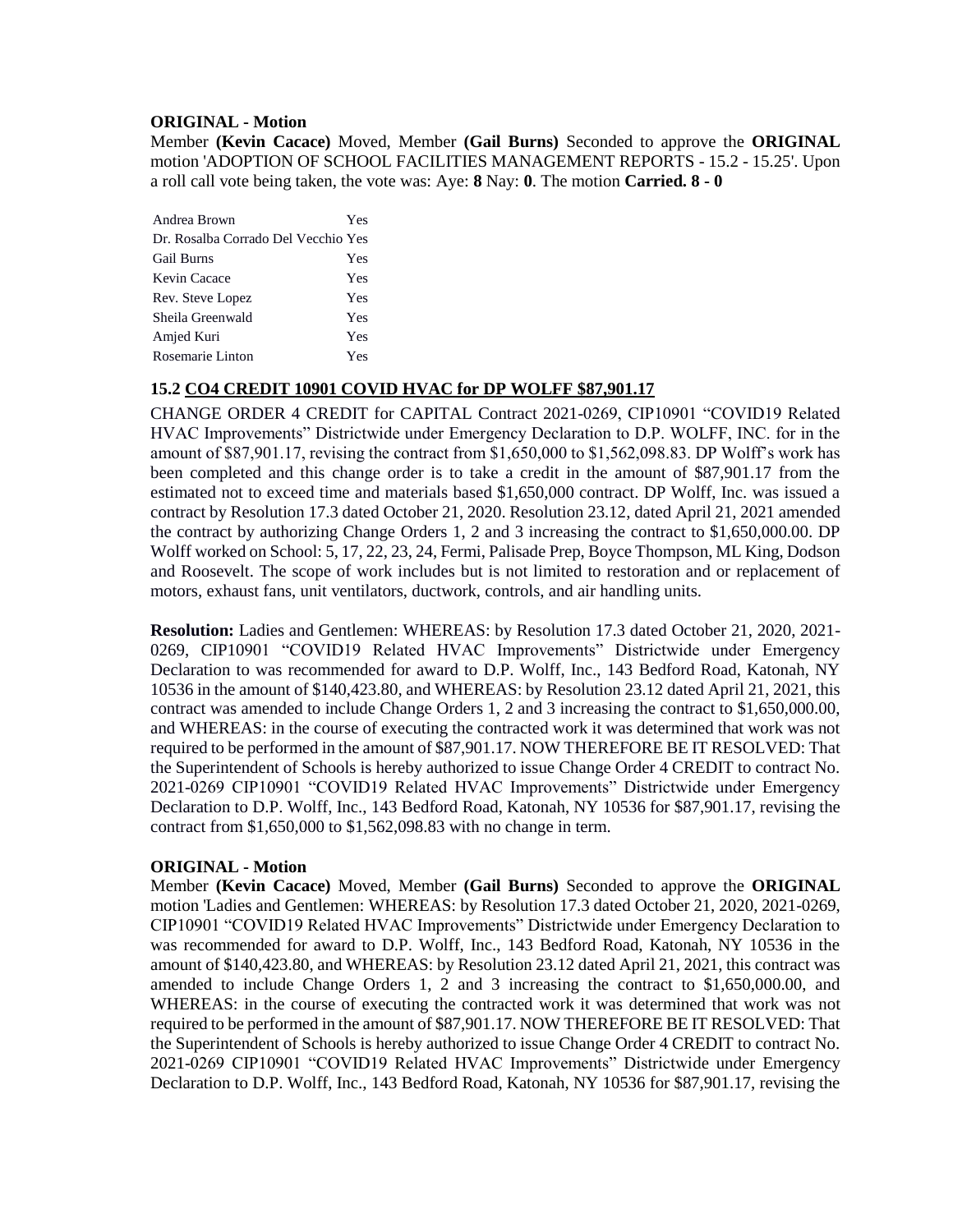### **ORIGINAL - Motion**

Member **(Kevin Cacace)** Moved, Member **(Gail Burns)** Seconded to approve the **ORIGINAL**  motion 'ADOPTION OF SCHOOL FACILITIES MANAGEMENT REPORTS - 15.2 - 15.25'. Upon a roll call vote being taken, the vote was: Aye: **8** Nay: **0**. The motion **Carried. 8 - 0** 

| Andrea Brown                        | Yes |
|-------------------------------------|-----|
| Dr. Rosalba Corrado Del Vecchio Yes |     |
| <b>Gail Burns</b>                   | Yes |
| Kevin Cacace                        | Yes |
| Rev. Steve Lopez                    | Yes |
| Sheila Greenwald                    | Yes |
| Amjed Kuri                          | Yes |
| Rosemarie Linton                    | Yes |

## **15.2 CO4 CREDIT 10901 COVID HVAC for DP WOLFF \$87,901.17**

CHANGE ORDER 4 CREDIT for CAPITAL Contract 2021-0269, CIP10901 "COVID19 Related HVAC Improvements" Districtwide under Emergency Declaration to D.P. WOLFF, INC. for in the amount of \$87,901.17, revising the contract from \$1,650,000 to \$1,562,098.83. DP Wolff's work has been completed and this change order is to take a credit in the amount of \$87,901.17 from the estimated not to exceed time and materials based \$1,650,000 contract. DP Wolff, Inc. was issued a contract by Resolution 17.3 dated October 21, 2020. Resolution 23.12, dated April 21, 2021 amended the contract by authorizing Change Orders 1, 2 and 3 increasing the contract to \$1,650,000.00. DP Wolff worked on School: 5, 17, 22, 23, 24, Fermi, Palisade Prep, Boyce Thompson, ML King, Dodson and Roosevelt. The scope of work includes but is not limited to restoration and or replacement of motors, exhaust fans, unit ventilators, ductwork, controls, and air handling units.

**Resolution:** Ladies and Gentlemen: WHEREAS: by Resolution 17.3 dated October 21, 2020, 2021- 0269, CIP10901 "COVID19 Related HVAC Improvements" Districtwide under Emergency Declaration to was recommended for award to D.P. Wolff, Inc., 143 Bedford Road, Katonah, NY 10536 in the amount of \$140,423.80, and WHEREAS: by Resolution 23.12 dated April 21, 2021, this contract was amended to include Change Orders 1, 2 and 3 increasing the contract to \$1,650,000.00, and WHEREAS: in the course of executing the contracted work it was determined that work was not required to be performed in the amount of \$87,901.17. NOW THEREFORE BE IT RESOLVED: That the Superintendent of Schools is hereby authorized to issue Change Order 4 CREDIT to contract No. 2021-0269 CIP10901 "COVID19 Related HVAC Improvements" Districtwide under Emergency Declaration to D.P. Wolff, Inc., 143 Bedford Road, Katonah, NY 10536 for \$87,901.17, revising the contract from \$1,650,000 to \$1,562,098.83 with no change in term.

#### **ORIGINAL - Motion**

Member **(Kevin Cacace)** Moved, Member **(Gail Burns)** Seconded to approve the **ORIGINAL**  motion 'Ladies and Gentlemen: WHEREAS: by Resolution 17.3 dated October 21, 2020, 2021-0269, CIP10901 "COVID19 Related HVAC Improvements" Districtwide under Emergency Declaration to was recommended for award to D.P. Wolff, Inc., 143 Bedford Road, Katonah, NY 10536 in the amount of \$140,423.80, and WHEREAS: by Resolution 23.12 dated April 21, 2021, this contract was amended to include Change Orders 1, 2 and 3 increasing the contract to \$1,650,000.00, and WHEREAS: in the course of executing the contracted work it was determined that work was not required to be performed in the amount of \$87,901.17. NOW THEREFORE BE IT RESOLVED: That the Superintendent of Schools is hereby authorized to issue Change Order 4 CREDIT to contract No. 2021-0269 CIP10901 "COVID19 Related HVAC Improvements" Districtwide under Emergency Declaration to D.P. Wolff, Inc., 143 Bedford Road, Katonah, NY 10536 for \$87,901.17, revising the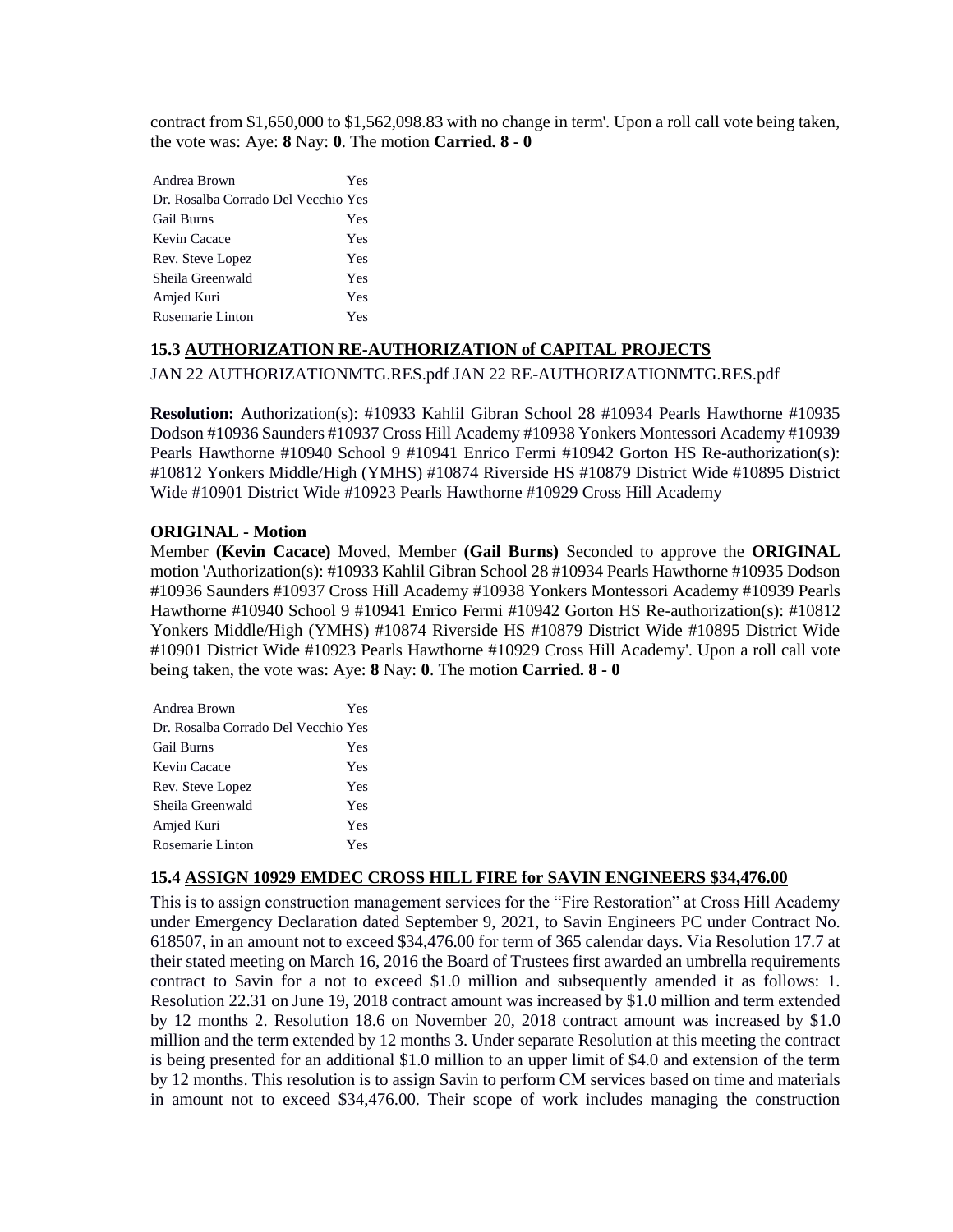contract from \$1,650,000 to \$1,562,098.83 with no change in term'. Upon a roll call vote being taken, the vote was: Aye: **8** Nay: **0**. The motion **Carried. 8 - 0** 

| Andrea Brown                        | Yes |
|-------------------------------------|-----|
| Dr. Rosalba Corrado Del Vecchio Yes |     |
| <b>Gail Burns</b>                   | Yes |
| Kevin Cacace                        | Yes |
| Rev. Steve Lopez                    | Yes |
| Sheila Greenwald                    | Yes |
| Amjed Kuri                          | Yes |
| Rosemarie Linton                    | Yes |

## **15.3 AUTHORIZATION RE-AUTHORIZATION of CAPITAL PROJECTS**

## JAN 22 AUTHORIZATIONMTG.RES.pdf JAN 22 RE-AUTHORIZATIONMTG.RES.pdf

**Resolution:** Authorization(s): #10933 Kahlil Gibran School 28 #10934 Pearls Hawthorne #10935 Dodson #10936 Saunders #10937 Cross Hill Academy #10938 Yonkers Montessori Academy #10939 Pearls Hawthorne #10940 School 9 #10941 Enrico Fermi #10942 Gorton HS Re-authorization(s): #10812 Yonkers Middle/High (YMHS) #10874 Riverside HS #10879 District Wide #10895 District Wide #10901 District Wide #10923 Pearls Hawthorne #10929 Cross Hill Academy

## **ORIGINAL - Motion**

Member **(Kevin Cacace)** Moved, Member **(Gail Burns)** Seconded to approve the **ORIGINAL**  motion 'Authorization(s): #10933 Kahlil Gibran School 28 #10934 Pearls Hawthorne #10935 Dodson #10936 Saunders #10937 Cross Hill Academy #10938 Yonkers Montessori Academy #10939 Pearls Hawthorne #10940 School 9 #10941 Enrico Fermi #10942 Gorton HS Re-authorization(s): #10812 Yonkers Middle/High (YMHS) #10874 Riverside HS #10879 District Wide #10895 District Wide #10901 District Wide #10923 Pearls Hawthorne #10929 Cross Hill Academy'. Upon a roll call vote being taken, the vote was: Aye: **8** Nay: **0**. The motion **Carried. 8 - 0** 

| Andrea Brown                        | Yes |
|-------------------------------------|-----|
| Dr. Rosalba Corrado Del Vecchio Yes |     |
| <b>Gail Burns</b>                   | Yes |
| Kevin Cacace                        | Yes |
| Rev. Steve Lopez                    | Yes |
| Sheila Greenwald                    | Yes |
| Amjed Kuri                          | Yes |
| Rosemarie Linton                    | Yes |

## **15.4 ASSIGN 10929 EMDEC CROSS HILL FIRE for SAVIN ENGINEERS \$34,476.00**

This is to assign construction management services for the "Fire Restoration" at Cross Hill Academy under Emergency Declaration dated September 9, 2021, to Savin Engineers PC under Contract No. 618507, in an amount not to exceed \$34,476.00 for term of 365 calendar days. Via Resolution 17.7 at their stated meeting on March 16, 2016 the Board of Trustees first awarded an umbrella requirements contract to Savin for a not to exceed \$1.0 million and subsequently amended it as follows: 1. Resolution 22.31 on June 19, 2018 contract amount was increased by \$1.0 million and term extended by 12 months 2. Resolution 18.6 on November 20, 2018 contract amount was increased by \$1.0 million and the term extended by 12 months 3. Under separate Resolution at this meeting the contract is being presented for an additional \$1.0 million to an upper limit of \$4.0 and extension of the term by 12 months. This resolution is to assign Savin to perform CM services based on time and materials in amount not to exceed \$34,476.00. Their scope of work includes managing the construction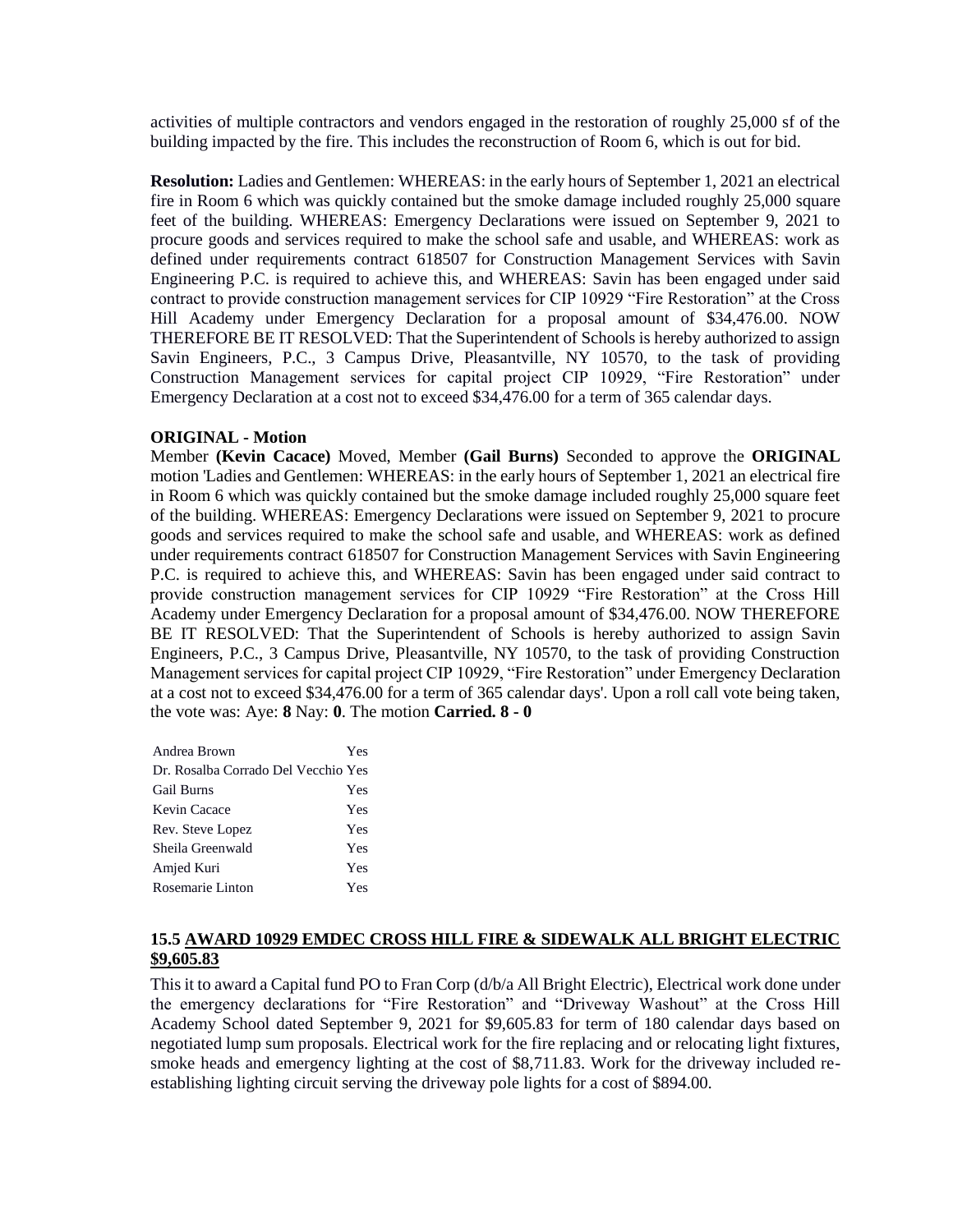activities of multiple contractors and vendors engaged in the restoration of roughly 25,000 sf of the building impacted by the fire. This includes the reconstruction of Room 6, which is out for bid.

**Resolution:** Ladies and Gentlemen: WHEREAS: in the early hours of September 1, 2021 an electrical fire in Room 6 which was quickly contained but the smoke damage included roughly 25,000 square feet of the building. WHEREAS: Emergency Declarations were issued on September 9, 2021 to procure goods and services required to make the school safe and usable, and WHEREAS: work as defined under requirements contract 618507 for Construction Management Services with Savin Engineering P.C. is required to achieve this, and WHEREAS: Savin has been engaged under said contract to provide construction management services for CIP 10929 "Fire Restoration" at the Cross Hill Academy under Emergency Declaration for a proposal amount of \$34,476.00. NOW THEREFORE BE IT RESOLVED: That the Superintendent of Schools is hereby authorized to assign Savin Engineers, P.C., 3 Campus Drive, Pleasantville, NY 10570, to the task of providing Construction Management services for capital project CIP 10929, "Fire Restoration" under Emergency Declaration at a cost not to exceed \$34,476.00 for a term of 365 calendar days.

#### **ORIGINAL - Motion**

Member **(Kevin Cacace)** Moved, Member **(Gail Burns)** Seconded to approve the **ORIGINAL**  motion 'Ladies and Gentlemen: WHEREAS: in the early hours of September 1, 2021 an electrical fire in Room 6 which was quickly contained but the smoke damage included roughly 25,000 square feet of the building. WHEREAS: Emergency Declarations were issued on September 9, 2021 to procure goods and services required to make the school safe and usable, and WHEREAS: work as defined under requirements contract 618507 for Construction Management Services with Savin Engineering P.C. is required to achieve this, and WHEREAS: Savin has been engaged under said contract to provide construction management services for CIP 10929 "Fire Restoration" at the Cross Hill Academy under Emergency Declaration for a proposal amount of \$34,476.00. NOW THEREFORE BE IT RESOLVED: That the Superintendent of Schools is hereby authorized to assign Savin Engineers, P.C., 3 Campus Drive, Pleasantville, NY 10570, to the task of providing Construction Management services for capital project CIP 10929, "Fire Restoration" under Emergency Declaration at a cost not to exceed \$34,476.00 for a term of 365 calendar days'. Upon a roll call vote being taken, the vote was: Aye: **8** Nay: **0**. The motion **Carried. 8 - 0** 

| Andrea Brown                        | Yes |
|-------------------------------------|-----|
| Dr. Rosalba Corrado Del Vecchio Yes |     |
| <b>Gail Burns</b>                   | Yes |
| Kevin Cacace                        | Yes |
| Rev. Steve Lopez                    | Yes |
| Sheila Greenwald                    | Yes |
| Amjed Kuri                          | Yes |
| Rosemarie Linton                    | Yes |

## **15.5 AWARD 10929 EMDEC CROSS HILL FIRE & SIDEWALK ALL BRIGHT ELECTRIC \$9,605.83**

This it to award a Capital fund PO to Fran Corp (d/b/a All Bright Electric), Electrical work done under the emergency declarations for "Fire Restoration" and "Driveway Washout" at the Cross Hill Academy School dated September 9, 2021 for \$9,605.83 for term of 180 calendar days based on negotiated lump sum proposals. Electrical work for the fire replacing and or relocating light fixtures, smoke heads and emergency lighting at the cost of \$8,711.83. Work for the driveway included reestablishing lighting circuit serving the driveway pole lights for a cost of \$894.00.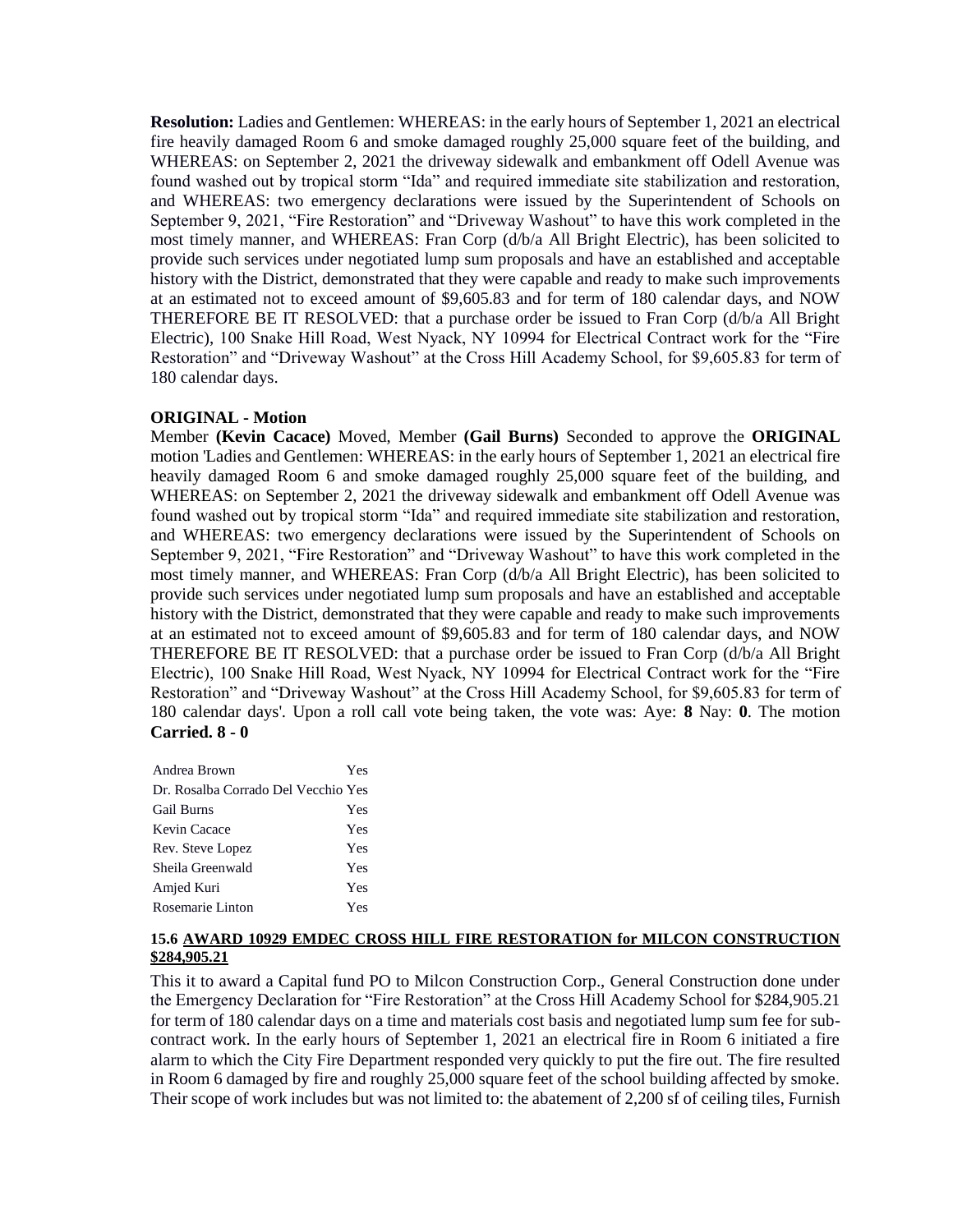**Resolution:** Ladies and Gentlemen: WHEREAS: in the early hours of September 1, 2021 an electrical fire heavily damaged Room 6 and smoke damaged roughly 25,000 square feet of the building, and WHEREAS: on September 2, 2021 the driveway sidewalk and embankment off Odell Avenue was found washed out by tropical storm "Ida" and required immediate site stabilization and restoration, and WHEREAS: two emergency declarations were issued by the Superintendent of Schools on September 9, 2021, "Fire Restoration" and "Driveway Washout" to have this work completed in the most timely manner, and WHEREAS: Fran Corp (d/b/a All Bright Electric), has been solicited to provide such services under negotiated lump sum proposals and have an established and acceptable history with the District, demonstrated that they were capable and ready to make such improvements at an estimated not to exceed amount of \$9,605.83 and for term of 180 calendar days, and NOW THEREFORE BE IT RESOLVED: that a purchase order be issued to Fran Corp (d/b/a All Bright Electric), 100 Snake Hill Road, West Nyack, NY 10994 for Electrical Contract work for the "Fire Restoration" and "Driveway Washout" at the Cross Hill Academy School, for \$9,605.83 for term of 180 calendar days.

#### **ORIGINAL - Motion**

Member **(Kevin Cacace)** Moved, Member **(Gail Burns)** Seconded to approve the **ORIGINAL**  motion 'Ladies and Gentlemen: WHEREAS: in the early hours of September 1, 2021 an electrical fire heavily damaged Room 6 and smoke damaged roughly 25,000 square feet of the building, and WHEREAS: on September 2, 2021 the driveway sidewalk and embankment off Odell Avenue was found washed out by tropical storm "Ida" and required immediate site stabilization and restoration, and WHEREAS: two emergency declarations were issued by the Superintendent of Schools on September 9, 2021, "Fire Restoration" and "Driveway Washout" to have this work completed in the most timely manner, and WHEREAS: Fran Corp (d/b/a All Bright Electric), has been solicited to provide such services under negotiated lump sum proposals and have an established and acceptable history with the District, demonstrated that they were capable and ready to make such improvements at an estimated not to exceed amount of \$9,605.83 and for term of 180 calendar days, and NOW THEREFORE BE IT RESOLVED: that a purchase order be issued to Fran Corp (d/b/a All Bright Electric), 100 Snake Hill Road, West Nyack, NY 10994 for Electrical Contract work for the "Fire Restoration" and "Driveway Washout" at the Cross Hill Academy School, for \$9,605.83 for term of 180 calendar days'. Upon a roll call vote being taken, the vote was: Aye: **8** Nay: **0**. The motion **Carried. 8 - 0** 

| Andrea Brown                        | Yes |
|-------------------------------------|-----|
| Dr. Rosalba Corrado Del Vecchio Yes |     |
| <b>Gail Burns</b>                   | Yes |
| Kevin Cacace                        | Yes |
| Rev. Steve Lopez                    | Yes |
| Sheila Greenwald                    | Yes |
| Amjed Kuri                          | Yes |
| Rosemarie Linton                    | Yes |

#### **15.6 AWARD 10929 EMDEC CROSS HILL FIRE RESTORATION for MILCON CONSTRUCTION \$284,905.21**

This it to award a Capital fund PO to Milcon Construction Corp., General Construction done under the Emergency Declaration for "Fire Restoration" at the Cross Hill Academy School for \$284,905.21 for term of 180 calendar days on a time and materials cost basis and negotiated lump sum fee for subcontract work. In the early hours of September 1, 2021 an electrical fire in Room 6 initiated a fire alarm to which the City Fire Department responded very quickly to put the fire out. The fire resulted in Room 6 damaged by fire and roughly 25,000 square feet of the school building affected by smoke. Their scope of work includes but was not limited to: the abatement of 2,200 sf of ceiling tiles, Furnish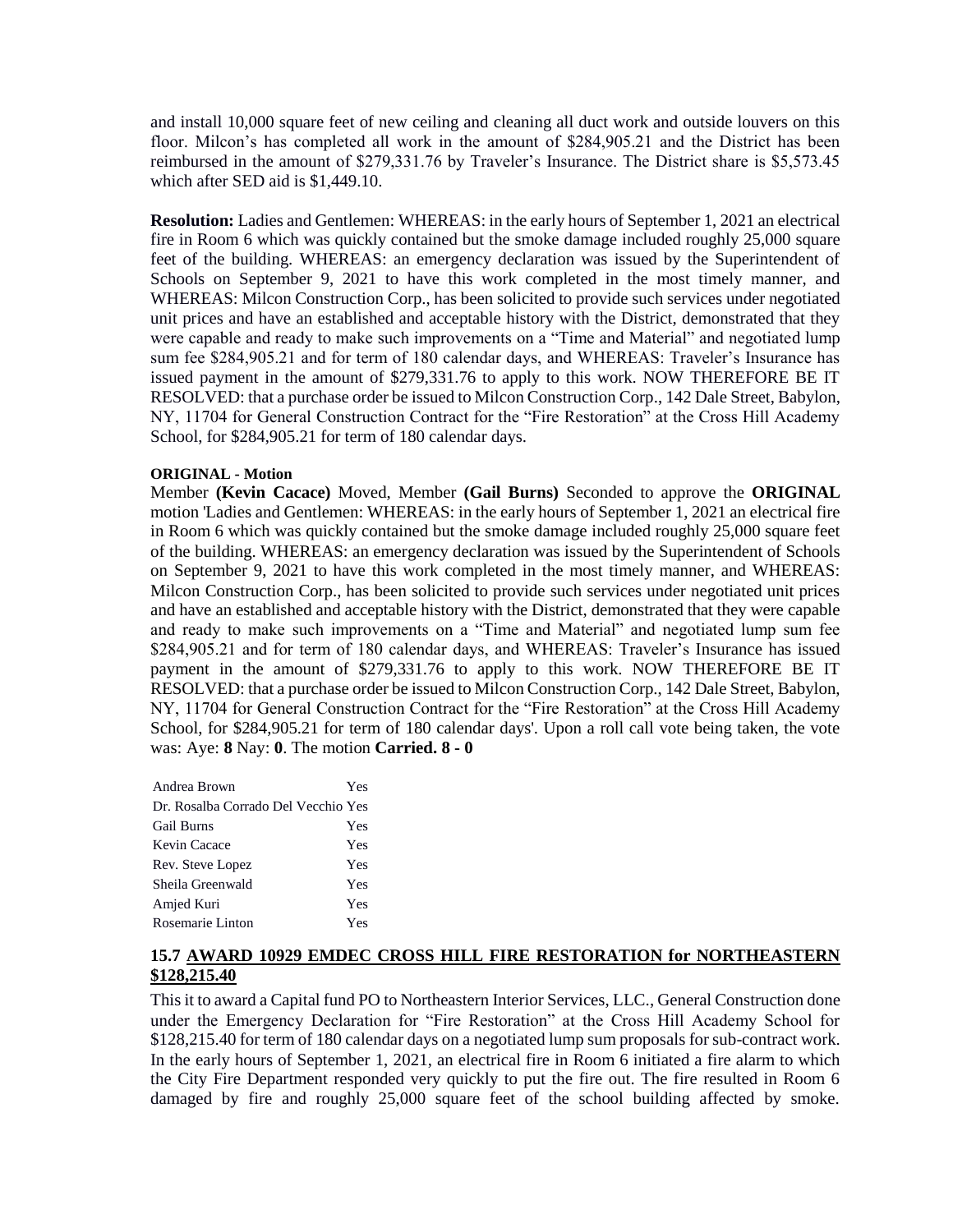and install 10,000 square feet of new ceiling and cleaning all duct work and outside louvers on this floor. Milcon's has completed all work in the amount of \$284,905.21 and the District has been reimbursed in the amount of \$279,331.76 by Traveler's Insurance. The District share is \$5,573.45 which after SED aid is \$1,449.10.

**Resolution:** Ladies and Gentlemen: WHEREAS: in the early hours of September 1, 2021 an electrical fire in Room 6 which was quickly contained but the smoke damage included roughly 25,000 square feet of the building. WHEREAS: an emergency declaration was issued by the Superintendent of Schools on September 9, 2021 to have this work completed in the most timely manner, and WHEREAS: Milcon Construction Corp., has been solicited to provide such services under negotiated unit prices and have an established and acceptable history with the District, demonstrated that they were capable and ready to make such improvements on a "Time and Material" and negotiated lump sum fee \$284,905.21 and for term of 180 calendar days, and WHEREAS: Traveler's Insurance has issued payment in the amount of \$279,331.76 to apply to this work. NOW THEREFORE BE IT RESOLVED: that a purchase order be issued to Milcon Construction Corp., 142 Dale Street, Babylon, NY, 11704 for General Construction Contract for the "Fire Restoration" at the Cross Hill Academy School, for \$284,905.21 for term of 180 calendar days.

#### **ORIGINAL - Motion**

Member **(Kevin Cacace)** Moved, Member **(Gail Burns)** Seconded to approve the **ORIGINAL**  motion 'Ladies and Gentlemen: WHEREAS: in the early hours of September 1, 2021 an electrical fire in Room 6 which was quickly contained but the smoke damage included roughly 25,000 square feet of the building. WHEREAS: an emergency declaration was issued by the Superintendent of Schools on September 9, 2021 to have this work completed in the most timely manner, and WHEREAS: Milcon Construction Corp., has been solicited to provide such services under negotiated unit prices and have an established and acceptable history with the District, demonstrated that they were capable and ready to make such improvements on a "Time and Material" and negotiated lump sum fee \$284,905.21 and for term of 180 calendar days, and WHEREAS: Traveler's Insurance has issued payment in the amount of \$279,331.76 to apply to this work. NOW THEREFORE BE IT RESOLVED: that a purchase order be issued to Milcon Construction Corp., 142 Dale Street, Babylon, NY, 11704 for General Construction Contract for the "Fire Restoration" at the Cross Hill Academy School, for \$284,905.21 for term of 180 calendar days'. Upon a roll call vote being taken, the vote was: Aye: **8** Nay: **0**. The motion **Carried. 8 - 0** 

| Andrea Brown                        | Yes |
|-------------------------------------|-----|
| Dr. Rosalba Corrado Del Vecchio Yes |     |
| <b>Gail Burns</b>                   | Yes |
| Kevin Cacace                        | Yes |
| Rev. Steve Lopez                    | Yes |
| Sheila Greenwald                    | Yes |
| Amjed Kuri                          | Yes |
| Rosemarie Linton                    | Yes |

## **15.7 AWARD 10929 EMDEC CROSS HILL FIRE RESTORATION for NORTHEASTERN \$128,215.40**

This it to award a Capital fund PO to Northeastern Interior Services, LLC., General Construction done under the Emergency Declaration for "Fire Restoration" at the Cross Hill Academy School for \$128,215.40 for term of 180 calendar days on a negotiated lump sum proposals for sub-contract work. In the early hours of September 1, 2021, an electrical fire in Room 6 initiated a fire alarm to which the City Fire Department responded very quickly to put the fire out. The fire resulted in Room 6 damaged by fire and roughly 25,000 square feet of the school building affected by smoke.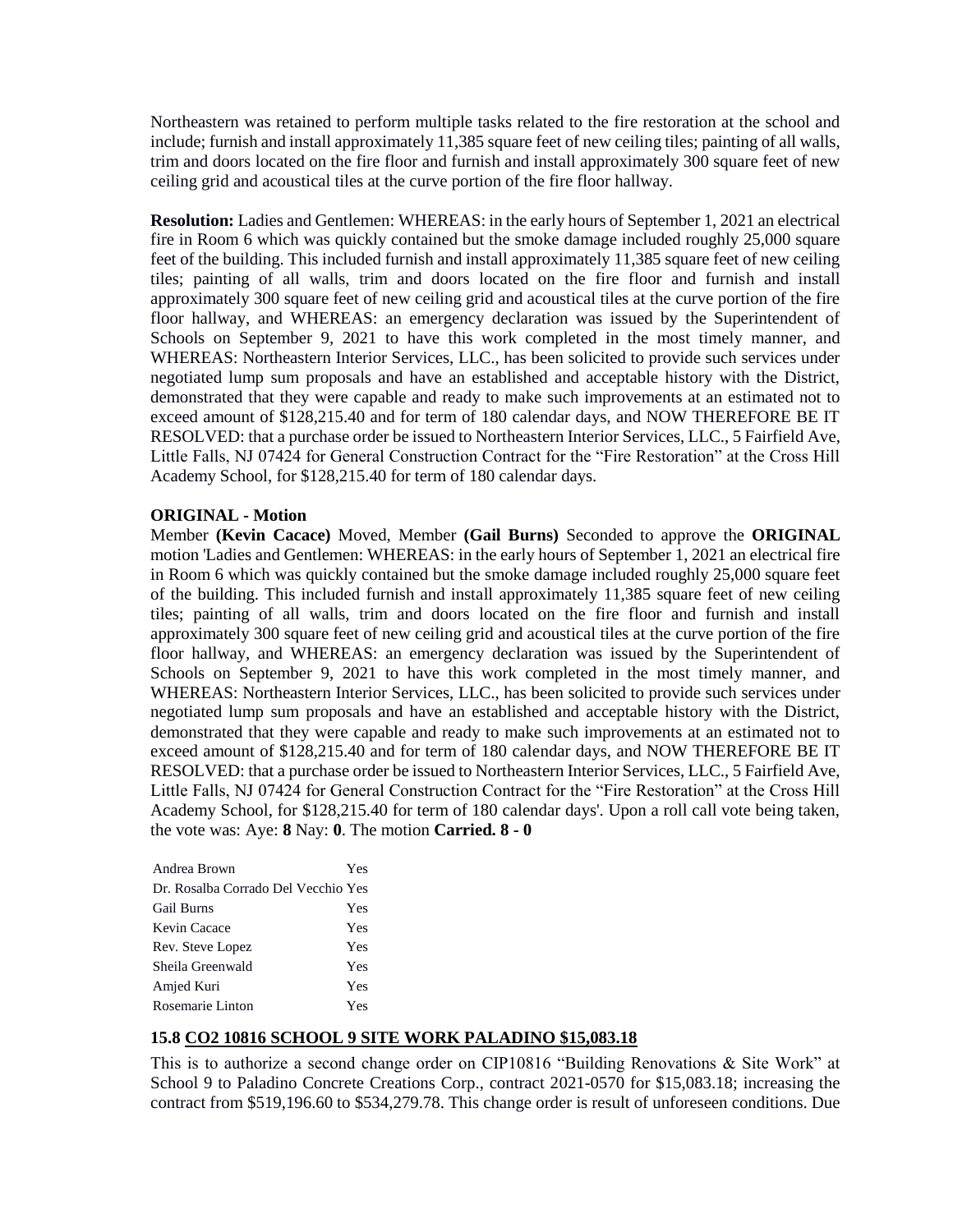Northeastern was retained to perform multiple tasks related to the fire restoration at the school and include; furnish and install approximately 11,385 square feet of new ceiling tiles; painting of all walls, trim and doors located on the fire floor and furnish and install approximately 300 square feet of new ceiling grid and acoustical tiles at the curve portion of the fire floor hallway.

**Resolution:** Ladies and Gentlemen: WHEREAS: in the early hours of September 1, 2021 an electrical fire in Room 6 which was quickly contained but the smoke damage included roughly 25,000 square feet of the building. This included furnish and install approximately 11,385 square feet of new ceiling tiles; painting of all walls, trim and doors located on the fire floor and furnish and install approximately 300 square feet of new ceiling grid and acoustical tiles at the curve portion of the fire floor hallway, and WHEREAS: an emergency declaration was issued by the Superintendent of Schools on September 9, 2021 to have this work completed in the most timely manner, and WHEREAS: Northeastern Interior Services, LLC., has been solicited to provide such services under negotiated lump sum proposals and have an established and acceptable history with the District, demonstrated that they were capable and ready to make such improvements at an estimated not to exceed amount of \$128,215.40 and for term of 180 calendar days, and NOW THEREFORE BE IT RESOLVED: that a purchase order be issued to Northeastern Interior Services, LLC., 5 Fairfield Ave, Little Falls, NJ 07424 for General Construction Contract for the "Fire Restoration" at the Cross Hill Academy School, for \$128,215.40 for term of 180 calendar days.

## **ORIGINAL - Motion**

Member **(Kevin Cacace)** Moved, Member **(Gail Burns)** Seconded to approve the **ORIGINAL**  motion 'Ladies and Gentlemen: WHEREAS: in the early hours of September 1, 2021 an electrical fire in Room 6 which was quickly contained but the smoke damage included roughly 25,000 square feet of the building. This included furnish and install approximately 11,385 square feet of new ceiling tiles; painting of all walls, trim and doors located on the fire floor and furnish and install approximately 300 square feet of new ceiling grid and acoustical tiles at the curve portion of the fire floor hallway, and WHEREAS: an emergency declaration was issued by the Superintendent of Schools on September 9, 2021 to have this work completed in the most timely manner, and WHEREAS: Northeastern Interior Services, LLC., has been solicited to provide such services under negotiated lump sum proposals and have an established and acceptable history with the District, demonstrated that they were capable and ready to make such improvements at an estimated not to exceed amount of \$128,215.40 and for term of 180 calendar days, and NOW THEREFORE BE IT RESOLVED: that a purchase order be issued to Northeastern Interior Services, LLC., 5 Fairfield Ave, Little Falls, NJ 07424 for General Construction Contract for the "Fire Restoration" at the Cross Hill Academy School, for \$128,215.40 for term of 180 calendar days'. Upon a roll call vote being taken, the vote was: Aye: **8** Nay: **0**. The motion **Carried. 8 - 0** 

| Andrea Brown                        | Yes |
|-------------------------------------|-----|
| Dr. Rosalba Corrado Del Vecchio Yes |     |
| <b>Gail Burns</b>                   | Yes |
| Kevin Cacace                        | Yes |
| Rev. Steve Lopez                    | Yes |
| Sheila Greenwald                    | Yes |
| Amjed Kuri                          | Yes |
| Rosemarie Linton                    | Yes |

## **15.8 CO2 10816 SCHOOL 9 SITE WORK PALADINO \$15,083.18**

This is to authorize a second change order on CIP10816 "Building Renovations & Site Work" at School 9 to Paladino Concrete Creations Corp., contract 2021-0570 for \$15,083.18; increasing the contract from \$519,196.60 to \$534,279.78. This change order is result of unforeseen conditions. Due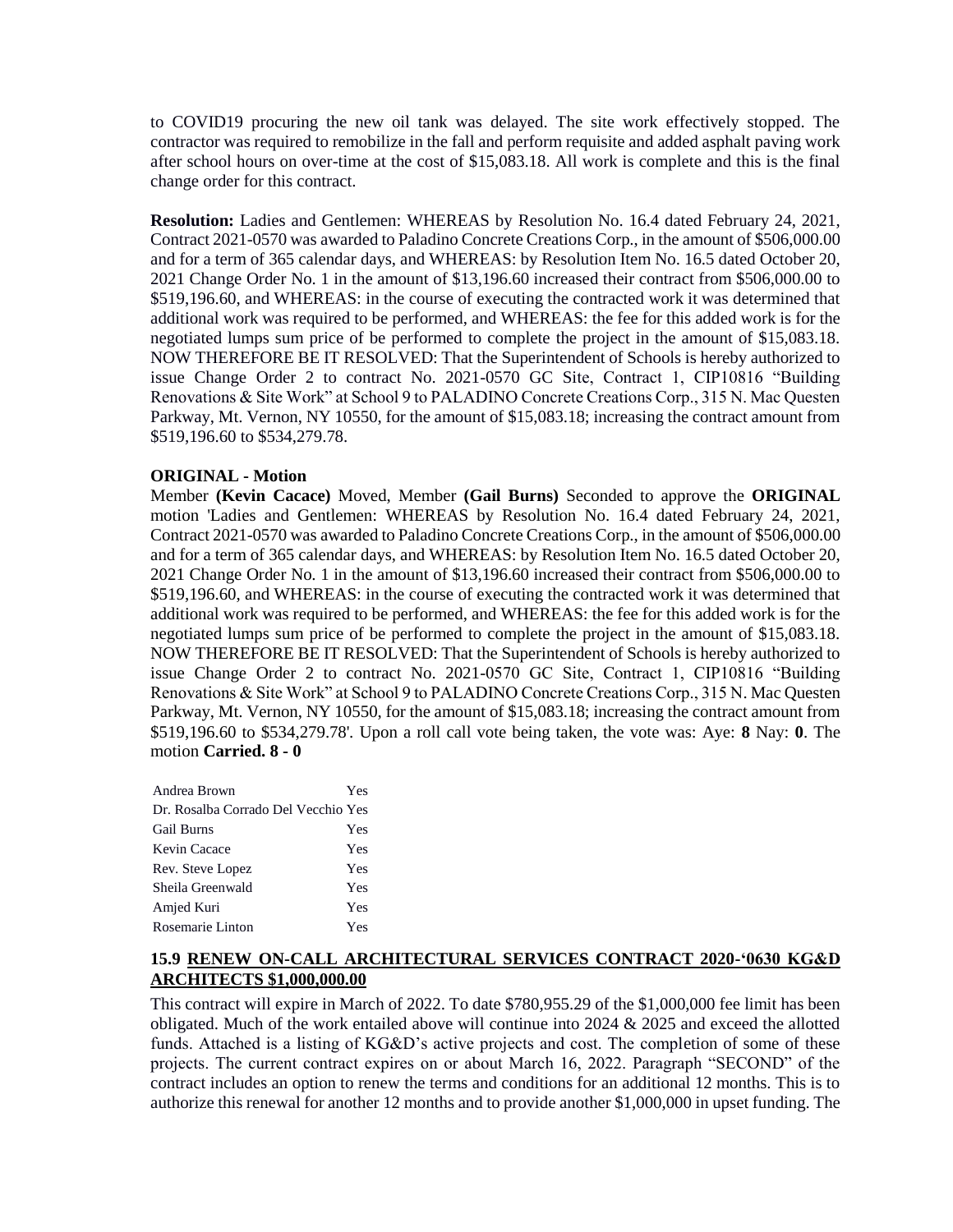to COVID19 procuring the new oil tank was delayed. The site work effectively stopped. The contractor was required to remobilize in the fall and perform requisite and added asphalt paving work after school hours on over-time at the cost of \$15,083.18. All work is complete and this is the final change order for this contract.

**Resolution:** Ladies and Gentlemen: WHEREAS by Resolution No. 16.4 dated February 24, 2021, Contract 2021-0570 was awarded to Paladino Concrete Creations Corp., in the amount of \$506,000.00 and for a term of 365 calendar days, and WHEREAS: by Resolution Item No. 16.5 dated October 20, 2021 Change Order No. 1 in the amount of \$13,196.60 increased their contract from \$506,000.00 to \$519,196.60, and WHEREAS: in the course of executing the contracted work it was determined that additional work was required to be performed, and WHEREAS: the fee for this added work is for the negotiated lumps sum price of be performed to complete the project in the amount of \$15,083.18. NOW THEREFORE BE IT RESOLVED: That the Superintendent of Schools is hereby authorized to issue Change Order 2 to contract No. 2021-0570 GC Site, Contract 1, CIP10816 "Building Renovations & Site Work" at School 9 to PALADINO Concrete Creations Corp., 315 N. Mac Questen Parkway, Mt. Vernon, NY 10550, for the amount of \$15,083.18; increasing the contract amount from \$519,196.60 to \$534,279.78.

## **ORIGINAL - Motion**

Member **(Kevin Cacace)** Moved, Member **(Gail Burns)** Seconded to approve the **ORIGINAL**  motion 'Ladies and Gentlemen: WHEREAS by Resolution No. 16.4 dated February 24, 2021, Contract 2021-0570 was awarded to Paladino Concrete Creations Corp., in the amount of \$506,000.00 and for a term of 365 calendar days, and WHEREAS: by Resolution Item No. 16.5 dated October 20, 2021 Change Order No. 1 in the amount of \$13,196.60 increased their contract from \$506,000.00 to \$519,196.60, and WHEREAS: in the course of executing the contracted work it was determined that additional work was required to be performed, and WHEREAS: the fee for this added work is for the negotiated lumps sum price of be performed to complete the project in the amount of \$15,083.18. NOW THEREFORE BE IT RESOLVED: That the Superintendent of Schools is hereby authorized to issue Change Order 2 to contract No. 2021-0570 GC Site, Contract 1, CIP10816 "Building Renovations & Site Work" at School 9 to PALADINO Concrete Creations Corp., 315 N. Mac Questen Parkway, Mt. Vernon, NY 10550, for the amount of \$15,083.18; increasing the contract amount from \$519,196.60 to \$534,279.78'. Upon a roll call vote being taken, the vote was: Aye: **8** Nay: **0**. The motion **Carried. 8 - 0** 

| Andrea Brown                        | Yes |
|-------------------------------------|-----|
| Dr. Rosalba Corrado Del Vecchio Yes |     |
| <b>Gail Burns</b>                   | Yes |
| Kevin Cacace                        | Yes |
| Rev. Steve Lopez                    | Yes |
| Sheila Greenwald                    | Yes |
| Amjed Kuri                          | Yes |
| Rosemarie Linton                    | Yes |

# **15.9 RENEW ON-CALL ARCHITECTURAL SERVICES CONTRACT 2020-'0630 KG&D ARCHITECTS \$1,000,000.00**

This contract will expire in March of 2022. To date \$780,955.29 of the \$1,000,000 fee limit has been obligated. Much of the work entailed above will continue into 2024 & 2025 and exceed the allotted funds. Attached is a listing of KG&D's active projects and cost. The completion of some of these projects. The current contract expires on or about March 16, 2022. Paragraph "SECOND" of the contract includes an option to renew the terms and conditions for an additional 12 months. This is to authorize this renewal for another 12 months and to provide another \$1,000,000 in upset funding. The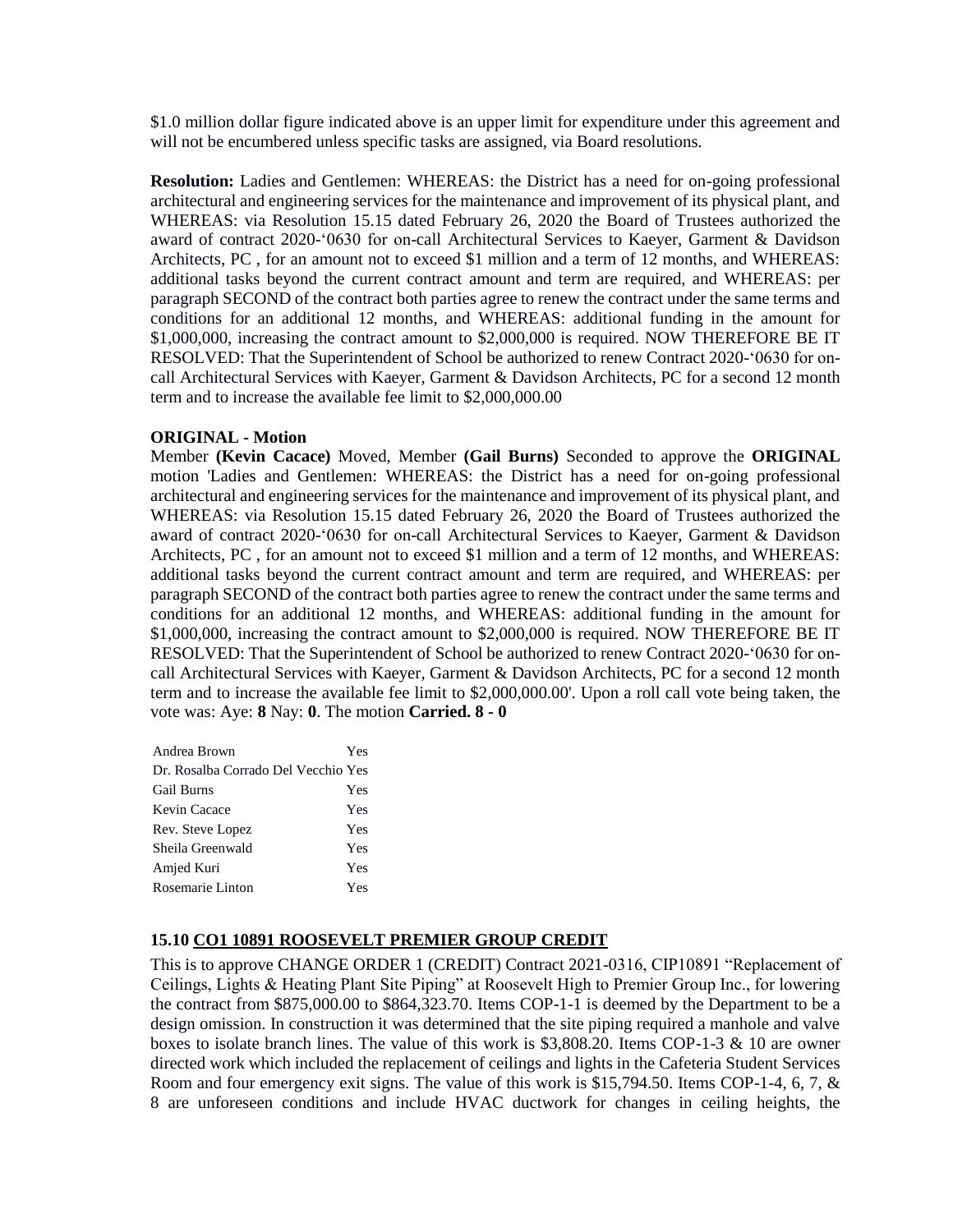\$1.0 million dollar figure indicated above is an upper limit for expenditure under this agreement and will not be encumbered unless specific tasks are assigned, via Board resolutions.

**Resolution:** Ladies and Gentlemen: WHEREAS: the District has a need for on-going professional architectural and engineering services for the maintenance and improvement of its physical plant, and WHEREAS: via Resolution 15.15 dated February 26, 2020 the Board of Trustees authorized the award of contract 2020-'0630 for on-call Architectural Services to Kaeyer, Garment & Davidson Architects, PC , for an amount not to exceed \$1 million and a term of 12 months, and WHEREAS: additional tasks beyond the current contract amount and term are required, and WHEREAS: per paragraph SECOND of the contract both parties agree to renew the contract under the same terms and conditions for an additional 12 months, and WHEREAS: additional funding in the amount for \$1,000,000, increasing the contract amount to \$2,000,000 is required. NOW THEREFORE BE IT RESOLVED: That the Superintendent of School be authorized to renew Contract 2020-'0630 for oncall Architectural Services with Kaeyer, Garment & Davidson Architects, PC for a second 12 month term and to increase the available fee limit to \$2,000,000.00

## **ORIGINAL - Motion**

Member **(Kevin Cacace)** Moved, Member **(Gail Burns)** Seconded to approve the **ORIGINAL**  motion 'Ladies and Gentlemen: WHEREAS: the District has a need for on-going professional architectural and engineering services for the maintenance and improvement of its physical plant, and WHEREAS: via Resolution 15.15 dated February 26, 2020 the Board of Trustees authorized the award of contract 2020-'0630 for on-call Architectural Services to Kaeyer, Garment & Davidson Architects, PC , for an amount not to exceed \$1 million and a term of 12 months, and WHEREAS: additional tasks beyond the current contract amount and term are required, and WHEREAS: per paragraph SECOND of the contract both parties agree to renew the contract under the same terms and conditions for an additional 12 months, and WHEREAS: additional funding in the amount for \$1,000,000, increasing the contract amount to \$2,000,000 is required. NOW THEREFORE BE IT RESOLVED: That the Superintendent of School be authorized to renew Contract 2020-'0630 for oncall Architectural Services with Kaeyer, Garment & Davidson Architects, PC for a second 12 month term and to increase the available fee limit to \$2,000,000.00'. Upon a roll call vote being taken, the vote was: Aye: **8** Nay: **0**. The motion **Carried. 8 - 0** 

| Andrea Brown                        | Yes |
|-------------------------------------|-----|
| Dr. Rosalba Corrado Del Vecchio Yes |     |
| <b>Gail Burns</b>                   | Yes |
| Kevin Cacace                        | Yes |
| Rev. Steve Lopez                    | Yes |
| Sheila Greenwald                    | Yes |
| Amjed Kuri                          | Yes |
| Rosemarie Linton                    | Yes |

# **15.10 CO1 10891 ROOSEVELT PREMIER GROUP CREDIT**

This is to approve CHANGE ORDER 1 (CREDIT) Contract 2021-0316, CIP10891 "Replacement of Ceilings, Lights & Heating Plant Site Piping" at Roosevelt High to Premier Group Inc., for lowering the contract from \$875,000.00 to \$864,323.70. Items COP-1-1 is deemed by the Department to be a design omission. In construction it was determined that the site piping required a manhole and valve boxes to isolate branch lines. The value of this work is \$3,808.20. Items COP-1-3 & 10 are owner directed work which included the replacement of ceilings and lights in the Cafeteria Student Services Room and four emergency exit signs. The value of this work is \$15,794.50. Items COP-1-4, 6, 7, & 8 are unforeseen conditions and include HVAC ductwork for changes in ceiling heights, the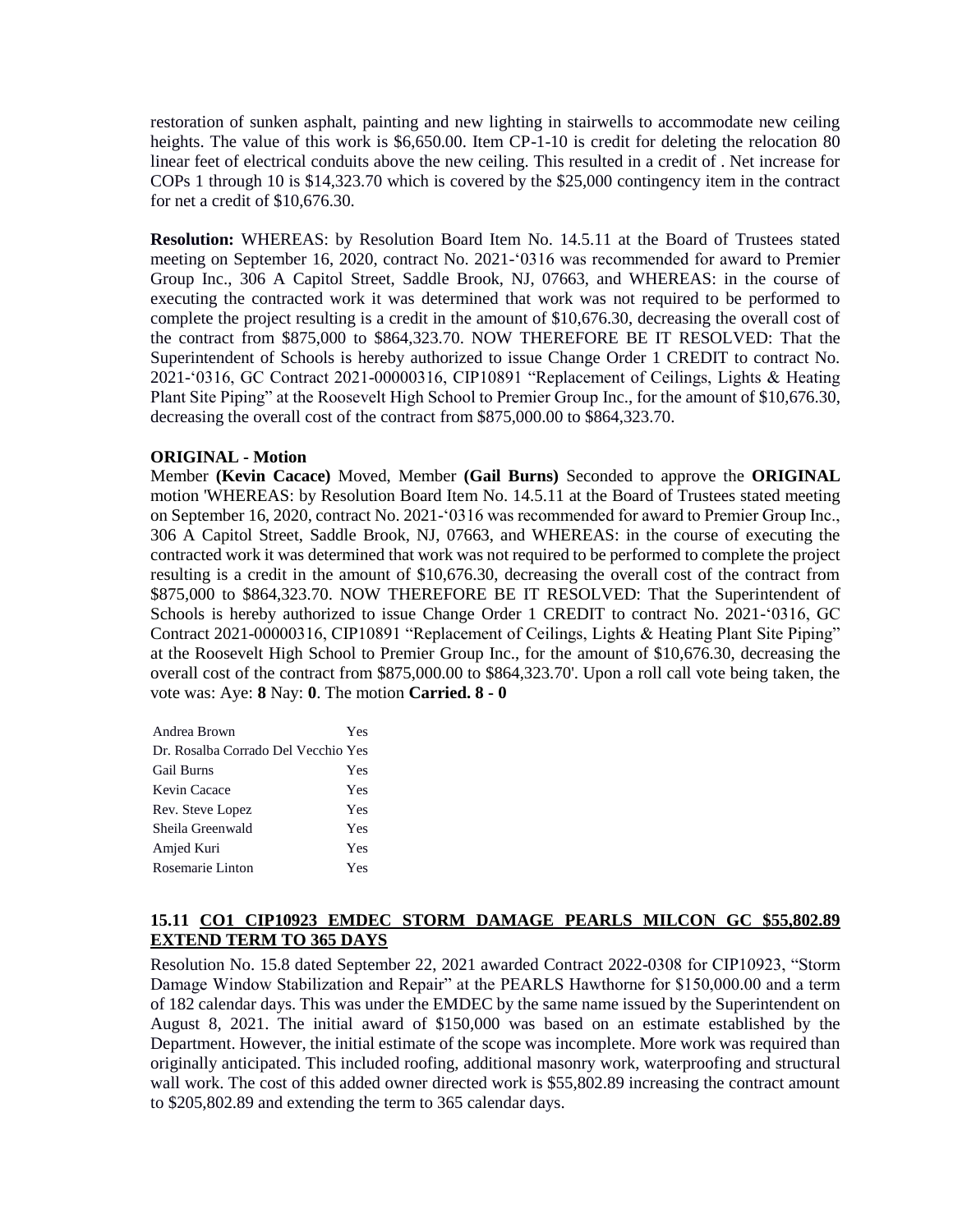restoration of sunken asphalt, painting and new lighting in stairwells to accommodate new ceiling heights. The value of this work is \$6,650.00. Item CP-1-10 is credit for deleting the relocation 80 linear feet of electrical conduits above the new ceiling. This resulted in a credit of . Net increase for COPs 1 through 10 is \$14,323.70 which is covered by the \$25,000 contingency item in the contract for net a credit of \$10,676.30.

**Resolution:** WHEREAS: by Resolution Board Item No. 14.5.11 at the Board of Trustees stated meeting on September 16, 2020, contract No. 2021-'0316 was recommended for award to Premier Group Inc., 306 A Capitol Street, Saddle Brook, NJ, 07663, and WHEREAS: in the course of executing the contracted work it was determined that work was not required to be performed to complete the project resulting is a credit in the amount of \$10,676.30, decreasing the overall cost of the contract from \$875,000 to \$864,323.70. NOW THEREFORE BE IT RESOLVED: That the Superintendent of Schools is hereby authorized to issue Change Order 1 CREDIT to contract No. 2021-'0316, GC Contract 2021-00000316, CIP10891 "Replacement of Ceilings, Lights & Heating Plant Site Piping" at the Roosevelt High School to Premier Group Inc., for the amount of \$10,676.30, decreasing the overall cost of the contract from \$875,000.00 to \$864,323.70.

#### **ORIGINAL - Motion**

Member **(Kevin Cacace)** Moved, Member **(Gail Burns)** Seconded to approve the **ORIGINAL**  motion 'WHEREAS: by Resolution Board Item No. 14.5.11 at the Board of Trustees stated meeting on September 16, 2020, contract No. 2021-'0316 was recommended for award to Premier Group Inc., 306 A Capitol Street, Saddle Brook, NJ, 07663, and WHEREAS: in the course of executing the contracted work it was determined that work was not required to be performed to complete the project resulting is a credit in the amount of \$10,676.30, decreasing the overall cost of the contract from \$875,000 to \$864,323.70. NOW THEREFORE BE IT RESOLVED: That the Superintendent of Schools is hereby authorized to issue Change Order 1 CREDIT to contract No. 2021-'0316, GC Contract 2021-00000316, CIP10891 "Replacement of Ceilings, Lights & Heating Plant Site Piping" at the Roosevelt High School to Premier Group Inc., for the amount of \$10,676.30, decreasing the overall cost of the contract from \$875,000.00 to \$864,323.70'. Upon a roll call vote being taken, the vote was: Aye: **8** Nay: **0**. The motion **Carried. 8 - 0** 

| Andrea Brown                        | Yes |
|-------------------------------------|-----|
| Dr. Rosalba Corrado Del Vecchio Yes |     |
| <b>Gail Burns</b>                   | Yes |
| Kevin Cacace                        | Yes |
| Rev. Steve Lopez                    | Yes |
| Sheila Greenwald                    | Yes |
| Amjed Kuri                          | Yes |
| Rosemarie Linton                    | Yes |

## **15.11 CO1 CIP10923 EMDEC STORM DAMAGE PEARLS MILCON GC \$55,802.89 EXTEND TERM TO 365 DAYS**

Resolution No. 15.8 dated September 22, 2021 awarded Contract 2022-0308 for CIP10923, "Storm Damage Window Stabilization and Repair" at the PEARLS Hawthorne for \$150,000.00 and a term of 182 calendar days. This was under the EMDEC by the same name issued by the Superintendent on August 8, 2021. The initial award of \$150,000 was based on an estimate established by the Department. However, the initial estimate of the scope was incomplete. More work was required than originally anticipated. This included roofing, additional masonry work, waterproofing and structural wall work. The cost of this added owner directed work is \$55,802.89 increasing the contract amount to \$205,802.89 and extending the term to 365 calendar days.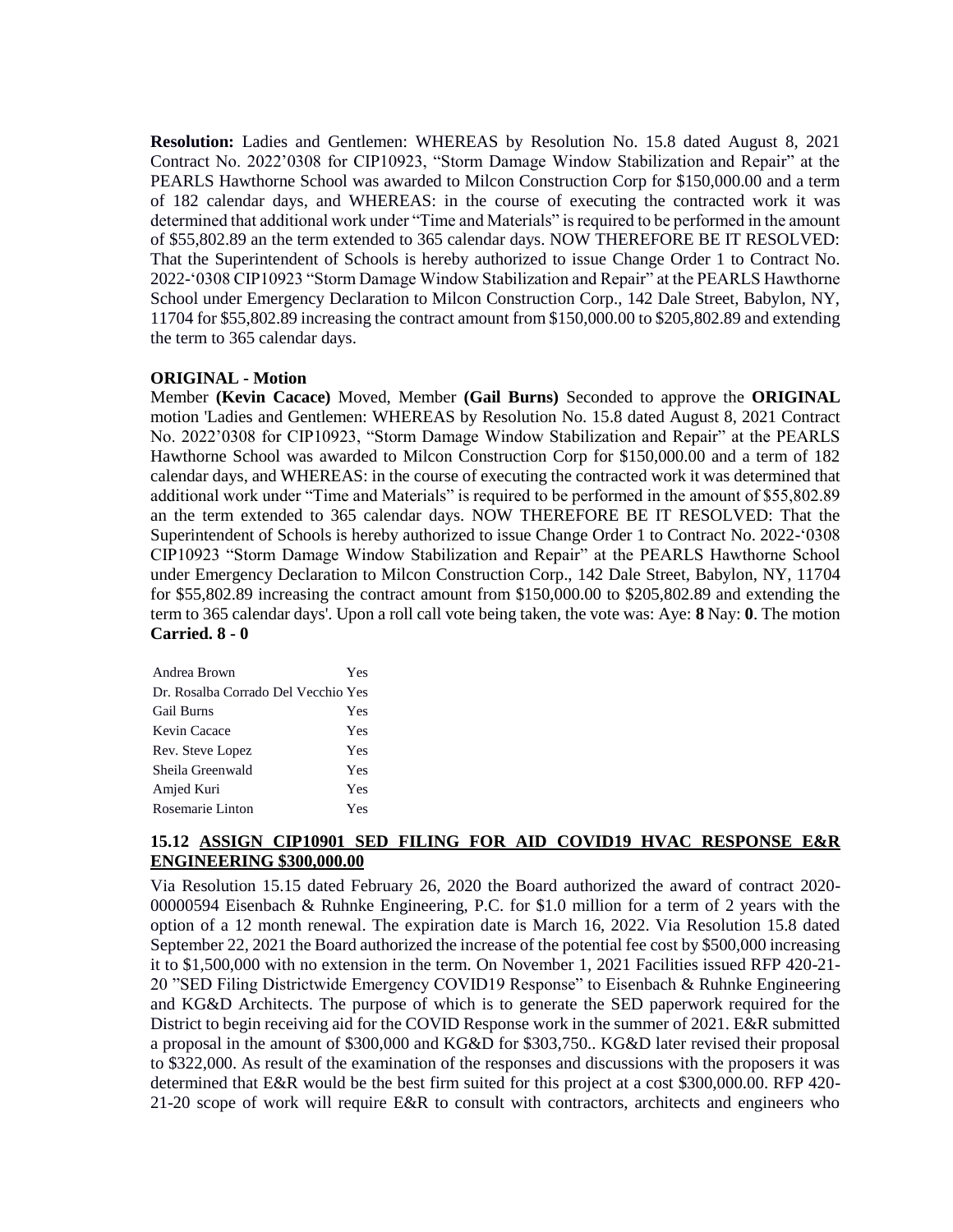**Resolution:** Ladies and Gentlemen: WHEREAS by Resolution No. 15.8 dated August 8, 2021 Contract No. 2022'0308 for CIP10923, "Storm Damage Window Stabilization and Repair" at the PEARLS Hawthorne School was awarded to Milcon Construction Corp for \$150,000.00 and a term of 182 calendar days, and WHEREAS: in the course of executing the contracted work it was determined that additional work under "Time and Materials" is required to be performed in the amount of \$55,802.89 an the term extended to 365 calendar days. NOW THEREFORE BE IT RESOLVED: That the Superintendent of Schools is hereby authorized to issue Change Order 1 to Contract No. 2022-'0308 CIP10923 "Storm Damage Window Stabilization and Repair" at the PEARLS Hawthorne School under Emergency Declaration to Milcon Construction Corp., 142 Dale Street, Babylon, NY, 11704 for \$55,802.89 increasing the contract amount from \$150,000.00 to \$205,802.89 and extending the term to 365 calendar days.

#### **ORIGINAL - Motion**

Member **(Kevin Cacace)** Moved, Member **(Gail Burns)** Seconded to approve the **ORIGINAL**  motion 'Ladies and Gentlemen: WHEREAS by Resolution No. 15.8 dated August 8, 2021 Contract No. 2022'0308 for CIP10923, "Storm Damage Window Stabilization and Repair" at the PEARLS Hawthorne School was awarded to Milcon Construction Corp for \$150,000.00 and a term of 182 calendar days, and WHEREAS: in the course of executing the contracted work it was determined that additional work under "Time and Materials" is required to be performed in the amount of \$55,802.89 an the term extended to 365 calendar days. NOW THEREFORE BE IT RESOLVED: That the Superintendent of Schools is hereby authorized to issue Change Order 1 to Contract No. 2022-'0308 CIP10923 "Storm Damage Window Stabilization and Repair" at the PEARLS Hawthorne School under Emergency Declaration to Milcon Construction Corp., 142 Dale Street, Babylon, NY, 11704 for \$55,802.89 increasing the contract amount from \$150,000.00 to \$205,802.89 and extending the term to 365 calendar days'. Upon a roll call vote being taken, the vote was: Aye: **8** Nay: **0**. The motion **Carried. 8 - 0** 

| Andrea Brown                        | Yes |
|-------------------------------------|-----|
| Dr. Rosalba Corrado Del Vecchio Yes |     |
| <b>Gail Burns</b>                   | Yes |
| Kevin Cacace                        | Yes |
| Rev. Steve Lopez                    | Yes |
| Sheila Greenwald                    | Yes |
| Amjed Kuri                          | Yes |
| Rosemarie Linton                    | Yes |

## **15.12 ASSIGN CIP10901 SED FILING FOR AID COVID19 HVAC RESPONSE E&R ENGINEERING \$300,000.00**

Via Resolution 15.15 dated February 26, 2020 the Board authorized the award of contract 2020- 00000594 Eisenbach & Ruhnke Engineering, P.C. for \$1.0 million for a term of 2 years with the option of a 12 month renewal. The expiration date is March 16, 2022. Via Resolution 15.8 dated September 22, 2021 the Board authorized the increase of the potential fee cost by \$500,000 increasing it to \$1,500,000 with no extension in the term. On November 1, 2021 Facilities issued RFP 420-21- 20 "SED Filing Districtwide Emergency COVID19 Response" to Eisenbach & Ruhnke Engineering and KG&D Architects. The purpose of which is to generate the SED paperwork required for the District to begin receiving aid for the COVID Response work in the summer of 2021. E&R submitted a proposal in the amount of \$300,000 and KG&D for \$303,750.. KG&D later revised their proposal to \$322,000. As result of the examination of the responses and discussions with the proposers it was determined that E&R would be the best firm suited for this project at a cost \$300,000.00. RFP 420- 21-20 scope of work will require E&R to consult with contractors, architects and engineers who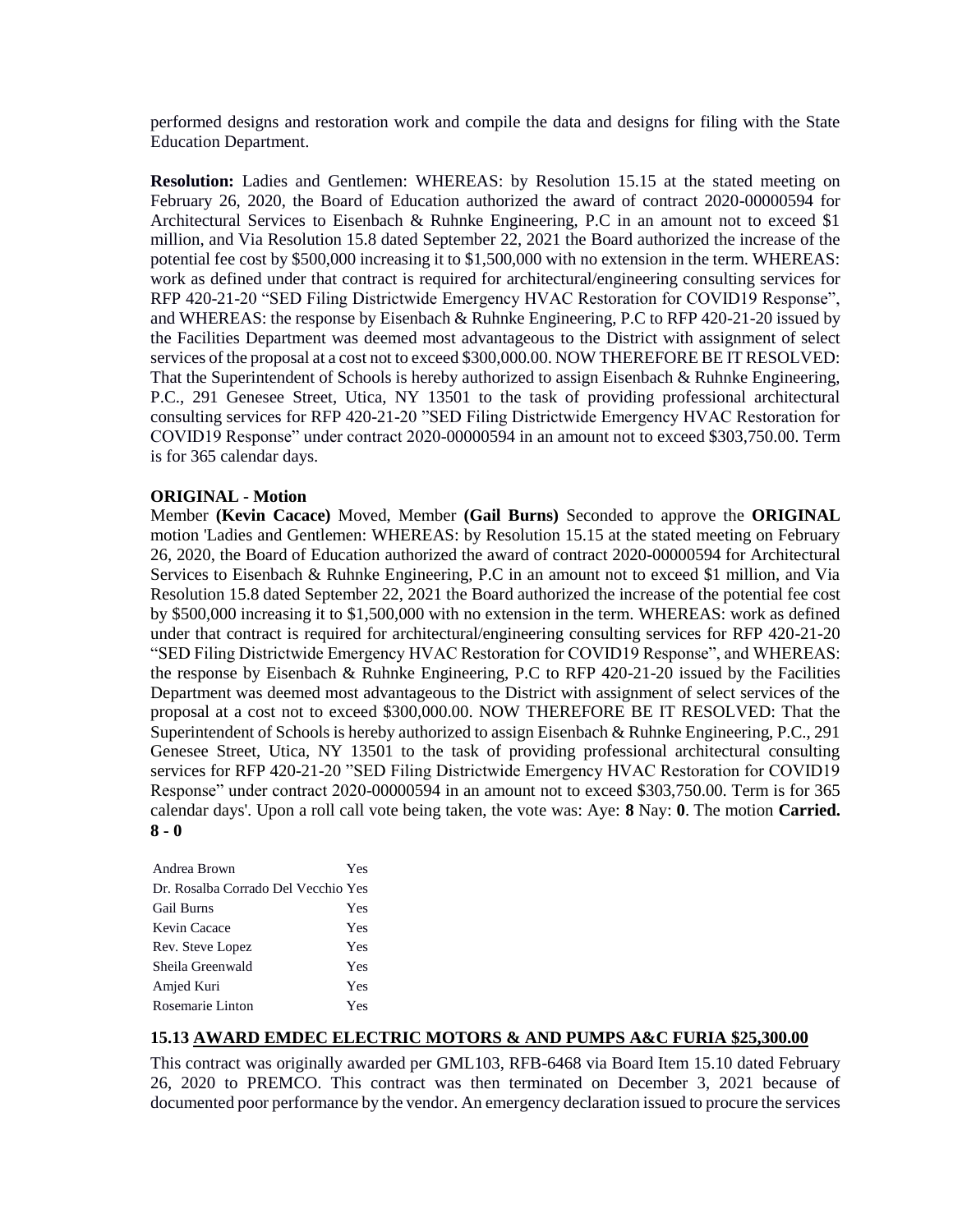performed designs and restoration work and compile the data and designs for filing with the State Education Department.

**Resolution:** Ladies and Gentlemen: WHEREAS: by Resolution 15.15 at the stated meeting on February 26, 2020, the Board of Education authorized the award of contract 2020-00000594 for Architectural Services to Eisenbach & Ruhnke Engineering, P.C in an amount not to exceed \$1 million, and Via Resolution 15.8 dated September 22, 2021 the Board authorized the increase of the potential fee cost by \$500,000 increasing it to \$1,500,000 with no extension in the term. WHEREAS: work as defined under that contract is required for architectural/engineering consulting services for RFP 420-21-20 "SED Filing Districtwide Emergency HVAC Restoration for COVID19 Response", and WHEREAS: the response by Eisenbach & Ruhnke Engineering, P.C to RFP 420-21-20 issued by the Facilities Department was deemed most advantageous to the District with assignment of select services of the proposal at a cost not to exceed \$300,000.00. NOW THEREFORE BE IT RESOLVED: That the Superintendent of Schools is hereby authorized to assign Eisenbach & Ruhnke Engineering, P.C., 291 Genesee Street, Utica, NY 13501 to the task of providing professional architectural consulting services for RFP 420-21-20 "SED Filing Districtwide Emergency HVAC Restoration for COVID19 Response" under contract 2020-00000594 in an amount not to exceed \$303,750.00. Term is for 365 calendar days.

## **ORIGINAL - Motion**

Member **(Kevin Cacace)** Moved, Member **(Gail Burns)** Seconded to approve the **ORIGINAL**  motion 'Ladies and Gentlemen: WHEREAS: by Resolution 15.15 at the stated meeting on February 26, 2020, the Board of Education authorized the award of contract 2020-00000594 for Architectural Services to Eisenbach & Ruhnke Engineering, P.C in an amount not to exceed \$1 million, and Via Resolution 15.8 dated September 22, 2021 the Board authorized the increase of the potential fee cost by \$500,000 increasing it to \$1,500,000 with no extension in the term. WHEREAS: work as defined under that contract is required for architectural/engineering consulting services for RFP 420-21-20 "SED Filing Districtwide Emergency HVAC Restoration for COVID19 Response", and WHEREAS: the response by Eisenbach & Ruhnke Engineering, P.C to RFP 420-21-20 issued by the Facilities Department was deemed most advantageous to the District with assignment of select services of the proposal at a cost not to exceed \$300,000.00. NOW THEREFORE BE IT RESOLVED: That the Superintendent of Schools is hereby authorized to assign Eisenbach & Ruhnke Engineering, P.C., 291 Genesee Street, Utica, NY 13501 to the task of providing professional architectural consulting services for RFP 420-21-20 "SED Filing Districtwide Emergency HVAC Restoration for COVID19 Response" under contract 2020-00000594 in an amount not to exceed \$303,750.00. Term is for 365 calendar days'. Upon a roll call vote being taken, the vote was: Aye: **8** Nay: **0**. The motion **Carried. 8 - 0** 

| Andrea Brown                        | Yes |
|-------------------------------------|-----|
| Dr. Rosalba Corrado Del Vecchio Yes |     |
| <b>Gail Burns</b>                   | Yes |
| Kevin Cacace                        | Yes |
| Rev. Steve Lopez                    | Yes |
| Sheila Greenwald                    | Yes |
| Amjed Kuri                          | Yes |
| Rosemarie Linton                    | Yes |

## **15.13 AWARD EMDEC ELECTRIC MOTORS & AND PUMPS A&C FURIA \$25,300.00**

This contract was originally awarded per GML103, RFB-6468 via Board Item 15.10 dated February 26, 2020 to PREMCO. This contract was then terminated on December 3, 2021 because of documented poor performance by the vendor. An emergency declaration issued to procure the services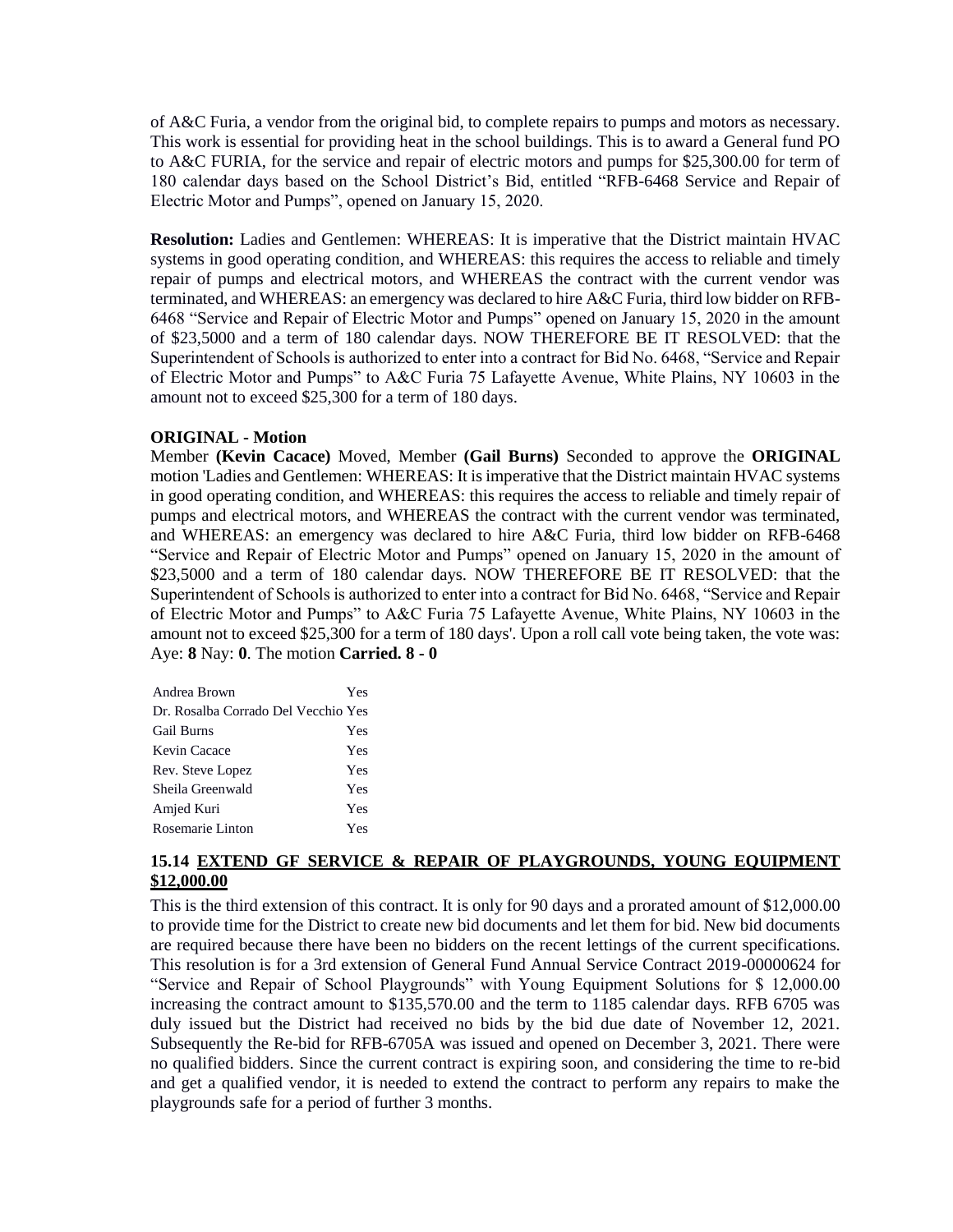of A&C Furia, a vendor from the original bid, to complete repairs to pumps and motors as necessary. This work is essential for providing heat in the school buildings. This is to award a General fund PO to A&C FURIA, for the service and repair of electric motors and pumps for \$25,300.00 for term of 180 calendar days based on the School District's Bid, entitled "RFB-6468 Service and Repair of Electric Motor and Pumps", opened on January 15, 2020.

**Resolution:** Ladies and Gentlemen: WHEREAS: It is imperative that the District maintain HVAC systems in good operating condition, and WHEREAS: this requires the access to reliable and timely repair of pumps and electrical motors, and WHEREAS the contract with the current vendor was terminated, and WHEREAS: an emergency was declared to hire A&C Furia, third low bidder on RFB-6468 "Service and Repair of Electric Motor and Pumps" opened on January 15, 2020 in the amount of \$23,5000 and a term of 180 calendar days. NOW THEREFORE BE IT RESOLVED: that the Superintendent of Schools is authorized to enter into a contract for Bid No. 6468, "Service and Repair of Electric Motor and Pumps" to A&C Furia 75 Lafayette Avenue, White Plains, NY 10603 in the amount not to exceed \$25,300 for a term of 180 days.

#### **ORIGINAL - Motion**

Member **(Kevin Cacace)** Moved, Member **(Gail Burns)** Seconded to approve the **ORIGINAL**  motion 'Ladies and Gentlemen: WHEREAS: It is imperative that the District maintain HVAC systems in good operating condition, and WHEREAS: this requires the access to reliable and timely repair of pumps and electrical motors, and WHEREAS the contract with the current vendor was terminated, and WHEREAS: an emergency was declared to hire A&C Furia, third low bidder on RFB-6468 "Service and Repair of Electric Motor and Pumps" opened on January 15, 2020 in the amount of \$23,5000 and a term of 180 calendar days. NOW THEREFORE BE IT RESOLVED: that the Superintendent of Schools is authorized to enter into a contract for Bid No. 6468, "Service and Repair of Electric Motor and Pumps" to A&C Furia 75 Lafayette Avenue, White Plains, NY 10603 in the amount not to exceed \$25,300 for a term of 180 days'. Upon a roll call vote being taken, the vote was: Aye: **8** Nay: **0**. The motion **Carried. 8 - 0** 

| Andrea Brown                        | Yes |
|-------------------------------------|-----|
| Dr. Rosalba Corrado Del Vecchio Yes |     |
| <b>Gail Burns</b>                   | Yes |
| Kevin Cacace                        | Yes |
| Rev. Steve Lopez                    | Yes |
| Sheila Greenwald                    | Yes |
| Amjed Kuri                          | Yes |
| Rosemarie Linton                    | Yes |

## **15.14 EXTEND GF SERVICE & REPAIR OF PLAYGROUNDS, YOUNG EQUIPMENT \$12,000.00**

This is the third extension of this contract. It is only for 90 days and a prorated amount of \$12,000.00 to provide time for the District to create new bid documents and let them for bid. New bid documents are required because there have been no bidders on the recent lettings of the current specifications. This resolution is for a 3rd extension of General Fund Annual Service Contract 2019-00000624 for "Service and Repair of School Playgrounds" with Young Equipment Solutions for \$ 12,000.00 increasing the contract amount to \$135,570.00 and the term to 1185 calendar days. RFB 6705 was duly issued but the District had received no bids by the bid due date of November 12, 2021. Subsequently the Re-bid for RFB-6705A was issued and opened on December 3, 2021. There were no qualified bidders. Since the current contract is expiring soon, and considering the time to re-bid and get a qualified vendor, it is needed to extend the contract to perform any repairs to make the playgrounds safe for a period of further 3 months.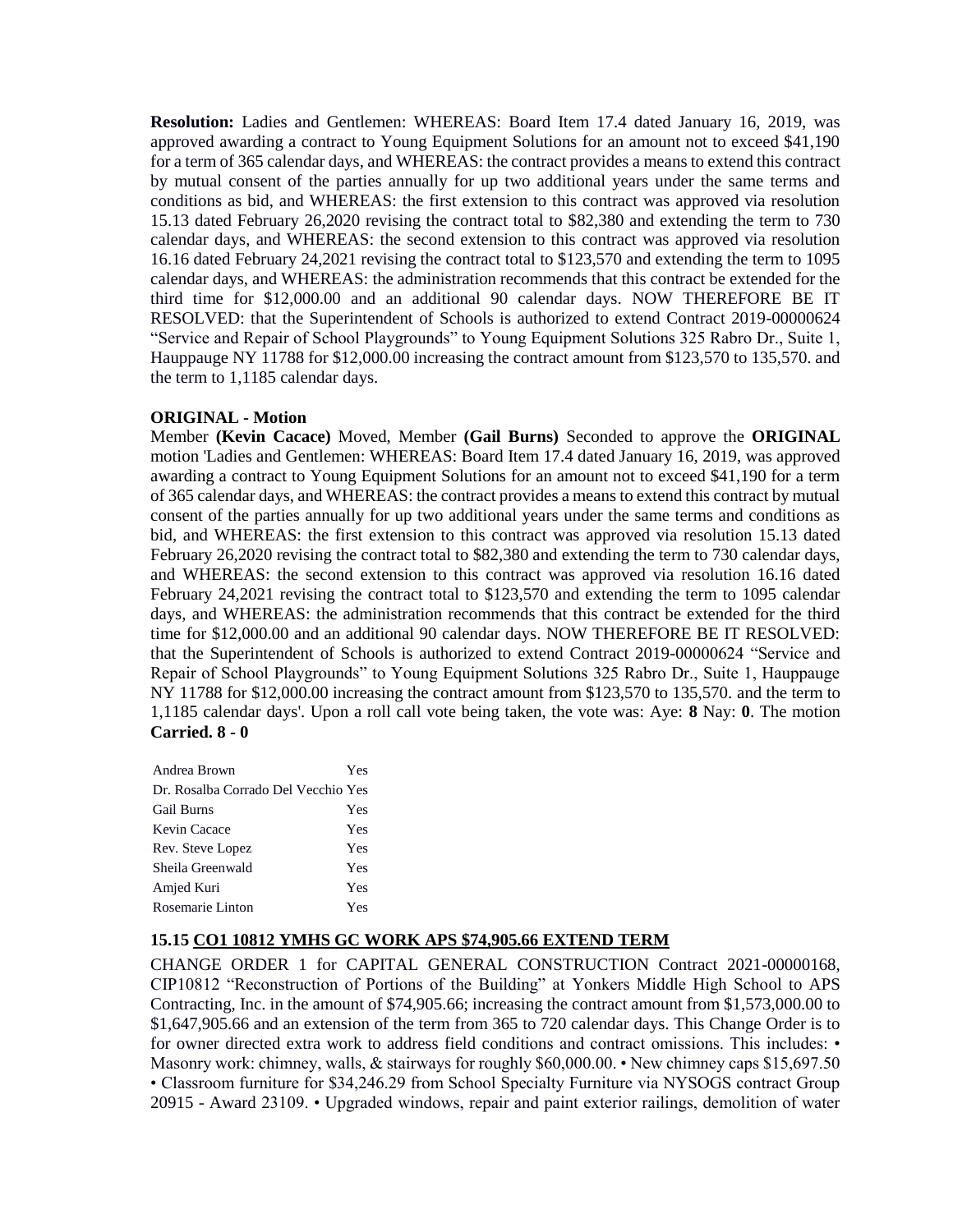**Resolution:** Ladies and Gentlemen: WHEREAS: Board Item 17.4 dated January 16, 2019, was approved awarding a contract to Young Equipment Solutions for an amount not to exceed \$41,190 for a term of 365 calendar days, and WHEREAS: the contract provides a means to extend this contract by mutual consent of the parties annually for up two additional years under the same terms and conditions as bid, and WHEREAS: the first extension to this contract was approved via resolution 15.13 dated February 26,2020 revising the contract total to \$82,380 and extending the term to 730 calendar days, and WHEREAS: the second extension to this contract was approved via resolution 16.16 dated February 24,2021 revising the contract total to \$123,570 and extending the term to 1095 calendar days, and WHEREAS: the administration recommends that this contract be extended for the third time for \$12,000.00 and an additional 90 calendar days. NOW THEREFORE BE IT RESOLVED: that the Superintendent of Schools is authorized to extend Contract 2019-00000624 "Service and Repair of School Playgrounds" to Young Equipment Solutions 325 Rabro Dr., Suite 1, Hauppauge NY 11788 for \$12,000.00 increasing the contract amount from \$123,570 to 135,570. and the term to 1,1185 calendar days.

## **ORIGINAL - Motion**

Member **(Kevin Cacace)** Moved, Member **(Gail Burns)** Seconded to approve the **ORIGINAL**  motion 'Ladies and Gentlemen: WHEREAS: Board Item 17.4 dated January 16, 2019, was approved awarding a contract to Young Equipment Solutions for an amount not to exceed \$41,190 for a term of 365 calendar days, and WHEREAS: the contract provides a means to extend this contract by mutual consent of the parties annually for up two additional years under the same terms and conditions as bid, and WHEREAS: the first extension to this contract was approved via resolution 15.13 dated February 26,2020 revising the contract total to \$82,380 and extending the term to 730 calendar days, and WHEREAS: the second extension to this contract was approved via resolution 16.16 dated February 24,2021 revising the contract total to \$123,570 and extending the term to 1095 calendar days, and WHEREAS: the administration recommends that this contract be extended for the third time for \$12,000.00 and an additional 90 calendar days. NOW THEREFORE BE IT RESOLVED: that the Superintendent of Schools is authorized to extend Contract 2019-00000624 "Service and Repair of School Playgrounds" to Young Equipment Solutions 325 Rabro Dr., Suite 1, Hauppauge NY 11788 for \$12,000.00 increasing the contract amount from \$123,570 to 135,570. and the term to 1,1185 calendar days'. Upon a roll call vote being taken, the vote was: Aye: **8** Nay: **0**. The motion **Carried. 8 - 0** 

| Andrea Brown                        | Yes |
|-------------------------------------|-----|
| Dr. Rosalba Corrado Del Vecchio Yes |     |
| <b>Gail Burns</b>                   | Yes |
| Kevin Cacace                        | Yes |
| Rev. Steve Lopez                    | Yes |
| Sheila Greenwald                    | Yes |
| Amjed Kuri                          | Yes |
| Rosemarie Linton                    | Yes |

#### **15.15 CO1 10812 YMHS GC WORK APS \$74,905.66 EXTEND TERM**

CHANGE ORDER 1 for CAPITAL GENERAL CONSTRUCTION Contract 2021-00000168, CIP10812 "Reconstruction of Portions of the Building" at Yonkers Middle High School to APS Contracting, Inc. in the amount of \$74,905.66; increasing the contract amount from \$1,573,000.00 to \$1,647,905.66 and an extension of the term from 365 to 720 calendar days. This Change Order is to for owner directed extra work to address field conditions and contract omissions. This includes: • Masonry work: chimney, walls, & stairways for roughly \$60,000.00. • New chimney caps \$15,697.50 • Classroom furniture for \$34,246.29 from School Specialty Furniture via NYSOGS contract Group 20915 - Award 23109. • Upgraded windows, repair and paint exterior railings, demolition of water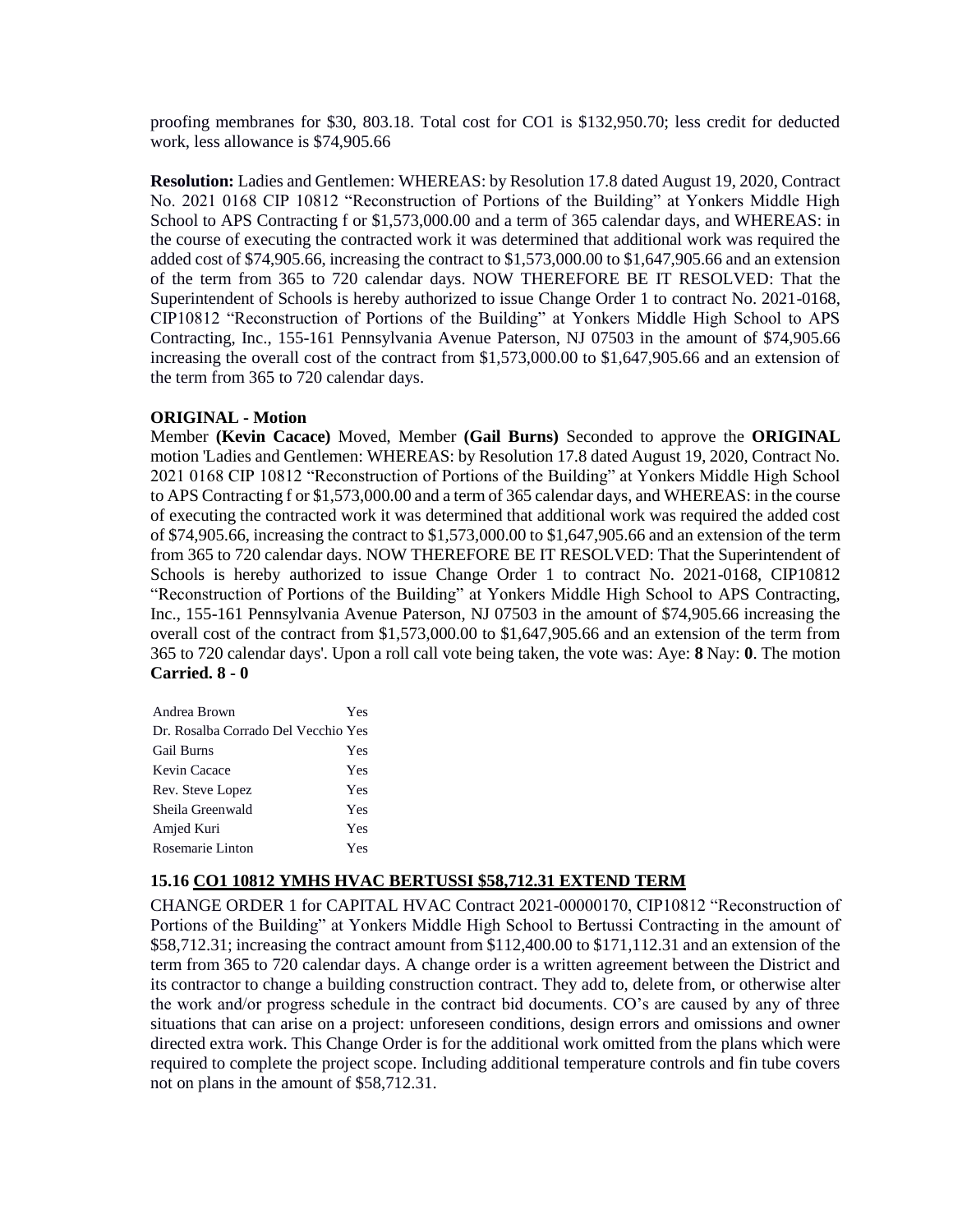proofing membranes for \$30, 803.18. Total cost for CO1 is \$132,950.70; less credit for deducted work, less allowance is \$74,905.66

**Resolution:** Ladies and Gentlemen: WHEREAS: by Resolution 17.8 dated August 19, 2020, Contract No. 2021 0168 CIP 10812 "Reconstruction of Portions of the Building" at Yonkers Middle High School to APS Contracting f or \$1,573,000.00 and a term of 365 calendar days, and WHEREAS: in the course of executing the contracted work it was determined that additional work was required the added cost of \$74,905.66, increasing the contract to \$1,573,000.00 to \$1,647,905.66 and an extension of the term from 365 to 720 calendar days. NOW THEREFORE BE IT RESOLVED: That the Superintendent of Schools is hereby authorized to issue Change Order 1 to contract No. 2021-0168, CIP10812 "Reconstruction of Portions of the Building" at Yonkers Middle High School to APS Contracting, Inc., 155-161 Pennsylvania Avenue Paterson, NJ 07503 in the amount of \$74,905.66 increasing the overall cost of the contract from \$1,573,000.00 to \$1,647,905.66 and an extension of the term from 365 to 720 calendar days.

## **ORIGINAL - Motion**

Member **(Kevin Cacace)** Moved, Member **(Gail Burns)** Seconded to approve the **ORIGINAL**  motion 'Ladies and Gentlemen: WHEREAS: by Resolution 17.8 dated August 19, 2020, Contract No. 2021 0168 CIP 10812 "Reconstruction of Portions of the Building" at Yonkers Middle High School to APS Contracting f or \$1,573,000.00 and a term of 365 calendar days, and WHEREAS: in the course of executing the contracted work it was determined that additional work was required the added cost of \$74,905.66, increasing the contract to \$1,573,000.00 to \$1,647,905.66 and an extension of the term from 365 to 720 calendar days. NOW THEREFORE BE IT RESOLVED: That the Superintendent of Schools is hereby authorized to issue Change Order 1 to contract No. 2021-0168, CIP10812 "Reconstruction of Portions of the Building" at Yonkers Middle High School to APS Contracting, Inc., 155-161 Pennsylvania Avenue Paterson, NJ 07503 in the amount of \$74,905.66 increasing the overall cost of the contract from \$1,573,000.00 to \$1,647,905.66 and an extension of the term from 365 to 720 calendar days'. Upon a roll call vote being taken, the vote was: Aye: **8** Nay: **0**. The motion **Carried. 8 - 0** 

| Andrea Brown                        | Yes |
|-------------------------------------|-----|
| Dr. Rosalba Corrado Del Vecchio Yes |     |
| <b>Gail Burns</b>                   | Yes |
| Kevin Cacace                        | Yes |
| Rev. Steve Lopez                    | Yes |
| Sheila Greenwald                    | Yes |
| Amjed Kuri                          | Yes |
| Rosemarie Linton                    | Yes |

## **15.16 CO1 10812 YMHS HVAC BERTUSSI \$58,712.31 EXTEND TERM**

CHANGE ORDER 1 for CAPITAL HVAC Contract 2021-00000170, CIP10812 "Reconstruction of Portions of the Building" at Yonkers Middle High School to Bertussi Contracting in the amount of \$58,712.31; increasing the contract amount from \$112,400.00 to \$171,112.31 and an extension of the term from 365 to 720 calendar days. A change order is a written agreement between the District and its contractor to change a building construction contract. They add to, delete from, or otherwise alter the work and/or progress schedule in the contract bid documents. CO's are caused by any of three situations that can arise on a project: unforeseen conditions, design errors and omissions and owner directed extra work. This Change Order is for the additional work omitted from the plans which were required to complete the project scope. Including additional temperature controls and fin tube covers not on plans in the amount of \$58,712.31.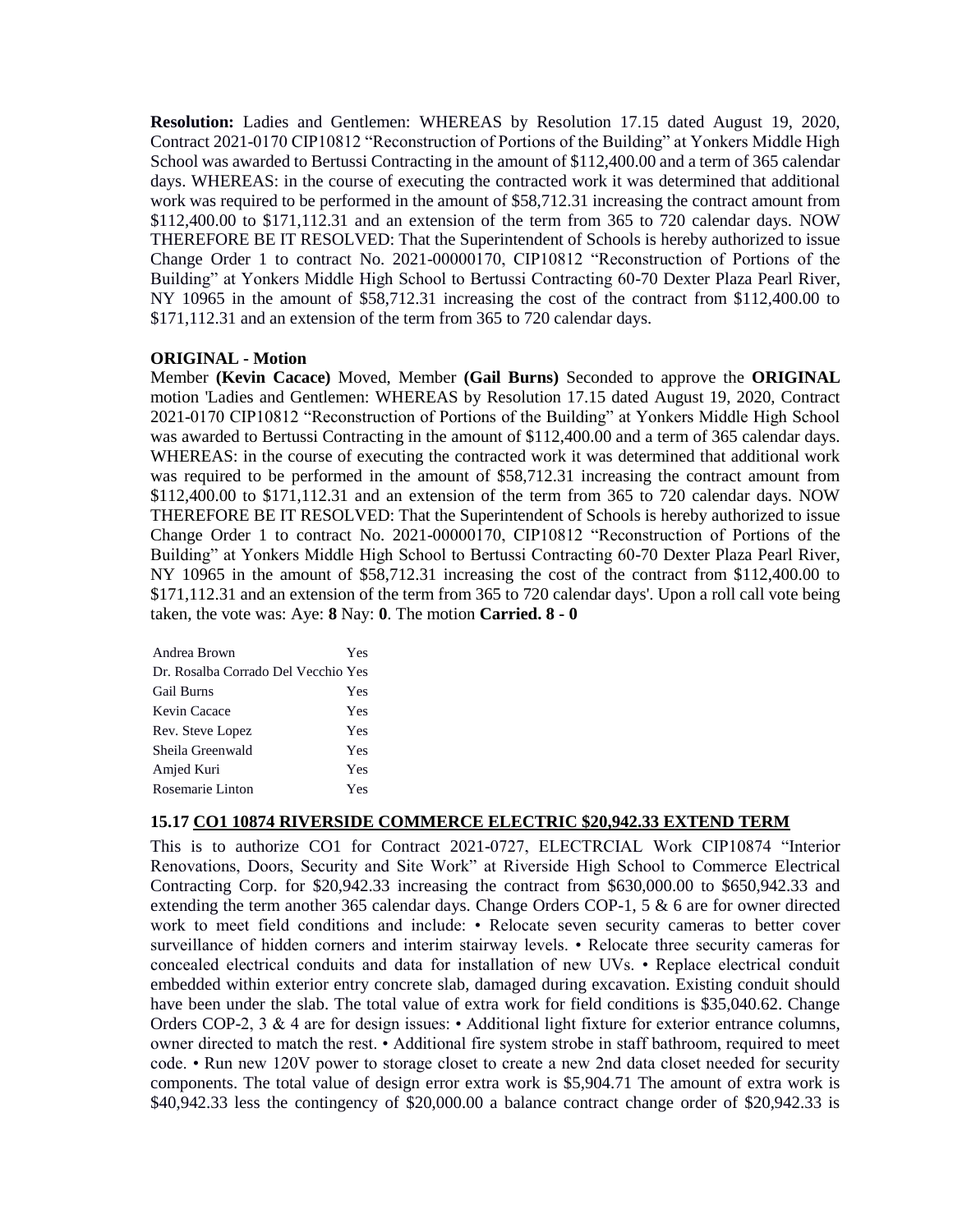**Resolution:** Ladies and Gentlemen: WHEREAS by Resolution 17.15 dated August 19, 2020, Contract 2021-0170 CIP10812 "Reconstruction of Portions of the Building" at Yonkers Middle High School was awarded to Bertussi Contracting in the amount of \$112,400.00 and a term of 365 calendar days. WHEREAS: in the course of executing the contracted work it was determined that additional work was required to be performed in the amount of \$58,712.31 increasing the contract amount from \$112,400.00 to \$171,112.31 and an extension of the term from 365 to 720 calendar days. NOW THEREFORE BE IT RESOLVED: That the Superintendent of Schools is hereby authorized to issue Change Order 1 to contract No. 2021-00000170, CIP10812 "Reconstruction of Portions of the Building" at Yonkers Middle High School to Bertussi Contracting 60-70 Dexter Plaza Pearl River, NY 10965 in the amount of \$58,712.31 increasing the cost of the contract from \$112,400.00 to \$171,112.31 and an extension of the term from 365 to 720 calendar days.

## **ORIGINAL - Motion**

Member **(Kevin Cacace)** Moved, Member **(Gail Burns)** Seconded to approve the **ORIGINAL**  motion 'Ladies and Gentlemen: WHEREAS by Resolution 17.15 dated August 19, 2020, Contract 2021-0170 CIP10812 "Reconstruction of Portions of the Building" at Yonkers Middle High School was awarded to Bertussi Contracting in the amount of \$112,400.00 and a term of 365 calendar days. WHEREAS: in the course of executing the contracted work it was determined that additional work was required to be performed in the amount of \$58,712.31 increasing the contract amount from \$112,400.00 to \$171,112.31 and an extension of the term from 365 to 720 calendar days. NOW THEREFORE BE IT RESOLVED: That the Superintendent of Schools is hereby authorized to issue Change Order 1 to contract No. 2021-00000170, CIP10812 "Reconstruction of Portions of the Building" at Yonkers Middle High School to Bertussi Contracting 60-70 Dexter Plaza Pearl River, NY 10965 in the amount of \$58,712.31 increasing the cost of the contract from \$112,400.00 to \$171,112.31 and an extension of the term from 365 to 720 calendar days'. Upon a roll call vote being taken, the vote was: Aye: **8** Nay: **0**. The motion **Carried. 8 - 0** 

| Andrea Brown                        | Yes |
|-------------------------------------|-----|
| Dr. Rosalba Corrado Del Vecchio Yes |     |
| <b>Gail Burns</b>                   | Yes |
| Kevin Cacace                        | Yes |
| Rev. Steve Lopez                    | Yes |
| Sheila Greenwald                    | Yes |
| Amjed Kuri                          | Yes |
| Rosemarie Linton                    | Yes |

## **15.17 CO1 10874 RIVERSIDE COMMERCE ELECTRIC \$20,942.33 EXTEND TERM**

This is to authorize CO1 for Contract 2021-0727, ELECTRCIAL Work CIP10874 "Interior Renovations, Doors, Security and Site Work" at Riverside High School to Commerce Electrical Contracting Corp. for \$20,942.33 increasing the contract from \$630,000.00 to \$650,942.33 and extending the term another 365 calendar days. Change Orders COP-1, 5 & 6 are for owner directed work to meet field conditions and include: • Relocate seven security cameras to better cover surveillance of hidden corners and interim stairway levels. • Relocate three security cameras for concealed electrical conduits and data for installation of new UVs. • Replace electrical conduit embedded within exterior entry concrete slab, damaged during excavation. Existing conduit should have been under the slab. The total value of extra work for field conditions is \$35,040.62. Change Orders COP-2, 3 & 4 are for design issues: • Additional light fixture for exterior entrance columns, owner directed to match the rest. • Additional fire system strobe in staff bathroom, required to meet code. • Run new 120V power to storage closet to create a new 2nd data closet needed for security components. The total value of design error extra work is \$5,904.71 The amount of extra work is \$40,942.33 less the contingency of \$20,000.00 a balance contract change order of \$20,942.33 is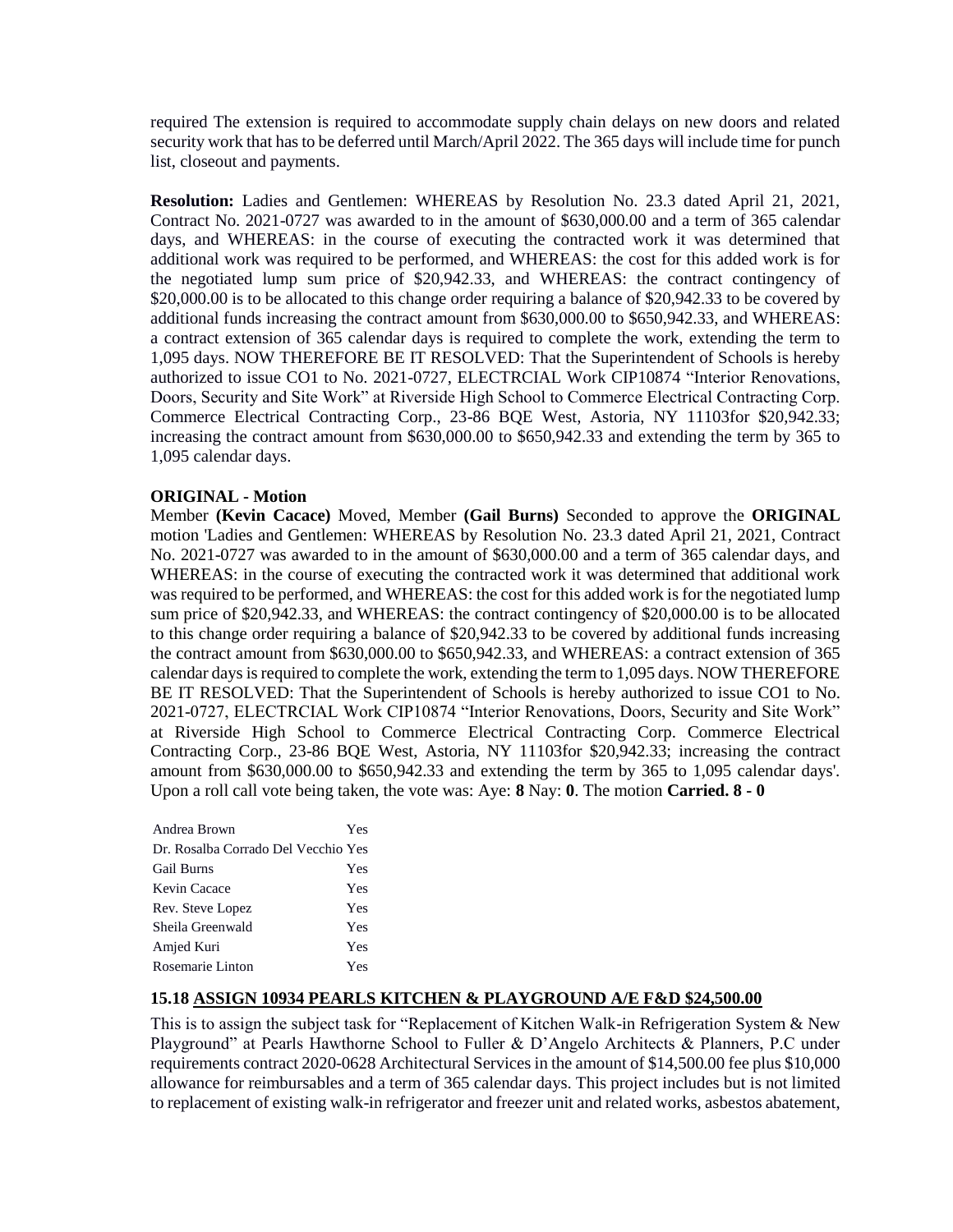required The extension is required to accommodate supply chain delays on new doors and related security work that has to be deferred until March/April 2022. The 365 days will include time for punch list, closeout and payments.

**Resolution:** Ladies and Gentlemen: WHEREAS by Resolution No. 23.3 dated April 21, 2021, Contract No. 2021-0727 was awarded to in the amount of \$630,000.00 and a term of 365 calendar days, and WHEREAS: in the course of executing the contracted work it was determined that additional work was required to be performed, and WHEREAS: the cost for this added work is for the negotiated lump sum price of \$20,942.33, and WHEREAS: the contract contingency of \$20,000.00 is to be allocated to this change order requiring a balance of \$20,942.33 to be covered by additional funds increasing the contract amount from \$630,000.00 to \$650,942.33, and WHEREAS: a contract extension of 365 calendar days is required to complete the work, extending the term to 1,095 days. NOW THEREFORE BE IT RESOLVED: That the Superintendent of Schools is hereby authorized to issue CO1 to No. 2021-0727, ELECTRCIAL Work CIP10874 "Interior Renovations, Doors, Security and Site Work" at Riverside High School to Commerce Electrical Contracting Corp. Commerce Electrical Contracting Corp., 23-86 BQE West, Astoria, NY 11103for \$20,942.33; increasing the contract amount from \$630,000.00 to \$650,942.33 and extending the term by 365 to 1,095 calendar days.

## **ORIGINAL - Motion**

Member **(Kevin Cacace)** Moved, Member **(Gail Burns)** Seconded to approve the **ORIGINAL**  motion 'Ladies and Gentlemen: WHEREAS by Resolution No. 23.3 dated April 21, 2021, Contract No. 2021-0727 was awarded to in the amount of \$630,000.00 and a term of 365 calendar days, and WHEREAS: in the course of executing the contracted work it was determined that additional work was required to be performed, and WHEREAS: the cost for this added work is for the negotiated lump sum price of \$20,942.33, and WHEREAS: the contract contingency of \$20,000.00 is to be allocated to this change order requiring a balance of \$20,942.33 to be covered by additional funds increasing the contract amount from \$630,000.00 to \$650,942.33, and WHEREAS: a contract extension of 365 calendar days is required to complete the work, extending the term to 1,095 days. NOW THEREFORE BE IT RESOLVED: That the Superintendent of Schools is hereby authorized to issue CO1 to No. 2021-0727, ELECTRCIAL Work CIP10874 "Interior Renovations, Doors, Security and Site Work" at Riverside High School to Commerce Electrical Contracting Corp. Commerce Electrical Contracting Corp., 23-86 BQE West, Astoria, NY 11103for \$20,942.33; increasing the contract amount from \$630,000.00 to \$650,942.33 and extending the term by 365 to 1,095 calendar days'. Upon a roll call vote being taken, the vote was: Aye: **8** Nay: **0**. The motion **Carried. 8 - 0** 

| Andrea Brown                        | Yes |
|-------------------------------------|-----|
| Dr. Rosalba Corrado Del Vecchio Yes |     |
| <b>Gail Burns</b>                   | Yes |
| Kevin Cacace                        | Yes |
| Rev. Steve Lopez                    | Yes |
| Sheila Greenwald                    | Yes |
| Amjed Kuri                          | Yes |
| Rosemarie Linton                    | Yes |

## **15.18 ASSIGN 10934 PEARLS KITCHEN & PLAYGROUND A/E F&D \$24,500.00**

This is to assign the subject task for "Replacement of Kitchen Walk-in Refrigeration System & New Playground" at Pearls Hawthorne School to Fuller & D'Angelo Architects & Planners, P.C under requirements contract 2020-0628 Architectural Services in the amount of \$14,500.00 fee plus \$10,000 allowance for reimbursables and a term of 365 calendar days. This project includes but is not limited to replacement of existing walk-in refrigerator and freezer unit and related works, asbestos abatement,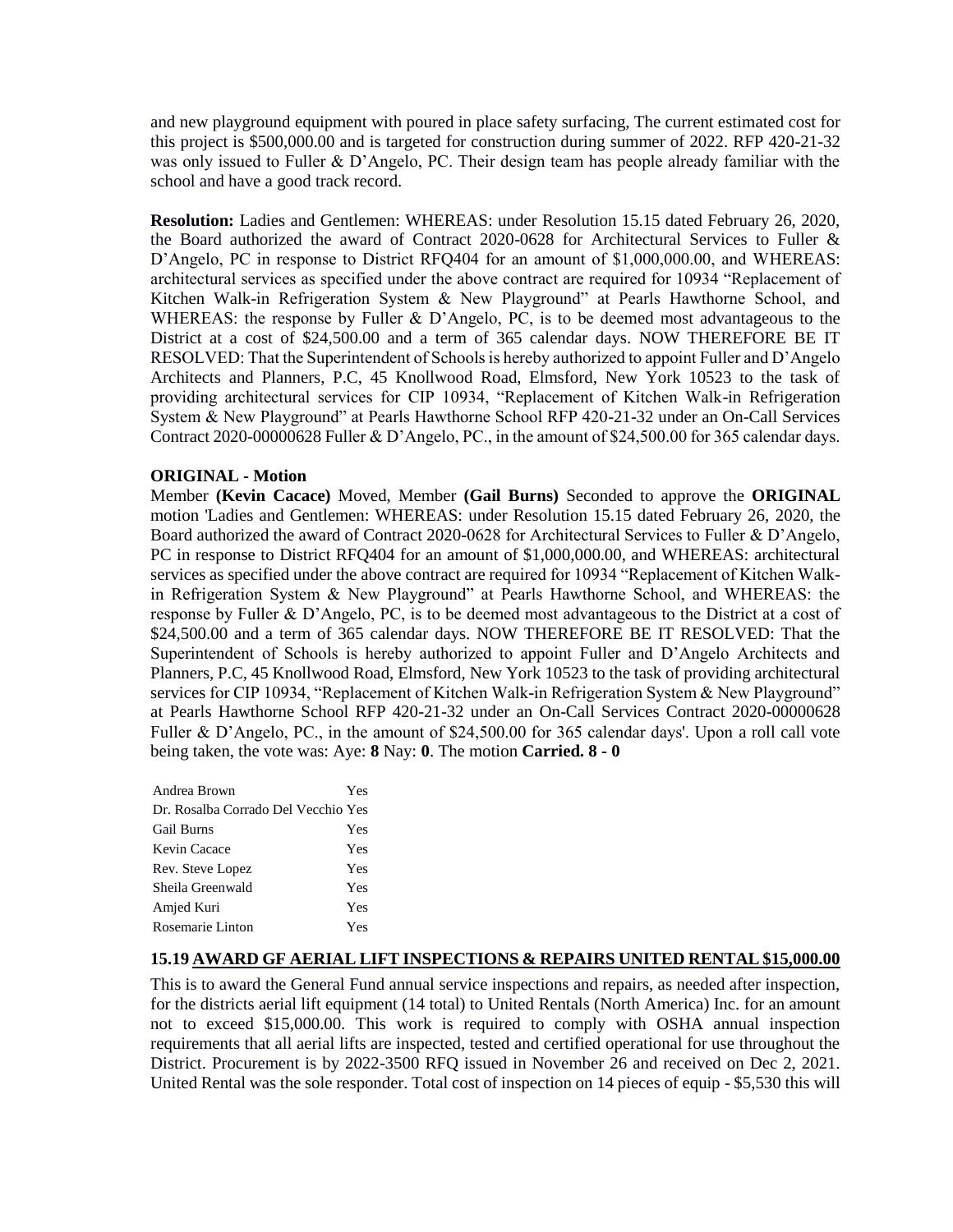and new playground equipment with poured in place safety surfacing, The current estimated cost for this project is \$500,000.00 and is targeted for construction during summer of 2022. RFP 420-21-32 was only issued to Fuller & D'Angelo, PC. Their design team has people already familiar with the school and have a good track record.

**Resolution:** Ladies and Gentlemen: WHEREAS: under Resolution 15.15 dated February 26, 2020, the Board authorized the award of Contract 2020-0628 for Architectural Services to Fuller & D'Angelo, PC in response to District RFQ404 for an amount of \$1,000,000.00, and WHEREAS: architectural services as specified under the above contract are required for 10934 "Replacement of Kitchen Walk-in Refrigeration System & New Playground" at Pearls Hawthorne School, and WHEREAS: the response by Fuller & D'Angelo, PC, is to be deemed most advantageous to the District at a cost of \$24,500.00 and a term of 365 calendar days. NOW THEREFORE BE IT RESOLVED: That the Superintendent of Schools is hereby authorized to appoint Fuller and D'Angelo Architects and Planners, P.C, 45 Knollwood Road, Elmsford, New York 10523 to the task of providing architectural services for CIP 10934, "Replacement of Kitchen Walk-in Refrigeration System & New Playground" at Pearls Hawthorne School RFP 420-21-32 under an On-Call Services Contract 2020-00000628 Fuller & D'Angelo, PC., in the amount of \$24,500.00 for 365 calendar days.

#### **ORIGINAL - Motion**

Member **(Kevin Cacace)** Moved, Member **(Gail Burns)** Seconded to approve the **ORIGINAL**  motion 'Ladies and Gentlemen: WHEREAS: under Resolution 15.15 dated February 26, 2020, the Board authorized the award of Contract 2020-0628 for Architectural Services to Fuller & D'Angelo, PC in response to District RFQ404 for an amount of \$1,000,000.00, and WHEREAS: architectural services as specified under the above contract are required for 10934 "Replacement of Kitchen Walkin Refrigeration System & New Playground" at Pearls Hawthorne School, and WHEREAS: the response by Fuller & D'Angelo, PC, is to be deemed most advantageous to the District at a cost of \$24,500.00 and a term of 365 calendar days. NOW THEREFORE BE IT RESOLVED: That the Superintendent of Schools is hereby authorized to appoint Fuller and D'Angelo Architects and Planners, P.C, 45 Knollwood Road, Elmsford, New York 10523 to the task of providing architectural services for CIP 10934, "Replacement of Kitchen Walk-in Refrigeration System & New Playground" at Pearls Hawthorne School RFP 420-21-32 under an On-Call Services Contract 2020-00000628 Fuller & D'Angelo, PC., in the amount of \$24,500.00 for 365 calendar days'. Upon a roll call vote being taken, the vote was: Aye: **8** Nay: **0**. The motion **Carried. 8 - 0** 

| Andrea Brown                        | Yes |
|-------------------------------------|-----|
| Dr. Rosalba Corrado Del Vecchio Yes |     |
| <b>Gail Burns</b>                   | Yes |
| Kevin Cacace                        | Yes |
| Rev. Steve Lopez                    | Yes |
| Sheila Greenwald                    | Yes |
| Amjed Kuri                          | Yes |
| Rosemarie Linton                    | Yes |

#### **15.19 AWARD GF AERIAL LIFT INSPECTIONS & REPAIRS UNITED RENTAL \$15,000.00**

This is to award the General Fund annual service inspections and repairs, as needed after inspection, for the districts aerial lift equipment (14 total) to United Rentals (North America) Inc. for an amount not to exceed \$15,000.00. This work is required to comply with OSHA annual inspection requirements that all aerial lifts are inspected, tested and certified operational for use throughout the District. Procurement is by 2022-3500 RFQ issued in November 26 and received on Dec 2, 2021. United Rental was the sole responder. Total cost of inspection on 14 pieces of equip - \$5,530 this will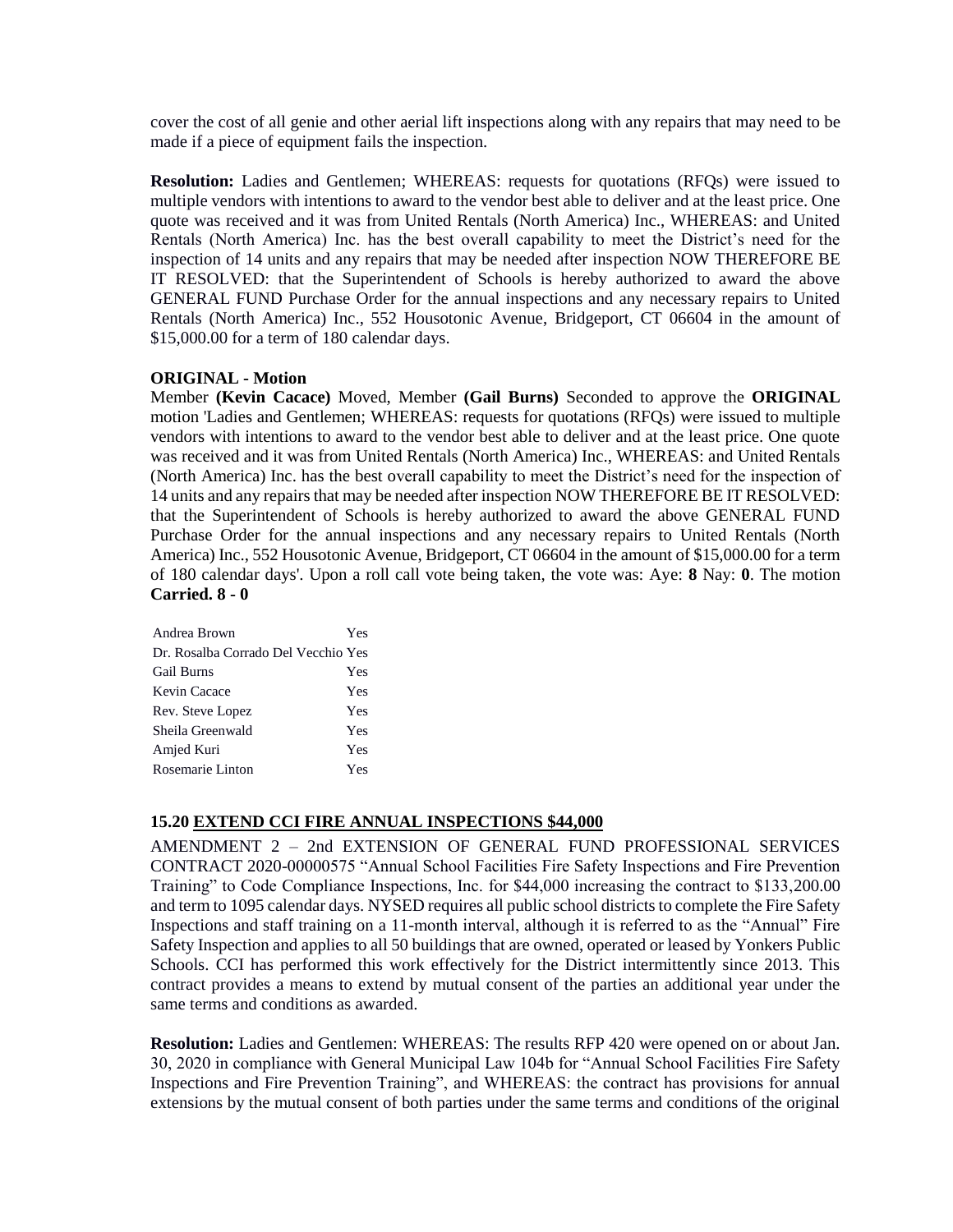cover the cost of all genie and other aerial lift inspections along with any repairs that may need to be made if a piece of equipment fails the inspection.

**Resolution:** Ladies and Gentlemen; WHEREAS: requests for quotations (RFQs) were issued to multiple vendors with intentions to award to the vendor best able to deliver and at the least price. One quote was received and it was from United Rentals (North America) Inc., WHEREAS: and United Rentals (North America) Inc. has the best overall capability to meet the District's need for the inspection of 14 units and any repairs that may be needed after inspection NOW THEREFORE BE IT RESOLVED: that the Superintendent of Schools is hereby authorized to award the above GENERAL FUND Purchase Order for the annual inspections and any necessary repairs to United Rentals (North America) Inc., 552 Housotonic Avenue, Bridgeport, CT 06604 in the amount of \$15,000.00 for a term of 180 calendar days.

#### **ORIGINAL - Motion**

Member **(Kevin Cacace)** Moved, Member **(Gail Burns)** Seconded to approve the **ORIGINAL**  motion 'Ladies and Gentlemen; WHEREAS: requests for quotations (RFQs) were issued to multiple vendors with intentions to award to the vendor best able to deliver and at the least price. One quote was received and it was from United Rentals (North America) Inc., WHEREAS: and United Rentals (North America) Inc. has the best overall capability to meet the District's need for the inspection of 14 units and any repairs that may be needed after inspection NOW THEREFORE BE IT RESOLVED: that the Superintendent of Schools is hereby authorized to award the above GENERAL FUND Purchase Order for the annual inspections and any necessary repairs to United Rentals (North America) Inc., 552 Housotonic Avenue, Bridgeport, CT 06604 in the amount of \$15,000.00 for a term of 180 calendar days'. Upon a roll call vote being taken, the vote was: Aye: **8** Nay: **0**. The motion **Carried. 8 - 0** 

| Andrea Brown                        | Yes |
|-------------------------------------|-----|
| Dr. Rosalba Corrado Del Vecchio Yes |     |
| <b>Gail Burns</b>                   | Yes |
| Kevin Cacace                        | Yes |
| Rev. Steve Lopez                    | Yes |
| Sheila Greenwald                    | Yes |
| Amjed Kuri                          | Yes |
| Rosemarie Linton                    | Yes |

## **15.20 EXTEND CCI FIRE ANNUAL INSPECTIONS \$44,000**

AMENDMENT 2 – 2nd EXTENSION OF GENERAL FUND PROFESSIONAL SERVICES CONTRACT 2020-00000575 "Annual School Facilities Fire Safety Inspections and Fire Prevention Training" to Code Compliance Inspections, Inc. for \$44,000 increasing the contract to \$133,200.00 and term to 1095 calendar days. NYSED requires all public school districts to complete the Fire Safety Inspections and staff training on a 11-month interval, although it is referred to as the "Annual" Fire Safety Inspection and applies to all 50 buildings that are owned, operated or leased by Yonkers Public Schools. CCI has performed this work effectively for the District intermittently since 2013. This contract provides a means to extend by mutual consent of the parties an additional year under the same terms and conditions as awarded.

**Resolution:** Ladies and Gentlemen: WHEREAS: The results RFP 420 were opened on or about Jan. 30, 2020 in compliance with General Municipal Law 104b for "Annual School Facilities Fire Safety Inspections and Fire Prevention Training", and WHEREAS: the contract has provisions for annual extensions by the mutual consent of both parties under the same terms and conditions of the original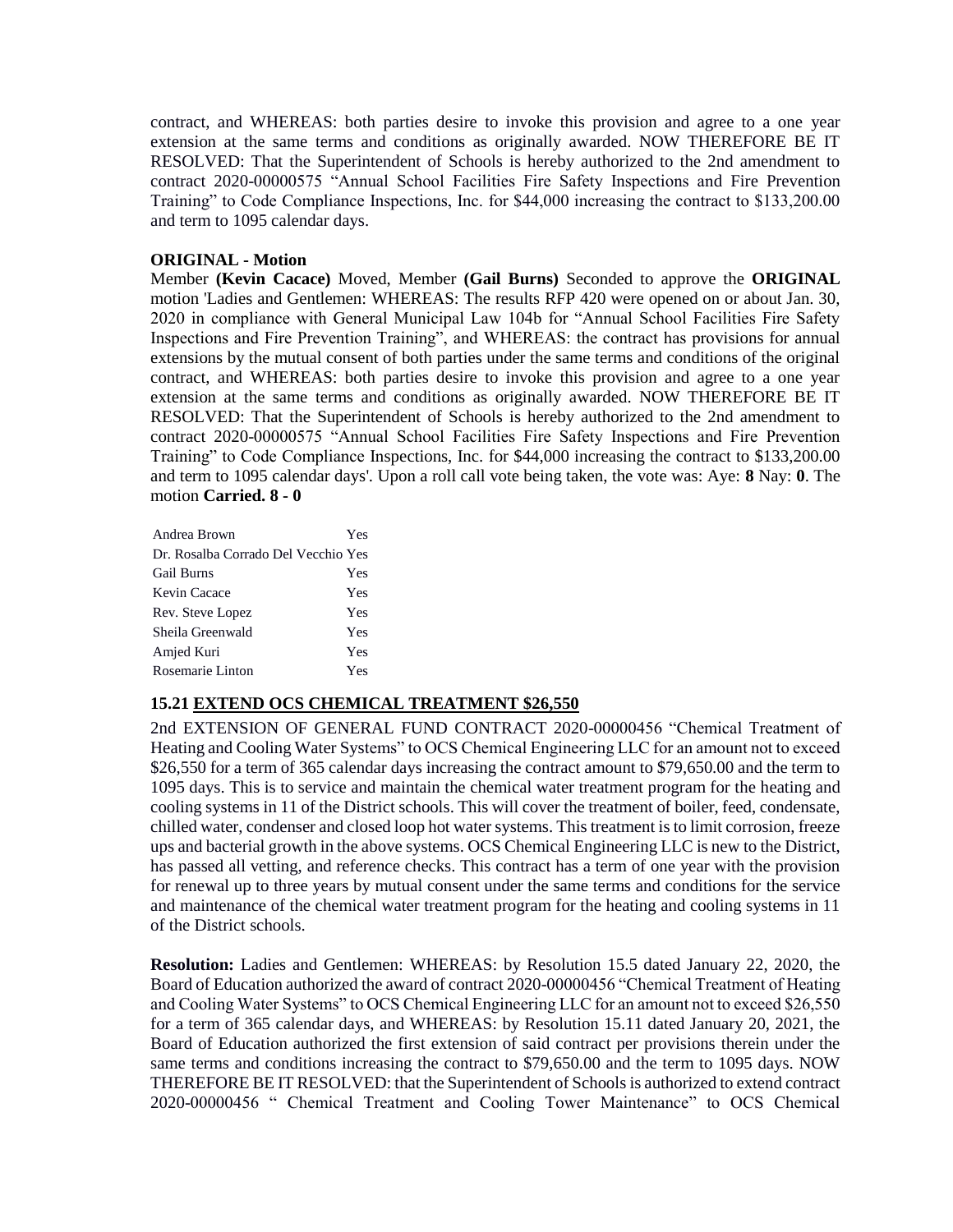contract, and WHEREAS: both parties desire to invoke this provision and agree to a one year extension at the same terms and conditions as originally awarded. NOW THEREFORE BE IT RESOLVED: That the Superintendent of Schools is hereby authorized to the 2nd amendment to contract 2020-00000575 "Annual School Facilities Fire Safety Inspections and Fire Prevention Training" to Code Compliance Inspections, Inc. for \$44,000 increasing the contract to \$133,200.00 and term to 1095 calendar days.

## **ORIGINAL - Motion**

Member **(Kevin Cacace)** Moved, Member **(Gail Burns)** Seconded to approve the **ORIGINAL**  motion 'Ladies and Gentlemen: WHEREAS: The results RFP 420 were opened on or about Jan. 30, 2020 in compliance with General Municipal Law 104b for "Annual School Facilities Fire Safety Inspections and Fire Prevention Training", and WHEREAS: the contract has provisions for annual extensions by the mutual consent of both parties under the same terms and conditions of the original contract, and WHEREAS: both parties desire to invoke this provision and agree to a one year extension at the same terms and conditions as originally awarded. NOW THEREFORE BE IT RESOLVED: That the Superintendent of Schools is hereby authorized to the 2nd amendment to contract 2020-00000575 "Annual School Facilities Fire Safety Inspections and Fire Prevention Training" to Code Compliance Inspections, Inc. for \$44,000 increasing the contract to \$133,200.00 and term to 1095 calendar days'. Upon a roll call vote being taken, the vote was: Aye: **8** Nay: **0**. The motion **Carried. 8 - 0** 

| Andrea Brown                        | Yes |
|-------------------------------------|-----|
| Dr. Rosalba Corrado Del Vecchio Yes |     |
| <b>Gail Burns</b>                   | Yes |
| Kevin Cacace                        | Yes |
| Rev. Steve Lopez                    | Yes |
| Sheila Greenwald                    | Yes |
| Amjed Kuri                          | Yes |
| Rosemarie Linton                    | Yes |

## **15.21 EXTEND OCS CHEMICAL TREATMENT \$26,550**

2nd EXTENSION OF GENERAL FUND CONTRACT 2020-00000456 "Chemical Treatment of Heating and Cooling Water Systems" to OCS Chemical Engineering LLC for an amount not to exceed \$26,550 for a term of 365 calendar days increasing the contract amount to \$79,650.00 and the term to 1095 days. This is to service and maintain the chemical water treatment program for the heating and cooling systems in 11 of the District schools. This will cover the treatment of boiler, feed, condensate, chilled water, condenser and closed loop hot water systems. This treatment is to limit corrosion, freeze ups and bacterial growth in the above systems. OCS Chemical Engineering LLC is new to the District, has passed all vetting, and reference checks. This contract has a term of one year with the provision for renewal up to three years by mutual consent under the same terms and conditions for the service and maintenance of the chemical water treatment program for the heating and cooling systems in 11 of the District schools.

**Resolution:** Ladies and Gentlemen: WHEREAS: by Resolution 15.5 dated January 22, 2020, the Board of Education authorized the award of contract 2020-00000456 "Chemical Treatment of Heating and Cooling Water Systems" to OCS Chemical Engineering LLC for an amount not to exceed \$26,550 for a term of 365 calendar days, and WHEREAS: by Resolution 15.11 dated January 20, 2021, the Board of Education authorized the first extension of said contract per provisions therein under the same terms and conditions increasing the contract to \$79,650.00 and the term to 1095 days. NOW THEREFORE BE IT RESOLVED: that the Superintendent of Schools is authorized to extend contract 2020-00000456 " Chemical Treatment and Cooling Tower Maintenance" to OCS Chemical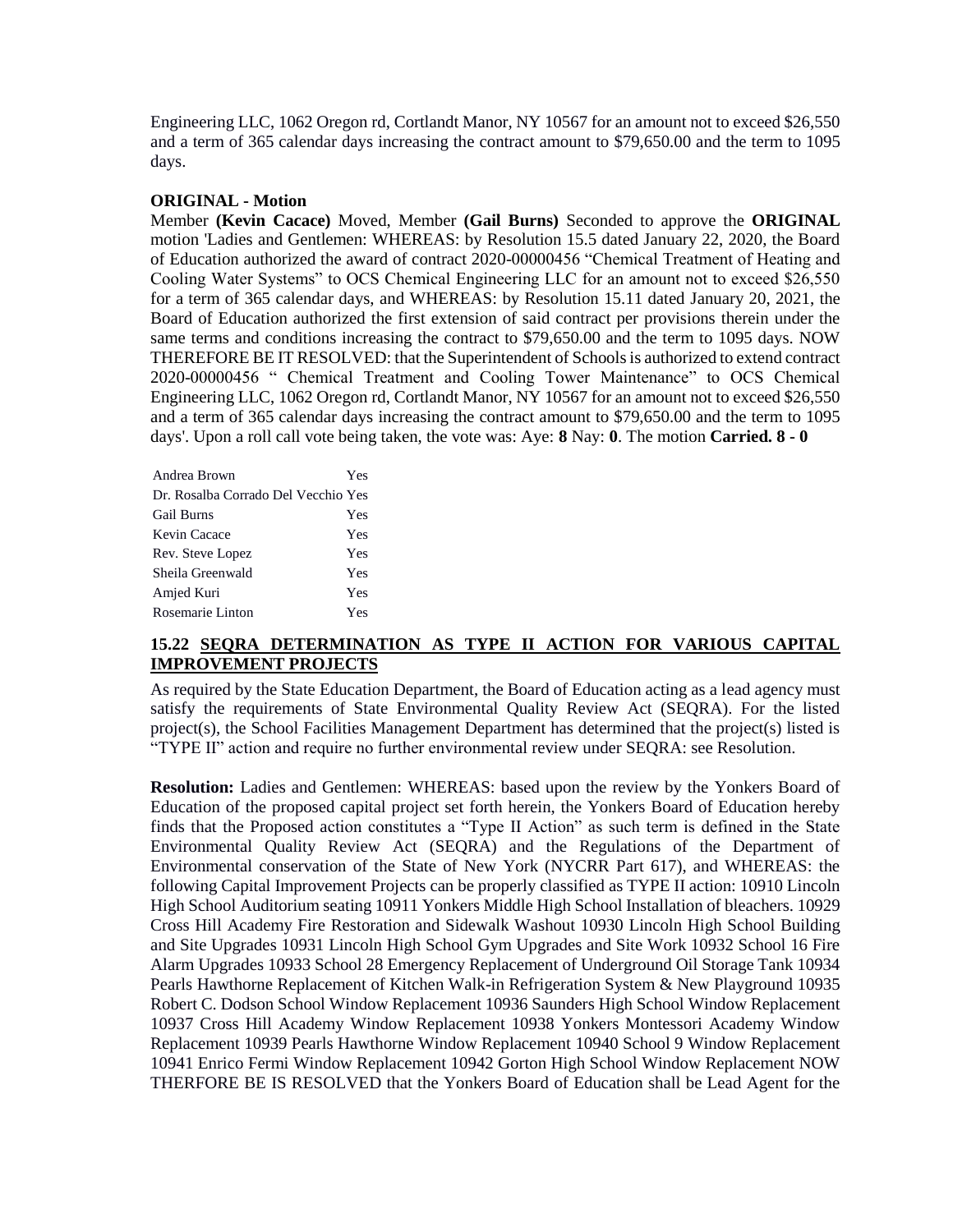Engineering LLC, 1062 Oregon rd, Cortlandt Manor, NY 10567 for an amount not to exceed \$26,550 and a term of 365 calendar days increasing the contract amount to \$79,650.00 and the term to 1095 days.

### **ORIGINAL - Motion**

Member **(Kevin Cacace)** Moved, Member **(Gail Burns)** Seconded to approve the **ORIGINAL**  motion 'Ladies and Gentlemen: WHEREAS: by Resolution 15.5 dated January 22, 2020, the Board of Education authorized the award of contract 2020-00000456 "Chemical Treatment of Heating and Cooling Water Systems" to OCS Chemical Engineering LLC for an amount not to exceed \$26,550 for a term of 365 calendar days, and WHEREAS: by Resolution 15.11 dated January 20, 2021, the Board of Education authorized the first extension of said contract per provisions therein under the same terms and conditions increasing the contract to \$79,650.00 and the term to 1095 days. NOW THEREFORE BE IT RESOLVED: that the Superintendent of Schools is authorized to extend contract 2020-00000456 " Chemical Treatment and Cooling Tower Maintenance" to OCS Chemical Engineering LLC, 1062 Oregon rd, Cortlandt Manor, NY 10567 for an amount not to exceed \$26,550 and a term of 365 calendar days increasing the contract amount to \$79,650.00 and the term to 1095 days'. Upon a roll call vote being taken, the vote was: Aye: **8** Nay: **0**. The motion **Carried. 8 - 0** 

| Andrea Brown                        | Yes |
|-------------------------------------|-----|
| Dr. Rosalba Corrado Del Vecchio Yes |     |
| <b>Gail Burns</b>                   | Yes |
| Kevin Cacace                        | Yes |
| Rev. Steve Lopez                    | Yes |
| Sheila Greenwald                    | Yes |
| Amjed Kuri                          | Yes |
| Rosemarie Linton                    | Yes |

## **15.22 SEQRA DETERMINATION AS TYPE II ACTION FOR VARIOUS CAPITAL IMPROVEMENT PROJECTS**

As required by the State Education Department, the Board of Education acting as a lead agency must satisfy the requirements of State Environmental Quality Review Act (SEQRA). For the listed project(s), the School Facilities Management Department has determined that the project(s) listed is "TYPE II" action and require no further environmental review under SEQRA: see Resolution.

**Resolution:** Ladies and Gentlemen: WHEREAS: based upon the review by the Yonkers Board of Education of the proposed capital project set forth herein, the Yonkers Board of Education hereby finds that the Proposed action constitutes a "Type II Action" as such term is defined in the State Environmental Quality Review Act (SEQRA) and the Regulations of the Department of Environmental conservation of the State of New York (NYCRR Part 617), and WHEREAS: the following Capital Improvement Projects can be properly classified as TYPE II action: 10910 Lincoln High School Auditorium seating 10911 Yonkers Middle High School Installation of bleachers. 10929 Cross Hill Academy Fire Restoration and Sidewalk Washout 10930 Lincoln High School Building and Site Upgrades 10931 Lincoln High School Gym Upgrades and Site Work 10932 School 16 Fire Alarm Upgrades 10933 School 28 Emergency Replacement of Underground Oil Storage Tank 10934 Pearls Hawthorne Replacement of Kitchen Walk-in Refrigeration System & New Playground 10935 Robert C. Dodson School Window Replacement 10936 Saunders High School Window Replacement 10937 Cross Hill Academy Window Replacement 10938 Yonkers Montessori Academy Window Replacement 10939 Pearls Hawthorne Window Replacement 10940 School 9 Window Replacement 10941 Enrico Fermi Window Replacement 10942 Gorton High School Window Replacement NOW THERFORE BE IS RESOLVED that the Yonkers Board of Education shall be Lead Agent for the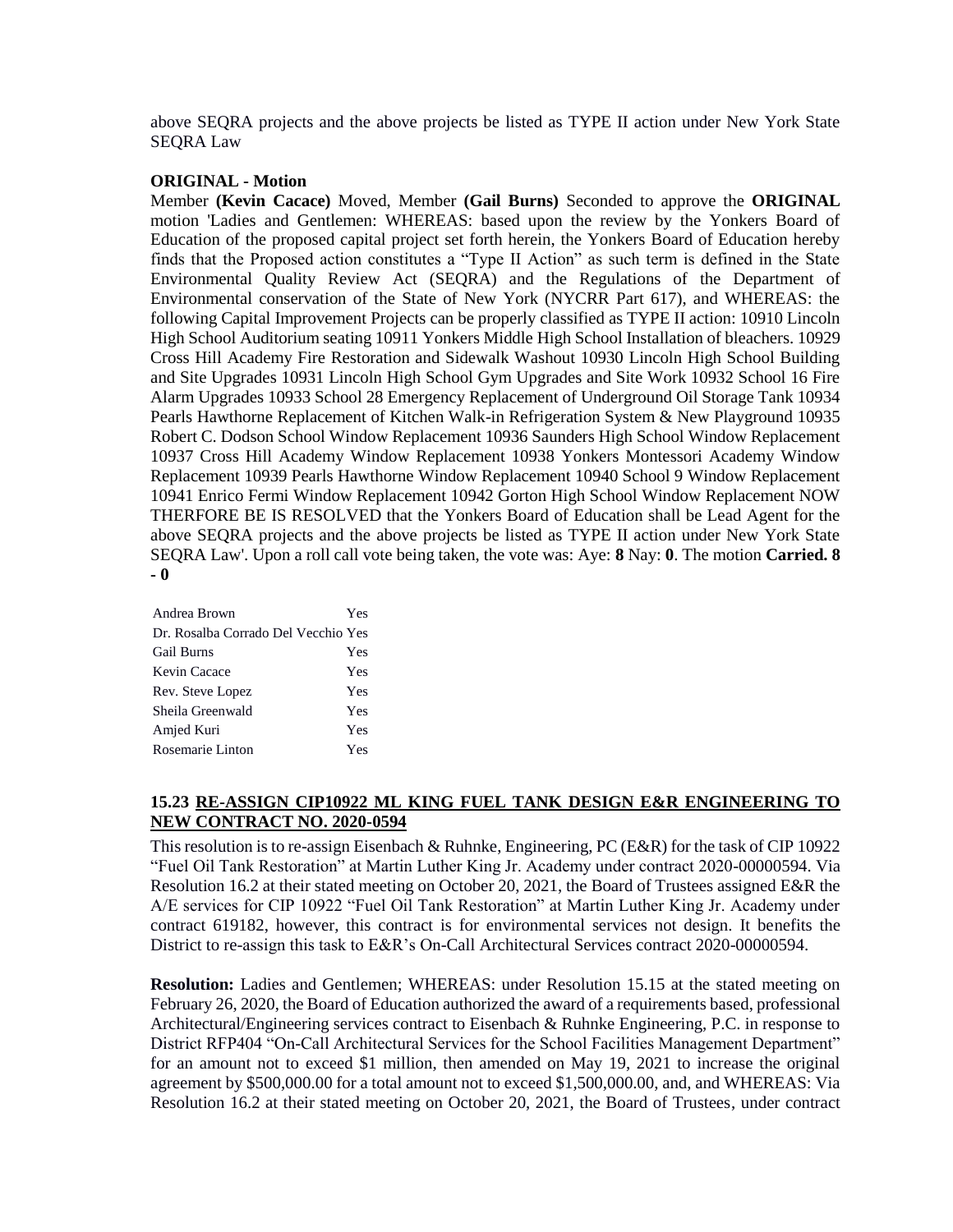above SEQRA projects and the above projects be listed as TYPE II action under New York State SEQRA Law

#### **ORIGINAL - Motion**

Member **(Kevin Cacace)** Moved, Member **(Gail Burns)** Seconded to approve the **ORIGINAL**  motion 'Ladies and Gentlemen: WHEREAS: based upon the review by the Yonkers Board of Education of the proposed capital project set forth herein, the Yonkers Board of Education hereby finds that the Proposed action constitutes a "Type II Action" as such term is defined in the State Environmental Quality Review Act (SEQRA) and the Regulations of the Department of Environmental conservation of the State of New York (NYCRR Part 617), and WHEREAS: the following Capital Improvement Projects can be properly classified as TYPE II action: 10910 Lincoln High School Auditorium seating 10911 Yonkers Middle High School Installation of bleachers. 10929 Cross Hill Academy Fire Restoration and Sidewalk Washout 10930 Lincoln High School Building and Site Upgrades 10931 Lincoln High School Gym Upgrades and Site Work 10932 School 16 Fire Alarm Upgrades 10933 School 28 Emergency Replacement of Underground Oil Storage Tank 10934 Pearls Hawthorne Replacement of Kitchen Walk-in Refrigeration System & New Playground 10935 Robert C. Dodson School Window Replacement 10936 Saunders High School Window Replacement 10937 Cross Hill Academy Window Replacement 10938 Yonkers Montessori Academy Window Replacement 10939 Pearls Hawthorne Window Replacement 10940 School 9 Window Replacement 10941 Enrico Fermi Window Replacement 10942 Gorton High School Window Replacement NOW THERFORE BE IS RESOLVED that the Yonkers Board of Education shall be Lead Agent for the above SEQRA projects and the above projects be listed as TYPE II action under New York State SEQRA Law'. Upon a roll call vote being taken, the vote was: Aye: **8** Nay: **0**. The motion **Carried. 8 - 0** 

| Andrea Brown                        | Yes |
|-------------------------------------|-----|
| Dr. Rosalba Corrado Del Vecchio Yes |     |
| <b>Gail Burns</b>                   | Yes |
| Kevin Cacace                        | Yes |
| Rev. Steve Lopez                    | Yes |
| Sheila Greenwald                    | Yes |
| Amjed Kuri                          | Yes |
| Rosemarie Linton                    | Yes |

## **15.23 RE-ASSIGN CIP10922 ML KING FUEL TANK DESIGN E&R ENGINEERING TO NEW CONTRACT NO. 2020-0594**

This resolution is to re-assign Eisenbach & Ruhnke, Engineering, PC (E&R) for the task of CIP 10922 "Fuel Oil Tank Restoration" at Martin Luther King Jr. Academy under contract 2020-00000594. Via Resolution 16.2 at their stated meeting on October 20, 2021, the Board of Trustees assigned E&R the A/E services for CIP 10922 "Fuel Oil Tank Restoration" at Martin Luther King Jr. Academy under contract 619182, however, this contract is for environmental services not design. It benefits the District to re-assign this task to E&R's On-Call Architectural Services contract 2020-00000594.

**Resolution:** Ladies and Gentlemen; WHEREAS: under Resolution 15.15 at the stated meeting on February 26, 2020, the Board of Education authorized the award of a requirements based, professional Architectural/Engineering services contract to Eisenbach & Ruhnke Engineering, P.C. in response to District RFP404 "On-Call Architectural Services for the School Facilities Management Department" for an amount not to exceed \$1 million, then amended on May 19, 2021 to increase the original agreement by \$500,000.00 for a total amount not to exceed \$1,500,000.00, and, and WHEREAS: Via Resolution 16.2 at their stated meeting on October 20, 2021, the Board of Trustees, under contract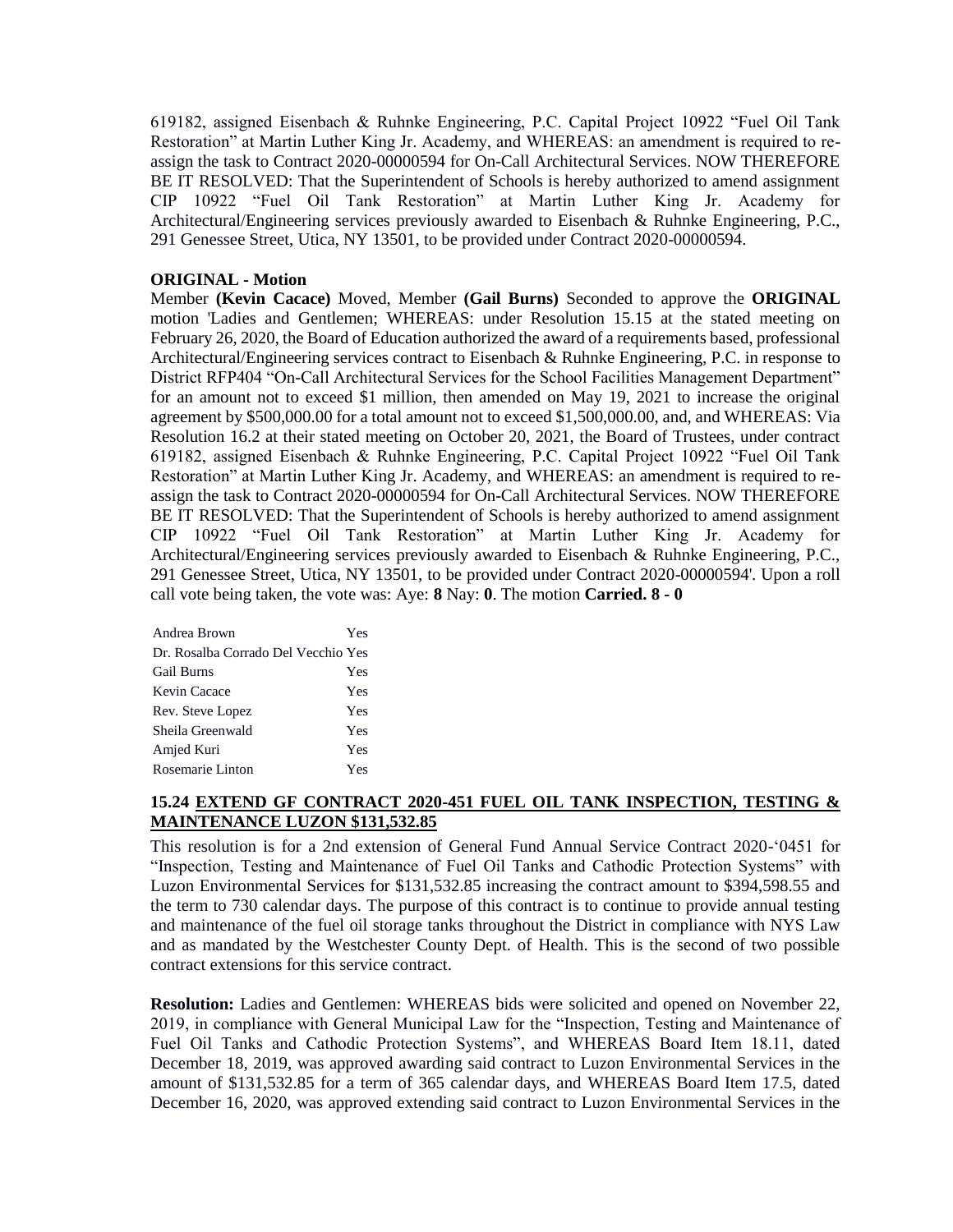619182, assigned Eisenbach & Ruhnke Engineering, P.C. Capital Project 10922 "Fuel Oil Tank Restoration" at Martin Luther King Jr. Academy, and WHEREAS: an amendment is required to reassign the task to Contract 2020-00000594 for On-Call Architectural Services. NOW THEREFORE BE IT RESOLVED: That the Superintendent of Schools is hereby authorized to amend assignment CIP 10922 "Fuel Oil Tank Restoration" at Martin Luther King Jr. Academy for Architectural/Engineering services previously awarded to Eisenbach & Ruhnke Engineering, P.C., 291 Genessee Street, Utica, NY 13501, to be provided under Contract 2020-00000594.

## **ORIGINAL - Motion**

Member **(Kevin Cacace)** Moved, Member **(Gail Burns)** Seconded to approve the **ORIGINAL**  motion 'Ladies and Gentlemen; WHEREAS: under Resolution 15.15 at the stated meeting on February 26, 2020, the Board of Education authorized the award of a requirements based, professional Architectural/Engineering services contract to Eisenbach & Ruhnke Engineering, P.C. in response to District RFP404 "On-Call Architectural Services for the School Facilities Management Department" for an amount not to exceed \$1 million, then amended on May 19, 2021 to increase the original agreement by \$500,000.00 for a total amount not to exceed \$1,500,000.00, and, and WHEREAS: Via Resolution 16.2 at their stated meeting on October 20, 2021, the Board of Trustees, under contract 619182, assigned Eisenbach & Ruhnke Engineering, P.C. Capital Project 10922 "Fuel Oil Tank Restoration" at Martin Luther King Jr. Academy, and WHEREAS: an amendment is required to reassign the task to Contract 2020-00000594 for On-Call Architectural Services. NOW THEREFORE BE IT RESOLVED: That the Superintendent of Schools is hereby authorized to amend assignment CIP 10922 "Fuel Oil Tank Restoration" at Martin Luther King Jr. Academy for Architectural/Engineering services previously awarded to Eisenbach & Ruhnke Engineering, P.C., 291 Genessee Street, Utica, NY 13501, to be provided under Contract 2020-00000594'. Upon a roll call vote being taken, the vote was: Aye: **8** Nay: **0**. The motion **Carried. 8 - 0** 

| Andrea Brown                        | Yes |
|-------------------------------------|-----|
| Dr. Rosalba Corrado Del Vecchio Yes |     |
| <b>Gail Burns</b>                   | Yes |
| Kevin Cacace                        | Yes |
| Rev. Steve Lopez                    | Yes |
| Sheila Greenwald                    | Yes |
| Amjed Kuri                          | Yes |
| Rosemarie Linton                    | Yes |

# **15.24 EXTEND GF CONTRACT 2020-451 FUEL OIL TANK INSPECTION, TESTING & MAINTENANCE LUZON \$131,532.85**

This resolution is for a 2nd extension of General Fund Annual Service Contract 2020-'0451 for "Inspection, Testing and Maintenance of Fuel Oil Tanks and Cathodic Protection Systems" with Luzon Environmental Services for \$131,532.85 increasing the contract amount to \$394,598.55 and the term to 730 calendar days. The purpose of this contract is to continue to provide annual testing and maintenance of the fuel oil storage tanks throughout the District in compliance with NYS Law and as mandated by the Westchester County Dept. of Health. This is the second of two possible contract extensions for this service contract.

**Resolution:** Ladies and Gentlemen: WHEREAS bids were solicited and opened on November 22, 2019, in compliance with General Municipal Law for the "Inspection, Testing and Maintenance of Fuel Oil Tanks and Cathodic Protection Systems", and WHEREAS Board Item 18.11, dated December 18, 2019, was approved awarding said contract to Luzon Environmental Services in the amount of \$131,532.85 for a term of 365 calendar days, and WHEREAS Board Item 17.5, dated December 16, 2020, was approved extending said contract to Luzon Environmental Services in the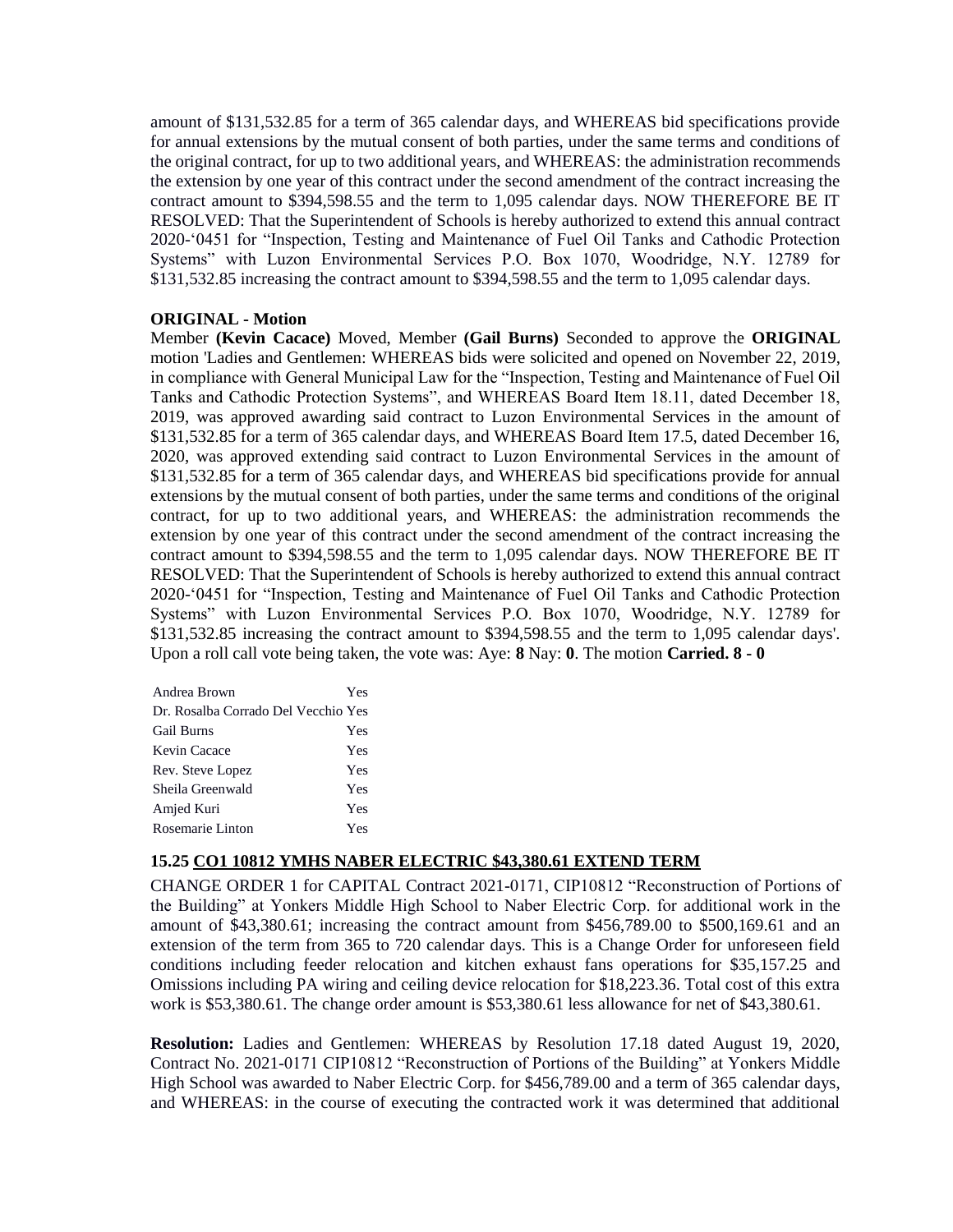amount of \$131,532.85 for a term of 365 calendar days, and WHEREAS bid specifications provide for annual extensions by the mutual consent of both parties, under the same terms and conditions of the original contract, for up to two additional years, and WHEREAS: the administration recommends the extension by one year of this contract under the second amendment of the contract increasing the contract amount to \$394,598.55 and the term to 1,095 calendar days. NOW THEREFORE BE IT RESOLVED: That the Superintendent of Schools is hereby authorized to extend this annual contract 2020-'0451 for "Inspection, Testing and Maintenance of Fuel Oil Tanks and Cathodic Protection Systems" with Luzon Environmental Services P.O. Box 1070, Woodridge, N.Y. 12789 for \$131,532.85 increasing the contract amount to \$394,598.55 and the term to 1,095 calendar days.

## **ORIGINAL - Motion**

Member **(Kevin Cacace)** Moved, Member **(Gail Burns)** Seconded to approve the **ORIGINAL**  motion 'Ladies and Gentlemen: WHEREAS bids were solicited and opened on November 22, 2019, in compliance with General Municipal Law for the "Inspection, Testing and Maintenance of Fuel Oil Tanks and Cathodic Protection Systems", and WHEREAS Board Item 18.11, dated December 18, 2019, was approved awarding said contract to Luzon Environmental Services in the amount of \$131,532.85 for a term of 365 calendar days, and WHEREAS Board Item 17.5, dated December 16, 2020, was approved extending said contract to Luzon Environmental Services in the amount of \$131,532.85 for a term of 365 calendar days, and WHEREAS bid specifications provide for annual extensions by the mutual consent of both parties, under the same terms and conditions of the original contract, for up to two additional years, and WHEREAS: the administration recommends the extension by one year of this contract under the second amendment of the contract increasing the contract amount to \$394,598.55 and the term to 1,095 calendar days. NOW THEREFORE BE IT RESOLVED: That the Superintendent of Schools is hereby authorized to extend this annual contract 2020-'0451 for "Inspection, Testing and Maintenance of Fuel Oil Tanks and Cathodic Protection Systems" with Luzon Environmental Services P.O. Box 1070, Woodridge, N.Y. 12789 for \$131,532.85 increasing the contract amount to \$394,598.55 and the term to 1,095 calendar days'. Upon a roll call vote being taken, the vote was: Aye: **8** Nay: **0**. The motion **Carried. 8 - 0** 

| Andrea Brown                        | Yes |
|-------------------------------------|-----|
| Dr. Rosalba Corrado Del Vecchio Yes |     |
| <b>Gail Burns</b>                   | Yes |
| Kevin Cacace                        | Yes |
| Rev. Steve Lopez                    | Yes |
| Sheila Greenwald                    | Yes |
| Amjed Kuri                          | Yes |
| Rosemarie Linton                    | Yes |

## **15.25 CO1 10812 YMHS NABER ELECTRIC \$43,380.61 EXTEND TERM**

CHANGE ORDER 1 for CAPITAL Contract 2021-0171, CIP10812 "Reconstruction of Portions of the Building" at Yonkers Middle High School to Naber Electric Corp. for additional work in the amount of \$43,380.61; increasing the contract amount from \$456,789.00 to \$500,169.61 and an extension of the term from 365 to 720 calendar days. This is a Change Order for unforeseen field conditions including feeder relocation and kitchen exhaust fans operations for \$35,157.25 and Omissions including PA wiring and ceiling device relocation for \$18,223.36. Total cost of this extra work is \$53,380.61. The change order amount is \$53,380.61 less allowance for net of \$43,380.61.

**Resolution:** Ladies and Gentlemen: WHEREAS by Resolution 17.18 dated August 19, 2020, Contract No. 2021-0171 CIP10812 "Reconstruction of Portions of the Building" at Yonkers Middle High School was awarded to Naber Electric Corp. for \$456,789.00 and a term of 365 calendar days, and WHEREAS: in the course of executing the contracted work it was determined that additional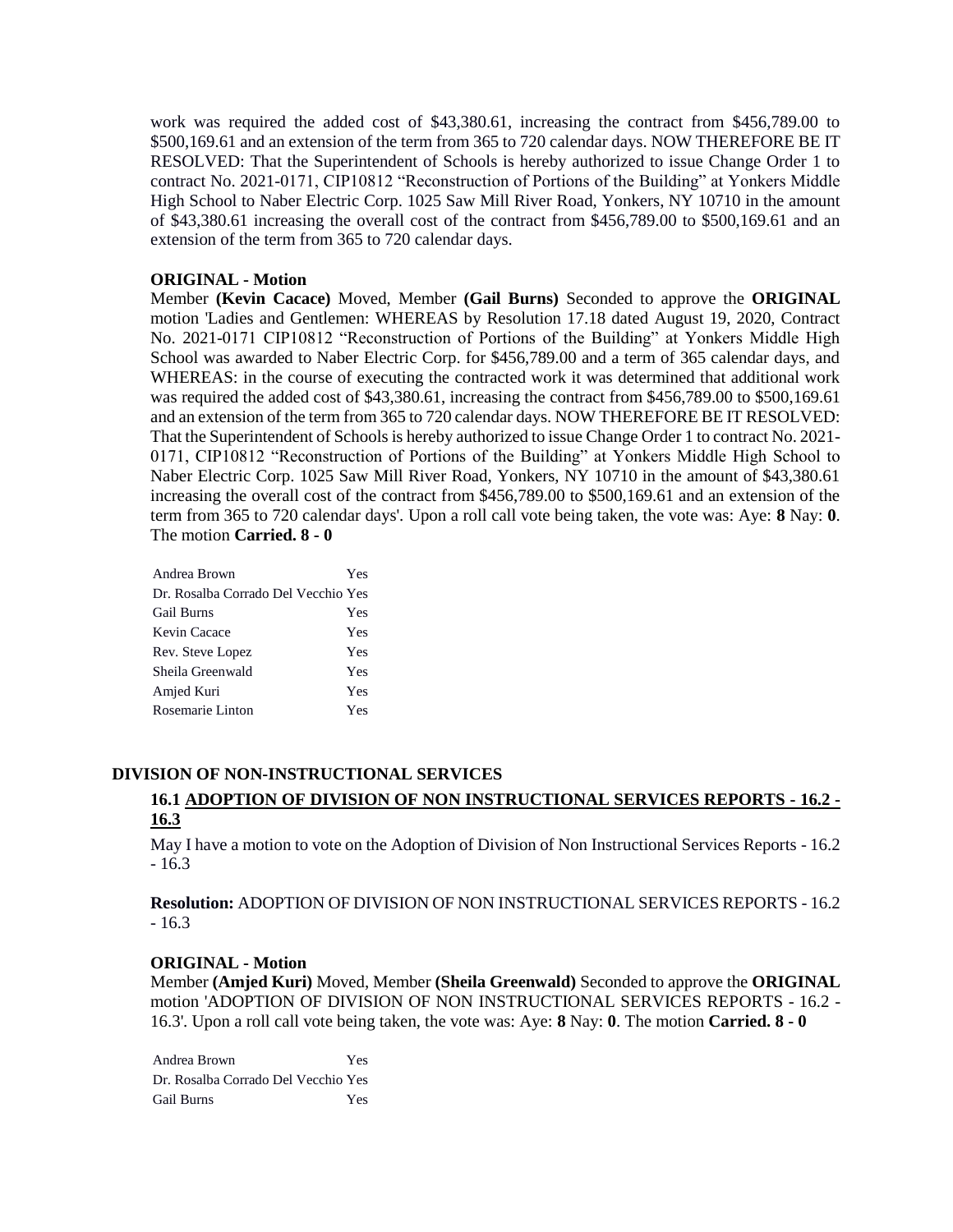work was required the added cost of \$43,380.61, increasing the contract from \$456,789.00 to \$500,169.61 and an extension of the term from 365 to 720 calendar days. NOW THEREFORE BE IT RESOLVED: That the Superintendent of Schools is hereby authorized to issue Change Order 1 to contract No. 2021-0171, CIP10812 "Reconstruction of Portions of the Building" at Yonkers Middle High School to Naber Electric Corp. 1025 Saw Mill River Road, Yonkers, NY 10710 in the amount of \$43,380.61 increasing the overall cost of the contract from \$456,789.00 to \$500,169.61 and an extension of the term from 365 to 720 calendar days.

## **ORIGINAL - Motion**

Member **(Kevin Cacace)** Moved, Member **(Gail Burns)** Seconded to approve the **ORIGINAL**  motion 'Ladies and Gentlemen: WHEREAS by Resolution 17.18 dated August 19, 2020, Contract No. 2021-0171 CIP10812 "Reconstruction of Portions of the Building" at Yonkers Middle High School was awarded to Naber Electric Corp. for \$456,789.00 and a term of 365 calendar days, and WHEREAS: in the course of executing the contracted work it was determined that additional work was required the added cost of \$43,380.61, increasing the contract from \$456,789.00 to \$500,169.61 and an extension of the term from 365 to 720 calendar days. NOW THEREFORE BE IT RESOLVED: That the Superintendent of Schools is hereby authorized to issue Change Order 1 to contract No. 2021- 0171, CIP10812 "Reconstruction of Portions of the Building" at Yonkers Middle High School to Naber Electric Corp. 1025 Saw Mill River Road, Yonkers, NY 10710 in the amount of \$43,380.61 increasing the overall cost of the contract from \$456,789.00 to \$500,169.61 and an extension of the term from 365 to 720 calendar days'. Upon a roll call vote being taken, the vote was: Aye: **8** Nay: **0**. The motion **Carried. 8 - 0** 

| Andrea Brown                        | Yes |
|-------------------------------------|-----|
| Dr. Rosalba Corrado Del Vecchio Yes |     |
| <b>Gail Burns</b>                   | Yes |
| Kevin Cacace                        | Yes |
| Rev. Steve Lopez                    | Yes |
| Sheila Greenwald                    | Yes |
| Amjed Kuri                          | Yes |
| Rosemarie Linton                    | Yes |
|                                     |     |

## **DIVISION OF NON-INSTRUCTIONAL SERVICES**

# **16.1 ADOPTION OF DIVISION OF NON INSTRUCTIONAL SERVICES REPORTS - 16.2 - 16.3**

May I have a motion to vote on the Adoption of Division of Non Instructional Services Reports - 16.2 - 16.3

**Resolution:** ADOPTION OF DIVISION OF NON INSTRUCTIONAL SERVICES REPORTS - 16.2 - 16.3

## **ORIGINAL - Motion**

Member **(Amjed Kuri)** Moved, Member **(Sheila Greenwald)** Seconded to approve the **ORIGINAL**  motion 'ADOPTION OF DIVISION OF NON INSTRUCTIONAL SERVICES REPORTS - 16.2 - 16.3'. Upon a roll call vote being taken, the vote was: Aye: **8** Nay: **0**. The motion **Carried. 8 - 0** 

Andrea Brown Yes Dr. Rosalba Corrado Del Vecchio Yes Gail Burns Yes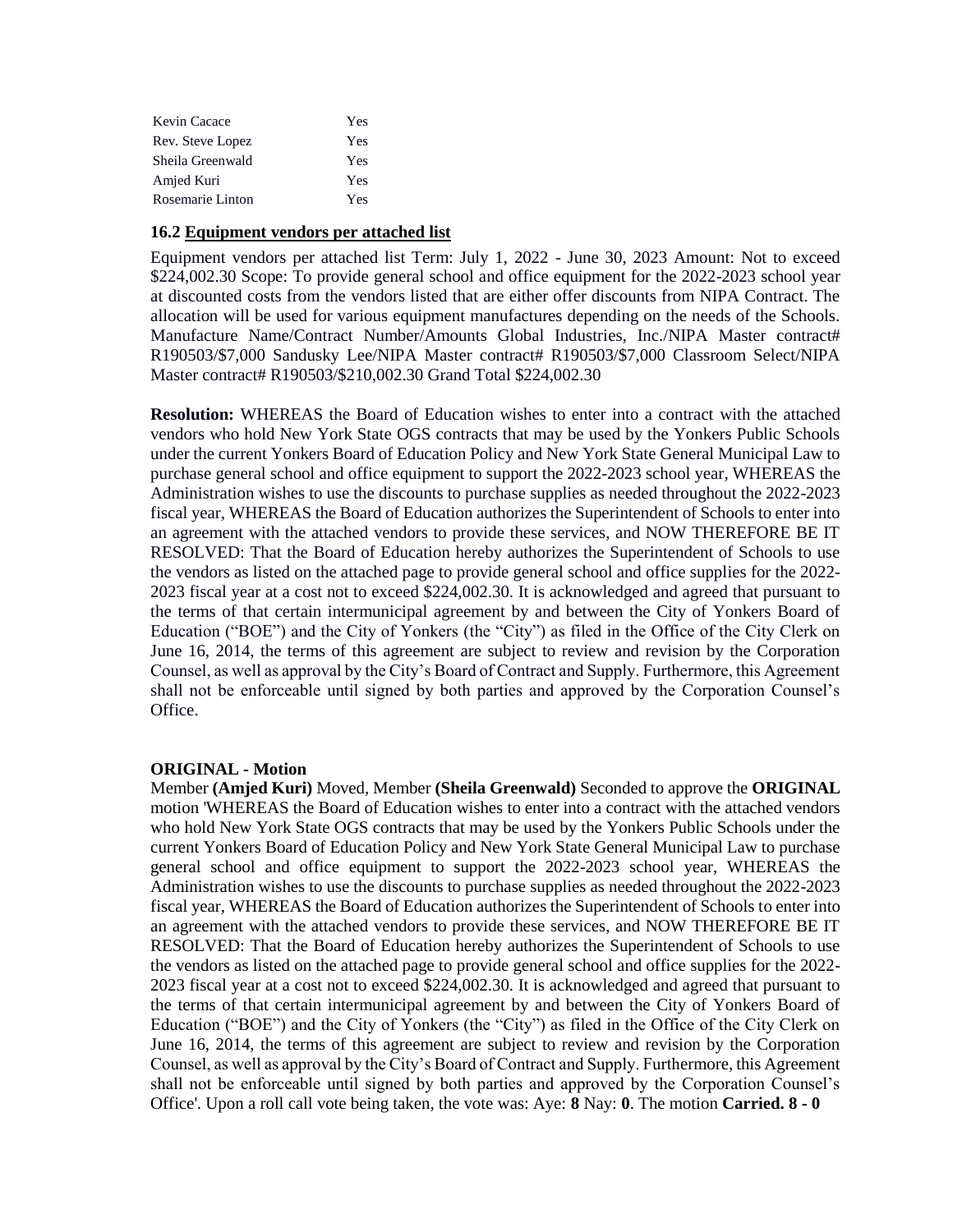| Kevin Cacace     | Yes |
|------------------|-----|
| Rev. Steve Lopez | Yes |
| Sheila Greenwald | Yes |
| Amjed Kuri       | Yes |
| Rosemarie Linton | Yes |

#### **16.2 Equipment vendors per attached list**

Equipment vendors per attached list Term: July 1, 2022 - June 30, 2023 Amount: Not to exceed \$224,002.30 Scope: To provide general school and office equipment for the 2022-2023 school year at discounted costs from the vendors listed that are either offer discounts from NIPA Contract. The allocation will be used for various equipment manufactures depending on the needs of the Schools. Manufacture Name/Contract Number/Amounts Global Industries, Inc./NIPA Master contract# R190503/\$7,000 Sandusky Lee/NIPA Master contract# R190503/\$7,000 Classroom Select/NIPA Master contract# R190503/\$210,002.30 Grand Total \$224,002.30

**Resolution:** WHEREAS the Board of Education wishes to enter into a contract with the attached vendors who hold New York State OGS contracts that may be used by the Yonkers Public Schools under the current Yonkers Board of Education Policy and New York State General Municipal Law to purchase general school and office equipment to support the 2022-2023 school year, WHEREAS the Administration wishes to use the discounts to purchase supplies as needed throughout the 2022-2023 fiscal year, WHEREAS the Board of Education authorizes the Superintendent of Schools to enter into an agreement with the attached vendors to provide these services, and NOW THEREFORE BE IT RESOLVED: That the Board of Education hereby authorizes the Superintendent of Schools to use the vendors as listed on the attached page to provide general school and office supplies for the 2022- 2023 fiscal year at a cost not to exceed \$224,002.30. It is acknowledged and agreed that pursuant to the terms of that certain intermunicipal agreement by and between the City of Yonkers Board of Education ("BOE") and the City of Yonkers (the "City") as filed in the Office of the City Clerk on June 16, 2014, the terms of this agreement are subject to review and revision by the Corporation Counsel, as well as approval by the City's Board of Contract and Supply. Furthermore, this Agreement shall not be enforceable until signed by both parties and approved by the Corporation Counsel's Office.

### **ORIGINAL - Motion**

Member **(Amjed Kuri)** Moved, Member **(Sheila Greenwald)** Seconded to approve the **ORIGINAL**  motion 'WHEREAS the Board of Education wishes to enter into a contract with the attached vendors who hold New York State OGS contracts that may be used by the Yonkers Public Schools under the current Yonkers Board of Education Policy and New York State General Municipal Law to purchase general school and office equipment to support the 2022-2023 school year, WHEREAS the Administration wishes to use the discounts to purchase supplies as needed throughout the 2022-2023 fiscal year, WHEREAS the Board of Education authorizes the Superintendent of Schools to enter into an agreement with the attached vendors to provide these services, and NOW THEREFORE BE IT RESOLVED: That the Board of Education hereby authorizes the Superintendent of Schools to use the vendors as listed on the attached page to provide general school and office supplies for the 2022- 2023 fiscal year at a cost not to exceed \$224,002.30. It is acknowledged and agreed that pursuant to the terms of that certain intermunicipal agreement by and between the City of Yonkers Board of Education ("BOE") and the City of Yonkers (the "City") as filed in the Office of the City Clerk on June 16, 2014, the terms of this agreement are subject to review and revision by the Corporation Counsel, as well as approval by the City's Board of Contract and Supply. Furthermore, this Agreement shall not be enforceable until signed by both parties and approved by the Corporation Counsel's Office'. Upon a roll call vote being taken, the vote was: Aye: **8** Nay: **0**. The motion **Carried. 8 - 0**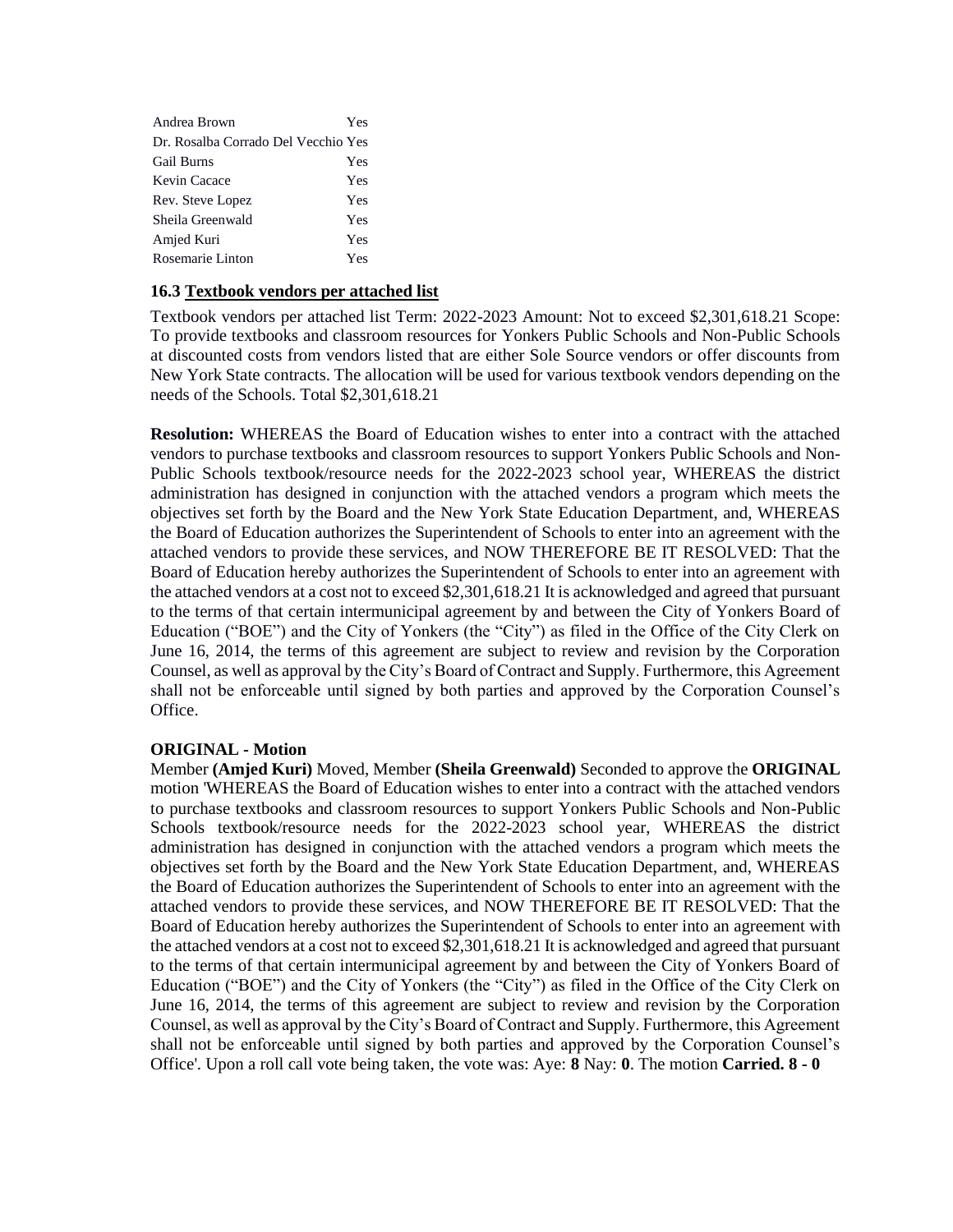| Andrea Brown                        | Yes |
|-------------------------------------|-----|
| Dr. Rosalba Corrado Del Vecchio Yes |     |
| <b>Gail Burns</b>                   | Yes |
| Kevin Cacace                        | Yes |
| Rev. Steve Lopez                    | Yes |
| Sheila Greenwald                    | Yes |
| Amjed Kuri                          | Yes |
| Rosemarie Linton                    | Yes |

### **16.3 Textbook vendors per attached list**

Textbook vendors per attached list Term: 2022-2023 Amount: Not to exceed \$2,301,618.21 Scope: To provide textbooks and classroom resources for Yonkers Public Schools and Non-Public Schools at discounted costs from vendors listed that are either Sole Source vendors or offer discounts from New York State contracts. The allocation will be used for various textbook vendors depending on the needs of the Schools. Total \$2,301,618.21

**Resolution:** WHEREAS the Board of Education wishes to enter into a contract with the attached vendors to purchase textbooks and classroom resources to support Yonkers Public Schools and Non-Public Schools textbook/resource needs for the 2022-2023 school year, WHEREAS the district administration has designed in conjunction with the attached vendors a program which meets the objectives set forth by the Board and the New York State Education Department, and, WHEREAS the Board of Education authorizes the Superintendent of Schools to enter into an agreement with the attached vendors to provide these services, and NOW THEREFORE BE IT RESOLVED: That the Board of Education hereby authorizes the Superintendent of Schools to enter into an agreement with the attached vendors at a cost not to exceed \$2,301,618.21 It is acknowledged and agreed that pursuant to the terms of that certain intermunicipal agreement by and between the City of Yonkers Board of Education ("BOE") and the City of Yonkers (the "City") as filed in the Office of the City Clerk on June 16, 2014, the terms of this agreement are subject to review and revision by the Corporation Counsel, as well as approval by the City's Board of Contract and Supply. Furthermore, this Agreement shall not be enforceable until signed by both parties and approved by the Corporation Counsel's Office.

## **ORIGINAL - Motion**

Member **(Amjed Kuri)** Moved, Member **(Sheila Greenwald)** Seconded to approve the **ORIGINAL**  motion 'WHEREAS the Board of Education wishes to enter into a contract with the attached vendors to purchase textbooks and classroom resources to support Yonkers Public Schools and Non-Public Schools textbook/resource needs for the 2022-2023 school year, WHEREAS the district administration has designed in conjunction with the attached vendors a program which meets the objectives set forth by the Board and the New York State Education Department, and, WHEREAS the Board of Education authorizes the Superintendent of Schools to enter into an agreement with the attached vendors to provide these services, and NOW THEREFORE BE IT RESOLVED: That the Board of Education hereby authorizes the Superintendent of Schools to enter into an agreement with the attached vendors at a cost not to exceed \$2,301,618.21 It is acknowledged and agreed that pursuant to the terms of that certain intermunicipal agreement by and between the City of Yonkers Board of Education ("BOE") and the City of Yonkers (the "City") as filed in the Office of the City Clerk on June 16, 2014, the terms of this agreement are subject to review and revision by the Corporation Counsel, as well as approval by the City's Board of Contract and Supply. Furthermore, this Agreement shall not be enforceable until signed by both parties and approved by the Corporation Counsel's Office'. Upon a roll call vote being taken, the vote was: Aye: **8** Nay: **0**. The motion **Carried. 8 - 0**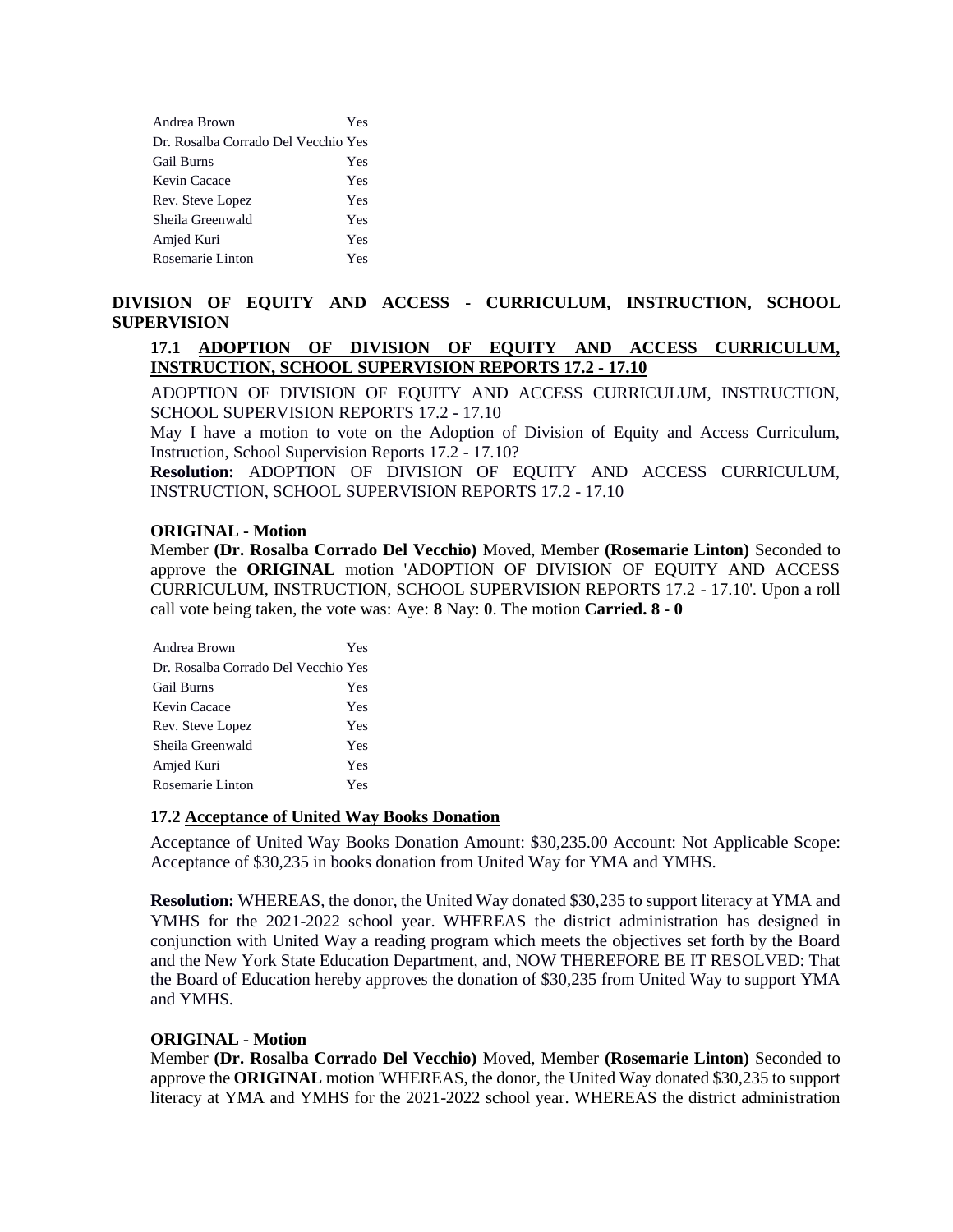| Andrea Brown                        | Yes |
|-------------------------------------|-----|
| Dr. Rosalba Corrado Del Vecchio Yes |     |
| <b>Gail Burns</b>                   | Yes |
| Kevin Cacace                        | Yes |
| Rev. Steve Lopez                    | Yes |
| Sheila Greenwald                    | Yes |
| Amjed Kuri                          | Yes |
| Rosemarie Linton                    | Yes |

## **DIVISION OF EQUITY AND ACCESS - CURRICULUM, INSTRUCTION, SCHOOL SUPERVISION**

## **17.1 ADOPTION OF DIVISION OF EQUITY AND ACCESS CURRICULUM, INSTRUCTION, SCHOOL SUPERVISION REPORTS 17.2 - 17.10**

ADOPTION OF DIVISION OF EQUITY AND ACCESS CURRICULUM, INSTRUCTION, SCHOOL SUPERVISION REPORTS 17.2 - 17.10

May I have a motion to vote on the Adoption of Division of Equity and Access Curriculum, Instruction, School Supervision Reports 17.2 - 17.10?

**Resolution:** ADOPTION OF DIVISION OF EQUITY AND ACCESS CURRICULUM, INSTRUCTION, SCHOOL SUPERVISION REPORTS 17.2 - 17.10

#### **ORIGINAL - Motion**

Member **(Dr. Rosalba Corrado Del Vecchio)** Moved, Member **(Rosemarie Linton)** Seconded to approve the **ORIGINAL** motion 'ADOPTION OF DIVISION OF EQUITY AND ACCESS CURRICULUM, INSTRUCTION, SCHOOL SUPERVISION REPORTS 17.2 - 17.10'. Upon a roll call vote being taken, the vote was: Aye: **8** Nay: **0**. The motion **Carried. 8 - 0** 

| Andrea Brown                        | Yes |
|-------------------------------------|-----|
| Dr. Rosalba Corrado Del Vecchio Yes |     |
| <b>Gail Burns</b>                   | Yes |
| Kevin Cacace                        | Yes |
| Rev. Steve Lopez                    | Yes |
| Sheila Greenwald                    | Yes |
| Amjed Kuri                          | Yes |
| Rosemarie Linton                    | Yes |

#### **17.2 Acceptance of United Way Books Donation**

Acceptance of United Way Books Donation Amount: \$30,235.00 Account: Not Applicable Scope: Acceptance of \$30,235 in books donation from United Way for YMA and YMHS.

**Resolution:** WHEREAS, the donor, the United Way donated \$30,235 to support literacy at YMA and YMHS for the 2021-2022 school year. WHEREAS the district administration has designed in conjunction with United Way a reading program which meets the objectives set forth by the Board and the New York State Education Department, and, NOW THEREFORE BE IT RESOLVED: That the Board of Education hereby approves the donation of \$30,235 from United Way to support YMA and YMHS.

#### **ORIGINAL - Motion**

Member **(Dr. Rosalba Corrado Del Vecchio)** Moved, Member **(Rosemarie Linton)** Seconded to approve the **ORIGINAL** motion 'WHEREAS, the donor, the United Way donated \$30,235 to support literacy at YMA and YMHS for the 2021-2022 school year. WHEREAS the district administration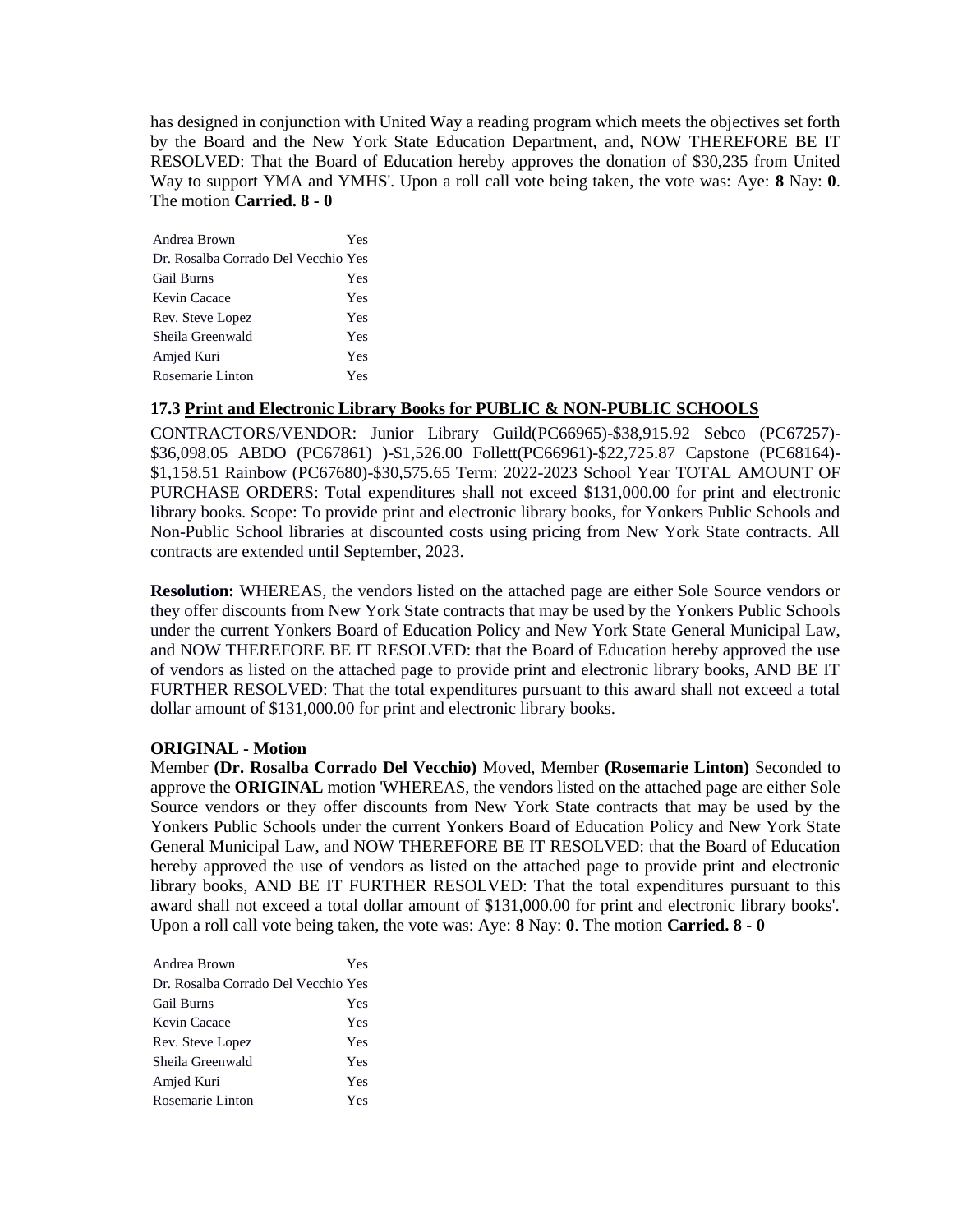has designed in conjunction with United Way a reading program which meets the objectives set forth by the Board and the New York State Education Department, and, NOW THEREFORE BE IT RESOLVED: That the Board of Education hereby approves the donation of \$30,235 from United Way to support YMA and YMHS'. Upon a roll call vote being taken, the vote was: Aye: **8** Nay: **0**. The motion **Carried. 8 - 0** 

| Andrea Brown                        | Yes |
|-------------------------------------|-----|
| Dr. Rosalba Corrado Del Vecchio Yes |     |
| <b>Gail Burns</b>                   | Yes |
| Kevin Cacace                        | Yes |
| Rev. Steve Lopez                    | Yes |
| Sheila Greenwald                    | Yes |
| Amjed Kuri                          | Yes |
| Rosemarie Linton                    | Yes |

#### **17.3 Print and Electronic Library Books for PUBLIC & NON-PUBLIC SCHOOLS**

CONTRACTORS/VENDOR: Junior Library Guild(PC66965)-\$38,915.92 Sebco (PC67257)- \$36,098.05 ABDO (PC67861) )-\$1,526.00 Follett(PC66961)-\$22,725.87 Capstone (PC68164)- \$1,158.51 Rainbow (PC67680)-\$30,575.65 Term: 2022-2023 School Year TOTAL AMOUNT OF PURCHASE ORDERS: Total expenditures shall not exceed \$131,000.00 for print and electronic library books. Scope: To provide print and electronic library books, for Yonkers Public Schools and Non-Public School libraries at discounted costs using pricing from New York State contracts. All contracts are extended until September, 2023.

**Resolution:** WHEREAS, the vendors listed on the attached page are either Sole Source vendors or they offer discounts from New York State contracts that may be used by the Yonkers Public Schools under the current Yonkers Board of Education Policy and New York State General Municipal Law, and NOW THEREFORE BE IT RESOLVED: that the Board of Education hereby approved the use of vendors as listed on the attached page to provide print and electronic library books, AND BE IT FURTHER RESOLVED: That the total expenditures pursuant to this award shall not exceed a total dollar amount of \$131,000.00 for print and electronic library books.

## **ORIGINAL - Motion**

Member **(Dr. Rosalba Corrado Del Vecchio)** Moved, Member **(Rosemarie Linton)** Seconded to approve the **ORIGINAL** motion 'WHEREAS, the vendors listed on the attached page are either Sole Source vendors or they offer discounts from New York State contracts that may be used by the Yonkers Public Schools under the current Yonkers Board of Education Policy and New York State General Municipal Law, and NOW THEREFORE BE IT RESOLVED: that the Board of Education hereby approved the use of vendors as listed on the attached page to provide print and electronic library books, AND BE IT FURTHER RESOLVED: That the total expenditures pursuant to this award shall not exceed a total dollar amount of \$131,000.00 for print and electronic library books'. Upon a roll call vote being taken, the vote was: Aye: **8** Nay: **0**. The motion **Carried. 8 - 0** 

| Andrea Brown                        | Yes |
|-------------------------------------|-----|
| Dr. Rosalba Corrado Del Vecchio Yes |     |
| <b>Gail Burns</b>                   | Yes |
| Kevin Cacace                        | Yes |
| Rev. Steve Lopez                    | Yes |
| Sheila Greenwald                    | Yes |
| Amjed Kuri                          | Yes |
| Rosemarie Linton                    | Yes |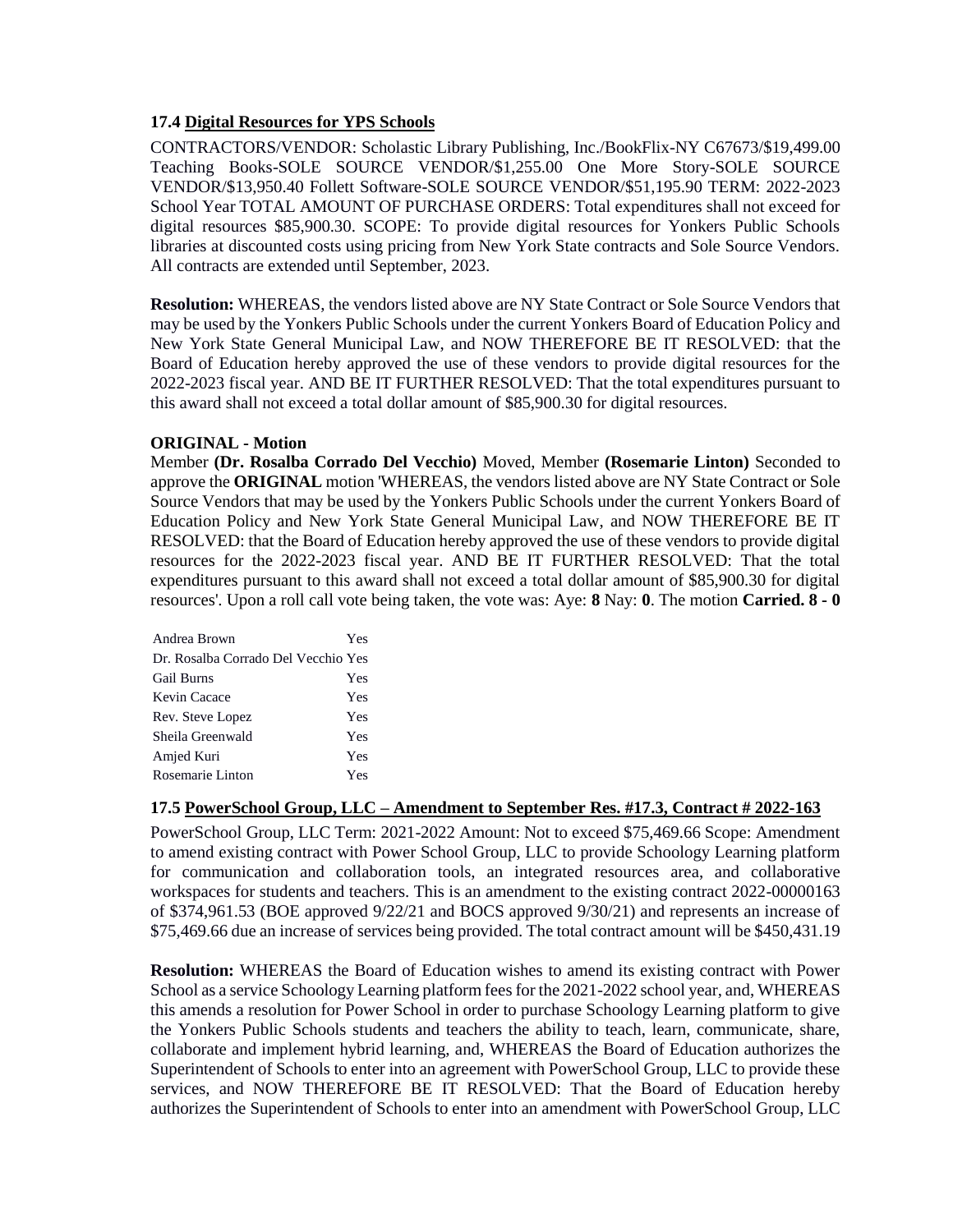## **17.4 Digital Resources for YPS Schools**

CONTRACTORS/VENDOR: Scholastic Library Publishing, Inc./BookFlix-NY C67673/\$19,499.00 Teaching Books-SOLE SOURCE VENDOR/\$1,255.00 One More Story-SOLE SOURCE VENDOR/\$13,950.40 Follett Software-SOLE SOURCE VENDOR/\$51,195.90 TERM: 2022-2023 School Year TOTAL AMOUNT OF PURCHASE ORDERS: Total expenditures shall not exceed for digital resources \$85,900.30. SCOPE: To provide digital resources for Yonkers Public Schools libraries at discounted costs using pricing from New York State contracts and Sole Source Vendors. All contracts are extended until September, 2023.

**Resolution:** WHEREAS, the vendors listed above are NY State Contract or Sole Source Vendors that may be used by the Yonkers Public Schools under the current Yonkers Board of Education Policy and New York State General Municipal Law, and NOW THEREFORE BE IT RESOLVED: that the Board of Education hereby approved the use of these vendors to provide digital resources for the 2022-2023 fiscal year. AND BE IT FURTHER RESOLVED: That the total expenditures pursuant to this award shall not exceed a total dollar amount of \$85,900.30 for digital resources.

## **ORIGINAL - Motion**

Member **(Dr. Rosalba Corrado Del Vecchio)** Moved, Member **(Rosemarie Linton)** Seconded to approve the **ORIGINAL** motion 'WHEREAS, the vendors listed above are NY State Contract or Sole Source Vendors that may be used by the Yonkers Public Schools under the current Yonkers Board of Education Policy and New York State General Municipal Law, and NOW THEREFORE BE IT RESOLVED: that the Board of Education hereby approved the use of these vendors to provide digital resources for the 2022-2023 fiscal year. AND BE IT FURTHER RESOLVED: That the total expenditures pursuant to this award shall not exceed a total dollar amount of \$85,900.30 for digital resources'. Upon a roll call vote being taken, the vote was: Aye: **8** Nay: **0**. The motion **Carried. 8 - 0** 

| Andrea Brown                        | Yes |
|-------------------------------------|-----|
| Dr. Rosalba Corrado Del Vecchio Yes |     |
| <b>Gail Burns</b>                   | Yes |
| Kevin Cacace                        | Yes |
| Rev. Steve Lopez                    | Yes |
| Sheila Greenwald                    | Yes |
| Amjed Kuri                          | Yes |
| Rosemarie Linton                    | Yes |
|                                     |     |

## **17.5 PowerSchool Group, LLC – Amendment to September Res. #17.3, Contract # 2022-163**

PowerSchool Group, LLC Term: 2021-2022 Amount: Not to exceed \$75,469.66 Scope: Amendment to amend existing contract with Power School Group, LLC to provide Schoology Learning platform for communication and collaboration tools, an integrated resources area, and collaborative workspaces for students and teachers. This is an amendment to the existing contract 2022-00000163 of \$374,961.53 (BOE approved 9/22/21 and BOCS approved 9/30/21) and represents an increase of \$75,469.66 due an increase of services being provided. The total contract amount will be \$450,431.19

**Resolution:** WHEREAS the Board of Education wishes to amend its existing contract with Power School as a service Schoology Learning platform fees for the 2021-2022 school year, and, WHEREAS this amends a resolution for Power School in order to purchase Schoology Learning platform to give the Yonkers Public Schools students and teachers the ability to teach, learn, communicate, share, collaborate and implement hybrid learning, and, WHEREAS the Board of Education authorizes the Superintendent of Schools to enter into an agreement with PowerSchool Group, LLC to provide these services, and NOW THEREFORE BE IT RESOLVED: That the Board of Education hereby authorizes the Superintendent of Schools to enter into an amendment with PowerSchool Group, LLC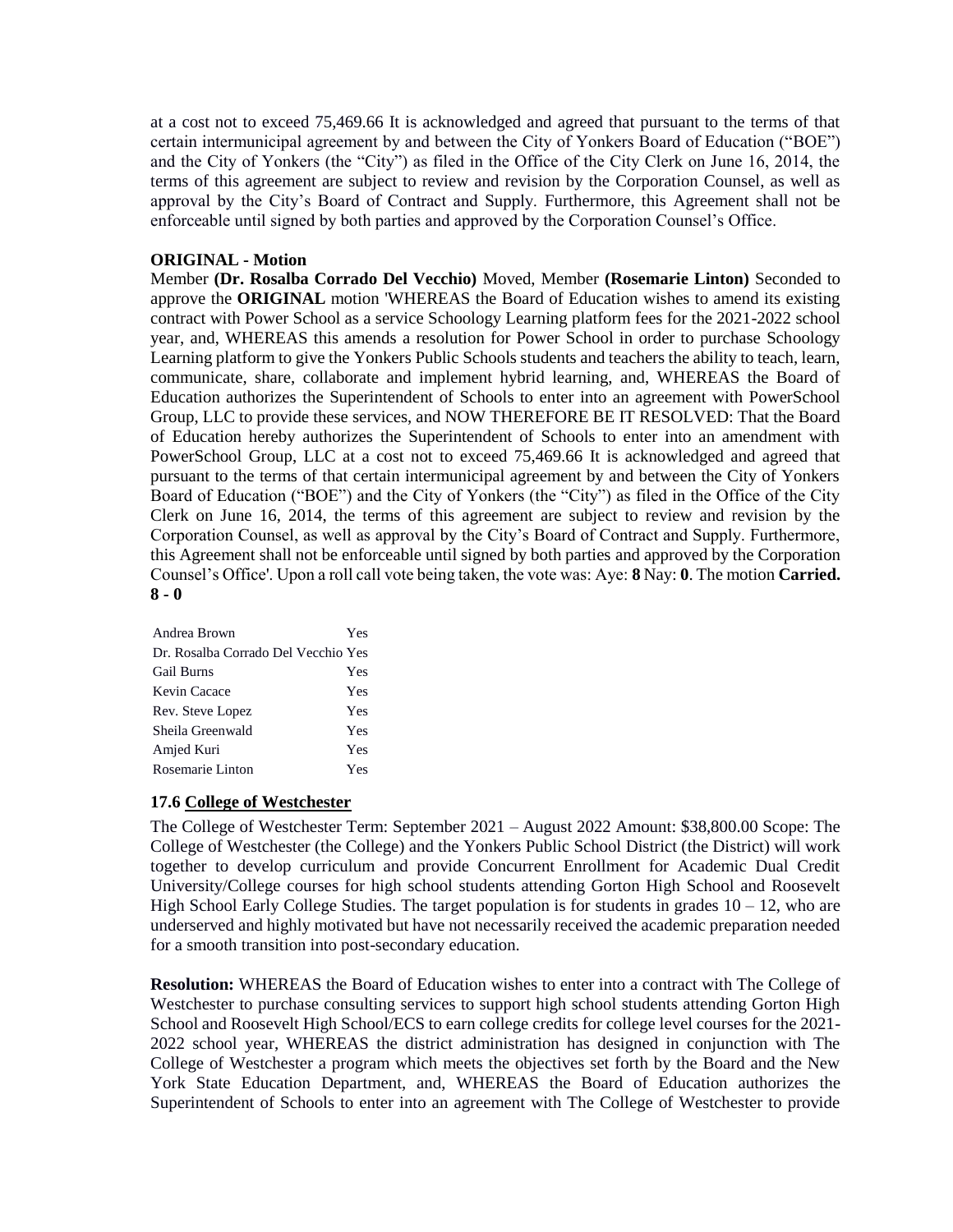at a cost not to exceed 75,469.66 It is acknowledged and agreed that pursuant to the terms of that certain intermunicipal agreement by and between the City of Yonkers Board of Education ("BOE") and the City of Yonkers (the "City") as filed in the Office of the City Clerk on June 16, 2014, the terms of this agreement are subject to review and revision by the Corporation Counsel, as well as approval by the City's Board of Contract and Supply. Furthermore, this Agreement shall not be enforceable until signed by both parties and approved by the Corporation Counsel's Office.

## **ORIGINAL - Motion**

Member **(Dr. Rosalba Corrado Del Vecchio)** Moved, Member **(Rosemarie Linton)** Seconded to approve the **ORIGINAL** motion 'WHEREAS the Board of Education wishes to amend its existing contract with Power School as a service Schoology Learning platform fees for the 2021-2022 school year, and, WHEREAS this amends a resolution for Power School in order to purchase Schoology Learning platform to give the Yonkers Public Schools students and teachers the ability to teach, learn, communicate, share, collaborate and implement hybrid learning, and, WHEREAS the Board of Education authorizes the Superintendent of Schools to enter into an agreement with PowerSchool Group, LLC to provide these services, and NOW THEREFORE BE IT RESOLVED: That the Board of Education hereby authorizes the Superintendent of Schools to enter into an amendment with PowerSchool Group, LLC at a cost not to exceed 75,469.66 It is acknowledged and agreed that pursuant to the terms of that certain intermunicipal agreement by and between the City of Yonkers Board of Education ("BOE") and the City of Yonkers (the "City") as filed in the Office of the City Clerk on June 16, 2014, the terms of this agreement are subject to review and revision by the Corporation Counsel, as well as approval by the City's Board of Contract and Supply. Furthermore, this Agreement shall not be enforceable until signed by both parties and approved by the Corporation Counsel's Office'. Upon a roll call vote being taken, the vote was: Aye: **8** Nay: **0**. The motion **Carried. 8 - 0** 

| Andrea Brown                        | Yes |
|-------------------------------------|-----|
| Dr. Rosalba Corrado Del Vecchio Yes |     |
| <b>Gail Burns</b>                   | Yes |
| Kevin Cacace                        | Yes |
| Rev. Steve Lopez                    | Yes |
| Sheila Greenwald                    | Yes |
| Amjed Kuri                          | Yes |
| Rosemarie Linton                    | Yes |

## **17.6 College of Westchester**

The College of Westchester Term: September 2021 – August 2022 Amount: \$38,800.00 Scope: The College of Westchester (the College) and the Yonkers Public School District (the District) will work together to develop curriculum and provide Concurrent Enrollment for Academic Dual Credit University/College courses for high school students attending Gorton High School and Roosevelt High School Early College Studies. The target population is for students in grades  $10 - 12$ , who are underserved and highly motivated but have not necessarily received the academic preparation needed for a smooth transition into post-secondary education.

**Resolution:** WHEREAS the Board of Education wishes to enter into a contract with The College of Westchester to purchase consulting services to support high school students attending Gorton High School and Roosevelt High School/ECS to earn college credits for college level courses for the 2021- 2022 school year, WHEREAS the district administration has designed in conjunction with The College of Westchester a program which meets the objectives set forth by the Board and the New York State Education Department, and, WHEREAS the Board of Education authorizes the Superintendent of Schools to enter into an agreement with The College of Westchester to provide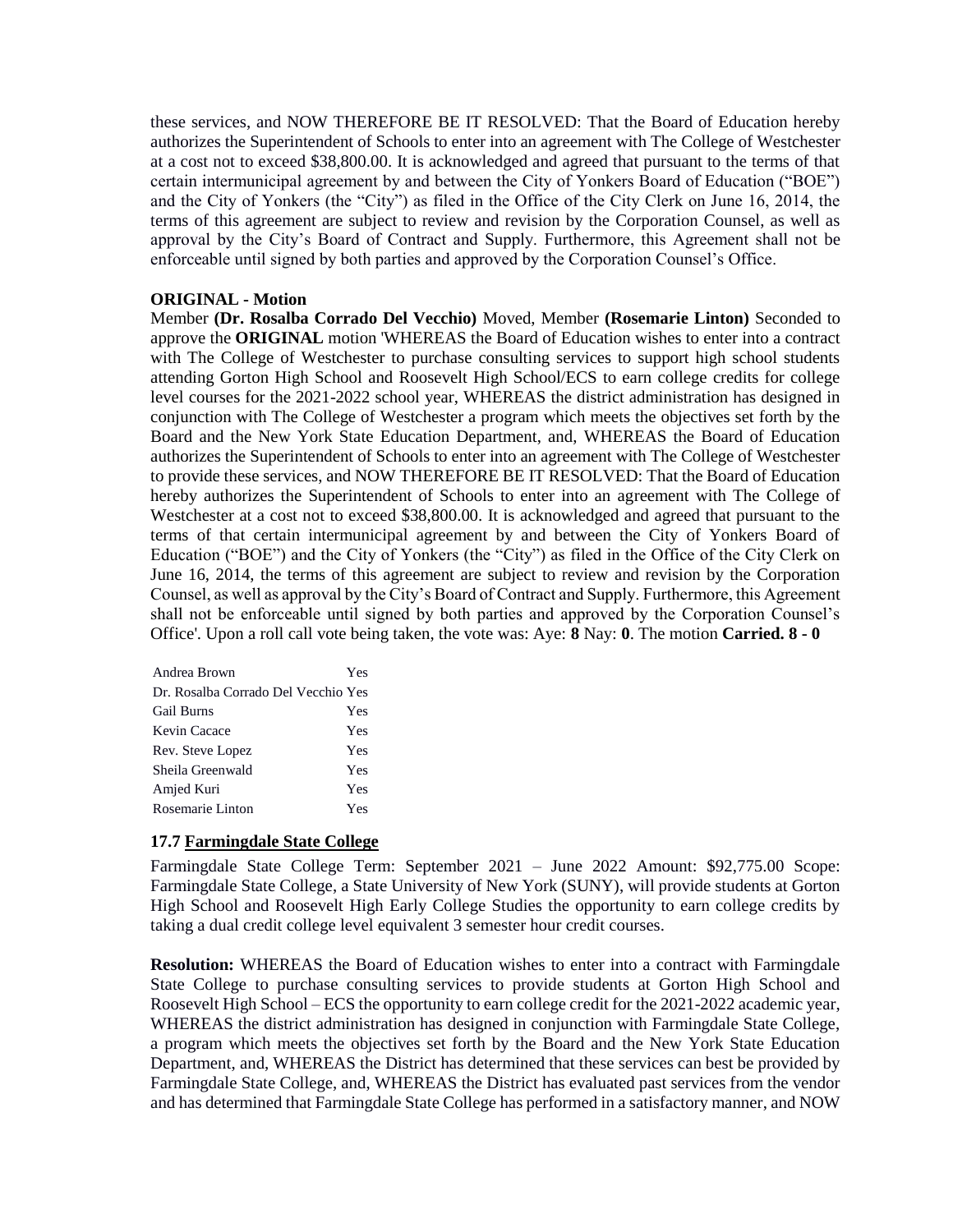these services, and NOW THEREFORE BE IT RESOLVED: That the Board of Education hereby authorizes the Superintendent of Schools to enter into an agreement with The College of Westchester at a cost not to exceed \$38,800.00. It is acknowledged and agreed that pursuant to the terms of that certain intermunicipal agreement by and between the City of Yonkers Board of Education ("BOE") and the City of Yonkers (the "City") as filed in the Office of the City Clerk on June 16, 2014, the terms of this agreement are subject to review and revision by the Corporation Counsel, as well as approval by the City's Board of Contract and Supply. Furthermore, this Agreement shall not be enforceable until signed by both parties and approved by the Corporation Counsel's Office.

## **ORIGINAL - Motion**

Member **(Dr. Rosalba Corrado Del Vecchio)** Moved, Member **(Rosemarie Linton)** Seconded to approve the **ORIGINAL** motion 'WHEREAS the Board of Education wishes to enter into a contract with The College of Westchester to purchase consulting services to support high school students attending Gorton High School and Roosevelt High School/ECS to earn college credits for college level courses for the 2021-2022 school year, WHEREAS the district administration has designed in conjunction with The College of Westchester a program which meets the objectives set forth by the Board and the New York State Education Department, and, WHEREAS the Board of Education authorizes the Superintendent of Schools to enter into an agreement with The College of Westchester to provide these services, and NOW THEREFORE BE IT RESOLVED: That the Board of Education hereby authorizes the Superintendent of Schools to enter into an agreement with The College of Westchester at a cost not to exceed \$38,800.00. It is acknowledged and agreed that pursuant to the terms of that certain intermunicipal agreement by and between the City of Yonkers Board of Education ("BOE") and the City of Yonkers (the "City") as filed in the Office of the City Clerk on June 16, 2014, the terms of this agreement are subject to review and revision by the Corporation Counsel, as well as approval by the City's Board of Contract and Supply. Furthermore, this Agreement shall not be enforceable until signed by both parties and approved by the Corporation Counsel's Office'. Upon a roll call vote being taken, the vote was: Aye: **8** Nay: **0**. The motion **Carried. 8 - 0** 

| Andrea Brown                        | Yes |
|-------------------------------------|-----|
| Dr. Rosalba Corrado Del Vecchio Yes |     |
| <b>Gail Burns</b>                   | Yes |
| Kevin Cacace                        | Yes |
| Rev. Steve Lopez                    | Yes |
| Sheila Greenwald                    | Yes |
| Amjed Kuri                          | Yes |
| Rosemarie Linton                    | Yes |

## **17.7 Farmingdale State College**

Farmingdale State College Term: September 2021 – June 2022 Amount: \$92,775.00 Scope: Farmingdale State College, a State University of New York (SUNY), will provide students at Gorton High School and Roosevelt High Early College Studies the opportunity to earn college credits by taking a dual credit college level equivalent 3 semester hour credit courses.

**Resolution:** WHEREAS the Board of Education wishes to enter into a contract with Farmingdale State College to purchase consulting services to provide students at Gorton High School and Roosevelt High School – ECS the opportunity to earn college credit for the 2021-2022 academic year, WHEREAS the district administration has designed in conjunction with Farmingdale State College, a program which meets the objectives set forth by the Board and the New York State Education Department, and, WHEREAS the District has determined that these services can best be provided by Farmingdale State College, and, WHEREAS the District has evaluated past services from the vendor and has determined that Farmingdale State College has performed in a satisfactory manner, and NOW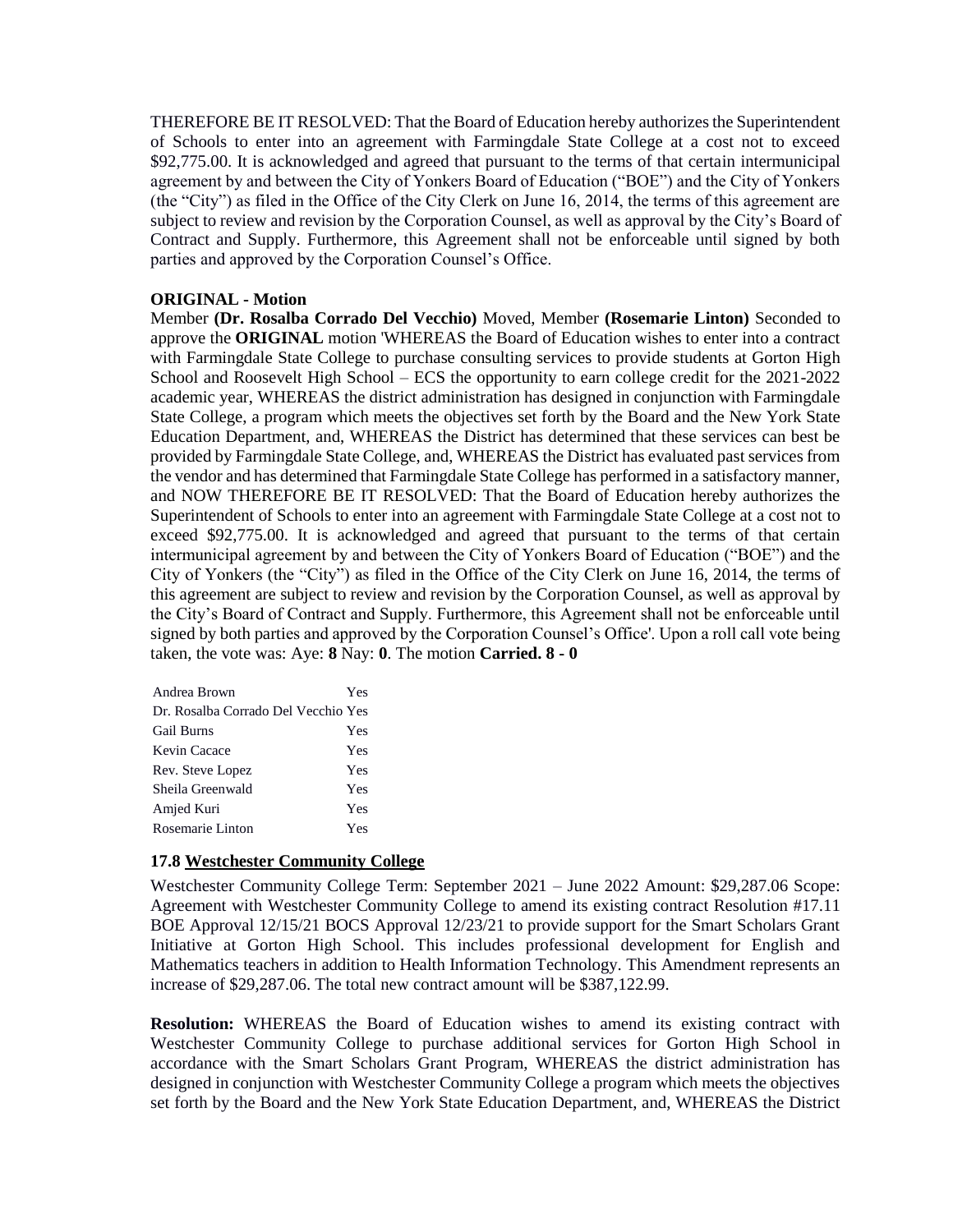THEREFORE BE IT RESOLVED: That the Board of Education hereby authorizes the Superintendent of Schools to enter into an agreement with Farmingdale State College at a cost not to exceed \$92,775.00. It is acknowledged and agreed that pursuant to the terms of that certain intermunicipal agreement by and between the City of Yonkers Board of Education ("BOE") and the City of Yonkers (the "City") as filed in the Office of the City Clerk on June 16, 2014, the terms of this agreement are subject to review and revision by the Corporation Counsel, as well as approval by the City's Board of Contract and Supply. Furthermore, this Agreement shall not be enforceable until signed by both parties and approved by the Corporation Counsel's Office.

## **ORIGINAL - Motion**

Member **(Dr. Rosalba Corrado Del Vecchio)** Moved, Member **(Rosemarie Linton)** Seconded to approve the **ORIGINAL** motion 'WHEREAS the Board of Education wishes to enter into a contract with Farmingdale State College to purchase consulting services to provide students at Gorton High School and Roosevelt High School – ECS the opportunity to earn college credit for the 2021-2022 academic year, WHEREAS the district administration has designed in conjunction with Farmingdale State College, a program which meets the objectives set forth by the Board and the New York State Education Department, and, WHEREAS the District has determined that these services can best be provided by Farmingdale State College, and, WHEREAS the District has evaluated past services from the vendor and has determined that Farmingdale State College has performed in a satisfactory manner, and NOW THEREFORE BE IT RESOLVED: That the Board of Education hereby authorizes the Superintendent of Schools to enter into an agreement with Farmingdale State College at a cost not to exceed \$92,775.00. It is acknowledged and agreed that pursuant to the terms of that certain intermunicipal agreement by and between the City of Yonkers Board of Education ("BOE") and the City of Yonkers (the "City") as filed in the Office of the City Clerk on June 16, 2014, the terms of this agreement are subject to review and revision by the Corporation Counsel, as well as approval by the City's Board of Contract and Supply. Furthermore, this Agreement shall not be enforceable until signed by both parties and approved by the Corporation Counsel's Office'. Upon a roll call vote being taken, the vote was: Aye: **8** Nay: **0**. The motion **Carried. 8 - 0** 

| Andrea Brown                        | Yes |
|-------------------------------------|-----|
| Dr. Rosalba Corrado Del Vecchio Yes |     |
| <b>Gail Burns</b>                   | Yes |
| Kevin Cacace                        | Yes |
| Rev. Steve Lopez                    | Yes |
| Sheila Greenwald                    | Yes |
| Amjed Kuri                          | Yes |
| Rosemarie Linton                    | Yes |

#### **17.8 Westchester Community College**

Westchester Community College Term: September 2021 – June 2022 Amount: \$29,287.06 Scope: Agreement with Westchester Community College to amend its existing contract Resolution #17.11 BOE Approval 12/15/21 BOCS Approval 12/23/21 to provide support for the Smart Scholars Grant Initiative at Gorton High School. This includes professional development for English and Mathematics teachers in addition to Health Information Technology. This Amendment represents an increase of \$29,287.06. The total new contract amount will be \$387,122.99.

**Resolution:** WHEREAS the Board of Education wishes to amend its existing contract with Westchester Community College to purchase additional services for Gorton High School in accordance with the Smart Scholars Grant Program, WHEREAS the district administration has designed in conjunction with Westchester Community College a program which meets the objectives set forth by the Board and the New York State Education Department, and, WHEREAS the District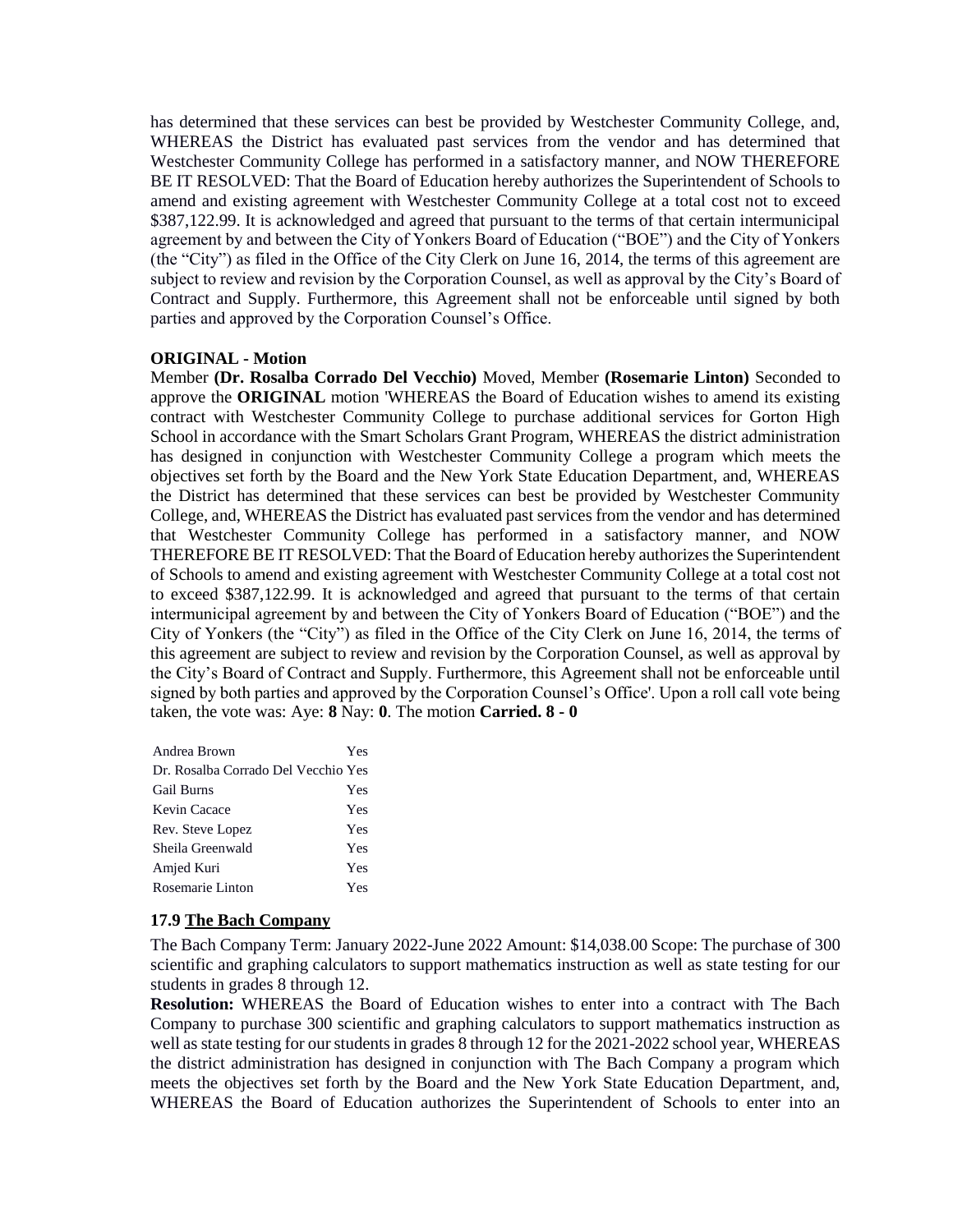has determined that these services can best be provided by Westchester Community College, and, WHEREAS the District has evaluated past services from the vendor and has determined that Westchester Community College has performed in a satisfactory manner, and NOW THEREFORE BE IT RESOLVED: That the Board of Education hereby authorizes the Superintendent of Schools to amend and existing agreement with Westchester Community College at a total cost not to exceed \$387,122.99. It is acknowledged and agreed that pursuant to the terms of that certain intermunicipal agreement by and between the City of Yonkers Board of Education ("BOE") and the City of Yonkers (the "City") as filed in the Office of the City Clerk on June 16, 2014, the terms of this agreement are subject to review and revision by the Corporation Counsel, as well as approval by the City's Board of Contract and Supply. Furthermore, this Agreement shall not be enforceable until signed by both parties and approved by the Corporation Counsel's Office.

#### **ORIGINAL - Motion**

Member **(Dr. Rosalba Corrado Del Vecchio)** Moved, Member **(Rosemarie Linton)** Seconded to approve the **ORIGINAL** motion 'WHEREAS the Board of Education wishes to amend its existing contract with Westchester Community College to purchase additional services for Gorton High School in accordance with the Smart Scholars Grant Program, WHEREAS the district administration has designed in conjunction with Westchester Community College a program which meets the objectives set forth by the Board and the New York State Education Department, and, WHEREAS the District has determined that these services can best be provided by Westchester Community College, and, WHEREAS the District has evaluated past services from the vendor and has determined that Westchester Community College has performed in a satisfactory manner, and NOW THEREFORE BE IT RESOLVED: That the Board of Education hereby authorizes the Superintendent of Schools to amend and existing agreement with Westchester Community College at a total cost not to exceed \$387,122.99. It is acknowledged and agreed that pursuant to the terms of that certain intermunicipal agreement by and between the City of Yonkers Board of Education ("BOE") and the City of Yonkers (the "City") as filed in the Office of the City Clerk on June 16, 2014, the terms of this agreement are subject to review and revision by the Corporation Counsel, as well as approval by the City's Board of Contract and Supply. Furthermore, this Agreement shall not be enforceable until signed by both parties and approved by the Corporation Counsel's Office'. Upon a roll call vote being taken, the vote was: Aye: **8** Nay: **0**. The motion **Carried. 8 - 0** 

| Andrea Brown                        | Yes |
|-------------------------------------|-----|
| Dr. Rosalba Corrado Del Vecchio Yes |     |
| <b>Gail Burns</b>                   | Yes |
| Kevin Cacace                        | Yes |
| Rev. Steve Lopez                    | Yes |
| Sheila Greenwald                    | Yes |
| Amjed Kuri                          | Yes |
| Rosemarie Linton                    | Yes |

## **17.9 The Bach Company**

The Bach Company Term: January 2022-June 2022 Amount: \$14,038.00 Scope: The purchase of 300 scientific and graphing calculators to support mathematics instruction as well as state testing for our students in grades 8 through 12.

**Resolution:** WHEREAS the Board of Education wishes to enter into a contract with The Bach Company to purchase 300 scientific and graphing calculators to support mathematics instruction as well as state testing for our students in grades 8 through 12 for the 2021-2022 school year, WHEREAS the district administration has designed in conjunction with The Bach Company a program which meets the objectives set forth by the Board and the New York State Education Department, and, WHEREAS the Board of Education authorizes the Superintendent of Schools to enter into an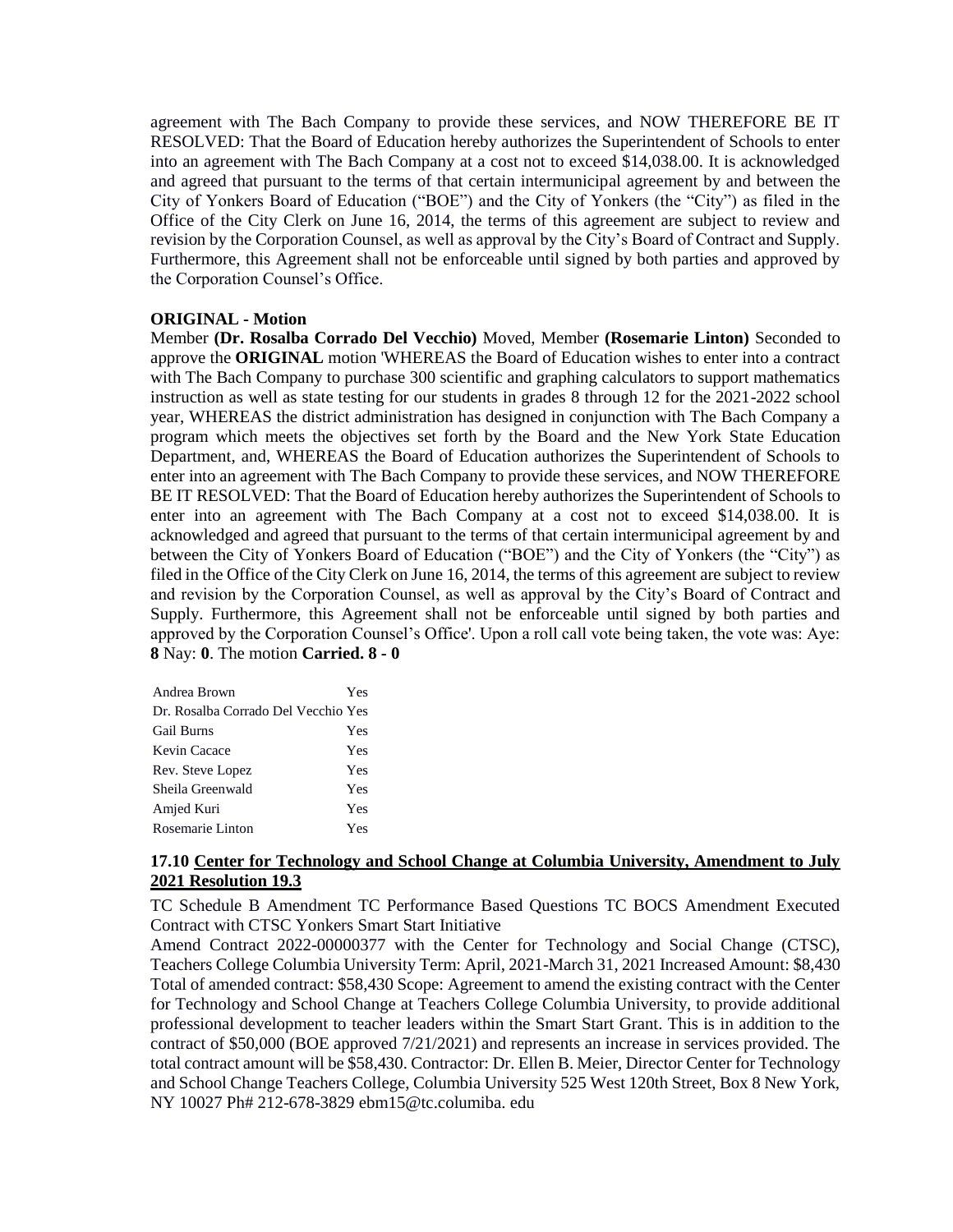agreement with The Bach Company to provide these services, and NOW THEREFORE BE IT RESOLVED: That the Board of Education hereby authorizes the Superintendent of Schools to enter into an agreement with The Bach Company at a cost not to exceed \$14,038.00. It is acknowledged and agreed that pursuant to the terms of that certain intermunicipal agreement by and between the City of Yonkers Board of Education ("BOE") and the City of Yonkers (the "City") as filed in the Office of the City Clerk on June 16, 2014, the terms of this agreement are subject to review and revision by the Corporation Counsel, as well as approval by the City's Board of Contract and Supply. Furthermore, this Agreement shall not be enforceable until signed by both parties and approved by the Corporation Counsel's Office.

#### **ORIGINAL - Motion**

Member **(Dr. Rosalba Corrado Del Vecchio)** Moved, Member **(Rosemarie Linton)** Seconded to approve the **ORIGINAL** motion 'WHEREAS the Board of Education wishes to enter into a contract with The Bach Company to purchase 300 scientific and graphing calculators to support mathematics instruction as well as state testing for our students in grades 8 through 12 for the 2021-2022 school year, WHEREAS the district administration has designed in conjunction with The Bach Company a program which meets the objectives set forth by the Board and the New York State Education Department, and, WHEREAS the Board of Education authorizes the Superintendent of Schools to enter into an agreement with The Bach Company to provide these services, and NOW THEREFORE BE IT RESOLVED: That the Board of Education hereby authorizes the Superintendent of Schools to enter into an agreement with The Bach Company at a cost not to exceed \$14,038.00. It is acknowledged and agreed that pursuant to the terms of that certain intermunicipal agreement by and between the City of Yonkers Board of Education ("BOE") and the City of Yonkers (the "City") as filed in the Office of the City Clerk on June 16, 2014, the terms of this agreement are subject to review and revision by the Corporation Counsel, as well as approval by the City's Board of Contract and Supply. Furthermore, this Agreement shall not be enforceable until signed by both parties and approved by the Corporation Counsel's Office'. Upon a roll call vote being taken, the vote was: Aye: **8** Nay: **0**. The motion **Carried. 8 - 0** 

| Andrea Brown                        | Yes |
|-------------------------------------|-----|
| Dr. Rosalba Corrado Del Vecchio Yes |     |
| <b>Gail Burns</b>                   | Yes |
| Kevin Cacace                        | Yes |
| Rev. Steve Lopez                    | Yes |
| Sheila Greenwald                    | Yes |
| Amjed Kuri                          | Yes |
| Rosemarie Linton                    | Yes |

## **17.10 Center for Technology and School Change at Columbia University, Amendment to July 2021 Resolution 19.3**

TC Schedule B Amendment TC Performance Based Questions TC BOCS Amendment Executed Contract with CTSC Yonkers Smart Start Initiative

Amend Contract 2022-00000377 with the Center for Technology and Social Change (CTSC), Teachers College Columbia University Term: April, 2021-March 31, 2021 Increased Amount: \$8,430 Total of amended contract: \$58,430 Scope: Agreement to amend the existing contract with the Center for Technology and School Change at Teachers College Columbia University, to provide additional professional development to teacher leaders within the Smart Start Grant. This is in addition to the contract of \$50,000 (BOE approved 7/21/2021) and represents an increase in services provided. The total contract amount will be \$58,430. Contractor: Dr. Ellen B. Meier, Director Center for Technology and School Change Teachers College, Columbia University 525 West 120th Street, Box 8 New York, NY 10027 Ph# 212-678-3829 ebm15@tc.columiba. edu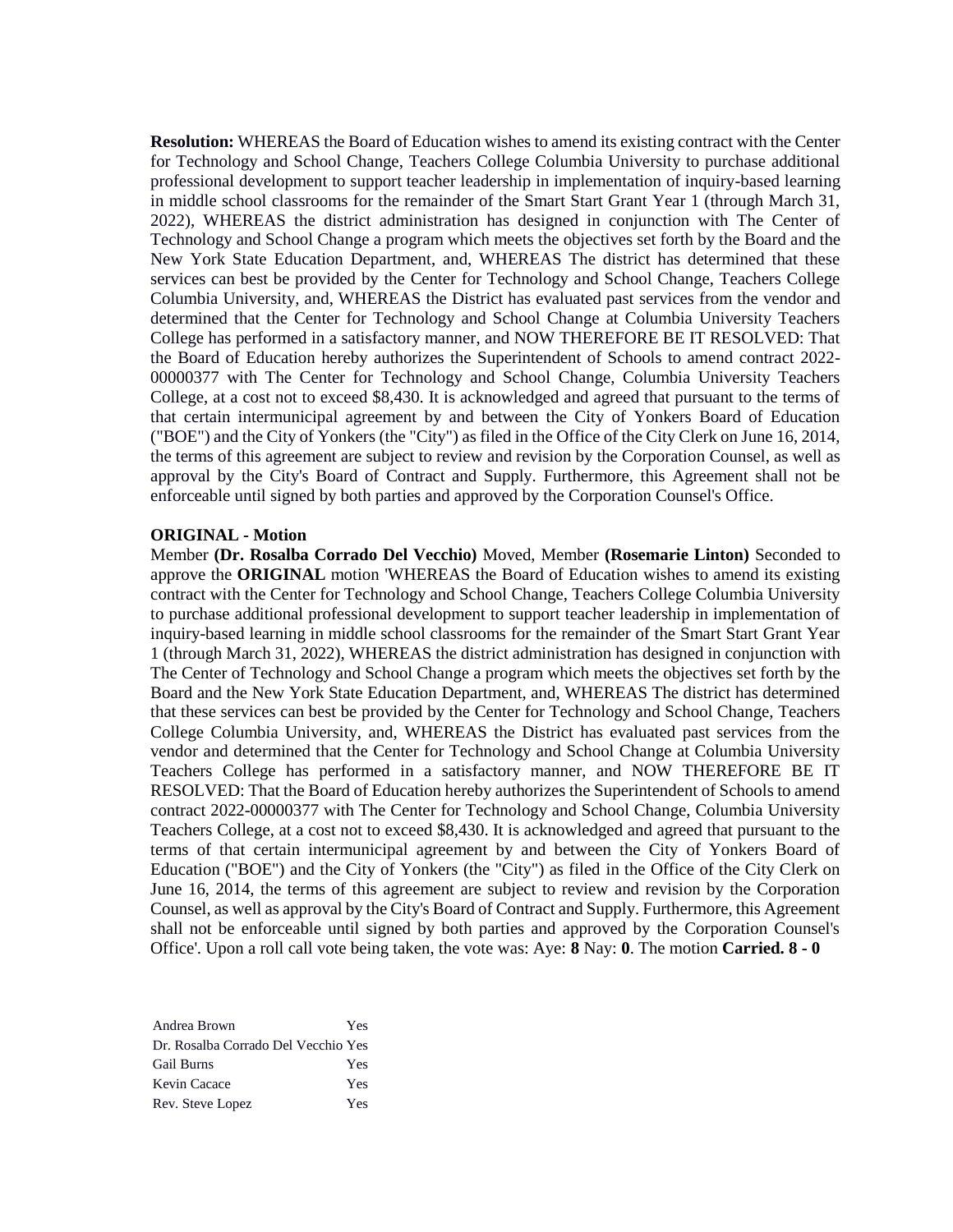**Resolution:** WHEREAS the Board of Education wishes to amend its existing contract with the Center for Technology and School Change, Teachers College Columbia University to purchase additional professional development to support teacher leadership in implementation of inquiry-based learning in middle school classrooms for the remainder of the Smart Start Grant Year 1 (through March 31, 2022), WHEREAS the district administration has designed in conjunction with The Center of Technology and School Change a program which meets the objectives set forth by the Board and the New York State Education Department, and, WHEREAS The district has determined that these services can best be provided by the Center for Technology and School Change, Teachers College Columbia University, and, WHEREAS the District has evaluated past services from the vendor and determined that the Center for Technology and School Change at Columbia University Teachers College has performed in a satisfactory manner, and NOW THEREFORE BE IT RESOLVED: That the Board of Education hereby authorizes the Superintendent of Schools to amend contract 2022- 00000377 with The Center for Technology and School Change, Columbia University Teachers College, at a cost not to exceed \$8,430. It is acknowledged and agreed that pursuant to the terms of that certain intermunicipal agreement by and between the City of Yonkers Board of Education ("BOE") and the City of Yonkers (the "City") as filed in the Office of the City Clerk on June 16, 2014, the terms of this agreement are subject to review and revision by the Corporation Counsel, as well as approval by the City's Board of Contract and Supply. Furthermore, this Agreement shall not be enforceable until signed by both parties and approved by the Corporation Counsel's Office.

#### **ORIGINAL - Motion**

Member **(Dr. Rosalba Corrado Del Vecchio)** Moved, Member **(Rosemarie Linton)** Seconded to approve the **ORIGINAL** motion 'WHEREAS the Board of Education wishes to amend its existing contract with the Center for Technology and School Change, Teachers College Columbia University to purchase additional professional development to support teacher leadership in implementation of inquiry-based learning in middle school classrooms for the remainder of the Smart Start Grant Year 1 (through March 31, 2022), WHEREAS the district administration has designed in conjunction with The Center of Technology and School Change a program which meets the objectives set forth by the Board and the New York State Education Department, and, WHEREAS The district has determined that these services can best be provided by the Center for Technology and School Change, Teachers College Columbia University, and, WHEREAS the District has evaluated past services from the vendor and determined that the Center for Technology and School Change at Columbia University Teachers College has performed in a satisfactory manner, and NOW THEREFORE BE IT RESOLVED: That the Board of Education hereby authorizes the Superintendent of Schools to amend contract 2022-00000377 with The Center for Technology and School Change, Columbia University Teachers College, at a cost not to exceed \$8,430. It is acknowledged and agreed that pursuant to the terms of that certain intermunicipal agreement by and between the City of Yonkers Board of Education ("BOE") and the City of Yonkers (the "City") as filed in the Office of the City Clerk on June 16, 2014, the terms of this agreement are subject to review and revision by the Corporation Counsel, as well as approval by the City's Board of Contract and Supply. Furthermore, this Agreement shall not be enforceable until signed by both parties and approved by the Corporation Counsel's Office'. Upon a roll call vote being taken, the vote was: Aye: **8** Nay: **0**. The motion **Carried. 8 - 0** 

| Andrea Brown                        | Yes |
|-------------------------------------|-----|
| Dr. Rosalba Corrado Del Vecchio Yes |     |
| <b>Gail Burns</b>                   | Yes |
| Kevin Cacace                        | Yes |
| Rev. Steve Lopez                    | Yes |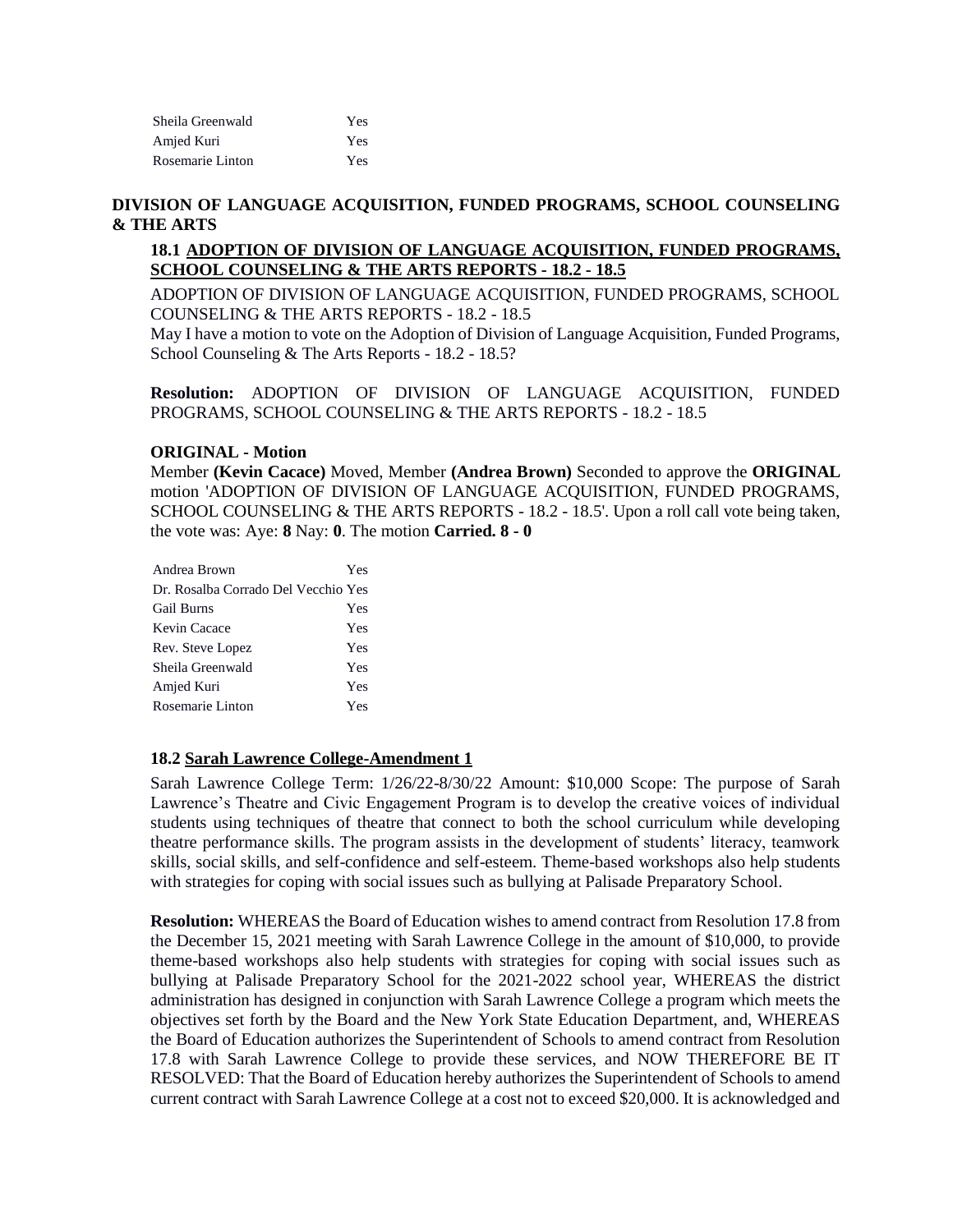| Sheila Greenwald | Yes |
|------------------|-----|
| Amjed Kuri       | Yes |
| Rosemarie Linton | Yes |

## **DIVISION OF LANGUAGE ACQUISITION, FUNDED PROGRAMS, SCHOOL COUNSELING & THE ARTS**

## **18.1 ADOPTION OF DIVISION OF LANGUAGE ACQUISITION, FUNDED PROGRAMS, SCHOOL COUNSELING & THE ARTS REPORTS - 18.2 - 18.5**

ADOPTION OF DIVISION OF LANGUAGE ACQUISITION, FUNDED PROGRAMS, SCHOOL COUNSELING & THE ARTS REPORTS - 18.2 - 18.5

May I have a motion to vote on the Adoption of Division of Language Acquisition, Funded Programs, School Counseling & The Arts Reports - 18.2 - 18.5?

**Resolution:** ADOPTION OF DIVISION OF LANGUAGE ACQUISITION, FUNDED PROGRAMS, SCHOOL COUNSELING & THE ARTS REPORTS - 18.2 - 18.5

## **ORIGINAL - Motion**

Member **(Kevin Cacace)** Moved, Member **(Andrea Brown)** Seconded to approve the **ORIGINAL**  motion 'ADOPTION OF DIVISION OF LANGUAGE ACQUISITION, FUNDED PROGRAMS, SCHOOL COUNSELING & THE ARTS REPORTS - 18.2 - 18.5'. Upon a roll call vote being taken, the vote was: Aye: **8** Nay: **0**. The motion **Carried. 8 - 0** 

| <b>Yes</b>                          |
|-------------------------------------|
| Dr. Rosalba Corrado Del Vecchio Yes |
| <b>Yes</b>                          |
| <b>Yes</b>                          |
| <b>Yes</b>                          |
| <b>Yes</b>                          |
| <b>Yes</b>                          |
| Yes                                 |
|                                     |

#### **18.2 Sarah Lawrence College-Amendment 1**

Sarah Lawrence College Term: 1/26/22-8/30/22 Amount: \$10,000 Scope: The purpose of Sarah Lawrence's Theatre and Civic Engagement Program is to develop the creative voices of individual students using techniques of theatre that connect to both the school curriculum while developing theatre performance skills. The program assists in the development of students' literacy, teamwork skills, social skills, and self-confidence and self-esteem. Theme-based workshops also help students with strategies for coping with social issues such as bullying at Palisade Preparatory School.

**Resolution:** WHEREAS the Board of Education wishes to amend contract from Resolution 17.8 from the December 15, 2021 meeting with Sarah Lawrence College in the amount of \$10,000, to provide theme-based workshops also help students with strategies for coping with social issues such as bullying at Palisade Preparatory School for the 2021-2022 school year, WHEREAS the district administration has designed in conjunction with Sarah Lawrence College a program which meets the objectives set forth by the Board and the New York State Education Department, and, WHEREAS the Board of Education authorizes the Superintendent of Schools to amend contract from Resolution 17.8 with Sarah Lawrence College to provide these services, and NOW THEREFORE BE IT RESOLVED: That the Board of Education hereby authorizes the Superintendent of Schools to amend current contract with Sarah Lawrence College at a cost not to exceed \$20,000. It is acknowledged and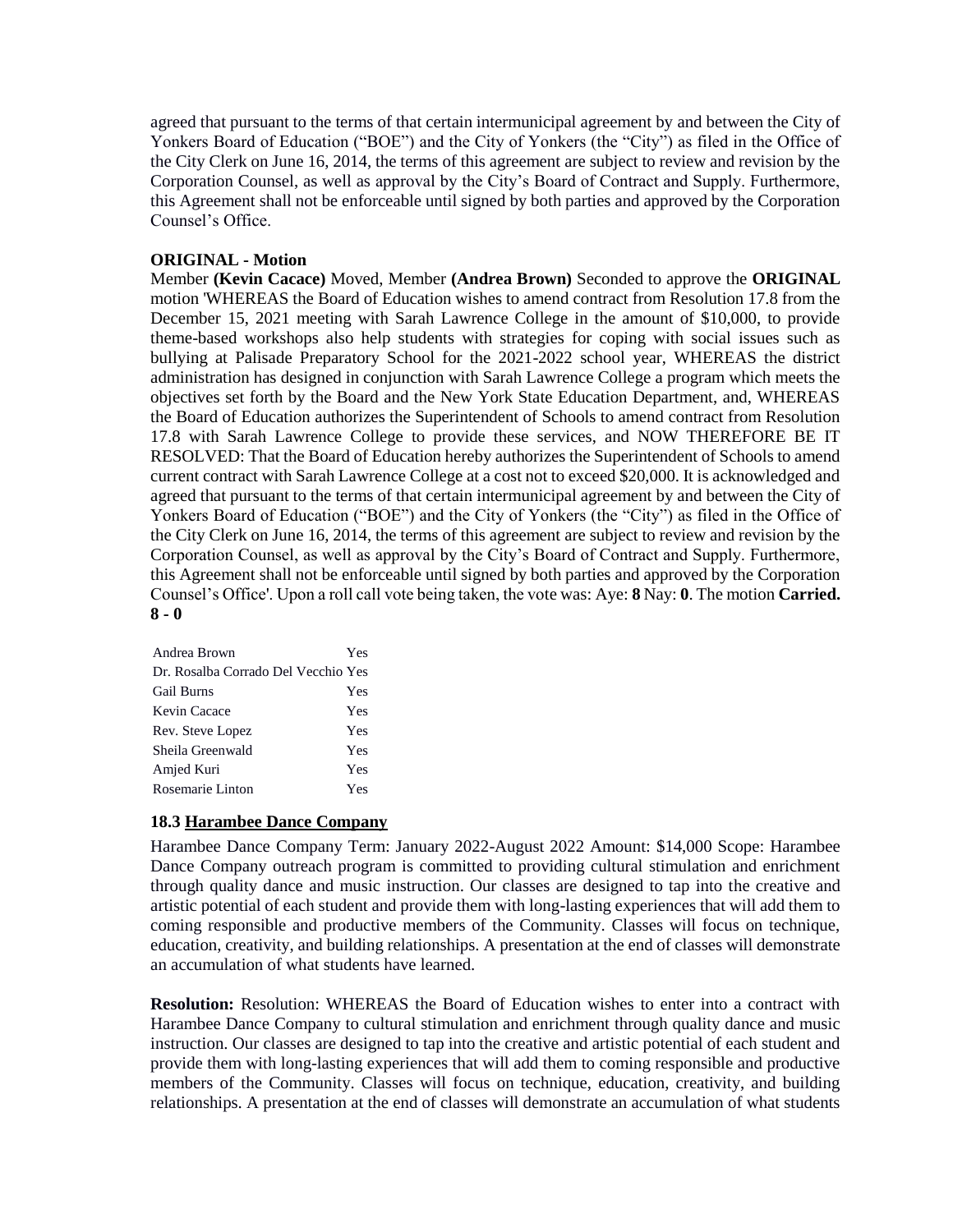agreed that pursuant to the terms of that certain intermunicipal agreement by and between the City of Yonkers Board of Education ("BOE") and the City of Yonkers (the "City") as filed in the Office of the City Clerk on June 16, 2014, the terms of this agreement are subject to review and revision by the Corporation Counsel, as well as approval by the City's Board of Contract and Supply. Furthermore, this Agreement shall not be enforceable until signed by both parties and approved by the Corporation Counsel's Office.

## **ORIGINAL - Motion**

Member **(Kevin Cacace)** Moved, Member **(Andrea Brown)** Seconded to approve the **ORIGINAL**  motion 'WHEREAS the Board of Education wishes to amend contract from Resolution 17.8 from the December 15, 2021 meeting with Sarah Lawrence College in the amount of \$10,000, to provide theme-based workshops also help students with strategies for coping with social issues such as bullying at Palisade Preparatory School for the 2021-2022 school year, WHEREAS the district administration has designed in conjunction with Sarah Lawrence College a program which meets the objectives set forth by the Board and the New York State Education Department, and, WHEREAS the Board of Education authorizes the Superintendent of Schools to amend contract from Resolution 17.8 with Sarah Lawrence College to provide these services, and NOW THEREFORE BE IT RESOLVED: That the Board of Education hereby authorizes the Superintendent of Schools to amend current contract with Sarah Lawrence College at a cost not to exceed \$20,000. It is acknowledged and agreed that pursuant to the terms of that certain intermunicipal agreement by and between the City of Yonkers Board of Education ("BOE") and the City of Yonkers (the "City") as filed in the Office of the City Clerk on June 16, 2014, the terms of this agreement are subject to review and revision by the Corporation Counsel, as well as approval by the City's Board of Contract and Supply. Furthermore, this Agreement shall not be enforceable until signed by both parties and approved by the Corporation Counsel's Office'. Upon a roll call vote being taken, the vote was: Aye: **8** Nay: **0**. The motion **Carried. 8 - 0** 

| Andrea Brown                        | Yes |
|-------------------------------------|-----|
| Dr. Rosalba Corrado Del Vecchio Yes |     |
| <b>Gail Burns</b>                   | Yes |
| Kevin Cacace                        | Yes |
| Rev. Steve Lopez                    | Yes |
| Sheila Greenwald                    | Yes |
| Amjed Kuri                          | Yes |
| Rosemarie Linton                    | Yes |

## **18.3 Harambee Dance Company**

Harambee Dance Company Term: January 2022-August 2022 Amount: \$14,000 Scope: Harambee Dance Company outreach program is committed to providing cultural stimulation and enrichment through quality dance and music instruction. Our classes are designed to tap into the creative and artistic potential of each student and provide them with long-lasting experiences that will add them to coming responsible and productive members of the Community. Classes will focus on technique, education, creativity, and building relationships. A presentation at the end of classes will demonstrate an accumulation of what students have learned.

**Resolution:** Resolution: WHEREAS the Board of Education wishes to enter into a contract with Harambee Dance Company to cultural stimulation and enrichment through quality dance and music instruction. Our classes are designed to tap into the creative and artistic potential of each student and provide them with long-lasting experiences that will add them to coming responsible and productive members of the Community. Classes will focus on technique, education, creativity, and building relationships. A presentation at the end of classes will demonstrate an accumulation of what students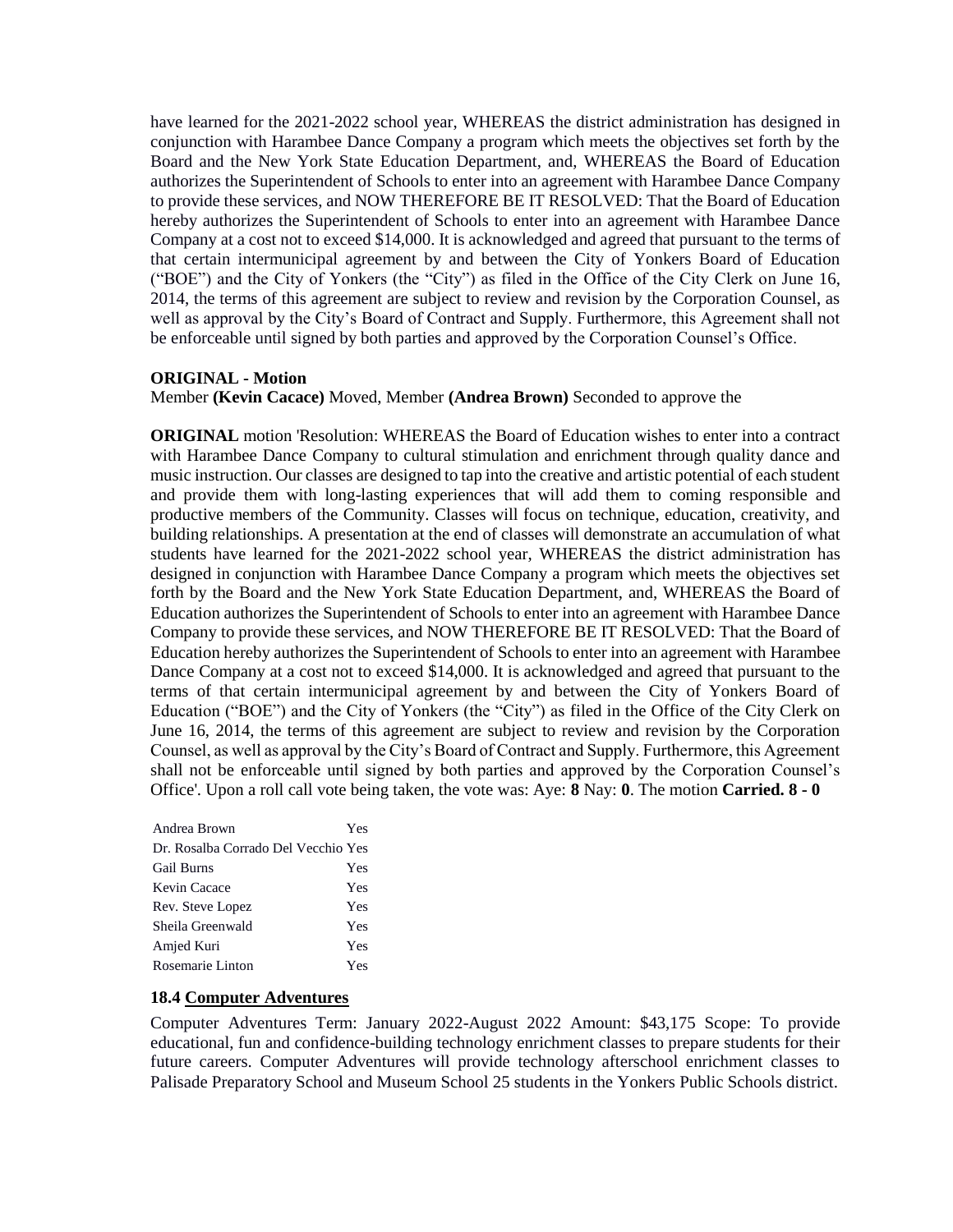have learned for the 2021-2022 school year, WHEREAS the district administration has designed in conjunction with Harambee Dance Company a program which meets the objectives set forth by the Board and the New York State Education Department, and, WHEREAS the Board of Education authorizes the Superintendent of Schools to enter into an agreement with Harambee Dance Company to provide these services, and NOW THEREFORE BE IT RESOLVED: That the Board of Education hereby authorizes the Superintendent of Schools to enter into an agreement with Harambee Dance Company at a cost not to exceed \$14,000. It is acknowledged and agreed that pursuant to the terms of that certain intermunicipal agreement by and between the City of Yonkers Board of Education ("BOE") and the City of Yonkers (the "City") as filed in the Office of the City Clerk on June 16, 2014, the terms of this agreement are subject to review and revision by the Corporation Counsel, as well as approval by the City's Board of Contract and Supply. Furthermore, this Agreement shall not be enforceable until signed by both parties and approved by the Corporation Counsel's Office.

## **ORIGINAL - Motion**

Member **(Kevin Cacace)** Moved, Member **(Andrea Brown)** Seconded to approve the

**ORIGINAL** motion 'Resolution: WHEREAS the Board of Education wishes to enter into a contract with Harambee Dance Company to cultural stimulation and enrichment through quality dance and music instruction. Our classes are designed to tap into the creative and artistic potential of each student and provide them with long-lasting experiences that will add them to coming responsible and productive members of the Community. Classes will focus on technique, education, creativity, and building relationships. A presentation at the end of classes will demonstrate an accumulation of what students have learned for the 2021-2022 school year, WHEREAS the district administration has designed in conjunction with Harambee Dance Company a program which meets the objectives set forth by the Board and the New York State Education Department, and, WHEREAS the Board of Education authorizes the Superintendent of Schools to enter into an agreement with Harambee Dance Company to provide these services, and NOW THEREFORE BE IT RESOLVED: That the Board of Education hereby authorizes the Superintendent of Schools to enter into an agreement with Harambee Dance Company at a cost not to exceed \$14,000. It is acknowledged and agreed that pursuant to the terms of that certain intermunicipal agreement by and between the City of Yonkers Board of Education ("BOE") and the City of Yonkers (the "City") as filed in the Office of the City Clerk on June 16, 2014, the terms of this agreement are subject to review and revision by the Corporation Counsel, as well as approval by the City's Board of Contract and Supply. Furthermore, this Agreement shall not be enforceable until signed by both parties and approved by the Corporation Counsel's Office'. Upon a roll call vote being taken, the vote was: Aye: **8** Nay: **0**. The motion **Carried. 8 - 0** 

| Andrea Brown                        | Yes |
|-------------------------------------|-----|
| Dr. Rosalba Corrado Del Vecchio Yes |     |
| <b>Gail Burns</b>                   | Yes |
| Kevin Cacace                        | Yes |
| Rev. Steve Lopez                    | Yes |
| Sheila Greenwald                    | Yes |
| Amjed Kuri                          | Yes |
| Rosemarie Linton                    | Yes |

## **18.4 Computer Adventures**

Computer Adventures Term: January 2022-August 2022 Amount: \$43,175 Scope: To provide educational, fun and confidence-building technology enrichment classes to prepare students for their future careers. Computer Adventures will provide technology afterschool enrichment classes to Palisade Preparatory School and Museum School 25 students in the Yonkers Public Schools district.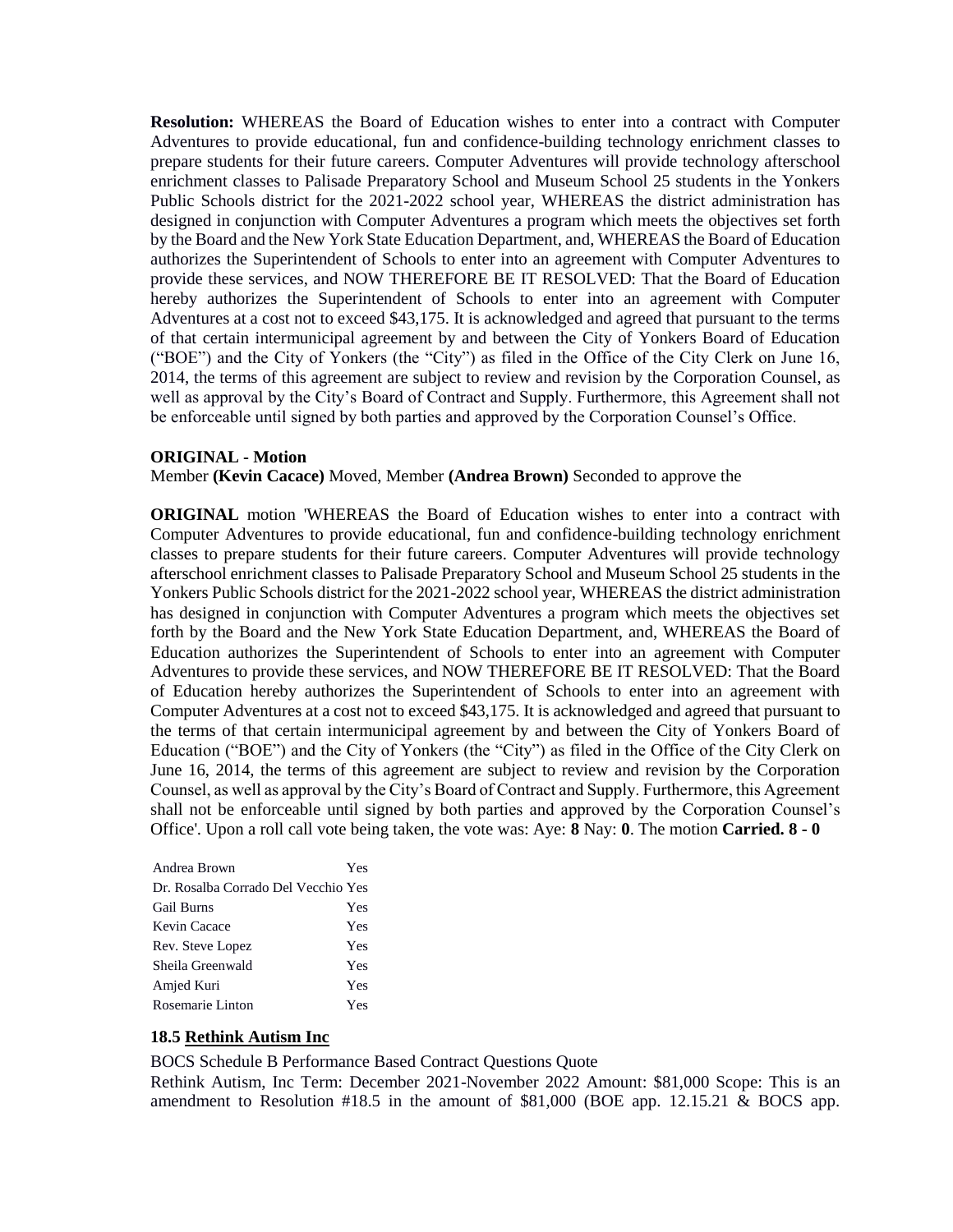**Resolution:** WHEREAS the Board of Education wishes to enter into a contract with Computer Adventures to provide educational, fun and confidence-building technology enrichment classes to prepare students for their future careers. Computer Adventures will provide technology afterschool enrichment classes to Palisade Preparatory School and Museum School 25 students in the Yonkers Public Schools district for the 2021-2022 school year, WHEREAS the district administration has designed in conjunction with Computer Adventures a program which meets the objectives set forth by the Board and the New York State Education Department, and, WHEREAS the Board of Education authorizes the Superintendent of Schools to enter into an agreement with Computer Adventures to provide these services, and NOW THEREFORE BE IT RESOLVED: That the Board of Education hereby authorizes the Superintendent of Schools to enter into an agreement with Computer Adventures at a cost not to exceed \$43,175. It is acknowledged and agreed that pursuant to the terms of that certain intermunicipal agreement by and between the City of Yonkers Board of Education ("BOE") and the City of Yonkers (the "City") as filed in the Office of the City Clerk on June 16, 2014, the terms of this agreement are subject to review and revision by the Corporation Counsel, as well as approval by the City's Board of Contract and Supply. Furthermore, this Agreement shall not be enforceable until signed by both parties and approved by the Corporation Counsel's Office.

#### **ORIGINAL - Motion**

Member **(Kevin Cacace)** Moved, Member **(Andrea Brown)** Seconded to approve the

**ORIGINAL** motion 'WHEREAS the Board of Education wishes to enter into a contract with Computer Adventures to provide educational, fun and confidence-building technology enrichment classes to prepare students for their future careers. Computer Adventures will provide technology afterschool enrichment classes to Palisade Preparatory School and Museum School 25 students in the Yonkers Public Schools district for the 2021-2022 school year, WHEREAS the district administration has designed in conjunction with Computer Adventures a program which meets the objectives set forth by the Board and the New York State Education Department, and, WHEREAS the Board of Education authorizes the Superintendent of Schools to enter into an agreement with Computer Adventures to provide these services, and NOW THEREFORE BE IT RESOLVED: That the Board of Education hereby authorizes the Superintendent of Schools to enter into an agreement with Computer Adventures at a cost not to exceed \$43,175. It is acknowledged and agreed that pursuant to the terms of that certain intermunicipal agreement by and between the City of Yonkers Board of Education ("BOE") and the City of Yonkers (the "City") as filed in the Office of the City Clerk on June 16, 2014, the terms of this agreement are subject to review and revision by the Corporation Counsel, as well as approval by the City's Board of Contract and Supply. Furthermore, this Agreement shall not be enforceable until signed by both parties and approved by the Corporation Counsel's Office'. Upon a roll call vote being taken, the vote was: Aye: **8** Nay: **0**. The motion **Carried. 8 - 0** 

| Andrea Brown                        | Yes |
|-------------------------------------|-----|
| Dr. Rosalba Corrado Del Vecchio Yes |     |
| <b>Gail Burns</b>                   | Yes |
| Kevin Cacace                        | Yes |
| Rev. Steve Lopez                    | Yes |
| Sheila Greenwald                    | Yes |
| Amjed Kuri                          | Yes |
| Rosemarie Linton                    | Yes |

## **18.5 Rethink Autism Inc**

BOCS Schedule B Performance Based Contract Questions Quote

Rethink Autism, Inc Term: December 2021-November 2022 Amount: \$81,000 Scope: This is an amendment to Resolution #18.5 in the amount of \$81,000 (BOE app. 12.15.21 & BOCS app.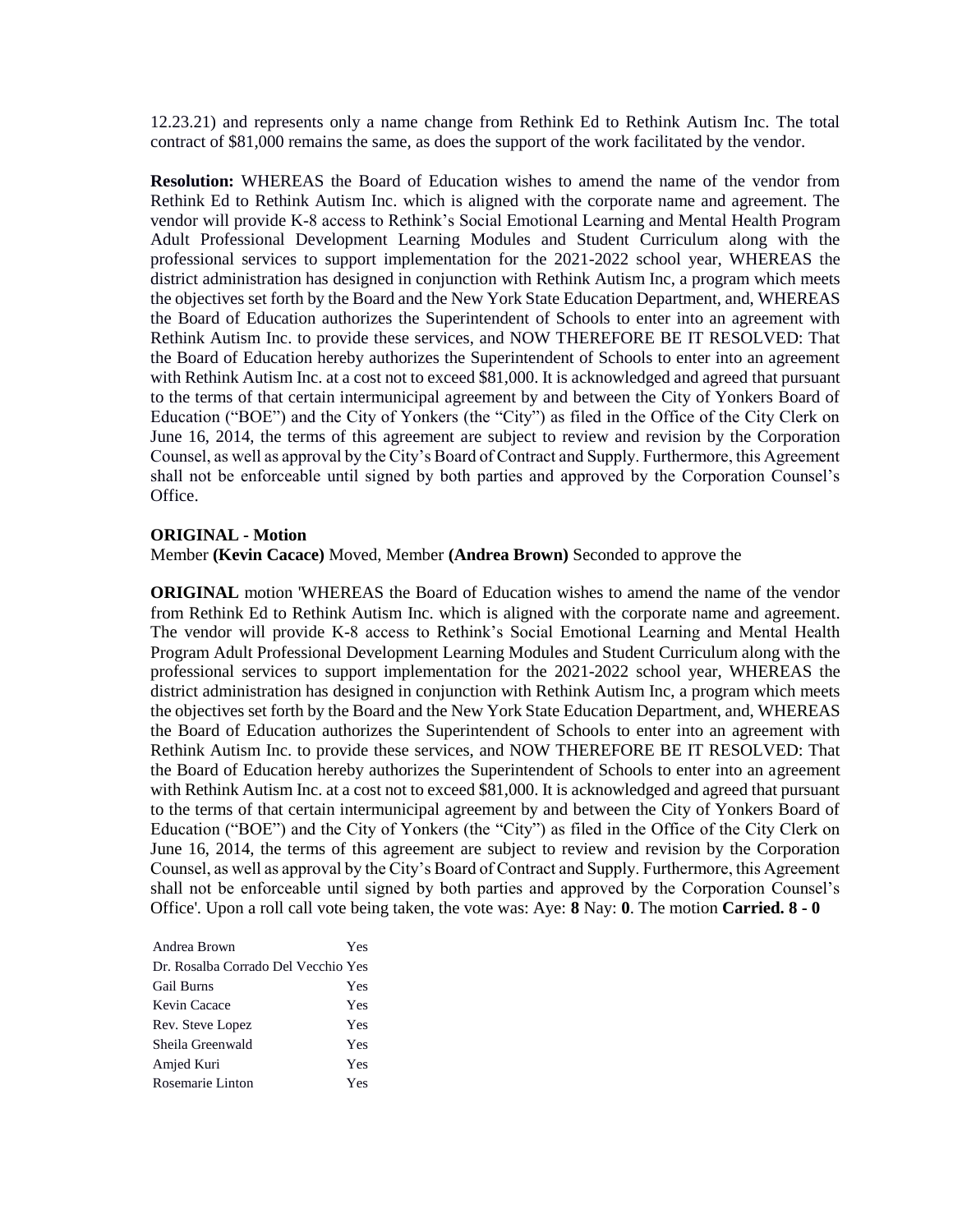12.23.21) and represents only a name change from Rethink Ed to Rethink Autism Inc. The total contract of \$81,000 remains the same, as does the support of the work facilitated by the vendor.

**Resolution:** WHEREAS the Board of Education wishes to amend the name of the vendor from Rethink Ed to Rethink Autism Inc. which is aligned with the corporate name and agreement. The vendor will provide K-8 access to Rethink's Social Emotional Learning and Mental Health Program Adult Professional Development Learning Modules and Student Curriculum along with the professional services to support implementation for the 2021-2022 school year, WHEREAS the district administration has designed in conjunction with Rethink Autism Inc, a program which meets the objectives set forth by the Board and the New York State Education Department, and, WHEREAS the Board of Education authorizes the Superintendent of Schools to enter into an agreement with Rethink Autism Inc. to provide these services, and NOW THEREFORE BE IT RESOLVED: That the Board of Education hereby authorizes the Superintendent of Schools to enter into an agreement with Rethink Autism Inc. at a cost not to exceed \$81,000. It is acknowledged and agreed that pursuant to the terms of that certain intermunicipal agreement by and between the City of Yonkers Board of Education ("BOE") and the City of Yonkers (the "City") as filed in the Office of the City Clerk on June 16, 2014, the terms of this agreement are subject to review and revision by the Corporation Counsel, as well as approval by the City's Board of Contract and Supply. Furthermore, this Agreement shall not be enforceable until signed by both parties and approved by the Corporation Counsel's Office.

#### **ORIGINAL - Motion**

Member **(Kevin Cacace)** Moved, Member **(Andrea Brown)** Seconded to approve the

**ORIGINAL** motion 'WHEREAS the Board of Education wishes to amend the name of the vendor from Rethink Ed to Rethink Autism Inc. which is aligned with the corporate name and agreement. The vendor will provide K-8 access to Rethink's Social Emotional Learning and Mental Health Program Adult Professional Development Learning Modules and Student Curriculum along with the professional services to support implementation for the 2021-2022 school year, WHEREAS the district administration has designed in conjunction with Rethink Autism Inc, a program which meets the objectives set forth by the Board and the New York State Education Department, and, WHEREAS the Board of Education authorizes the Superintendent of Schools to enter into an agreement with Rethink Autism Inc. to provide these services, and NOW THEREFORE BE IT RESOLVED: That the Board of Education hereby authorizes the Superintendent of Schools to enter into an agreement with Rethink Autism Inc. at a cost not to exceed \$81,000. It is acknowledged and agreed that pursuant to the terms of that certain intermunicipal agreement by and between the City of Yonkers Board of Education ("BOE") and the City of Yonkers (the "City") as filed in the Office of the City Clerk on June 16, 2014, the terms of this agreement are subject to review and revision by the Corporation Counsel, as well as approval by the City's Board of Contract and Supply. Furthermore, this Agreement shall not be enforceable until signed by both parties and approved by the Corporation Counsel's Office'. Upon a roll call vote being taken, the vote was: Aye: **8** Nay: **0**. The motion **Carried. 8 - 0** 

| Andrea Brown                        | Yes |
|-------------------------------------|-----|
| Dr. Rosalba Corrado Del Vecchio Yes |     |
| <b>Gail Burns</b>                   | Yes |
| Kevin Cacace                        | Yes |
| Rev. Steve Lopez                    | Yes |
| Sheila Greenwald                    | Yes |
| Amjed Kuri                          | Yes |
| Rosemarie Linton                    | Yes |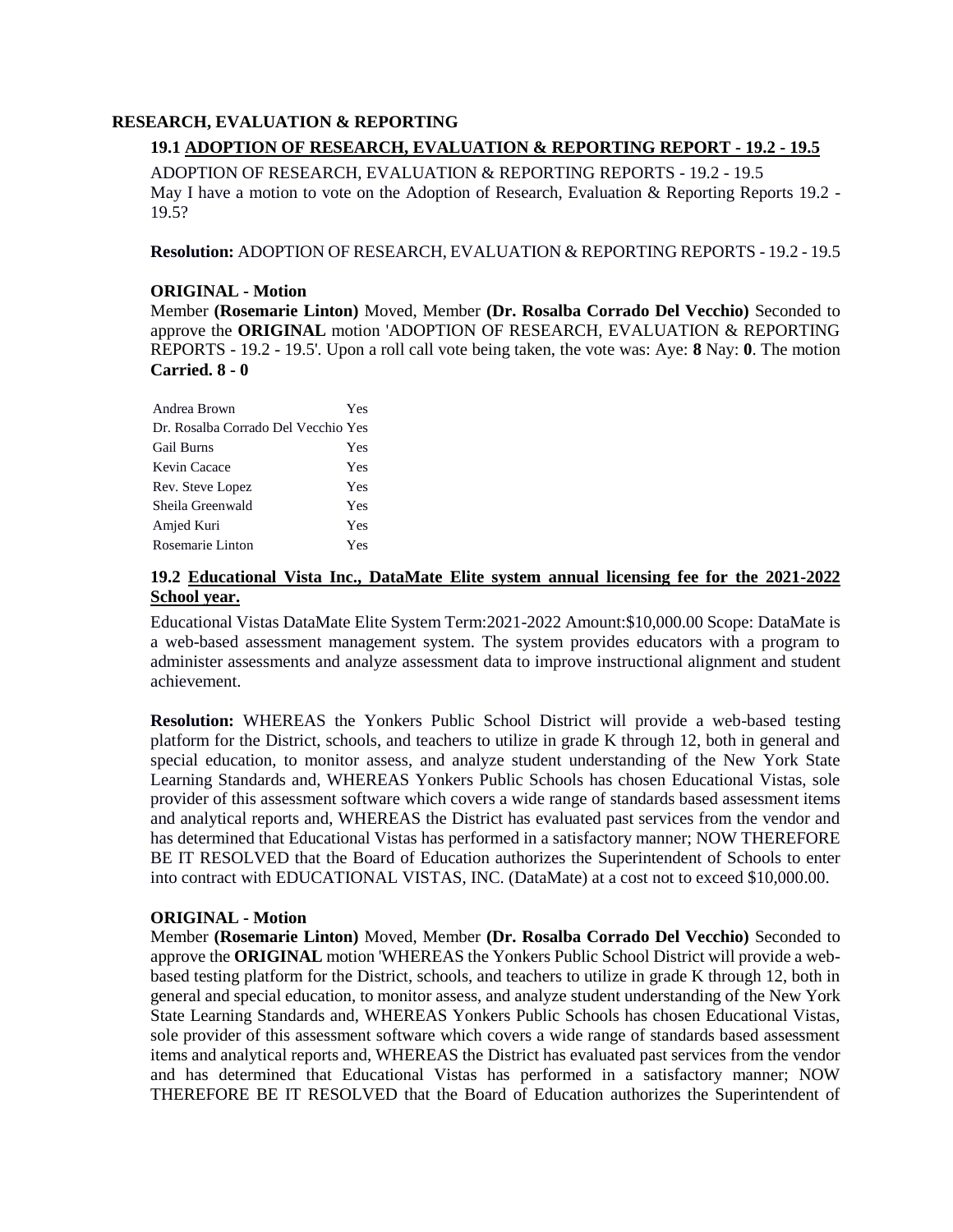### **RESEARCH, EVALUATION & REPORTING**

## **19.1 ADOPTION OF RESEARCH, EVALUATION & REPORTING REPORT - 19.2 - 19.5**

ADOPTION OF RESEARCH, EVALUATION & REPORTING REPORTS - 19.2 - 19.5 May I have a motion to vote on the Adoption of Research, Evaluation & Reporting Reports 19.2 - 19.5?

**Resolution:** ADOPTION OF RESEARCH, EVALUATION & REPORTING REPORTS - 19.2 - 19.5

#### **ORIGINAL - Motion**

Member **(Rosemarie Linton)** Moved, Member **(Dr. Rosalba Corrado Del Vecchio)** Seconded to approve the **ORIGINAL** motion 'ADOPTION OF RESEARCH, EVALUATION & REPORTING REPORTS - 19.2 - 19.5'. Upon a roll call vote being taken, the vote was: Aye: **8** Nay: **0**. The motion **Carried. 8 - 0** 

| Andrea Brown                        | Yes |
|-------------------------------------|-----|
| Dr. Rosalba Corrado Del Vecchio Yes |     |
| <b>Gail Burns</b>                   | Yes |
| Kevin Cacace                        | Yes |
| Rev. Steve Lopez                    | Yes |
| Sheila Greenwald                    | Yes |
| Amjed Kuri                          | Yes |
| Rosemarie Linton                    | Yes |

## **19.2 Educational Vista Inc., DataMate Elite system annual licensing fee for the 2021-2022 School year.**

Educational Vistas DataMate Elite System Term:2021-2022 Amount:\$10,000.00 Scope: DataMate is a web-based assessment management system. The system provides educators with a program to administer assessments and analyze assessment data to improve instructional alignment and student achievement.

**Resolution:** WHEREAS the Yonkers Public School District will provide a web-based testing platform for the District, schools, and teachers to utilize in grade K through 12, both in general and special education, to monitor assess, and analyze student understanding of the New York State Learning Standards and, WHEREAS Yonkers Public Schools has chosen Educational Vistas, sole provider of this assessment software which covers a wide range of standards based assessment items and analytical reports and, WHEREAS the District has evaluated past services from the vendor and has determined that Educational Vistas has performed in a satisfactory manner; NOW THEREFORE BE IT RESOLVED that the Board of Education authorizes the Superintendent of Schools to enter into contract with EDUCATIONAL VISTAS, INC. (DataMate) at a cost not to exceed \$10,000.00.

#### **ORIGINAL - Motion**

Member **(Rosemarie Linton)** Moved, Member **(Dr. Rosalba Corrado Del Vecchio)** Seconded to approve the **ORIGINAL** motion 'WHEREAS the Yonkers Public School District will provide a webbased testing platform for the District, schools, and teachers to utilize in grade K through 12, both in general and special education, to monitor assess, and analyze student understanding of the New York State Learning Standards and, WHEREAS Yonkers Public Schools has chosen Educational Vistas, sole provider of this assessment software which covers a wide range of standards based assessment items and analytical reports and, WHEREAS the District has evaluated past services from the vendor and has determined that Educational Vistas has performed in a satisfactory manner; NOW THEREFORE BE IT RESOLVED that the Board of Education authorizes the Superintendent of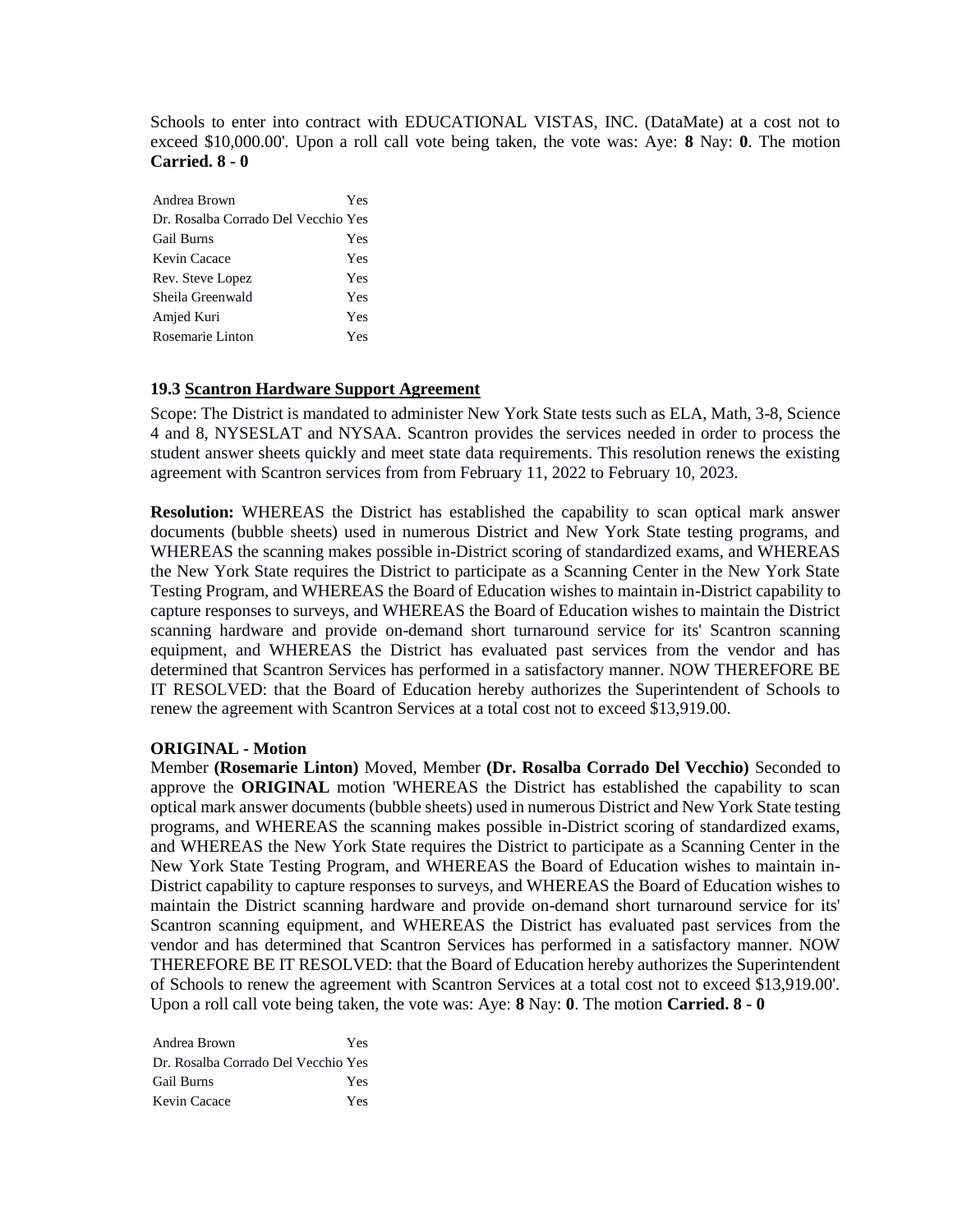Schools to enter into contract with EDUCATIONAL VISTAS, INC. (DataMate) at a cost not to exceed \$10,000.00'. Upon a roll call vote being taken, the vote was: Aye: **8** Nay: **0**. The motion **Carried. 8 - 0** 

| Andrea Brown                        | Yes |
|-------------------------------------|-----|
| Dr. Rosalba Corrado Del Vecchio Yes |     |
| <b>Gail Burns</b>                   | Yes |
| Kevin Cacace                        | Yes |
| Rev. Steve Lopez                    | Yes |
| Sheila Greenwald                    | Yes |
| Amjed Kuri                          | Yes |
| Rosemarie Linton                    | Yes |

## **19.3 Scantron Hardware Support Agreement**

Scope: The District is mandated to administer New York State tests such as ELA, Math, 3-8, Science 4 and 8, NYSESLAT and NYSAA. Scantron provides the services needed in order to process the student answer sheets quickly and meet state data requirements. This resolution renews the existing agreement with Scantron services from from February 11, 2022 to February 10, 2023.

**Resolution:** WHEREAS the District has established the capability to scan optical mark answer documents (bubble sheets) used in numerous District and New York State testing programs, and WHEREAS the scanning makes possible in-District scoring of standardized exams, and WHEREAS the New York State requires the District to participate as a Scanning Center in the New York State Testing Program, and WHEREAS the Board of Education wishes to maintain in-District capability to capture responses to surveys, and WHEREAS the Board of Education wishes to maintain the District scanning hardware and provide on-demand short turnaround service for its' Scantron scanning equipment, and WHEREAS the District has evaluated past services from the vendor and has determined that Scantron Services has performed in a satisfactory manner. NOW THEREFORE BE IT RESOLVED: that the Board of Education hereby authorizes the Superintendent of Schools to renew the agreement with Scantron Services at a total cost not to exceed \$13,919.00.

## **ORIGINAL - Motion**

Member **(Rosemarie Linton)** Moved, Member **(Dr. Rosalba Corrado Del Vecchio)** Seconded to approve the **ORIGINAL** motion 'WHEREAS the District has established the capability to scan optical mark answer documents (bubble sheets) used in numerous District and New York State testing programs, and WHEREAS the scanning makes possible in-District scoring of standardized exams, and WHEREAS the New York State requires the District to participate as a Scanning Center in the New York State Testing Program, and WHEREAS the Board of Education wishes to maintain in-District capability to capture responses to surveys, and WHEREAS the Board of Education wishes to maintain the District scanning hardware and provide on-demand short turnaround service for its' Scantron scanning equipment, and WHEREAS the District has evaluated past services from the vendor and has determined that Scantron Services has performed in a satisfactory manner. NOW THEREFORE BE IT RESOLVED: that the Board of Education hereby authorizes the Superintendent of Schools to renew the agreement with Scantron Services at a total cost not to exceed \$13,919.00'. Upon a roll call vote being taken, the vote was: Aye: **8** Nay: **0**. The motion **Carried. 8 - 0** 

| Andrea Brown                        | Yes. |
|-------------------------------------|------|
| Dr. Rosalba Corrado Del Vecchio Yes |      |
| <b>Gail Burns</b>                   | Yes. |
| Kevin Cacace                        | Yes. |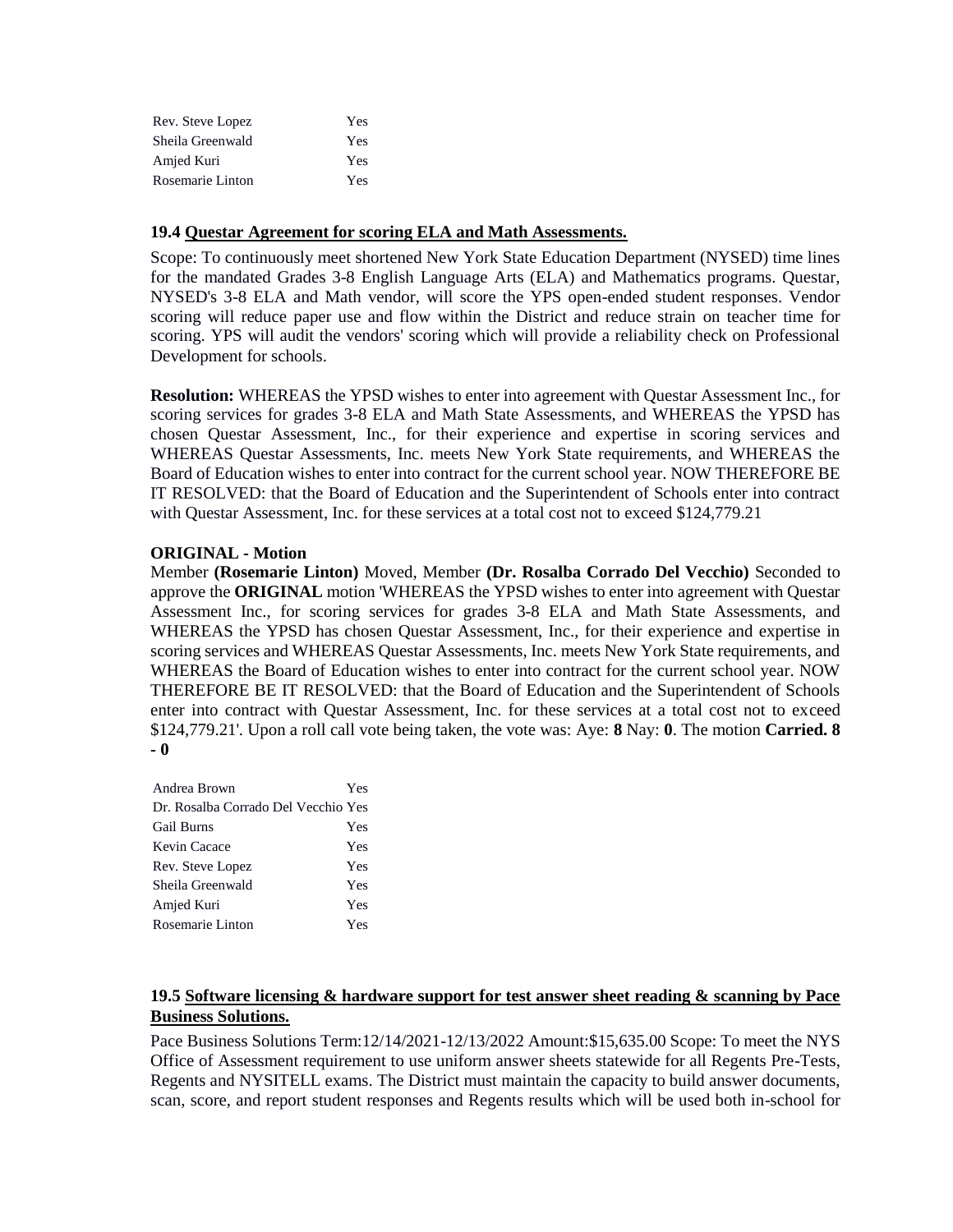| Rev. Steve Lopez | Yes |
|------------------|-----|
| Sheila Greenwald | Yes |
| Amjed Kuri       | Yes |
| Rosemarie Linton | Yes |

#### **19.4 Questar Agreement for scoring ELA and Math Assessments.**

Scope: To continuously meet shortened New York State Education Department (NYSED) time lines for the mandated Grades 3-8 English Language Arts (ELA) and Mathematics programs. Questar, NYSED's 3-8 ELA and Math vendor, will score the YPS open-ended student responses. Vendor scoring will reduce paper use and flow within the District and reduce strain on teacher time for scoring. YPS will audit the vendors' scoring which will provide a reliability check on Professional Development for schools.

**Resolution:** WHEREAS the YPSD wishes to enter into agreement with Questar Assessment Inc., for scoring services for grades 3-8 ELA and Math State Assessments, and WHEREAS the YPSD has chosen Questar Assessment, Inc., for their experience and expertise in scoring services and WHEREAS Questar Assessments, Inc. meets New York State requirements, and WHEREAS the Board of Education wishes to enter into contract for the current school year. NOW THEREFORE BE IT RESOLVED: that the Board of Education and the Superintendent of Schools enter into contract with Questar Assessment, Inc. for these services at a total cost not to exceed \$124,779.21

#### **ORIGINAL - Motion**

Member **(Rosemarie Linton)** Moved, Member **(Dr. Rosalba Corrado Del Vecchio)** Seconded to approve the **ORIGINAL** motion 'WHEREAS the YPSD wishes to enter into agreement with Questar Assessment Inc., for scoring services for grades 3-8 ELA and Math State Assessments, and WHEREAS the YPSD has chosen Questar Assessment, Inc., for their experience and expertise in scoring services and WHEREAS Questar Assessments, Inc. meets New York State requirements, and WHEREAS the Board of Education wishes to enter into contract for the current school year. NOW THEREFORE BE IT RESOLVED: that the Board of Education and the Superintendent of Schools enter into contract with Questar Assessment, Inc. for these services at a total cost not to exceed \$124,779.21'. Upon a roll call vote being taken, the vote was: Aye: **8** Nay: **0**. The motion **Carried. 8 - 0** 

| Yes                                 |
|-------------------------------------|
| Dr. Rosalba Corrado Del Vecchio Yes |
| Yes                                 |
| Yes                                 |
| Yes                                 |
| Yes                                 |
| Yes                                 |
| Yes                                 |
|                                     |

## **19.5 Software licensing & hardware support for test answer sheet reading & scanning by Pace Business Solutions.**

Pace Business Solutions Term:12/14/2021-12/13/2022 Amount:\$15,635.00 Scope: To meet the NYS Office of Assessment requirement to use uniform answer sheets statewide for all Regents Pre-Tests, Regents and NYSITELL exams. The District must maintain the capacity to build answer documents, scan, score, and report student responses and Regents results which will be used both in-school for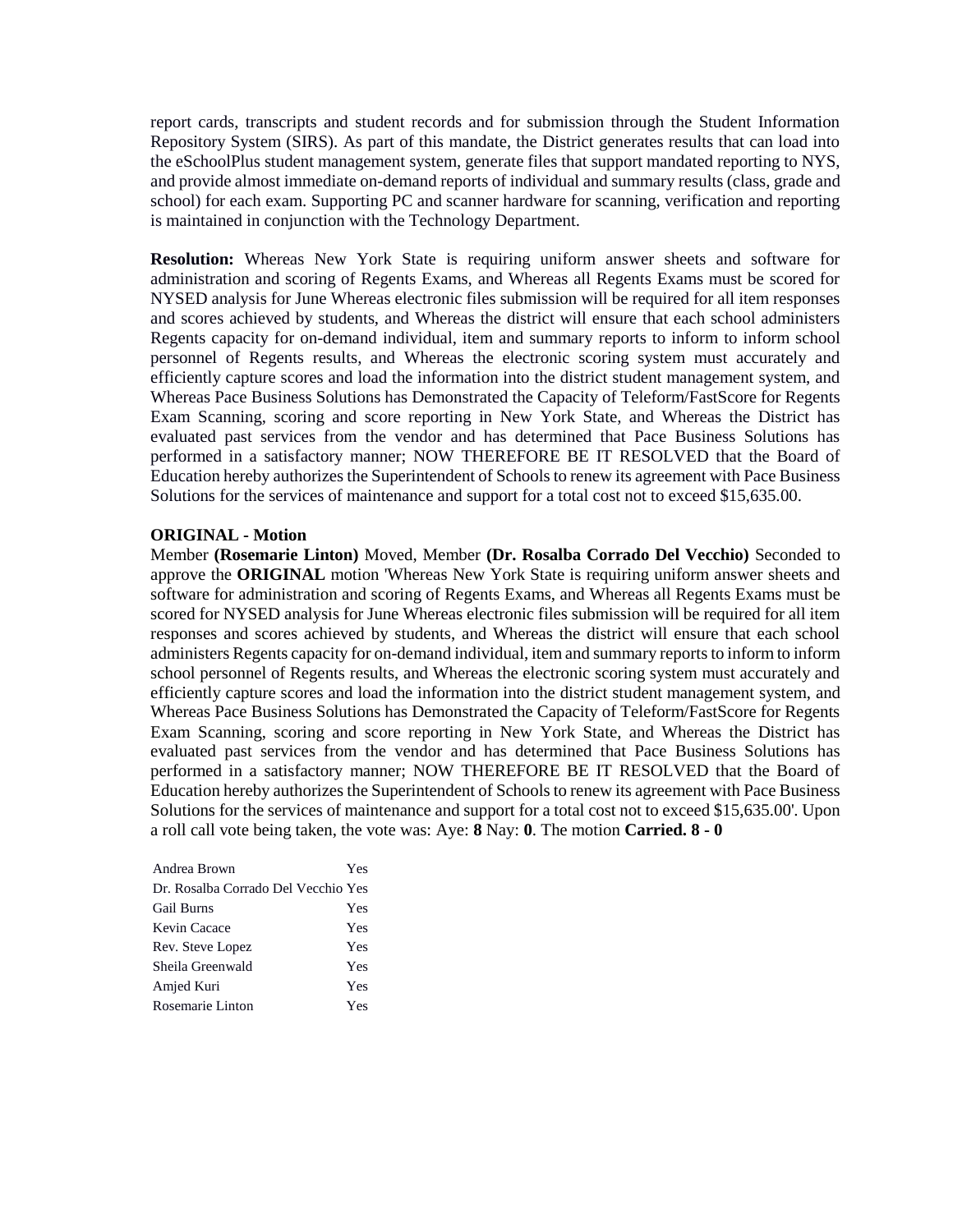report cards, transcripts and student records and for submission through the Student Information Repository System (SIRS). As part of this mandate, the District generates results that can load into the eSchoolPlus student management system, generate files that support mandated reporting to NYS, and provide almost immediate on-demand reports of individual and summary results (class, grade and school) for each exam. Supporting PC and scanner hardware for scanning, verification and reporting is maintained in conjunction with the Technology Department.

**Resolution:** Whereas New York State is requiring uniform answer sheets and software for administration and scoring of Regents Exams, and Whereas all Regents Exams must be scored for NYSED analysis for June Whereas electronic files submission will be required for all item responses and scores achieved by students, and Whereas the district will ensure that each school administers Regents capacity for on-demand individual, item and summary reports to inform to inform school personnel of Regents results, and Whereas the electronic scoring system must accurately and efficiently capture scores and load the information into the district student management system, and Whereas Pace Business Solutions has Demonstrated the Capacity of Teleform/FastScore for Regents Exam Scanning, scoring and score reporting in New York State, and Whereas the District has evaluated past services from the vendor and has determined that Pace Business Solutions has performed in a satisfactory manner; NOW THEREFORE BE IT RESOLVED that the Board of Education hereby authorizes the Superintendent of Schools to renew its agreement with Pace Business Solutions for the services of maintenance and support for a total cost not to exceed \$15,635.00.

#### **ORIGINAL - Motion**

Member **(Rosemarie Linton)** Moved, Member **(Dr. Rosalba Corrado Del Vecchio)** Seconded to approve the **ORIGINAL** motion 'Whereas New York State is requiring uniform answer sheets and software for administration and scoring of Regents Exams, and Whereas all Regents Exams must be scored for NYSED analysis for June Whereas electronic files submission will be required for all item responses and scores achieved by students, and Whereas the district will ensure that each school administers Regents capacity for on-demand individual, item and summary reports to inform to inform school personnel of Regents results, and Whereas the electronic scoring system must accurately and efficiently capture scores and load the information into the district student management system, and Whereas Pace Business Solutions has Demonstrated the Capacity of Teleform/FastScore for Regents Exam Scanning, scoring and score reporting in New York State, and Whereas the District has evaluated past services from the vendor and has determined that Pace Business Solutions has performed in a satisfactory manner; NOW THEREFORE BE IT RESOLVED that the Board of Education hereby authorizes the Superintendent of Schools to renew its agreement with Pace Business Solutions for the services of maintenance and support for a total cost not to exceed \$15,635.00'. Upon a roll call vote being taken, the vote was: Aye: **8** Nay: **0**. The motion **Carried. 8 - 0** 

| Andrea Brown                        | Yes |
|-------------------------------------|-----|
| Dr. Rosalba Corrado Del Vecchio Yes |     |
| <b>Gail Burns</b>                   | Yes |
| Kevin Cacace                        | Yes |
| Rev. Steve Lopez                    | Yes |
| Sheila Greenwald                    | Yes |
| Amjed Kuri                          | Yes |
| Rosemarie Linton                    | Yes |